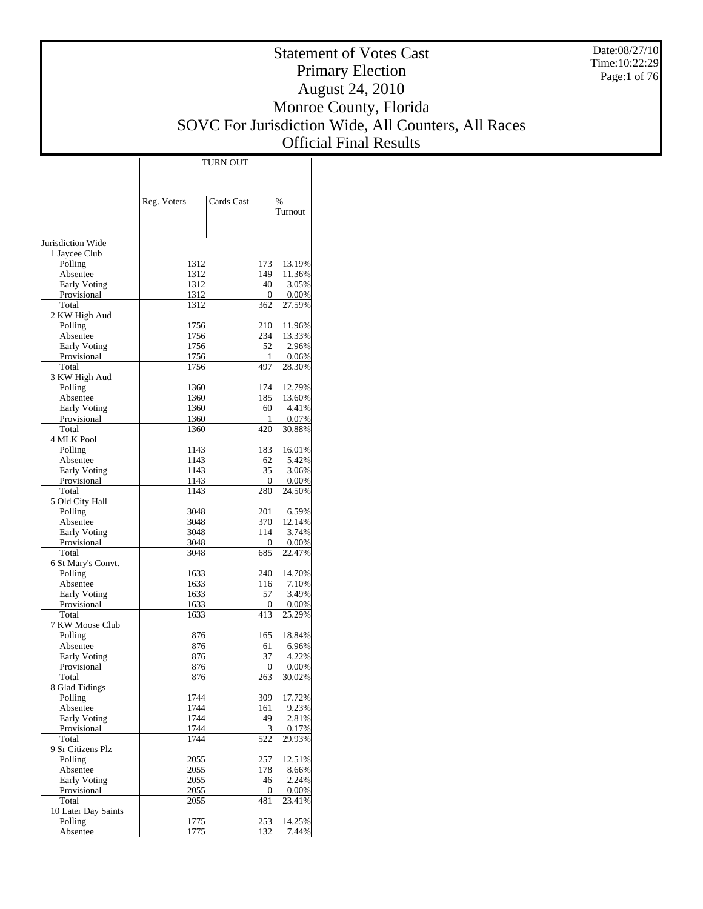Date:08/27/10 Time:10:22:29 Page:1 of 76

# Statement of Votes Cast Primary Election August 24, 2010 Monroe County, Florida SOVC For Jurisdiction Wide, All Counters, All Races Official Final Results

Τ

|                                    |              | <b>TURN OUT</b> |                    |
|------------------------------------|--------------|-----------------|--------------------|
|                                    |              |                 |                    |
|                                    |              |                 |                    |
|                                    | Reg. Voters  | Cards Cast      | $\frac{0}{0}$      |
|                                    |              |                 | Turnout            |
|                                    |              |                 |                    |
| Jurisdiction Wide                  |              |                 |                    |
| 1 Jaycee Club                      |              |                 |                    |
| Polling                            | 1312         | 173             | 13.19%             |
| Absentee                           | 1312         | 149             | 11.36%             |
| <b>Early Voting</b>                | 1312         | 40              | 3.05%              |
| Provisional<br>Total               | 1312<br>1312 | 0<br>362        | $0.00\%$<br>27.59% |
| 2 KW High Aud                      |              |                 |                    |
| Polling                            | 1756         | 210             | 11.96%             |
| Absentee                           | 1756         | 234             | 13.33%             |
| <b>Early Voting</b>                | 1756         | 52              | 2.96%              |
| Provisional                        | 1756         | 1               | 0.06%              |
| Total                              | 1756         | 497             | 28.30%             |
| 3 KW High Aud                      |              |                 |                    |
| Polling                            | 1360         | 174             | 12.79%             |
| Absentee                           | 1360<br>1360 | 185             | 13.60%             |
| <b>Early Voting</b><br>Provisional | 1360         | 60<br>1         | 4.41%<br>0.07%     |
| Total                              | 1360         | 420             | 30.88%             |
| 4 MLK Pool                         |              |                 |                    |
| Polling                            | 1143         | 183             | 16.01%             |
| Absentee                           | 1143         | 62              | 5.42%              |
| <b>Early Voting</b>                | 1143         | 35              | 3.06%              |
| Provisional                        | 1143         | 0               | $0.00\%$           |
| Total                              | 1143         | 280             | 24.50%             |
| 5 Old City Hall                    |              |                 |                    |
| Polling                            | 3048         | 201             | 6.59%              |
| Absentee                           | 3048         | 370             | 12.14%             |
| <b>Early Voting</b>                | 3048         | 114             | 3.74%              |
| Provisional<br>Total               | 3048<br>3048 | 0<br>685        | $0.00\%$<br>22.47% |
| 6 St Mary's Convt.                 |              |                 |                    |
| Polling                            | 1633         | 240             | 14.70%             |
| Absentee                           | 1633         | 116             | 7.10%              |
| <b>Early Voting</b>                | 1633         | 57              | 3.49%              |
| Provisional                        | 1633         | 0               | $0.00\%$           |
| Total                              | 1633         | 413             | 25.29%             |
| 7 KW Moose Club                    |              |                 |                    |
| Polling                            | 876          | 165             | 18.84%             |
| Absentee                           | 876          | 61              | 6.96%              |
| Early Voting                       | 876          | 37              | 4.22%              |
| Provisional                        | 876          | 0               | $0.00\%$           |
| Total                              | 876          | 263             | 30.02%             |
| 8 Glad Tidings                     | 1744         |                 |                    |
| Polling<br>Absentee                | 1744         | 309<br>161      | 17.72%<br>9.23%    |
| Early Voting                       | 1744         | 49              | 2.81%              |
| Provisional                        | 1744         | 3               | 0.17%              |
| Total                              | 1744         | 522             | 29.93%             |
| 9 Sr Citizens Plz                  |              |                 |                    |
| Polling                            | 2055         | 257             | 12.51%             |
| Absentee                           | 2055         | 178             | 8.66%              |
| Early Voting                       | 2055         | 46              | 2.24%              |
| Provisional                        | 2055         | 0               | 0.00%              |
| Total                              | 2055         | 481             | 23.41%             |
| 10 Later Day Saints                |              |                 |                    |
| Polling                            | 1775         | 253             | 14.25%             |
| Absentee                           | 1775         | 132             | 7.44%              |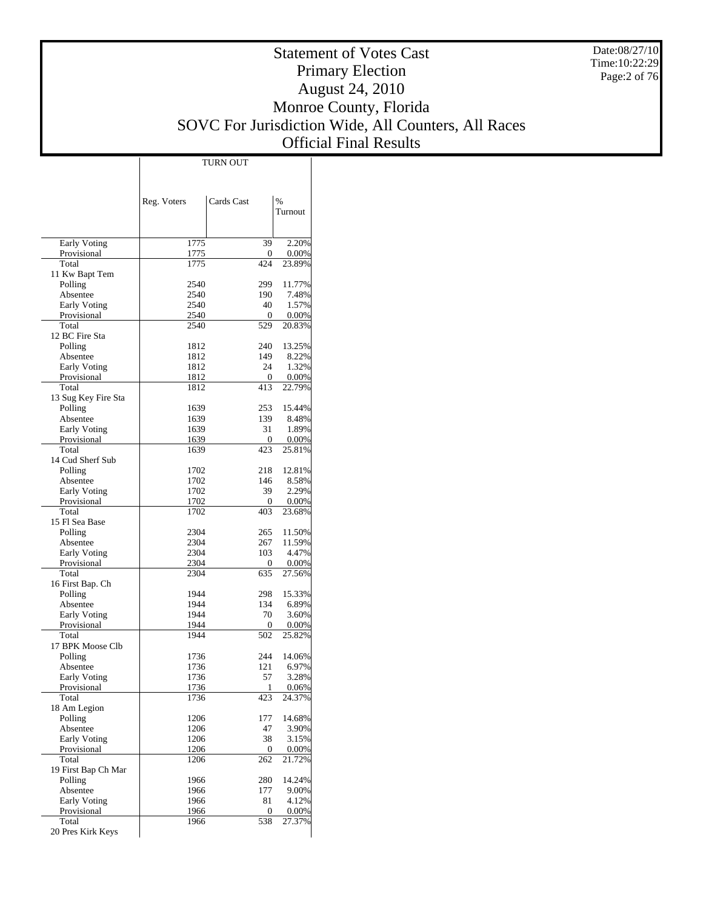Date:08/27/10 Time:10:22:29 Page:2 of 76

# Statement of Votes Cast Primary Election August 24, 2010 Monroe County, Florida SOVC For Jurisdiction Wide, All Counters, All Races Official Final Results

Τ

|                                    | Reg. Voters  | Cards Cast | $\%$<br>Turnout   |
|------------------------------------|--------------|------------|-------------------|
|                                    |              |            |                   |
| <b>Early Voting</b>                | 1775         | 39         | 2.20%             |
| Provisional                        | 1775         | 0          | $0.00\%$          |
| Total                              | 1775         | 424        | 23.89%            |
| 11 Kw Bapt Tem<br>Polling          | 2540         | 299        | 11.77%            |
| Absentee                           | 2540         | 190        | 7.48%             |
| <b>Early Voting</b>                | 2540         | 40         | 1.57%             |
| Provisional                        | 2540         | 0          | $0.00\%$          |
| Total                              | 2540         | 529        | 20.83%            |
| 12 BC Fire Sta                     |              |            |                   |
| Polling                            | 1812         | 240        | 13.25%            |
| Absentee                           | 1812         | 149<br>24  | 8.22%             |
| <b>Early Voting</b><br>Provisional | 1812<br>1812 | 0          | 1.32%<br>$0.00\%$ |
| Total                              | 1812         | 413        | 22.79%            |
| 13 Sug Key Fire Sta                |              |            |                   |
| Polling                            | 1639         | 253        | 15.44%            |
| Absentee                           | 1639         | 139        | 8.48%             |
| <b>Early Voting</b>                | 1639         | 31         | 1.89%             |
| Provisional                        | 1639         | 0          | 0.00%             |
| Total                              | 1639         | 423        | 25.81%            |
| 14 Cud Sherf Sub                   |              |            |                   |
| Polling<br>Absentee                | 1702         | 218        | 12.81%            |
| <b>Early Voting</b>                | 1702<br>1702 | 146<br>39  | 8.58%<br>2.29%    |
| Provisional                        | 1702         | 0          | $0.00\%$          |
| Total                              | 1702         | 403        | 23.68%            |
| 15 Fl Sea Base                     |              |            |                   |
| Polling                            | 2304         | 265        | 11.50%            |
| Absentee                           | 2304         | 267        | 11.59%            |
| <b>Early Voting</b>                | 2304         | 103        | 4.47%             |
| Provisional                        | 2304         | 0          | $0.00\%$          |
| Total                              | 2304         | 635        | 27.56%            |
| 16 First Bap. Ch<br>Polling        | 1944         | 298        | 15.33%            |
| Absentee                           | 1944         | 134        | 6.89%             |
| <b>Early Voting</b>                | 1944         | 70         | 3.60%             |
| Provisional                        | 1944         | 0          | $0.00\%$          |
| Total                              | 1944         | 502        | 25.82%            |
| 17 BPK Moose Clb                   |              |            |                   |
| Polling                            | 1736         | 244        | 14.06%            |
| Absentee                           | 1736         | 121        | 6.97%             |
| <b>Early Voting</b>                | 1736         | 57         | 3.28%             |
| Provisional<br>Total               | 1736<br>1736 | 423        | 0.06%<br>24.37%   |
| 18 Am Legion                       |              |            |                   |
| Polling                            | 1206         | 177        | 14.68%            |
| Absentee                           | 1206         | 47         | 3.90%             |
| <b>Early Voting</b>                | 1206         | 38         | 3.15%             |
| Provisional                        | 1206         | 0          | $0.00\%$          |
| Total                              | 1206         | 262        | 21.72%            |
| 19 First Bap Ch Mar                |              |            |                   |
| Polling                            | 1966         | 280        | 14.24%            |
| Absentee<br><b>Early Voting</b>    | 1966<br>1966 | 177<br>81  | 9.00%<br>4.12%    |
| Provisional                        | 1966         | 0          | 0.00%             |
| Total                              | 1966         | 538        | 27.37%            |
| 20 Pres Kirk Keys                  |              |            |                   |

TURN OUT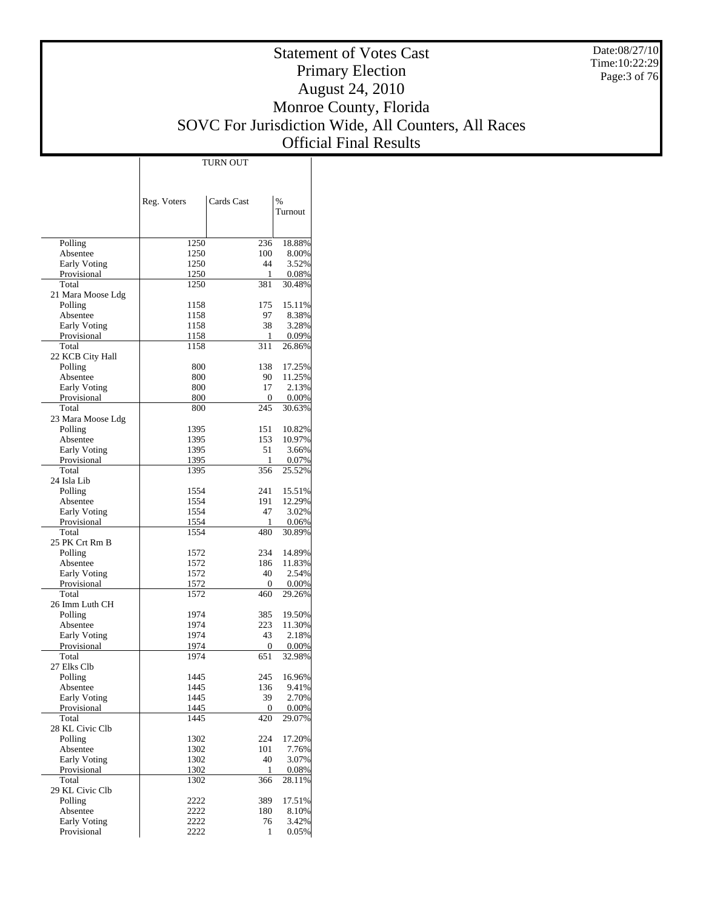Date:08/27/10 Time:10:22:29 Page:3 of 76

## Statement of Votes Cast Primary Election August 24, 2010 Monroe County, Florida SOVC For Jurisdiction Wide, All Counters, All Races Official Final Results

|                      |              | TURN OUT   |                |
|----------------------|--------------|------------|----------------|
|                      |              |            |                |
|                      |              |            |                |
|                      |              |            |                |
|                      | Reg. Voters  | Cards Cast | $\frac{0}{6}$  |
|                      |              |            | Turnout        |
|                      |              |            |                |
| Polling              | 1250         | 236        | 18.88%         |
| Absentee             | 1250         | 100        | 8.00%          |
| <b>Early Voting</b>  | 1250         | 44         | 3.52%          |
| Provisional          | 1250         | 1          | 0.08%          |
| Total                | 1250         | 381        | 30.48%         |
| 21 Mara Moose Ldg    |              |            |                |
| Polling              | 1158         | 175        | 15.11%         |
| Absentee             | 1158         | 97         | 8.38%          |
| <b>Early Voting</b>  | 1158         | 38         | 3.28%          |
| Provisional          | 1158         | 1          | 0.09%          |
| Total                | 1158         | 311        | 26.86%         |
| 22 KCB City Hall     |              |            |                |
| Polling              | 800          | 138        | 17.25%         |
| Absentee             | 800          | 90         | 11.25%         |
| <b>Early Voting</b>  | 800          | 17         | 2.13%          |
| Provisional          | 800          | 0          | $0.00\%$       |
| Total                | 800          | 245        | 30.63%         |
| 23 Mara Moose Ldg    |              |            |                |
| Polling              | 1395         | 151        | 10.82%         |
| Absentee             | 1395         | 153        | 10.97%         |
| <b>Early Voting</b>  | 1395<br>1395 | 51         | 3.66%<br>0.07% |
| Provisional<br>Total | 1395         | 1<br>356   | 25.52%         |
| 24 Isla Lib          |              |            |                |
| Polling              | 1554         | 241        | 15.51%         |
| Absentee             | 1554         | 191        | 12.29%         |
| <b>Early Voting</b>  | 1554         | 47         | 3.02%          |
| Provisional          | 1554         | 1          | 0.06%          |
| Total                | 1554         | 480        | 30.89%         |
| 25 PK Crt Rm B       |              |            |                |
| Polling              | 1572         | 234        | 14.89%         |
| Absentee             | 1572         | 186        | 11.83%         |
| <b>Early Voting</b>  | 1572         | 40         | 2.54%          |
| Provisional          | 1572         | 0          | $0.00\%$       |
| Total                | 1572         | 460        | 29.26%         |
| 26 Imm Luth CH       |              |            |                |
| Polling              | 1974         | 385        | 19.50%         |
| Absentee             | 1974         | 223        | 11.30%         |
| <b>Early Voting</b>  | 1974         | 43         | 2.18%          |
| Provisional          | 1974         | 0          | $0.00\%$       |
| Total                | 1974         | 651        | 32.98%         |
| 27 Elks Clb          |              |            |                |
| Polling              | 1445         | 245        | 16.96%         |
| Absentee             | 1445         | 136        | 9.41%          |
| Early Voting         | 1445         | 39         | 2.70%          |
| Provisional<br>Total | 1445<br>1445 | 0<br>420   | 0.00%          |
| 28 KL Civic Clb      |              |            | 29.07%         |
| Polling              | 1302         | 224        | 17.20%         |
| Absentee             | 1302         | 101        | 7.76%          |
| Early Voting         | 1302         | 40         | 3.07%          |
| Provisional          | 1302         | 1          | 0.08%          |
| Total                | 1302         | 366        | 28.11%         |
| 29 KL Civic Clb      |              |            |                |
| Polling              | 2222         | 389        | 17.51%         |
| Absentee             | 2222         | 180        | 8.10%          |
| Early Voting         | 2222         | 76         | 3.42%          |
| Provisional          | 2222         | 1          | 0.05%          |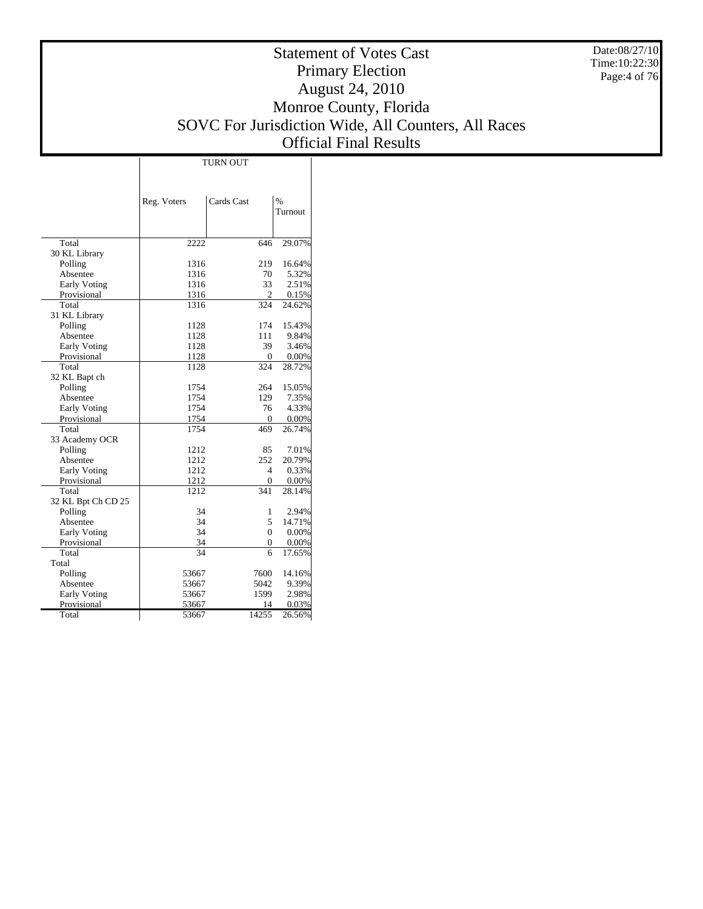Date:08/27/10 Time:10:22:30 Page:4 of 76

# Statement of Votes Cast Primary Election August 24, 2010 Monroe County, Florida SOVC For Jurisdiction Wide, All Counters, All Races Official Final Results

|                     | <b>TURN OUT</b> |              |               |  |  |  |  |  |
|---------------------|-----------------|--------------|---------------|--|--|--|--|--|
|                     |                 |              |               |  |  |  |  |  |
|                     |                 |              |               |  |  |  |  |  |
|                     | Reg. Voters     | Cards Cast   | $\frac{0}{0}$ |  |  |  |  |  |
|                     |                 |              | Turnout       |  |  |  |  |  |
|                     |                 |              |               |  |  |  |  |  |
|                     |                 |              |               |  |  |  |  |  |
| Total               | 2222            | 646          | 29.07%        |  |  |  |  |  |
| 30 KL Library       |                 |              |               |  |  |  |  |  |
| Polling             | 1316            | 219          | 16.64%        |  |  |  |  |  |
| Absentee            | 1316            | 70           | 5.32%         |  |  |  |  |  |
| <b>Early Voting</b> | 1316            | 33           | 2.51%         |  |  |  |  |  |
| Provisional         | 1316            | 2            | 0.15%         |  |  |  |  |  |
| Total               | 1316            | 324          | 24.62%        |  |  |  |  |  |
| 31 KL Library       |                 |              |               |  |  |  |  |  |
| Polling             | 1128            | 174          | 15.43%        |  |  |  |  |  |
| Absentee            | 1128            | 111          | 9.84%         |  |  |  |  |  |
| <b>Early Voting</b> | 1128            | 39           | 3.46%         |  |  |  |  |  |
| Provisional         | 1128            | 0            | 0.00%         |  |  |  |  |  |
| Total               | 1128            | 324          | 28.72%        |  |  |  |  |  |
| 32 KL Bapt ch       |                 |              |               |  |  |  |  |  |
| Polling             | 1754            | 264          | 15.05%        |  |  |  |  |  |
| Absentee            | 1754            | 129          | 7.35%         |  |  |  |  |  |
| <b>Early Voting</b> | 1754            | 76           | 4.33%         |  |  |  |  |  |
| Provisional         | 1754            | $\Omega$     | 0.00%         |  |  |  |  |  |
| Total               | 1754            | 469          | 26.74%        |  |  |  |  |  |
| 33 Academy OCR      |                 |              |               |  |  |  |  |  |
| Polling             | 1212            | 85           | 7.01%         |  |  |  |  |  |
| Absentee            | 1212            | 252          | 20.79%        |  |  |  |  |  |
| <b>Early Voting</b> | 1212            | 4            | 0.33%         |  |  |  |  |  |
| Provisional         | 1212            | $\mathbf{0}$ | 0.00%         |  |  |  |  |  |
| Total               | 1212            | 341          | 28.14%        |  |  |  |  |  |
| 32 KL Bpt Ch CD 25  |                 |              |               |  |  |  |  |  |
| Polling             | 34              | 1            | 2.94%         |  |  |  |  |  |
| Absentee            | 34              | 5            | 14.71%        |  |  |  |  |  |
| <b>Early Voting</b> | 34              | $\Omega$     | 0.00%         |  |  |  |  |  |
| Provisional         | 34              | 0            | 0.00%         |  |  |  |  |  |
| Total               | 34              | 6            | 17.65%        |  |  |  |  |  |
| Total               |                 |              |               |  |  |  |  |  |
| Polling             | 53667           | 7600         | 14.16%        |  |  |  |  |  |
| Absentee            | 53667           | 5042         | 9.39%         |  |  |  |  |  |
| <b>Early Voting</b> | 53667           | 1599         | 2.98%         |  |  |  |  |  |
| Provisional         | 53667           | 14           | 0.03%         |  |  |  |  |  |
| Total               | 53667           | 14255        | 26.56%        |  |  |  |  |  |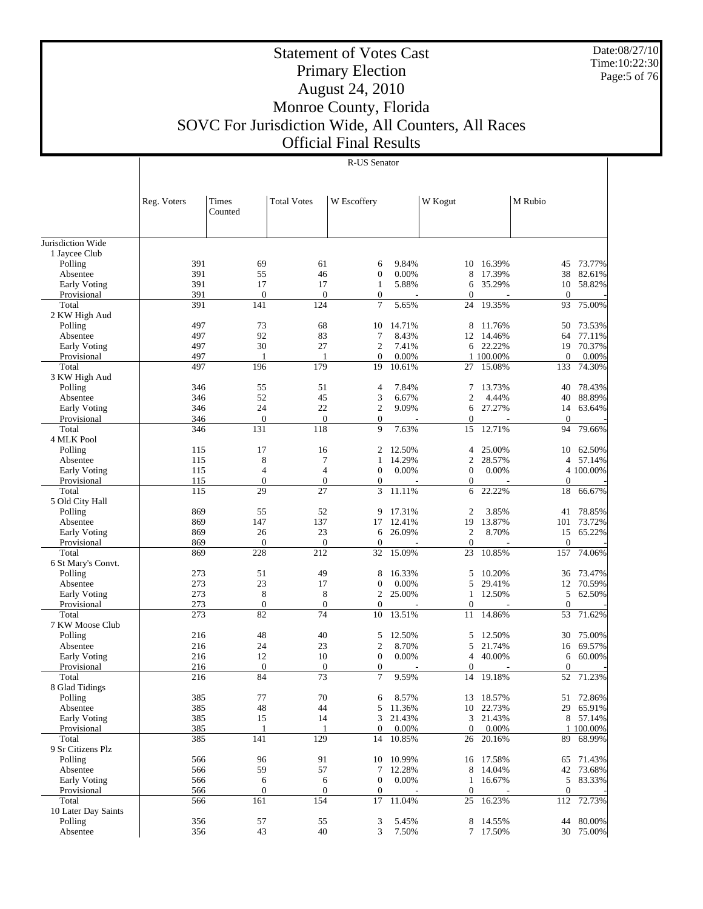Date:08/27/10 Time:10:22:30 Page:5 of 76

## Statement of Votes Cast Primary Election August 24, 2010 Monroe County, Florida SOVC For Jurisdiction Wide, All Counters, All Races Official Final Results

|                                 | Reg. Voters | Times               | <b>Total Votes</b>  | W Escoffery                    |                 | W Kogut                |                  | M Rubio             |                  |
|---------------------------------|-------------|---------------------|---------------------|--------------------------------|-----------------|------------------------|------------------|---------------------|------------------|
|                                 |             | Counted             |                     |                                |                 |                        |                  |                     |                  |
|                                 |             |                     |                     |                                |                 |                        |                  |                     |                  |
| Jurisdiction Wide               |             |                     |                     |                                |                 |                        |                  |                     |                  |
| 1 Jaycee Club                   |             |                     |                     |                                |                 |                        |                  |                     |                  |
| Polling                         | 391         | 69                  | 61                  | 6                              | 9.84%           | 10                     | 16.39%           | 45                  | 73.77%           |
| Absentee                        | 391         | 55                  | 46                  | $\mathbf{0}$                   | 0.00%           | 8                      | 17.39%           | 38                  | 82.61%           |
| <b>Early Voting</b>             | 391         | 17                  | 17                  | $\mathbf{1}$                   | 5.88%           | 6                      | 35.29%           | 10                  | 58.82%           |
| Provisional                     | 391         | $\boldsymbol{0}$    | $\theta$            | $\boldsymbol{0}$               |                 | $\boldsymbol{0}$       |                  | $\overline{0}$      |                  |
| Total                           | 391         | 141                 | 124                 | 7                              | 5.65%           | 24                     | 19.35%           | 93                  | 75.00%           |
| 2 KW High Aud                   |             |                     |                     |                                |                 |                        |                  |                     |                  |
| Polling<br>Absentee             | 497<br>497  | 73<br>92            | 68<br>83            | 10<br>7                        | 14.71%<br>8.43% | 8<br>12                | 11.76%<br>14.46% | 50<br>64            | 73.53%<br>77.11% |
| Early Voting                    | 497         | 30                  | 27                  | $\overline{c}$                 | 7.41%           |                        | 6 22.22%         | 19                  | 70.37%           |
| Provisional                     | 497         | 1                   | $\mathbf{1}$        | $\mathbf{0}$                   | 0.00%           |                        | 1 100.00%        | $\mathbf{0}$        | 0.00%            |
| Total                           | 497         | 196                 | 179                 | 19                             | 10.61%          | 27                     | 15.08%           | 133                 | 74.30%           |
| 3 KW High Aud                   |             |                     |                     |                                |                 |                        |                  |                     |                  |
| Polling                         | 346         | 55                  | 51                  | $\overline{4}$                 | 7.84%           | 7                      | 13.73%           | 40                  | 78.43%           |
| Absentee                        | 346         | 52                  | 45                  | 3                              | 6.67%           | 2                      | 4.44%            | 40                  | 88.89%           |
| <b>Early Voting</b>             | 346         | 24                  | 22                  | $\overline{c}$                 | 9.09%           | 6                      | 27.27%           | 14                  | 63.64%           |
| Provisional                     | 346         | $\boldsymbol{0}$    | $\mathbf{0}$        | $\boldsymbol{0}$               |                 | $\boldsymbol{0}$       |                  | $\overline{0}$      |                  |
| Total                           | 346         | 131                 | 118                 | 9                              | 7.63%           | 15                     | 12.71%           | 94                  | 79.66%           |
| 4 MLK Pool<br>Polling           | 115         | 17                  | 16                  | 2                              | 12.50%          | 4                      | 25.00%           | 10                  | 62.50%           |
| Absentee                        | 115         | 8                   | 7                   | 1                              | 14.29%          | 2                      | 28.57%           | 4                   | 57.14%           |
| <b>Early Voting</b>             | 115         | 4                   | $\overline{4}$      | $\mathbf{0}$                   | 0.00%           | $\boldsymbol{0}$       | 0.00%            |                     | 4 100.00%        |
| Provisional                     | 115         | $\mathbf{0}$        | $\mathbf{0}$        | $\boldsymbol{0}$               |                 | $\boldsymbol{0}$       |                  | $\mathbf{0}$        |                  |
| Total                           | 115         | 29                  | 27                  | 3                              | 11.11%          | 6                      | 22.22%           | 18                  | 66.67%           |
| 5 Old City Hall                 |             |                     |                     |                                |                 |                        |                  |                     |                  |
| Polling                         | 869         | 55                  | 52                  | 9                              | 17.31%          | $\overline{2}$         | 3.85%            | 41                  | 78.85%           |
| Absentee                        | 869         | 147                 | 137                 | 17                             | 12.41%          | 19                     | 13.87%           | 101                 | 73.72%           |
| <b>Early Voting</b>             | 869         | 26                  | 23                  | 6                              | 26.09%          | $\overline{c}$         | 8.70%            | 15                  | 65.22%           |
| Provisional<br>Total            | 869<br>869  | $\mathbf{0}$<br>228 | $\mathbf{0}$<br>212 | $\mathbf{0}$<br>32             | 15.09%          | $\boldsymbol{0}$<br>23 | 10.85%           | $\mathbf{0}$<br>157 | 74.06%           |
| 6 St Mary's Convt.              |             |                     |                     |                                |                 |                        |                  |                     |                  |
| Polling                         | 273         | 51                  | 49                  | 8                              | 16.33%          | 5                      | 10.20%           | 36                  | 73.47%           |
| Absentee                        | 273         | 23                  | 17                  | $\mathbf{0}$                   | 0.00%           | 5                      | 29.41%           | 12                  | 70.59%           |
| <b>Early Voting</b>             | 273         | 8                   | 8                   | $\overline{c}$                 | 25.00%          | 1                      | 12.50%           | 5                   | 62.50%           |
| Provisional                     | 273         | $\mathbf{0}$        | $\mathbf{0}$        | $\mathbf{0}$                   |                 | $\mathbf{0}$           |                  | $\Omega$            |                  |
| Total                           | 273         | 82                  | 74                  | 10                             | 13.51%          | 11                     | 14.86%           | 53                  | 71.62%           |
| 7 KW Moose Club                 |             |                     |                     |                                |                 |                        |                  |                     |                  |
| Polling                         | 216         | 48                  | 40                  | 5                              | 12.50%          | 5                      | 12.50%           | 30                  | 75.00%           |
| Absentee<br><b>Early Voting</b> | 216<br>216  | 24<br>12            | 23<br>10            | $\overline{c}$<br>$\mathbf{0}$ | 8.70%<br>0.00%  | 5<br>4                 | 21.74%<br>40.00% | 16<br>6             | 69.57%<br>60.00% |
| Provisional                     | 216         | $\boldsymbol{0}$    | $\mathbf{0}$        | $\boldsymbol{0}$               |                 | $\mathbf{0}$           |                  | $\mathbf{0}$        |                  |
| Total                           | 216         | 84                  | 73                  | $\tau$                         | 9.59%           | 14                     | 19.18%           | 52                  | 71.23%           |
| 8 Glad Tidings                  |             |                     |                     |                                |                 |                        |                  |                     |                  |
| Polling                         | 385         | 77                  | 70                  | 6                              | 8.57%           |                        | 13 18.57%        |                     | 51 72.86%        |
| Absentee                        | 385         | 48                  | 44                  | 5                              | 11.36%          | 10                     | 22.73%           | 29                  | 65.91%           |
| Early Voting                    | 385         | 15                  | 14                  | 3                              | 21.43%          | 3                      | 21.43%           |                     | 8 57.14%         |
| Provisional                     | 385         | 1                   | 1                   | $\mathbf{0}$                   | 0.00%           | $\boldsymbol{0}$       | 0.00%            |                     | 1 100.00%        |
| Total<br>9 Sr Citizens Plz      | 385         | 141                 | 129                 | 14                             | 10.85%          | 26                     | 20.16%           | 89                  | 68.99%           |
| Polling                         | 566         | 96                  | 91                  | 10                             | 10.99%          |                        | 16 17.58%        |                     | 71.43%           |
| Absentee                        | 566         | 59                  | 57                  | 7                              | 12.28%          | 8                      | 14.04%           | 65<br>42            | 73.68%           |
| Early Voting                    | 566         | 6                   | 6                   | $\mathbf{0}$                   | 0.00%           | $\mathbf{1}$           | 16.67%           | 5                   | 83.33%           |
| Provisional                     | 566         | $\boldsymbol{0}$    | $\mathbf{0}$        | $\boldsymbol{0}$               |                 | $\mathbf{0}$           |                  | $\mathbf{0}$        |                  |
| Total                           | 566         | 161                 | 154                 | 17                             | 11.04%          | $25\,$                 | 16.23%           | 112                 | 72.73%           |
| 10 Later Day Saints             |             |                     |                     |                                |                 |                        |                  |                     |                  |
| Polling                         | 356         | 57                  | 55                  | 3                              | 5.45%           | 8                      | 14.55%           | 44                  | 80.00%           |
| Absentee                        | 356         | 43                  | 40                  | 3                              | 7.50%           |                        | 7 17.50%         | 30                  | 75.00%           |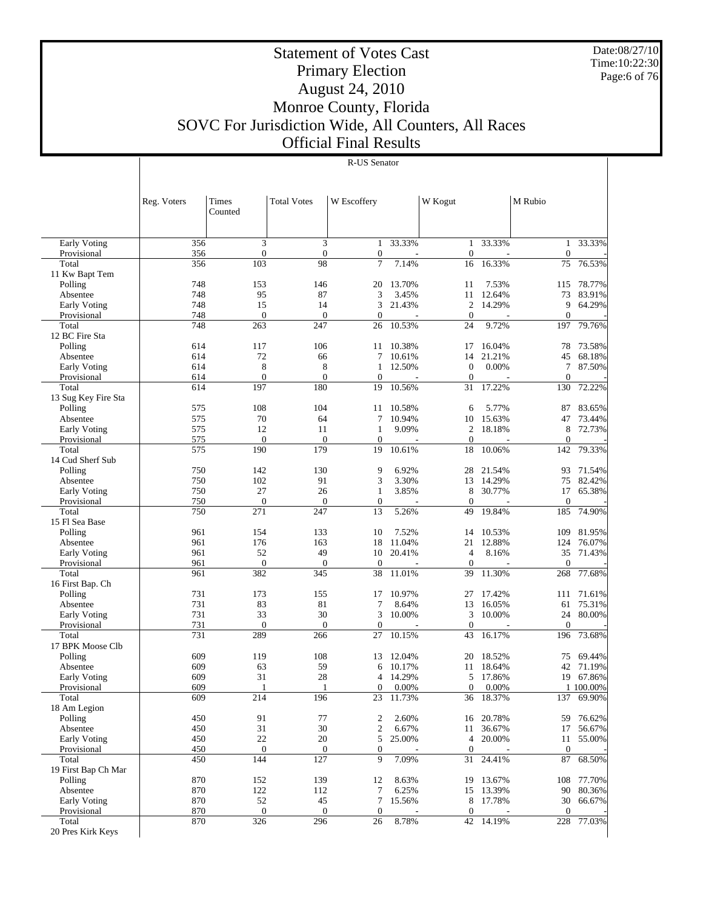Date:08/27/10 Time:10:22:30 Page:6 of 76

## Statement of Votes Cast Primary Election August 24, 2010 Monroe County, Florida SOVC For Jurisdiction Wide, All Counters, All Races Official Final Results

|                             | Reg. Voters      | Times<br>Counted        | <b>Total Votes</b> | W Escoffery           |                | W Kogut                      |                     | M Rubio                |                  |
|-----------------------------|------------------|-------------------------|--------------------|-----------------------|----------------|------------------------------|---------------------|------------------------|------------------|
|                             |                  |                         |                    |                       |                |                              |                     |                        |                  |
|                             |                  |                         |                    |                       |                |                              |                     |                        |                  |
| Early Voting                | 356              | 3                       | 3                  | 1                     | 33.33%         | $\mathbf{1}$                 | 33.33%              | $\mathbf{1}$           | 33.33%           |
| Provisional<br>Total        | 356<br>356       | $\boldsymbol{0}$<br>103 | $\mathbf{0}$<br>98 | $\boldsymbol{0}$<br>7 | 7.14%          | $\boldsymbol{0}$<br>16       | 16.33%              | $\boldsymbol{0}$<br>75 | 76.53%           |
| 11 Kw Bapt Tem              |                  |                         |                    |                       |                |                              |                     |                        |                  |
| Polling                     | 748              | 153                     | 146                | 20                    | 13.70%         | 11                           | 7.53%               | 115                    | 78.77%           |
| Absentee                    | 748              | 95                      | 87                 | 3                     | 3.45%          | 11                           | 12.64%              | 73                     | 83.91%           |
| <b>Early Voting</b>         | 748              | 15                      | 14                 | 3                     | 21.43%         | $\overline{2}$               | 14.29%              | 9                      | 64.29%           |
| Provisional                 | 748              | $\mathbf{0}$            | $\boldsymbol{0}$   | $\mathbf{0}$          |                | $\theta$                     |                     | $\mathbf{0}$           |                  |
| Total                       | 748              | 263                     | 247                | 26                    | 10.53%         | 24                           | 9.72%               | 197                    | 79.76%           |
| 12 BC Fire Sta              |                  |                         |                    |                       |                |                              |                     |                        |                  |
| Polling                     | 614              | 117                     | 106                | 11                    | 10.38%         | 17                           | 16.04%              | 78                     | 73.58%           |
| Absentee                    | 614              | 72                      | 66                 |                       | 7 10.61%       | 14                           | 21.21%              | 45                     | 68.18%           |
| <b>Early Voting</b>         | 614<br>614       | 8<br>$\mathbf{0}$       | 8<br>$\mathbf{0}$  | 1<br>$\mathbf{0}$     | 12.50%         | $\mathbf{0}$<br>$\mathbf{0}$ | 0.00%               | $\tau$<br>$\mathbf{0}$ | 87.50%           |
| Provisional<br>Total        | 614              | 197                     | 180                | 19                    | 10.56%         | 31                           | 17.22%              | 130                    | 72.22%           |
| 13 Sug Key Fire Sta         |                  |                         |                    |                       |                |                              |                     |                        |                  |
| Polling                     | 575              | 108                     | 104                | 11                    | 10.58%         | 6                            | 5.77%               | 87                     | 83.65%           |
| Absentee                    | 575              | 70                      | 64                 | $\tau$                | 10.94%         | 10                           | 15.63%              | 47                     | 73.44%           |
| <b>Early Voting</b>         | 575              | 12                      | 11                 | $\mathbf{1}$          | 9.09%          | $\overline{2}$               | 18.18%              | 8                      | 72.73%           |
| Provisional                 | 575              | $\boldsymbol{0}$        | $\mathbf{0}$       | $\mathbf{0}$          |                | $\mathbf{0}$                 |                     | $\mathbf{0}$           |                  |
| Total                       | 575              | 190                     | 179                | 19                    | 10.61%         | 18                           | 10.06%              | 142                    | 79.33%           |
| 14 Cud Sherf Sub            |                  |                         |                    |                       |                |                              |                     |                        |                  |
| Polling                     | 750              | 142                     | 130                | 9                     | 6.92%          | 28                           | 21.54%              | 93                     | 71.54%           |
| Absentee                    | 750              | 102                     | 91                 | 3                     | 3.30%          | 13                           | 14.29%              | 75                     | 82.42%           |
| <b>Early Voting</b>         | 750              | 27                      | 26                 | $\mathbf{1}$          | 3.85%          | 8                            | 30.77%              | 17                     | 65.38%           |
| Provisional                 | 750              | $\mathbf{0}$            | $\mathbf{0}$       | $\mathbf{0}$          |                | $\boldsymbol{0}$             |                     | $\boldsymbol{0}$       |                  |
| Total<br>15 Fl Sea Base     | 750              | 271                     | 247                | 13                    | 5.26%          | 49                           | 19.84%              | 185                    | 74.90%           |
| Polling                     | 961              | 154                     | 133                | 10                    | 7.52%          | 14                           | 10.53%              | 109                    | 81.95%           |
| Absentee                    | 961              | 176                     | 163                | 18                    | 11.04%         | 21                           | 12.88%              | 124                    | 76.07%           |
| <b>Early Voting</b>         | 961              | 52                      | 49                 | 10                    | 20.41%         | 4                            | 8.16%               | 35                     | 71.43%           |
| Provisional                 | 961              | $\boldsymbol{0}$        | $\boldsymbol{0}$   | $\boldsymbol{0}$      |                | $\boldsymbol{0}$             |                     | $\mathbf{0}$           |                  |
| Total                       | 961              | 382                     | 345                | 38                    | 11.01%         | 39                           | 11.30%              | 268                    | 77.68%           |
| 16 First Bap. Ch            |                  |                         |                    |                       |                |                              |                     |                        |                  |
| Polling                     | 731              | 173                     | 155                | 17                    | 10.97%         | 27                           | 17.42%              | 111                    | 71.61%           |
| Absentee                    | 731              | 83                      | 81                 | 7                     | 8.64%          | 13                           | 16.05%              | 61                     | 75.31%           |
| Early Voting                | 731              | 33                      | 30                 | 3                     | 10.00%         | 3                            | 10.00%              | 24                     | 80.00%           |
| Provisional                 | 731              | $\mathbf{0}$            | $\mathbf{0}$       | $\boldsymbol{0}$      |                | $\mathbf{0}$                 |                     | $\boldsymbol{0}$       |                  |
| Total                       | 731              | 289                     | 266                | 27                    | 10.15%         | 43                           | 16.17%              | 196                    | 73.68%           |
| 17 BPK Moose Clb<br>Polling | 609              | 119                     | 108                | 13                    | 12.04%         | 20                           | 18.52%              | 75                     | 69.44%           |
| Absentee                    | 609              | 63                      | 59                 | 6                     | 10.17%         | 11                           | 18.64%              | 42                     | 71.19%           |
| <b>Early Voting</b>         | 609              | 31                      | 28                 | 4                     | 14.29%         | 5                            | 17.86%              | 19                     | 67.86%           |
| Provisional                 | 609              | $\mathbf{1}$            | $\mathbf{1}$       | 0                     | 0.00%          | $\boldsymbol{0}$             | 0.00%               |                        | 1 100,00%        |
| Total                       | $\overline{609}$ | 214                     | 196                | $\overline{23}$       | 11.73%         | $\overline{36}$              | 18.37%              |                        | 137 69.90%       |
| 18 Am Legion                |                  |                         |                    |                       |                |                              |                     |                        |                  |
| Polling                     | 450              | 91                      | $77 \,$            | $\boldsymbol{2}$      | 2.60%          | 16                           | 20.78%              | 59                     | 76.62%           |
| Absentee                    | 450              | 31                      | 30                 | $\overline{c}$        | 6.67%          | 11                           | 36.67%              | 17                     | 56.67%           |
| <b>Early Voting</b>         | 450              | 22                      | 20                 | 5                     | 25.00%         | $\overline{4}$               | 20.00%              | 11                     | 55.00%           |
| Provisional                 | 450              | $\mathbf{0}$            | $\boldsymbol{0}$   | 0                     |                | $\mathbf{0}$                 |                     | $\boldsymbol{0}$       |                  |
| Total                       | 450              | 144                     | 127                | 9                     | 7.09%          | 31                           | 24.41%              | 87                     | 68.50%           |
| 19 First Bap Ch Mar         |                  |                         |                    |                       |                |                              |                     |                        |                  |
| Polling<br>Absentee         | 870<br>870       | 152<br>122              | 139<br>112         | 12<br>7               | 8.63%<br>6.25% | 19                           | 13.67%<br>15 13.39% | 108                    | 77.70%<br>80.36% |
| Early Voting                | 870              | 52                      | 45                 | 7                     | 15.56%         | 8                            | 17.78%              | 90<br>30               | 66.67%           |
| Provisional                 | 870              | $\boldsymbol{0}$        | $\boldsymbol{0}$   | $\boldsymbol{0}$      |                | $\mathbf{0}$                 |                     | $\mathbf{0}$           |                  |
| Total                       | 870              | 326                     | 296                | 26                    | 8.78%          | 42                           | 14.19%              | 228                    | 77.03%           |
| 20 Pres Kirk Keys           |                  |                         |                    |                       |                |                              |                     |                        |                  |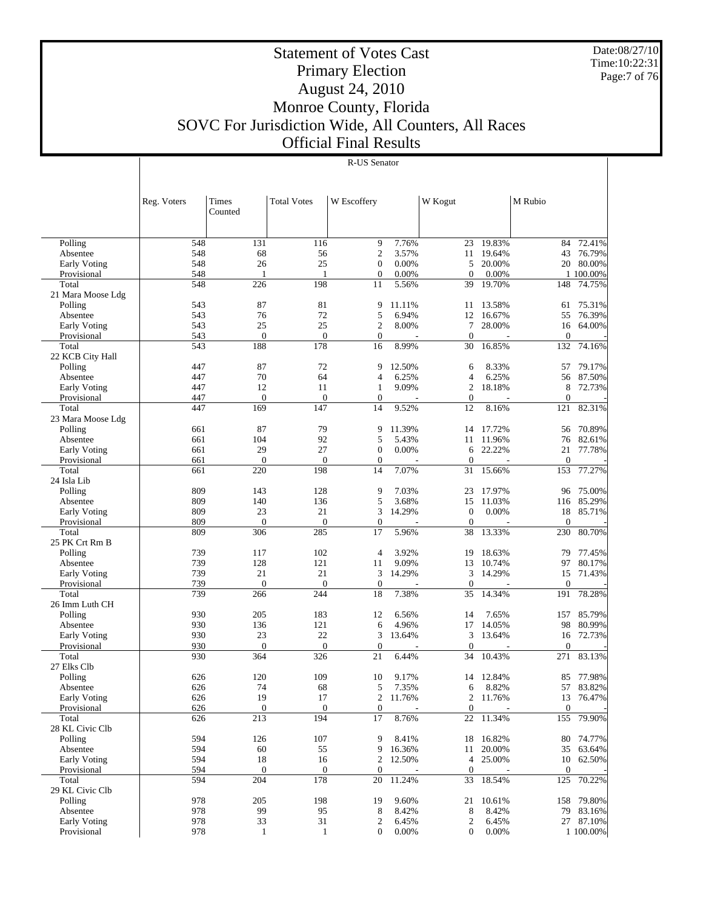Date:08/27/10 Time:10:22:31 Page:7 of 76

## Statement of Votes Cast Primary Election August 24, 2010 Monroe County, Florida SOVC For Jurisdiction Wide, All Counters, All Races Official Final Results

|                     | Reg. Voters | Times            | <b>Total Votes</b> | W Escoffery      |        | W Kogut          |           | M Rubio      |            |
|---------------------|-------------|------------------|--------------------|------------------|--------|------------------|-----------|--------------|------------|
|                     |             | Counted          |                    |                  |        |                  |           |              |            |
|                     |             |                  |                    |                  |        |                  |           |              |            |
| Polling             | 548         | 131              | 116                | 9                | 7.76%  | 23               | 19.83%    | 84           | 72.41%     |
| Absentee            | 548         | 68               | 56                 | $\mathfrak{2}$   | 3.57%  |                  | 11 19.64% | 43           | 76.79%     |
| <b>Early Voting</b> | 548         | 26               | 25                 | $\boldsymbol{0}$ | 0.00%  | 5                | 20.00%    | 20           | 80.00%     |
| Provisional         | 548         | $\mathbf{1}$     | $\mathbf{1}$       | $\mathbf{0}$     | 0.00%  | $\mathbf{0}$     | 0.00%     |              | 1 100.00%  |
| Total               | 548         | 226              | 198                | 11               | 5.56%  | 39               | 19.70%    | 148          | 74.75%     |
| 21 Mara Moose Ldg   |             |                  |                    |                  |        |                  |           |              |            |
| Polling             | 543         | 87               | 81                 | 9                | 11.11% | 11               | 13.58%    | 61           | 75.31%     |
| Absentee            | 543         | 76               | 72                 | 5                | 6.94%  | 12               | 16.67%    | 55           | 76.39%     |
| <b>Early Voting</b> | 543         | 25               | 25                 | $\mathfrak{2}$   | 8.00%  | 7                | 28.00%    | 16           | 64.00%     |
| Provisional         | 543         | $\mathbf{0}$     | $\mathbf{0}$       | $\mathbf{0}$     |        | $\boldsymbol{0}$ |           | $\mathbf{0}$ |            |
| Total               | 543         | 188              | 178                | 16               | 8.99%  | 30               | 16.85%    | 132          | 74.16%     |
| 22 KCB City Hall    |             |                  |                    |                  |        |                  |           |              |            |
| Polling             | 447         | 87               | 72                 | 9                | 12.50% | 6                | 8.33%     | 57           | 79.17%     |
| Absentee            | 447         | 70               | 64                 | 4                | 6.25%  | $\overline{4}$   | 6.25%     | 56           | 87.50%     |
| <b>Early Voting</b> | 447         | 12               | 11                 | 1                | 9.09%  | $\mathfrak{2}$   | 18.18%    | 8            | 72.73%     |
| Provisional         | 447         | $\mathbf{0}$     | $\mathbf{0}$       | $\mathbf{0}$     |        | $\boldsymbol{0}$ |           | $\mathbf{0}$ |            |
| Total               | 447         | 169              | 147                | 14               | 9.52%  | 12               | 8.16%     | 121          | 82.31%     |
| 23 Mara Moose Ldg   |             |                  |                    |                  |        |                  |           |              |            |
| Polling             | 661         | 87               | 79                 | 9                | 11.39% | 14               | 17.72%    | 56           | 70.89%     |
| Absentee            | 661         | 104              | 92                 | 5                | 5.43%  | 11               | 11.96%    | 76           | 82.61%     |
| <b>Early Voting</b> | 661         | 29               | 27                 | $\mathbf{0}$     | 0.00%  | 6                | 22.22%    | 21           | 77.78%     |
| Provisional         | 661         | $\mathbf{0}$     | $\mathbf{0}$       | $\mathbf{0}$     |        | $\boldsymbol{0}$ |           | $\mathbf{0}$ |            |
| Total               | 661         | 220              | 198                | 14               | 7.07%  | 31               | 15.66%    | 153          | 77.27%     |
| 24 Isla Lib         |             |                  |                    |                  |        |                  |           |              |            |
| Polling             | 809         | 143              | 128                | 9                | 7.03%  | 23               | 17.97%    | 96           | 75.00%     |
| Absentee            | 809         | 140              | 136                | 5                | 3.68%  | 15               | 11.03%    | 116          | 85.29%     |
| <b>Early Voting</b> | 809         | 23               | 21                 | 3                | 14.29% | $\mathbf{0}$     | 0.00%     | 18           | 85.71%     |
| Provisional         | 809         | $\mathbf{0}$     | $\mathbf{0}$       | $\mathbf{0}$     |        | $\boldsymbol{0}$ |           | $\theta$     |            |
| Total               | 809         | 306              | 285                | 17               | 5.96%  | 38               | 13.33%    | 230          | 80.70%     |
| 25 PK Crt Rm B      |             |                  |                    |                  |        |                  |           |              |            |
| Polling             | 739         | 117              | 102                | 4                | 3.92%  | 19               | 18.63%    | 79           | 77.45%     |
| Absentee            | 739         | 128              | 121                | 11               | 9.09%  | 13               | 10.74%    | 97           | 80.17%     |
| <b>Early Voting</b> | 739         | 21               | 21                 | 3                | 14.29% | 3                | 14.29%    | 15           | 71.43%     |
| Provisional         | 739         | $\mathbf{0}$     | $\theta$           | $\boldsymbol{0}$ |        | $\boldsymbol{0}$ |           | $\theta$     |            |
| Total               | 739         | 266              | 244                | 18               | 7.38%  | 35               | 14.34%    | 191          | 78.28%     |
| 26 Imm Luth CH      |             |                  |                    |                  |        |                  |           |              |            |
| Polling             | 930         | 205              | 183                | 12               | 6.56%  | 14               | 7.65%     | 157          | 85.79%     |
| Absentee            | 930         | 136              | 121                | 6                | 4.96%  | 17               | 14.05%    | 98           | 80.99%     |
| <b>Early Voting</b> | 930         | 23               | 22                 | 3                | 13.64% | 3                | 13.64%    | 16           | 72.73%     |
| Provisional         | 930         | $\mathbf{0}$     | $\mathbf{0}$       | $\boldsymbol{0}$ |        | $\boldsymbol{0}$ |           | $\mathbf{0}$ |            |
| Total               | 930         | 364              | 326                | 21               | 6.44%  | 34               | 10.43%    | 271          | 83.13%     |
| 27 Elks Clb         |             |                  |                    |                  |        |                  |           |              |            |
| Polling             | 626         | 120              | 109                | 10               | 9.17%  | 14               | 12.84%    | 85           | 77.98%     |
| Absentee            | 626         | 74               | 68                 | 5                | 7.35%  | 6                | 8.82%     |              | 57 83.82%  |
| Early Voting        | 626         | 19               | 17                 | $\overline{c}$   | 11.76% | $\overline{2}$   | 11.76%    | 13           | 76.47%     |
| Provisional         | 626         | $\boldsymbol{0}$ | $\boldsymbol{0}$   | $\mathbf{0}$     |        | $\boldsymbol{0}$ |           | $\mathbf{0}$ |            |
| Total               | 626         | 213              | 194                | 17               | 8.76%  | 22               | 11.34%    | 155          | 79.90%     |
| 28 KL Civic Clb     |             |                  |                    |                  |        |                  |           |              |            |
| Polling             | 594         | 126              | 107                | 9                | 8.41%  | 18               | 16.82%    | 80           | 74.77%     |
| Absentee            | 594         | 60               | 55                 | 9                | 16.36% | 11               | 20.00%    | 35           | 63.64%     |
| <b>Early Voting</b> | 594         | 18               | 16                 | $\overline{c}$   | 12.50% | 4                | 25.00%    | 10           | 62.50%     |
| Provisional         | 594         | $\mathbf{0}$     | $\boldsymbol{0}$   | $\boldsymbol{0}$ |        | $\mathbf{0}$     |           | $\mathbf{0}$ |            |
| Total               | 594         | 204              | 178                | 20               | 11.24% | 33               | 18.54%    | 125          | 70.22%     |
| 29 KL Civic Clb     |             |                  |                    |                  |        |                  |           |              |            |
| Polling             | 978         | 205              | 198                | 19               | 9.60%  | 21               | 10.61%    |              | 158 79.80% |
| Absentee            | 978         | 99               | 95                 | 8                | 8.42%  | 8                | 8.42%     |              | 79 83.16%  |
| Early Voting        | 978         | 33               | 31                 | $\overline{c}$   | 6.45%  | $\boldsymbol{2}$ | 6.45%     |              | 27 87.10%  |
| Provisional         | 978         | $\mathbf{1}$     | $\mathbf{1}$       | $\mathbf{0}$     | 0.00%  | $\overline{0}$   | 0.00%     |              | 1 100.00%  |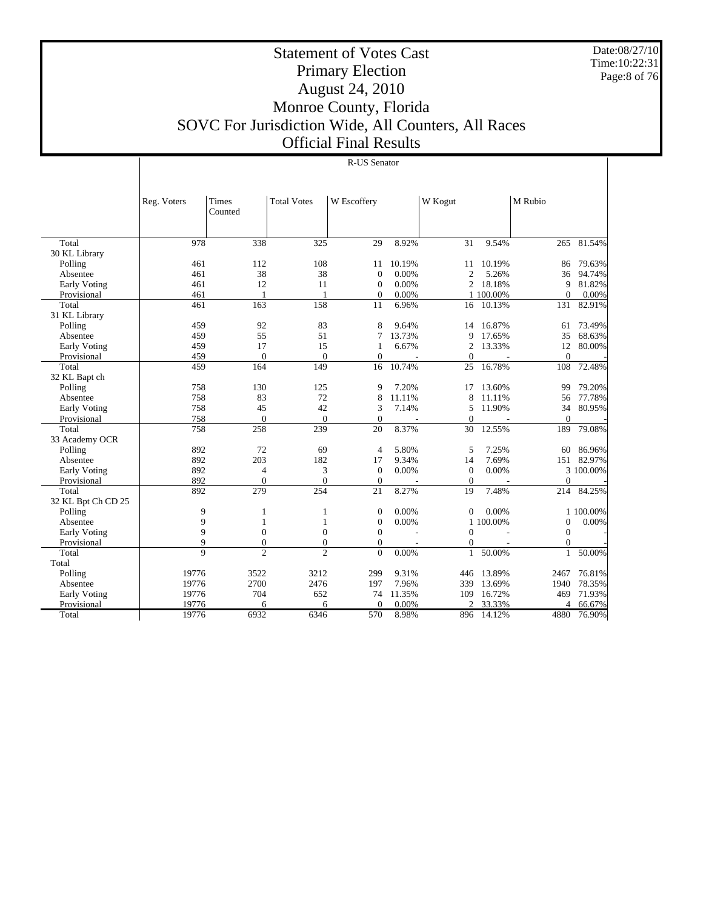Date:08/27/10 Time:10:22:31 Page:8 of 76

## Statement of Votes Cast Primary Election August 24, 2010 Monroe County, Florida SOVC For Jurisdiction Wide, All Counters, All Races Official Final Results

|                     | Reg. Voters    | <b>Times</b>     | <b>Total Votes</b> | W Escoffery      |        | W Kogut         |           | M Rubio      |           |
|---------------------|----------------|------------------|--------------------|------------------|--------|-----------------|-----------|--------------|-----------|
|                     |                | Counted          |                    |                  |        |                 |           |              |           |
|                     |                |                  |                    |                  |        |                 |           |              |           |
|                     |                |                  |                    |                  |        |                 |           |              |           |
| Total               | 978            | 338              | 325                | 29               | 8.92%  | $\overline{31}$ | 9.54%     | 265          | 81.54%    |
| 30 KL Library       |                |                  |                    |                  |        |                 |           |              |           |
| Polling             | 461            | 112              | 108                | 11               | 10.19% | 11              | 10.19%    | 86           | 79.63%    |
| Absentee            | 461            | 38               | 38                 | $\mathbf{0}$     | 0.00%  | $\overline{2}$  | 5.26%     | 36           | 94.74%    |
| <b>Early Voting</b> | 461            | 12               | 11                 | $\boldsymbol{0}$ | 0.00%  | $\overline{c}$  | 18.18%    | 9            | 81.82%    |
| Provisional         | 461            | 1                | $\mathbf{1}$       | $\overline{0}$   | 0.00%  |                 | 1 100.00% | $\Omega$     | 0.00%     |
| Total               | 461            | 163              | 158                | 11               | 6.96%  | 16              | 10.13%    | 131          | 82.91%    |
| 31 KL Library       |                |                  |                    |                  |        |                 |           |              |           |
| Polling             | 459            | 92               | 83                 | 8                | 9.64%  | 14              | 16.87%    | 61           | 73.49%    |
| Absentee            | 459            | 55               | 51                 | 7                | 13.73% | 9               | 17.65%    | 35           | 68.63%    |
| Early Voting        | 459            | 17               | 15                 | 1                | 6.67%  | $\overline{2}$  | 13.33%    | 12           | 80.00%    |
| Provisional         | 459            | $\mathbf{0}$     | $\Omega$           | $\mathbf{0}$     |        | $\theta$        |           | $\Omega$     |           |
| Total               | 459            | 164              | 149                | 16               | 10.74% | 25              | 16.78%    | 108          | 72.48%    |
| 32 KL Bapt ch       |                |                  |                    |                  |        |                 |           |              |           |
| Polling             | 758            | 130              | 125                | 9                | 7.20%  | 17              | 13.60%    | 99           | 79.20%    |
| Absentee            | 758            | 83               | 72                 | 8                | 11.11% | 8               | 11.11%    | 56           | 77.78%    |
| Early Voting        | 758            | 45               | 42                 | 3                | 7.14%  | 5               | 11.90%    | 34           | 80.95%    |
| Provisional         | 758            | $\mathbf{0}$     | $\theta$           | $\mathbf{0}$     |        | $\theta$        |           | $\theta$     |           |
| Total               | 758            | 258              | 239                | 20               | 8.37%  | 30              | 12.55%    | 189          | 79.08%    |
| 33 Academy OCR      |                |                  |                    |                  |        |                 |           |              |           |
| Polling             | 892            | 72               | 69                 | 4                | 5.80%  | 5               | 7.25%     | 60           | 86.96%    |
| Absentee            | 892            | 203              | 182                | 17               | 9.34%  | 14              | 7.69%     | 151          | 82.97%    |
| <b>Early Voting</b> | 892            | 4                | 3                  | $\overline{0}$   | 0.00%  | $\overline{0}$  | 0.00%     |              | 3 100.00% |
| Provisional         | 892            | $\mathbf{0}$     | $\mathbf{0}$       | $\theta$         |        | $\mathbf{0}$    |           | $\mathbf{0}$ |           |
| Total               | 892            | 279              | 254                | 21               | 8.27%  | 19              | 7.48%     | 214          | 84.25%    |
| 32 KL Bpt Ch CD 25  |                |                  |                    |                  |        |                 |           |              |           |
| Polling             | 9              | 1                | 1                  | $\boldsymbol{0}$ | 0.00%  | $\mathbf{0}$    | 0.00%     |              | 1 100.00% |
| Absentee            | 9              | 1                | 1                  | $\mathbf{0}$     | 0.00%  |                 | 1 100.00% | $\mathbf{0}$ | 0.00%     |
| <b>Early Voting</b> | 9              | $\boldsymbol{0}$ | $\boldsymbol{0}$   | $\mathbf{0}$     |        | $\overline{0}$  |           | $\mathbf{0}$ |           |
| Provisional         | $\mathbf Q$    | $\mathbf{0}$     | $\mathbf{0}$       | $\mathbf{0}$     |        | $\theta$        |           | $\Omega$     |           |
| Total               | $\overline{9}$ | $\mathfrak{D}$   | $\mathfrak{D}$     | $\theta$         | 0.00%  | 1               | 50.00%    | $\mathbf{1}$ | 50.00%    |
| Total               |                |                  |                    |                  |        |                 |           |              |           |
| Polling             | 19776          | 3522             | 3212               | 299              | 9.31%  | 446             | 13.89%    | 2467         | 76.81%    |
| Absentee            | 19776          | 2700             | 2476               | 197              | 7.96%  | 339             | 13.69%    | 1940         | 78.35%    |
| <b>Early Voting</b> | 19776          | 704              | 652                | 74               | 11.35% | 109             | 16.72%    | 469          | 71.93%    |
| Provisional         | 19776          | 6                | 6                  | 0                | 0.00%  | っ               | 33.33%    | 4            | 66.67%    |
| Total               | 19776          | 6932             | 6346               | 570              | 8.98%  | 896             | 14.12%    | 4880         | 76.90%    |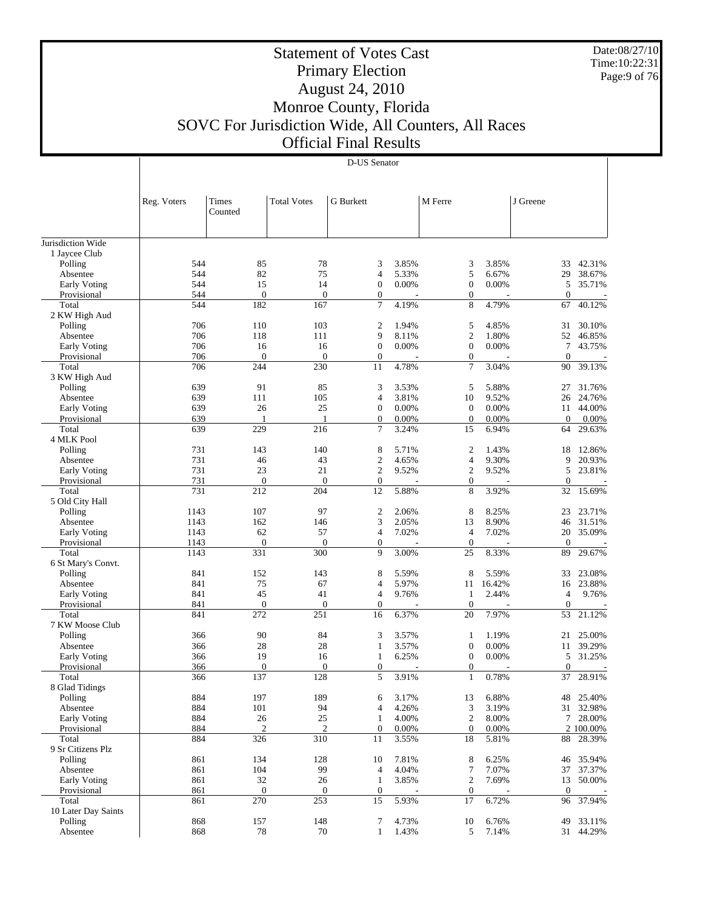Date:08/27/10 Time:10:22:31 Page:9 of 76

## Statement of Votes Cast Primary Election August 24, 2010 Monroe County, Florida SOVC For Jurisdiction Wide, All Counters, All Races Official Final Results

| S Senator |
|-----------|

|                          | Reg. Voters | Times<br>Counted      | <b>Total Votes</b>    | <b>G</b> Burkett |       | M Ferre                 |        | J Greene       |           |
|--------------------------|-------------|-----------------------|-----------------------|------------------|-------|-------------------------|--------|----------------|-----------|
| Jurisdiction Wide        |             |                       |                       |                  |       |                         |        |                |           |
| 1 Jaycee Club            |             |                       |                       |                  |       |                         |        |                |           |
| Polling                  | 544         | 85                    | 78                    | 3                | 3.85% | 3                       | 3.85%  | 33             | 42.31%    |
| Absentee                 | 544         | 82                    | 75                    | $\overline{4}$   | 5.33% | 5                       | 6.67%  | 29             | 38.67%    |
| <b>Early Voting</b>      | 544         | 15                    | 14                    | $\mathbf{0}$     | 0.00% | $\boldsymbol{0}$        | 0.00%  | 5              | 35.71%    |
| Provisional              | 544         | $\boldsymbol{0}$      | $\mathbf{0}$          | $\boldsymbol{0}$ |       | $\boldsymbol{0}$        |        | $\overline{0}$ |           |
| Total                    | 544         | 182                   | 167                   | 7                | 4.19% | 8                       | 4.79%  | 67             | 40.12%    |
| 2 KW High Aud            |             |                       |                       |                  |       |                         |        |                |           |
| Polling                  | 706         | 110                   | 103                   | $\overline{2}$   | 1.94% | 5                       | 4.85%  | 31             | 30.10%    |
| Absentee                 | 706         | 118                   | 111                   | 9                | 8.11% | $\overline{c}$          | 1.80%  | 52             | 46.85%    |
| <b>Early Voting</b>      | 706         | 16                    | 16                    | $\mathbf{0}$     | 0.00% | $\boldsymbol{0}$        | 0.00%  | 7              | 43.75%    |
| Provisional              | 706         | $\mathbf{0}$          | $\theta$              | $\mathbf{0}$     |       | $\boldsymbol{0}$        |        | $\mathbf{0}$   |           |
| Total                    | 706         | 244                   | 230                   | 11               | 4.78% | $\tau$                  | 3.04%  | 90             | 39.13%    |
| 3 KW High Aud            |             |                       |                       |                  |       |                         |        |                |           |
| Polling                  | 639         | 91                    | 85                    | 3                | 3.53% | 5                       | 5.88%  | 27             | 31.76%    |
| Absentee                 | 639         | 111                   | 105                   | $\overline{4}$   | 3.81% | 10                      | 9.52%  | 26             | 24.76%    |
| <b>Early Voting</b>      | 639         | 26                    | 25                    | $\mathbf{0}$     | 0.00% | $\mathbf{0}$            | 0.00%  | 11             | 44.00%    |
| Provisional              | 639         | 1                     | 1                     | $\boldsymbol{0}$ | 0.00% | $\boldsymbol{0}$        | 0.00%  | $\overline{0}$ | 0.00%     |
| Total                    | 639         | 229                   | 216                   | 7                | 3.24% | 15                      | 6.94%  | 64             | 29.63%    |
| 4 MLK Pool               |             |                       |                       |                  |       |                         |        |                |           |
| Polling                  | 731         | 143                   | 140                   | 8                | 5.71% | $\overline{2}$          | 1.43%  | 18             | 12.86%    |
| Absentee                 | 731         | 46                    | 43                    | $\mathbf{2}$     | 4.65% | $\overline{\mathbf{4}}$ | 9.30%  | 9              | 20.93%    |
| <b>Early Voting</b>      | 731         | 23                    | 21                    | $\overline{c}$   | 9.52% | $\sqrt{2}$              | 9.52%  | 5              | 23.81%    |
| Provisional              | 731         | $\overline{0}$<br>212 | $\overline{0}$<br>204 | $\boldsymbol{0}$ | 5.88% | $\boldsymbol{0}$<br>8   |        | $\mathbf{0}$   | 15.69%    |
| Total<br>5 Old City Hall | 731         |                       |                       | 12               |       |                         | 3.92%  | 32             |           |
| Polling                  | 1143        | 107                   | 97                    | $\overline{2}$   | 2.06% | 8                       | 8.25%  | 23             | 23.71%    |
| Absentee                 | 1143        | 162                   | 146                   | 3                | 2.05% | 13                      | 8.90%  | 46             | 31.51%    |
| <b>Early Voting</b>      | 1143        | 62                    | 57                    | $\overline{4}$   | 7.02% | $\overline{4}$          | 7.02%  | 20             | 35.09%    |
| Provisional              | 1143        | $\overline{0}$        | $\overline{0}$        | $\mathbf{0}$     |       | $\mathbf{0}$            |        | $\overline{0}$ |           |
| Total                    | 1143        | 331                   | 300                   | 9                | 3.00% | 25                      | 8.33%  | 89             | 29.67%    |
| 6 St Mary's Convt.       |             |                       |                       |                  |       |                         |        |                |           |
| Polling                  | 841         | 152                   | 143                   | 8                | 5.59% | 8                       | 5.59%  | 33             | 23.08%    |
| Absentee                 | 841         | 75                    | 67                    | $\overline{4}$   | 5.97% | 11                      | 16.42% | 16             | 23.88%    |
| <b>Early Voting</b>      | 841         | 45                    | 41                    | $\overline{4}$   | 9.76% | $\mathbf{1}$            | 2.44%  | 4              | 9.76%     |
| Provisional              | 841         | $\boldsymbol{0}$      | $\mathbf{0}$          | $\boldsymbol{0}$ |       | $\boldsymbol{0}$        |        | $\mathbf{0}$   |           |
| Total                    | 841         | 272                   | 251                   | 16               | 6.37% | 20                      | 7.97%  | 53             | 21.12%    |
| 7 KW Moose Club          |             |                       |                       |                  |       |                         |        |                |           |
| Polling                  | 366         | 90                    | 84                    | 3                | 3.57% | $\mathbf{1}$            | 1.19%  | 21             | 25.00%    |
| Absentee                 | 366         | 28                    | 28                    | $\mathbf{1}$     | 3.57% | $\boldsymbol{0}$        | 0.00%  | 11             | 39.29%    |
| <b>Early Voting</b>      | 366         | 19                    | 16                    | $\mathbf{1}$     | 6.25% | $\mathbf{0}$            | 0.00%  | 5              | 31.25%    |
| Provisional              | 366         | $\overline{0}$        | $\mathbf{0}$          | $\boldsymbol{0}$ |       | $\boldsymbol{0}$        |        | $\mathbf{0}$   |           |
| Total                    | 366         | 137                   | 128                   | 5                | 3.91% | 1                       | 0.78%  | 37             | 28.91%    |
| 8 Glad Tidings           |             |                       |                       |                  |       |                         |        |                |           |
| Polling                  | 884         | 197                   | 189                   | 6                | 3.17% | 13                      | 6.88%  | 48             | 25.40%    |
| Absentee                 | 884         | 101                   | 94                    | $\overline{4}$   | 4.26% | 3                       | 3.19%  | 31             | 32.98%    |
| Early Voting             | 884         | 26                    | 25                    | $\mathbf{1}$     | 4.00% | $\sqrt{2}$              | 8.00%  | 7              | 28.00%    |
| Provisional              | 884         | $\mathfrak{2}$        | $\overline{c}$        | $\mathbf{0}$     | 0.00% | $\mathbf{0}$            | 0.00%  |                | 2 100.00% |
| Total                    | 884         | 326                   | 310                   | 11               | 3.55% | 18                      | 5.81%  | 88             | 28.39%    |
| 9 Sr Citizens Plz        |             |                       |                       |                  |       |                         |        |                |           |
| Polling                  | 861         | 134                   | 128                   | 10               | 7.81% | 8                       | 6.25%  | 46             | 35.94%    |
| Absentee                 | 861         | 104                   | 99                    | $\overline{4}$   | 4.04% | $\boldsymbol{7}$        | 7.07%  | 37             | 37.37%    |
| Early Voting             | 861         | 32                    | 26                    | $\mathbf{1}$     | 3.85% | $\mathbf{2}$            | 7.69%  | 13             | 50.00%    |
| Provisional              | 861         | $\boldsymbol{0}$      | $\mathbf{0}$          | $\mathbf{0}$     |       | $\boldsymbol{0}$        |        | $\mathbf{0}$   |           |
| Total                    | 861         | 270                   | 253                   | 15               | 5.93% | 17                      | 6.72%  | 96             | 37.94%    |
| 10 Later Day Saints      |             |                       |                       |                  |       |                         |        |                |           |
| Polling                  | 868         | 157                   | 148                   | 7                | 4.73% | 10                      | 6.76%  | 49             | 33.11%    |
| Absentee                 | 868         | 78                    | 70                    | $\mathbf{1}$     | 1.43% | 5                       | 7.14%  | 31             | 44.29%    |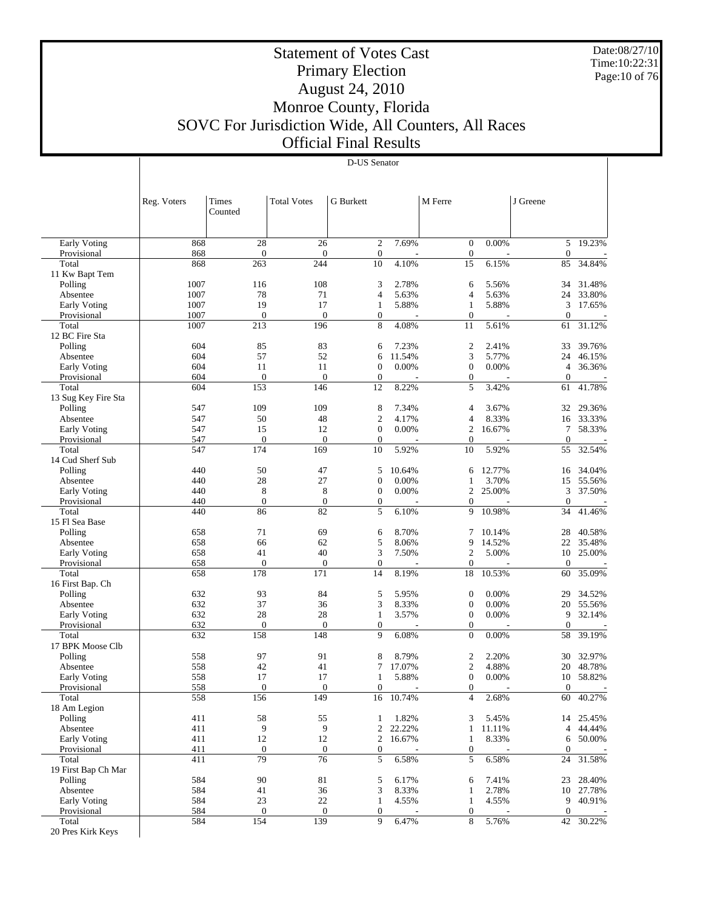Date:08/27/10 Time:10:22:31 Page:10 of 76

## Statement of Votes Cast Primary Election August 24, 2010 Monroe County, Florida SOVC For Jurisdiction Wide, All Counters, All Races Official Final Results

|                              | Reg. Voters | Times<br>Counted    | <b>Total Votes</b>  | G Burkett             |           | M Ferre                              |        | J Greene               |        |
|------------------------------|-------------|---------------------|---------------------|-----------------------|-----------|--------------------------------------|--------|------------------------|--------|
|                              |             |                     |                     |                       |           |                                      |        |                        |        |
| <b>Early Voting</b>          | 868         | 28                  | 26                  | $\mathfrak{2}$        | 7.69%     | $\mathbf{0}$                         | 0.00%  | 5                      | 19.23% |
| Provisional                  | 868         | $\boldsymbol{0}$    | $\mathbf{0}$        | $\boldsymbol{0}$      |           | $\boldsymbol{0}$                     |        | $\theta$               |        |
| Total                        | 868         | 263                 | 244                 | 10                    | 4.10%     | 15                                   | 6.15%  | 85                     | 34.84% |
| 11 Kw Bapt Tem<br>Polling    | 1007        | 116                 | 108                 | 3                     | 2.78%     | 6                                    | 5.56%  | 34                     | 31.48% |
| Absentee                     | 1007        | 78                  | 71                  | $\overline{4}$        | 5.63%     | 4                                    | 5.63%  | 24                     | 33.80% |
| <b>Early Voting</b>          | 1007        | 19                  | 17                  | $\mathbf{1}$          | 5.88%     | $\mathbf{1}$                         | 5.88%  | 3                      | 17.65% |
| Provisional                  | 1007        | $\mathbf{0}$        | $\mathbf{0}$        | $\boldsymbol{0}$      |           | $\boldsymbol{0}$                     |        | $\overline{0}$         |        |
| Total                        | 1007        | 213                 | 196                 | 8                     | 4.08%     | 11                                   | 5.61%  | 61                     | 31.12% |
| 12 BC Fire Sta               |             |                     |                     |                       |           |                                      |        |                        |        |
| Polling                      | 604         | 85                  | 83                  | 6                     | 7.23%     | $\boldsymbol{2}$                     | 2.41%  | 33                     | 39.76% |
| Absentee                     | 604         | 57                  | 52                  | 6                     | 11.54%    | 3                                    | 5.77%  | 24                     | 46.15% |
| <b>Early Voting</b>          | 604         | 11                  | 11                  | $\boldsymbol{0}$      | 0.00%     | $\boldsymbol{0}$                     | 0.00%  | 4                      | 36.36% |
| Provisional                  | 604         | $\theta$            | $\mathbf{0}$<br>146 | $\boldsymbol{0}$      |           | $\boldsymbol{0}$                     |        | $\mathbf{0}$           | 41.78% |
| Total<br>13 Sug Key Fire Sta | 604         | 153                 |                     | 12                    | 8.22%     | 5                                    | 3.42%  | 61                     |        |
| Polling                      | 547         | 109                 | 109                 | 8                     | 7.34%     | 4                                    | 3.67%  | 32                     | 29.36% |
| Absentee                     | 547         | 50                  | 48                  | $\mathfrak{2}$        | 4.17%     | 4                                    | 8.33%  | 16                     | 33.33% |
| Early Voting                 | 547         | 15                  | 12                  | $\boldsymbol{0}$      | 0.00%     | $\overline{2}$                       | 16.67% | 7                      | 58.33% |
| Provisional                  | 547         | $\theta$            | $\mathbf{0}$        | $\boldsymbol{0}$      |           | $\mathbf{0}$                         |        | $\theta$               |        |
| Total                        | 547         | 174                 | 169                 | 10                    | 5.92%     | 10                                   | 5.92%  | 55                     | 32.54% |
| 14 Cud Sherf Sub             |             |                     |                     |                       |           |                                      |        |                        |        |
| Polling                      | 440         | 50                  | 47                  | 5                     | 10.64%    | 6                                    | 12.77% | 16                     | 34.04% |
| Absentee                     | 440         | 28                  | 27                  | $\boldsymbol{0}$      | 0.00%     | 1                                    | 3.70%  | 15                     | 55.56% |
| <b>Early Voting</b>          | 440         | $\,$ 8 $\,$         | 8                   | $\boldsymbol{0}$      | 0.00%     | $\mathfrak{2}$                       | 25.00% | 3                      | 37.50% |
| Provisional                  | 440         | $\mathbf{0}$        | $\mathbf{0}$        | $\boldsymbol{0}$      |           | $\overline{0}$                       |        | $\theta$               | 41.46% |
| Total<br>15 Fl Sea Base      | 440         | 86                  | 82                  | 5                     | 6.10%     | 9                                    | 10.98% | 34                     |        |
| Polling                      | 658         | 71                  | 69                  | 6                     | 8.70%     | 7                                    | 10.14% | 28                     | 40.58% |
| Absentee                     | 658         | 66                  | 62                  | 5                     | 8.06%     | 9                                    | 14.52% | 22                     | 35.48% |
| <b>Early Voting</b>          | 658         | 41                  | 40                  | 3                     | 7.50%     | $\overline{c}$                       | 5.00%  | 10                     | 25.00% |
| Provisional                  | 658         | $\mathbf{0}$        | $\mathbf{0}$        | $\boldsymbol{0}$      |           | $\mathbf{0}$                         |        | $\overline{0}$         |        |
| Total                        | 658         | 178                 | 171                 | 14                    | 8.19%     | 18                                   | 10.53% | 60                     | 35.09% |
| 16 First Bap. Ch             |             |                     |                     |                       |           |                                      |        |                        |        |
| Polling                      | 632         | 93                  | 84                  | 5                     | 5.95%     | $\boldsymbol{0}$                     | 0.00%  | 29                     | 34.52% |
| Absentee                     | 632         | 37                  | 36                  | 3                     | 8.33%     | $\boldsymbol{0}$                     | 0.00%  | 20                     | 55.56% |
| <b>Early Voting</b>          | 632         | 28                  | 28                  | $\mathbf{1}$          | 3.57%     | $\boldsymbol{0}$                     | 0.00%  | 9                      | 32.14% |
| Provisional<br>Total         | 632<br>632  | $\mathbf{0}$<br>158 | $\mathbf{0}$<br>148 | $\boldsymbol{0}$<br>9 | 6.08%     | $\boldsymbol{0}$<br>$\boldsymbol{0}$ | 0.00%  | $\mathbf{0}$<br>58     | 39.19% |
| 17 BPK Moose Clb             |             |                     |                     |                       |           |                                      |        |                        |        |
| Polling                      | 558         | 97                  | 91                  | 8                     | 8.79%     | $\overline{2}$                       | 2.20%  | 30                     | 32.97% |
| Absentee                     | 558         | 42                  | 41                  | 7                     | 17.07%    | $\mathfrak{2}$                       | 4.88%  | 20                     | 48.78% |
| <b>Early Voting</b>          | 558         | 17                  | 17                  | 1                     | 5.88%     | $\boldsymbol{0}$                     | 0.00%  | 10                     | 58.82% |
| Provisional                  | 558         | $\mathbf{0}$        | $\mathbf{0}$        | $\boldsymbol{0}$      |           | $\boldsymbol{0}$                     |        | $\mathbf{0}$           |        |
| Total                        | 558         | 156                 | 149                 |                       | 16 10.74% | 4                                    | 2.68%  | 60                     | 40.27% |
| 18 Am Legion                 |             |                     |                     |                       |           |                                      |        |                        |        |
| Polling                      | 411         | 58                  | 55                  | $\mathbf{1}$          | 1.82%     | 3                                    | 5.45%  | 14                     | 25.45% |
| Absentee                     | 411         | 9                   | 9                   | $\mathbf{2}$          | 22.22%    | $\mathbf{1}$                         | 11.11% | 4                      | 44.44% |
| Early Voting                 | 411         | 12                  | 12                  | $\overline{c}$        | 16.67%    | $\mathbf{1}$                         | 8.33%  | 6                      | 50.00% |
| Provisional<br>Total         | 411<br>411  | $\mathbf{0}$<br>79  | $\mathbf{0}$<br>76  | $\boldsymbol{0}$<br>5 |           | $\boldsymbol{0}$<br>5                |        | $\boldsymbol{0}$<br>24 |        |
| 19 First Bap Ch Mar          |             |                     |                     |                       | 6.58%     |                                      | 6.58%  |                        | 31.58% |
| Polling                      | 584         | 90                  | 81                  | 5                     | 6.17%     | 6                                    | 7.41%  | 23                     | 28.40% |
| Absentee                     | 584         | 41                  | 36                  | 3                     | 8.33%     | $\mathbf{1}$                         | 2.78%  | 10                     | 27.78% |
| Early Voting                 | 584         | 23                  | $22\,$              | $\mathbf{1}$          | 4.55%     | $\mathbf{1}$                         | 4.55%  | 9                      | 40.91% |
| Provisional                  | 584         | $\boldsymbol{0}$    | $\mathbf{0}$        | $\mathbf{0}$          |           | $\boldsymbol{0}$                     |        | $\mathbf{0}$           |        |
| Total                        | 584         | 154                 | 139                 | 9                     | 6.47%     | 8                                    | 5.76%  | 42                     | 30.22% |
| 20 Pres Kirk Keys            |             |                     |                     |                       |           |                                      |        |                        |        |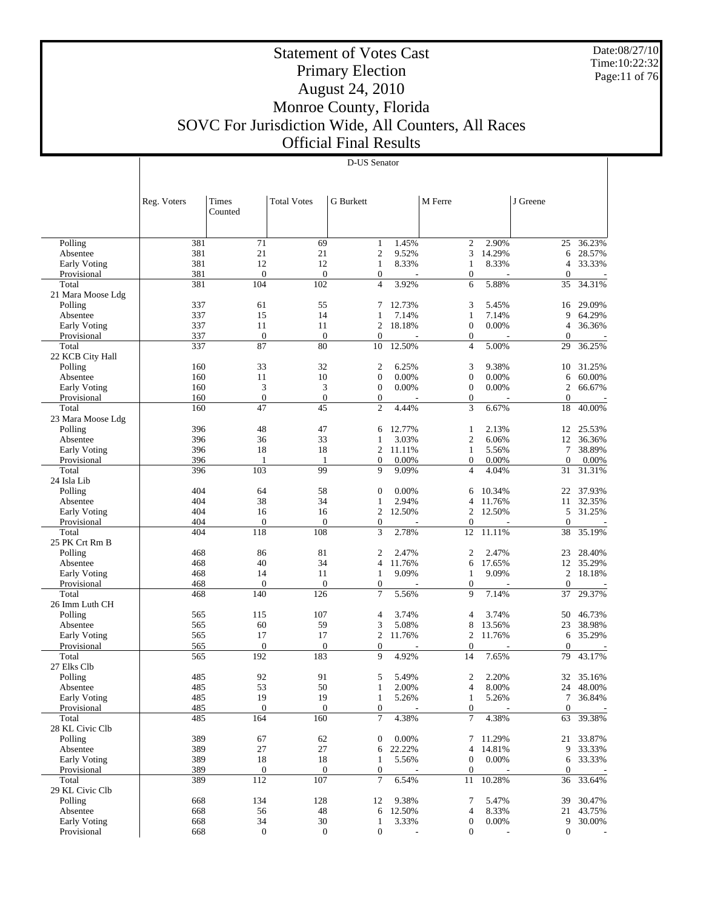Date:08/27/10 Time:10:22:32 Page:11 of 76

## Statement of Votes Cast Primary Election August 24, 2010 Monroe County, Florida SOVC For Jurisdiction Wide, All Counters, All Races Official Final Results

|                                 | Reg. Voters | Times<br>Counted        | <b>Total Votes</b>      | G Burkett                        |                 | M Ferre                              |                 | J Greene              |                  |
|---------------------------------|-------------|-------------------------|-------------------------|----------------------------------|-----------------|--------------------------------------|-----------------|-----------------------|------------------|
|                                 |             |                         |                         |                                  |                 |                                      |                 |                       |                  |
| Polling                         | 381         | 71                      | 69                      | 1                                | 1.45%           | $\overline{2}$                       | 2.90%           | 25                    | 36.23%           |
| Absentee                        | 381         | 21                      | 21                      | $\overline{c}$                   | 9.52%           | 3                                    | 14.29%          | 6                     | 28.57%           |
| <b>Early Voting</b>             | 381         | 12                      | 12                      | $\mathbf{1}$                     | 8.33%           | 1                                    | 8.33%           | 4                     | 33.33%           |
| Provisional                     | 381         | $\mathbf{0}$            | $\boldsymbol{0}$        | $\boldsymbol{0}$                 |                 | $\boldsymbol{0}$                     |                 | $\theta$              |                  |
| Total                           | 381         | 104                     | 102                     | $\overline{4}$                   | 3.92%           | 6                                    | 5.88%           | 35                    | 34.31%           |
| 21 Mara Moose Ldg<br>Polling    | 337         | 61                      | 55                      | 7                                | 12.73%          | 3                                    | 5.45%           | 16                    | 29.09%           |
| Absentee                        | 337         | 15                      | 14                      | 1                                | 7.14%           | $\mathbf{1}$                         | 7.14%           | 9                     | 64.29%           |
| <b>Early Voting</b>             | 337         | 11                      | 11                      | 2                                | 18.18%          | $\boldsymbol{0}$                     | 0.00%           | 4                     | 36.36%           |
| Provisional                     | 337         | $\mathbf{0}$            | $\mathbf{0}$            | $\mathbf{0}$                     |                 | $\boldsymbol{0}$                     |                 | $\boldsymbol{0}$      |                  |
| Total                           | 337         | 87                      | 80                      | 10                               | 12.50%          | $\overline{4}$                       | 5.00%           | 29                    | 36.25%           |
| 22 KCB City Hall                |             |                         |                         |                                  |                 |                                      |                 |                       |                  |
| Polling                         | 160         | 33                      | 32                      | 2                                | 6.25%           | 3                                    | 9.38%           | 10                    | 31.25%           |
| Absentee                        | 160         | 11                      | 10                      | $\overline{0}$                   | 0.00%           | $\boldsymbol{0}$                     | 0.00%           | 6                     | 60.00%           |
| <b>Early Voting</b>             | 160         | 3                       | 3                       | $\boldsymbol{0}$                 | 0.00%           | $\boldsymbol{0}$                     | 0.00%           | 2                     | 66.67%           |
| Provisional                     | 160         | $\boldsymbol{0}$        | $\boldsymbol{0}$        | $\boldsymbol{0}$                 |                 | $\boldsymbol{0}$                     |                 | $\theta$              |                  |
| Total                           | 160         | 47                      | 45                      | $\overline{c}$                   | 4.44%           | 3                                    | 6.67%           | 18                    | 40.00%           |
| 23 Mara Moose Ldg               |             |                         |                         |                                  |                 |                                      |                 |                       |                  |
| Polling                         | 396         | 48<br>36                | 47<br>33                | 6<br>1                           | 12.77%          | 1<br>$\overline{c}$                  | 2.13%           | 12<br>12              | 25.53%           |
| Absentee<br><b>Early Voting</b> | 396<br>396  | 18                      | 18                      | 2                                | 3.03%<br>11.11% | $\mathbf{1}$                         | 6.06%<br>5.56%  | 7                     | 36.36%<br>38.89% |
| Provisional                     | 396         | 1                       | 1                       | $\boldsymbol{0}$                 | 0.00%           | $\boldsymbol{0}$                     | 0.00%           | $\mathbf{0}$          | 0.00%            |
| Total                           | 396         | 103                     | 99                      | 9                                | 9.09%           | $\overline{4}$                       | 4.04%           | 31                    | 31.31%           |
| 24 Isla Lib                     |             |                         |                         |                                  |                 |                                      |                 |                       |                  |
| Polling                         | 404         | 64                      | 58                      | $\mathbf{0}$                     | 0.00%           | 6                                    | 10.34%          | 22                    | 37.93%           |
| Absentee                        | 404         | 38                      | 34                      | 1                                | 2.94%           | 4                                    | 11.76%          | 11                    | 32.35%           |
| <b>Early Voting</b>             | 404         | 16                      | 16                      | $\overline{2}$                   | 12.50%          | $\overline{2}$                       | 12.50%          | 5                     | 31.25%           |
| Provisional                     | 404         | $\mathbf{0}$            | $\boldsymbol{0}$        | $\boldsymbol{0}$                 |                 | $\mathbf{0}$                         |                 | $\theta$              |                  |
| Total                           | 404         | 118                     | 108                     | 3                                | 2.78%           | 12                                   | 11.11%          | 38                    | 35.19%           |
| 25 PK Crt Rm B                  |             |                         |                         |                                  |                 |                                      |                 |                       |                  |
| Polling                         | 468         | 86                      | 81                      | 2                                | 2.47%           | $\overline{2}$                       | 2.47%           | 23                    | 28.40%           |
| Absentee                        | 468         | 40                      | 34                      | 4                                | 11.76%          | 6                                    | 17.65%          | 12                    | 35.29%           |
| <b>Early Voting</b>             | 468         | 14                      | 11                      | 1                                | 9.09%           | 1                                    | 9.09%           | 2                     | 18.18%           |
| Provisional                     | 468         | $\mathbf{0}$            | $\boldsymbol{0}$        | $\boldsymbol{0}$                 |                 | $\boldsymbol{0}$                     |                 | $\mathbf{0}$          |                  |
| Total<br>26 Imm Luth CH         | 468         | 140                     | 126                     | 7                                | 5.56%           | 9                                    | 7.14%           | 37                    | 29.37%           |
| Polling                         | 565         | 115                     | 107                     | $\overline{4}$                   | 3.74%           | 4                                    | 3.74%           | 50                    | 46.73%           |
| Absentee                        | 565         | 60                      | 59                      | 3                                | 5.08%           | 8                                    | 13.56%          | 23                    | 38.98%           |
| <b>Early Voting</b>             | 565         | 17                      | 17                      | $\overline{2}$                   | 11.76%          | $\overline{2}$                       | 11.76%          | 6                     | 35.29%           |
| Provisional                     | 565         | $\boldsymbol{0}$        | $\boldsymbol{0}$        | $\boldsymbol{0}$                 |                 | $\mathbf{0}$                         |                 | $\theta$              |                  |
| Total                           | 565         | 192                     | 183                     | 9                                | 4.92%           | 14                                   | 7.65%           | 79                    | 43.17%           |
| 27 Elks Clb                     |             |                         |                         |                                  |                 |                                      |                 |                       |                  |
| Polling                         | 485         | 92                      | 91                      | 5                                | 5.49%           | 2                                    | 2.20%           | 32                    | 35.16%           |
| Absentee                        | 485         | 53                      | 50                      | $\mathbf{1}$                     | 2.00%           | $\overline{4}$                       | 8.00%           | 24                    | 48.00%           |
| <b>Early Voting</b>             | 485         | 19                      | 19                      | 1                                | 5.26%           | 1                                    | 5.26%           | 7                     | 36.84%           |
| Provisional                     | 485         | $\boldsymbol{0}$        | $\mathbf{0}$            | $\boldsymbol{0}$                 |                 | $\boldsymbol{0}$                     |                 | $\mathbf{0}$          |                  |
| Total                           | 485         | 164                     | 160                     | $\tau$                           | 4.38%           | $\tau$                               | 4.38%           | 63                    | 39.38%           |
| 28 KL Civic Clb                 |             |                         |                         |                                  |                 |                                      |                 |                       |                  |
| Polling                         | 389         | 67                      | 62                      | $\boldsymbol{0}$                 | 0.00%           | 7                                    | 11.29%          | 21                    | 33.87%           |
| Absentee                        | 389<br>389  | 27<br>18                | 27                      | 6                                | 22.22%<br>5.56% | 4                                    | 14.81%<br>0.00% | 9                     | 33.33%<br>33.33% |
| Early Voting<br>Provisional     | 389         |                         | 18                      | $\mathbf{1}$<br>$\boldsymbol{0}$ |                 | $\boldsymbol{0}$<br>$\boldsymbol{0}$ |                 | 6<br>$\boldsymbol{0}$ |                  |
| Total                           | 389         | $\boldsymbol{0}$<br>112 | $\boldsymbol{0}$<br>107 | $\tau$                           | 6.54%           | 11                                   | 10.28%          | 36                    | 33.64%           |
| 29 KL Civic Clb                 |             |                         |                         |                                  |                 |                                      |                 |                       |                  |
| Polling                         | 668         | 134                     | 128                     | 12                               | 9.38%           | 7                                    | 5.47%           | 39                    | 30.47%           |
| Absentee                        | 668         | 56                      | 48                      | 6                                | 12.50%          | 4                                    | 8.33%           | 21                    | 43.75%           |
| Early Voting                    | 668         | 34                      | 30                      | $\mathbf{1}$                     | 3.33%           | $\boldsymbol{0}$                     | 0.00%           | 9                     | 30.00%           |
| Provisional                     | 668         | $\boldsymbol{0}$        | $\boldsymbol{0}$        | $\boldsymbol{0}$                 |                 | $\boldsymbol{0}$                     |                 | $\boldsymbol{0}$      |                  |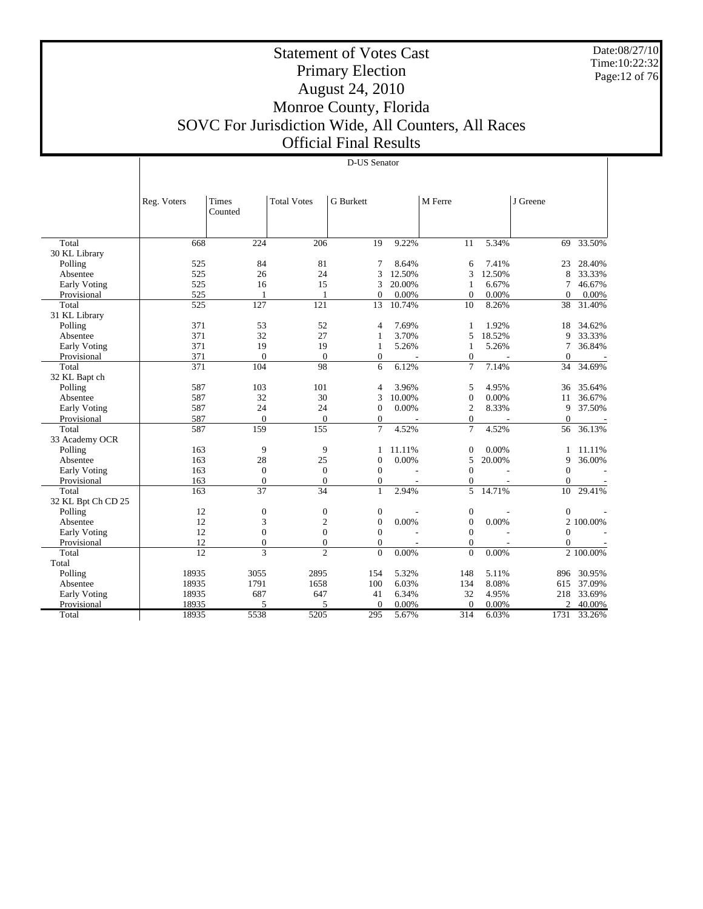Date:08/27/10 Time:10:22:32 Page:12 of 76

## Statement of Votes Cast Primary Election August 24, 2010 Monroe County, Florida SOVC For Jurisdiction Wide, All Counters, All Races Official Final Results

| Times<br><b>Total Votes</b><br><b>G</b> Burkett<br>M Ferre<br>J Greene<br>Reg. Voters<br>Counted<br>668<br>224<br>206<br>9.22%<br>5.34%<br>33.50%<br>Total<br>19<br>11<br>69<br>30 KL Library<br>81<br>Polling<br>525<br>84<br>8.64%<br>7.41%<br>28.40%<br>7<br>6<br>23<br>525<br>24<br>12.50%<br>12.50%<br>26<br>3<br>3<br>33.33%<br>Absentee<br>8<br>15<br>525<br>16<br>3<br>20.00%<br>$\mathbf{1}$<br>6.67%<br>46.67%<br><b>Early Voting</b><br>7<br>525<br>0.00%<br>0.00%<br>$\Omega$<br>$\mathbf{0}$<br>$\mathbf{0}$<br>0.00%<br>Provisional<br>1<br>1<br>8.26%<br>525<br>127<br>121<br>13<br>10.74%<br>10<br>31.40%<br>Total<br>38<br>31 KL Library<br>371<br>53<br>52<br>7.69%<br>1.92%<br>Polling<br>$\mathbf{1}$<br>34.62%<br>4<br>18<br>18.52%<br>371<br>32<br>27<br>3.70%<br>33.33%<br>Absentee<br>5<br>9<br>1<br>371<br>19<br>5.26%<br>36.84%<br>Early Voting<br>19<br>5.26%<br>7<br>1<br>1<br>371<br>$\mathbf{0}$<br>$\theta$<br>Provisional<br>$\boldsymbol{0}$<br>$\mathbf{0}$<br>$\mathbf{0}$<br>371<br>6.12%<br>$\overline{7}$<br>7.14%<br>98<br>6<br>Total<br>104<br>34<br>34.69%<br>32 KL Bapt ch<br>587<br>103<br>101<br>3.96%<br>4.95%<br>Polling<br>5<br>35.64%<br>4<br>36<br>30<br>587<br>32<br>10.00%<br>$\mathbf{0}$<br>0.00%<br>36.67%<br>Absentee<br>3<br>11<br>587<br>24<br>24<br>$\mathbf{0}$<br>0.00%<br>$\overline{2}$<br>8.33%<br>37.50%<br><b>Early Voting</b><br>9<br>587<br>Provisional<br>$\mathbf{0}$<br>$\theta$<br>$\mathbf{0}$<br>$\mathbf{0}$<br>$\theta$<br>÷.<br>$\overline{a}$<br>$\sim$<br>155<br>587<br>159<br>$\overline{7}$<br>$\overline{7}$<br>4.52%<br>36.13%<br>Total<br>4.52%<br>56<br>33 Academy OCR<br>9<br>9<br>Polling<br>163<br>11.11%<br>$\mathbf{0}$<br>0.00%<br>11.11%<br>1<br>1<br>28<br>25<br>0.00%<br>5<br>20.00%<br>36.00%<br>163<br>$\boldsymbol{0}$<br>9<br>Absentee<br>$\mathbf{0}$<br>$\mathbf{0}$<br>163<br>$\mathbf{0}$<br>$\mathbf{0}$<br>$\Omega$<br>Early Voting<br>163<br>$\mathbf{0}$<br>$\mathbf{0}$<br>$\boldsymbol{0}$<br>$\mathbf{0}$<br>Provisional<br>$\mathbf{0}$<br>5<br>37<br>14.71%<br>Total<br>163<br>34<br>$\mathbf{1}$<br>2.94%<br>10<br>29.41%<br>32 KL Bpt Ch CD 25<br>$\mathbf{0}$<br>Polling<br>12<br>$\boldsymbol{0}$<br>$\boldsymbol{0}$<br>$\mathbf{0}$<br>$\mathbf{0}$<br>12<br>$\boldsymbol{0}$<br>$\mathbf{0}$<br>3<br>$\boldsymbol{2}$<br>0.00%<br>0.00%<br>Absentee<br>2 100.00%<br>$\overline{0}$<br>$\boldsymbol{0}$<br>$\mathbf{0}$<br>12<br>$\mathbf{0}$<br>Early Voting<br>$\Omega$<br>12<br>$\mathbf{0}$<br>$\mathbf{0}$<br>$\mathbf{0}$<br>$\mathbf{0}$<br>Provisional<br>$\Omega$<br>$\overline{a}$<br>$\overline{a}$<br>$\overline{12}$<br>3<br>$\overline{c}$<br>$\theta$<br>0.00%<br>$\theta$<br>0.00%<br>Total<br>2 100.00%<br>Total<br>Polling<br>18935<br>3055<br>2895<br>154<br>5.32%<br>148<br>5.11%<br>30.95%<br>896<br>100<br>6.03%<br>8.08%<br>18935<br>1791<br>1658<br>134<br>37.09%<br>Absentee<br>615<br>32<br>18935<br>687<br>647<br>41<br>6.34%<br>4.95%<br>33.69%<br><b>Early Voting</b><br>218<br>18935<br>5<br>0.00%<br>Provisional<br>5<br>$\theta$<br>0.00%<br>$\theta$<br>2<br>40.00% |       |       |      |      |     |       |     |       |      |        |
|--------------------------------------------------------------------------------------------------------------------------------------------------------------------------------------------------------------------------------------------------------------------------------------------------------------------------------------------------------------------------------------------------------------------------------------------------------------------------------------------------------------------------------------------------------------------------------------------------------------------------------------------------------------------------------------------------------------------------------------------------------------------------------------------------------------------------------------------------------------------------------------------------------------------------------------------------------------------------------------------------------------------------------------------------------------------------------------------------------------------------------------------------------------------------------------------------------------------------------------------------------------------------------------------------------------------------------------------------------------------------------------------------------------------------------------------------------------------------------------------------------------------------------------------------------------------------------------------------------------------------------------------------------------------------------------------------------------------------------------------------------------------------------------------------------------------------------------------------------------------------------------------------------------------------------------------------------------------------------------------------------------------------------------------------------------------------------------------------------------------------------------------------------------------------------------------------------------------------------------------------------------------------------------------------------------------------------------------------------------------------------------------------------------------------------------------------------------------------------------------------------------------------------------------------------------------------------------------------------------------------------------------------------------------------------------------------------------------------------------------------------------------------------------------------------------------------------------------------------------------------------------------------------------------------------------------------------------------------------------------------------------------------------------------------------------------------------------------------------------------------|-------|-------|------|------|-----|-------|-----|-------|------|--------|
|                                                                                                                                                                                                                                                                                                                                                                                                                                                                                                                                                                                                                                                                                                                                                                                                                                                                                                                                                                                                                                                                                                                                                                                                                                                                                                                                                                                                                                                                                                                                                                                                                                                                                                                                                                                                                                                                                                                                                                                                                                                                                                                                                                                                                                                                                                                                                                                                                                                                                                                                                                                                                                                                                                                                                                                                                                                                                                                                                                                                                                                                                                                          |       |       |      |      |     |       |     |       |      |        |
|                                                                                                                                                                                                                                                                                                                                                                                                                                                                                                                                                                                                                                                                                                                                                                                                                                                                                                                                                                                                                                                                                                                                                                                                                                                                                                                                                                                                                                                                                                                                                                                                                                                                                                                                                                                                                                                                                                                                                                                                                                                                                                                                                                                                                                                                                                                                                                                                                                                                                                                                                                                                                                                                                                                                                                                                                                                                                                                                                                                                                                                                                                                          |       |       |      |      |     |       |     |       |      |        |
|                                                                                                                                                                                                                                                                                                                                                                                                                                                                                                                                                                                                                                                                                                                                                                                                                                                                                                                                                                                                                                                                                                                                                                                                                                                                                                                                                                                                                                                                                                                                                                                                                                                                                                                                                                                                                                                                                                                                                                                                                                                                                                                                                                                                                                                                                                                                                                                                                                                                                                                                                                                                                                                                                                                                                                                                                                                                                                                                                                                                                                                                                                                          |       |       |      |      |     |       |     |       |      |        |
|                                                                                                                                                                                                                                                                                                                                                                                                                                                                                                                                                                                                                                                                                                                                                                                                                                                                                                                                                                                                                                                                                                                                                                                                                                                                                                                                                                                                                                                                                                                                                                                                                                                                                                                                                                                                                                                                                                                                                                                                                                                                                                                                                                                                                                                                                                                                                                                                                                                                                                                                                                                                                                                                                                                                                                                                                                                                                                                                                                                                                                                                                                                          |       |       |      |      |     |       |     |       |      |        |
|                                                                                                                                                                                                                                                                                                                                                                                                                                                                                                                                                                                                                                                                                                                                                                                                                                                                                                                                                                                                                                                                                                                                                                                                                                                                                                                                                                                                                                                                                                                                                                                                                                                                                                                                                                                                                                                                                                                                                                                                                                                                                                                                                                                                                                                                                                                                                                                                                                                                                                                                                                                                                                                                                                                                                                                                                                                                                                                                                                                                                                                                                                                          |       |       |      |      |     |       |     |       |      |        |
|                                                                                                                                                                                                                                                                                                                                                                                                                                                                                                                                                                                                                                                                                                                                                                                                                                                                                                                                                                                                                                                                                                                                                                                                                                                                                                                                                                                                                                                                                                                                                                                                                                                                                                                                                                                                                                                                                                                                                                                                                                                                                                                                                                                                                                                                                                                                                                                                                                                                                                                                                                                                                                                                                                                                                                                                                                                                                                                                                                                                                                                                                                                          |       |       |      |      |     |       |     |       |      |        |
|                                                                                                                                                                                                                                                                                                                                                                                                                                                                                                                                                                                                                                                                                                                                                                                                                                                                                                                                                                                                                                                                                                                                                                                                                                                                                                                                                                                                                                                                                                                                                                                                                                                                                                                                                                                                                                                                                                                                                                                                                                                                                                                                                                                                                                                                                                                                                                                                                                                                                                                                                                                                                                                                                                                                                                                                                                                                                                                                                                                                                                                                                                                          |       |       |      |      |     |       |     |       |      |        |
|                                                                                                                                                                                                                                                                                                                                                                                                                                                                                                                                                                                                                                                                                                                                                                                                                                                                                                                                                                                                                                                                                                                                                                                                                                                                                                                                                                                                                                                                                                                                                                                                                                                                                                                                                                                                                                                                                                                                                                                                                                                                                                                                                                                                                                                                                                                                                                                                                                                                                                                                                                                                                                                                                                                                                                                                                                                                                                                                                                                                                                                                                                                          |       |       |      |      |     |       |     |       |      |        |
|                                                                                                                                                                                                                                                                                                                                                                                                                                                                                                                                                                                                                                                                                                                                                                                                                                                                                                                                                                                                                                                                                                                                                                                                                                                                                                                                                                                                                                                                                                                                                                                                                                                                                                                                                                                                                                                                                                                                                                                                                                                                                                                                                                                                                                                                                                                                                                                                                                                                                                                                                                                                                                                                                                                                                                                                                                                                                                                                                                                                                                                                                                                          |       |       |      |      |     |       |     |       |      |        |
|                                                                                                                                                                                                                                                                                                                                                                                                                                                                                                                                                                                                                                                                                                                                                                                                                                                                                                                                                                                                                                                                                                                                                                                                                                                                                                                                                                                                                                                                                                                                                                                                                                                                                                                                                                                                                                                                                                                                                                                                                                                                                                                                                                                                                                                                                                                                                                                                                                                                                                                                                                                                                                                                                                                                                                                                                                                                                                                                                                                                                                                                                                                          |       |       |      |      |     |       |     |       |      |        |
|                                                                                                                                                                                                                                                                                                                                                                                                                                                                                                                                                                                                                                                                                                                                                                                                                                                                                                                                                                                                                                                                                                                                                                                                                                                                                                                                                                                                                                                                                                                                                                                                                                                                                                                                                                                                                                                                                                                                                                                                                                                                                                                                                                                                                                                                                                                                                                                                                                                                                                                                                                                                                                                                                                                                                                                                                                                                                                                                                                                                                                                                                                                          |       |       |      |      |     |       |     |       |      |        |
|                                                                                                                                                                                                                                                                                                                                                                                                                                                                                                                                                                                                                                                                                                                                                                                                                                                                                                                                                                                                                                                                                                                                                                                                                                                                                                                                                                                                                                                                                                                                                                                                                                                                                                                                                                                                                                                                                                                                                                                                                                                                                                                                                                                                                                                                                                                                                                                                                                                                                                                                                                                                                                                                                                                                                                                                                                                                                                                                                                                                                                                                                                                          |       |       |      |      |     |       |     |       |      |        |
|                                                                                                                                                                                                                                                                                                                                                                                                                                                                                                                                                                                                                                                                                                                                                                                                                                                                                                                                                                                                                                                                                                                                                                                                                                                                                                                                                                                                                                                                                                                                                                                                                                                                                                                                                                                                                                                                                                                                                                                                                                                                                                                                                                                                                                                                                                                                                                                                                                                                                                                                                                                                                                                                                                                                                                                                                                                                                                                                                                                                                                                                                                                          |       |       |      |      |     |       |     |       |      |        |
|                                                                                                                                                                                                                                                                                                                                                                                                                                                                                                                                                                                                                                                                                                                                                                                                                                                                                                                                                                                                                                                                                                                                                                                                                                                                                                                                                                                                                                                                                                                                                                                                                                                                                                                                                                                                                                                                                                                                                                                                                                                                                                                                                                                                                                                                                                                                                                                                                                                                                                                                                                                                                                                                                                                                                                                                                                                                                                                                                                                                                                                                                                                          |       |       |      |      |     |       |     |       |      |        |
|                                                                                                                                                                                                                                                                                                                                                                                                                                                                                                                                                                                                                                                                                                                                                                                                                                                                                                                                                                                                                                                                                                                                                                                                                                                                                                                                                                                                                                                                                                                                                                                                                                                                                                                                                                                                                                                                                                                                                                                                                                                                                                                                                                                                                                                                                                                                                                                                                                                                                                                                                                                                                                                                                                                                                                                                                                                                                                                                                                                                                                                                                                                          |       |       |      |      |     |       |     |       |      |        |
|                                                                                                                                                                                                                                                                                                                                                                                                                                                                                                                                                                                                                                                                                                                                                                                                                                                                                                                                                                                                                                                                                                                                                                                                                                                                                                                                                                                                                                                                                                                                                                                                                                                                                                                                                                                                                                                                                                                                                                                                                                                                                                                                                                                                                                                                                                                                                                                                                                                                                                                                                                                                                                                                                                                                                                                                                                                                                                                                                                                                                                                                                                                          |       |       |      |      |     |       |     |       |      |        |
|                                                                                                                                                                                                                                                                                                                                                                                                                                                                                                                                                                                                                                                                                                                                                                                                                                                                                                                                                                                                                                                                                                                                                                                                                                                                                                                                                                                                                                                                                                                                                                                                                                                                                                                                                                                                                                                                                                                                                                                                                                                                                                                                                                                                                                                                                                                                                                                                                                                                                                                                                                                                                                                                                                                                                                                                                                                                                                                                                                                                                                                                                                                          |       |       |      |      |     |       |     |       |      |        |
|                                                                                                                                                                                                                                                                                                                                                                                                                                                                                                                                                                                                                                                                                                                                                                                                                                                                                                                                                                                                                                                                                                                                                                                                                                                                                                                                                                                                                                                                                                                                                                                                                                                                                                                                                                                                                                                                                                                                                                                                                                                                                                                                                                                                                                                                                                                                                                                                                                                                                                                                                                                                                                                                                                                                                                                                                                                                                                                                                                                                                                                                                                                          |       |       |      |      |     |       |     |       |      |        |
|                                                                                                                                                                                                                                                                                                                                                                                                                                                                                                                                                                                                                                                                                                                                                                                                                                                                                                                                                                                                                                                                                                                                                                                                                                                                                                                                                                                                                                                                                                                                                                                                                                                                                                                                                                                                                                                                                                                                                                                                                                                                                                                                                                                                                                                                                                                                                                                                                                                                                                                                                                                                                                                                                                                                                                                                                                                                                                                                                                                                                                                                                                                          |       |       |      |      |     |       |     |       |      |        |
|                                                                                                                                                                                                                                                                                                                                                                                                                                                                                                                                                                                                                                                                                                                                                                                                                                                                                                                                                                                                                                                                                                                                                                                                                                                                                                                                                                                                                                                                                                                                                                                                                                                                                                                                                                                                                                                                                                                                                                                                                                                                                                                                                                                                                                                                                                                                                                                                                                                                                                                                                                                                                                                                                                                                                                                                                                                                                                                                                                                                                                                                                                                          |       |       |      |      |     |       |     |       |      |        |
|                                                                                                                                                                                                                                                                                                                                                                                                                                                                                                                                                                                                                                                                                                                                                                                                                                                                                                                                                                                                                                                                                                                                                                                                                                                                                                                                                                                                                                                                                                                                                                                                                                                                                                                                                                                                                                                                                                                                                                                                                                                                                                                                                                                                                                                                                                                                                                                                                                                                                                                                                                                                                                                                                                                                                                                                                                                                                                                                                                                                                                                                                                                          |       |       |      |      |     |       |     |       |      |        |
|                                                                                                                                                                                                                                                                                                                                                                                                                                                                                                                                                                                                                                                                                                                                                                                                                                                                                                                                                                                                                                                                                                                                                                                                                                                                                                                                                                                                                                                                                                                                                                                                                                                                                                                                                                                                                                                                                                                                                                                                                                                                                                                                                                                                                                                                                                                                                                                                                                                                                                                                                                                                                                                                                                                                                                                                                                                                                                                                                                                                                                                                                                                          |       |       |      |      |     |       |     |       |      |        |
|                                                                                                                                                                                                                                                                                                                                                                                                                                                                                                                                                                                                                                                                                                                                                                                                                                                                                                                                                                                                                                                                                                                                                                                                                                                                                                                                                                                                                                                                                                                                                                                                                                                                                                                                                                                                                                                                                                                                                                                                                                                                                                                                                                                                                                                                                                                                                                                                                                                                                                                                                                                                                                                                                                                                                                                                                                                                                                                                                                                                                                                                                                                          |       |       |      |      |     |       |     |       |      |        |
|                                                                                                                                                                                                                                                                                                                                                                                                                                                                                                                                                                                                                                                                                                                                                                                                                                                                                                                                                                                                                                                                                                                                                                                                                                                                                                                                                                                                                                                                                                                                                                                                                                                                                                                                                                                                                                                                                                                                                                                                                                                                                                                                                                                                                                                                                                                                                                                                                                                                                                                                                                                                                                                                                                                                                                                                                                                                                                                                                                                                                                                                                                                          |       |       |      |      |     |       |     |       |      |        |
|                                                                                                                                                                                                                                                                                                                                                                                                                                                                                                                                                                                                                                                                                                                                                                                                                                                                                                                                                                                                                                                                                                                                                                                                                                                                                                                                                                                                                                                                                                                                                                                                                                                                                                                                                                                                                                                                                                                                                                                                                                                                                                                                                                                                                                                                                                                                                                                                                                                                                                                                                                                                                                                                                                                                                                                                                                                                                                                                                                                                                                                                                                                          |       |       |      |      |     |       |     |       |      |        |
|                                                                                                                                                                                                                                                                                                                                                                                                                                                                                                                                                                                                                                                                                                                                                                                                                                                                                                                                                                                                                                                                                                                                                                                                                                                                                                                                                                                                                                                                                                                                                                                                                                                                                                                                                                                                                                                                                                                                                                                                                                                                                                                                                                                                                                                                                                                                                                                                                                                                                                                                                                                                                                                                                                                                                                                                                                                                                                                                                                                                                                                                                                                          |       |       |      |      |     |       |     |       |      |        |
|                                                                                                                                                                                                                                                                                                                                                                                                                                                                                                                                                                                                                                                                                                                                                                                                                                                                                                                                                                                                                                                                                                                                                                                                                                                                                                                                                                                                                                                                                                                                                                                                                                                                                                                                                                                                                                                                                                                                                                                                                                                                                                                                                                                                                                                                                                                                                                                                                                                                                                                                                                                                                                                                                                                                                                                                                                                                                                                                                                                                                                                                                                                          |       |       |      |      |     |       |     |       |      |        |
|                                                                                                                                                                                                                                                                                                                                                                                                                                                                                                                                                                                                                                                                                                                                                                                                                                                                                                                                                                                                                                                                                                                                                                                                                                                                                                                                                                                                                                                                                                                                                                                                                                                                                                                                                                                                                                                                                                                                                                                                                                                                                                                                                                                                                                                                                                                                                                                                                                                                                                                                                                                                                                                                                                                                                                                                                                                                                                                                                                                                                                                                                                                          |       |       |      |      |     |       |     |       |      |        |
|                                                                                                                                                                                                                                                                                                                                                                                                                                                                                                                                                                                                                                                                                                                                                                                                                                                                                                                                                                                                                                                                                                                                                                                                                                                                                                                                                                                                                                                                                                                                                                                                                                                                                                                                                                                                                                                                                                                                                                                                                                                                                                                                                                                                                                                                                                                                                                                                                                                                                                                                                                                                                                                                                                                                                                                                                                                                                                                                                                                                                                                                                                                          |       |       |      |      |     |       |     |       |      |        |
|                                                                                                                                                                                                                                                                                                                                                                                                                                                                                                                                                                                                                                                                                                                                                                                                                                                                                                                                                                                                                                                                                                                                                                                                                                                                                                                                                                                                                                                                                                                                                                                                                                                                                                                                                                                                                                                                                                                                                                                                                                                                                                                                                                                                                                                                                                                                                                                                                                                                                                                                                                                                                                                                                                                                                                                                                                                                                                                                                                                                                                                                                                                          |       |       |      |      |     |       |     |       |      |        |
|                                                                                                                                                                                                                                                                                                                                                                                                                                                                                                                                                                                                                                                                                                                                                                                                                                                                                                                                                                                                                                                                                                                                                                                                                                                                                                                                                                                                                                                                                                                                                                                                                                                                                                                                                                                                                                                                                                                                                                                                                                                                                                                                                                                                                                                                                                                                                                                                                                                                                                                                                                                                                                                                                                                                                                                                                                                                                                                                                                                                                                                                                                                          |       |       |      |      |     |       |     |       |      |        |
|                                                                                                                                                                                                                                                                                                                                                                                                                                                                                                                                                                                                                                                                                                                                                                                                                                                                                                                                                                                                                                                                                                                                                                                                                                                                                                                                                                                                                                                                                                                                                                                                                                                                                                                                                                                                                                                                                                                                                                                                                                                                                                                                                                                                                                                                                                                                                                                                                                                                                                                                                                                                                                                                                                                                                                                                                                                                                                                                                                                                                                                                                                                          |       |       |      |      |     |       |     |       |      |        |
|                                                                                                                                                                                                                                                                                                                                                                                                                                                                                                                                                                                                                                                                                                                                                                                                                                                                                                                                                                                                                                                                                                                                                                                                                                                                                                                                                                                                                                                                                                                                                                                                                                                                                                                                                                                                                                                                                                                                                                                                                                                                                                                                                                                                                                                                                                                                                                                                                                                                                                                                                                                                                                                                                                                                                                                                                                                                                                                                                                                                                                                                                                                          |       |       |      |      |     |       |     |       |      |        |
|                                                                                                                                                                                                                                                                                                                                                                                                                                                                                                                                                                                                                                                                                                                                                                                                                                                                                                                                                                                                                                                                                                                                                                                                                                                                                                                                                                                                                                                                                                                                                                                                                                                                                                                                                                                                                                                                                                                                                                                                                                                                                                                                                                                                                                                                                                                                                                                                                                                                                                                                                                                                                                                                                                                                                                                                                                                                                                                                                                                                                                                                                                                          |       |       |      |      |     |       |     |       |      |        |
|                                                                                                                                                                                                                                                                                                                                                                                                                                                                                                                                                                                                                                                                                                                                                                                                                                                                                                                                                                                                                                                                                                                                                                                                                                                                                                                                                                                                                                                                                                                                                                                                                                                                                                                                                                                                                                                                                                                                                                                                                                                                                                                                                                                                                                                                                                                                                                                                                                                                                                                                                                                                                                                                                                                                                                                                                                                                                                                                                                                                                                                                                                                          |       |       |      |      |     |       |     |       |      |        |
|                                                                                                                                                                                                                                                                                                                                                                                                                                                                                                                                                                                                                                                                                                                                                                                                                                                                                                                                                                                                                                                                                                                                                                                                                                                                                                                                                                                                                                                                                                                                                                                                                                                                                                                                                                                                                                                                                                                                                                                                                                                                                                                                                                                                                                                                                                                                                                                                                                                                                                                                                                                                                                                                                                                                                                                                                                                                                                                                                                                                                                                                                                                          |       |       |      |      |     |       |     |       |      |        |
|                                                                                                                                                                                                                                                                                                                                                                                                                                                                                                                                                                                                                                                                                                                                                                                                                                                                                                                                                                                                                                                                                                                                                                                                                                                                                                                                                                                                                                                                                                                                                                                                                                                                                                                                                                                                                                                                                                                                                                                                                                                                                                                                                                                                                                                                                                                                                                                                                                                                                                                                                                                                                                                                                                                                                                                                                                                                                                                                                                                                                                                                                                                          |       |       |      |      |     |       |     |       |      |        |
|                                                                                                                                                                                                                                                                                                                                                                                                                                                                                                                                                                                                                                                                                                                                                                                                                                                                                                                                                                                                                                                                                                                                                                                                                                                                                                                                                                                                                                                                                                                                                                                                                                                                                                                                                                                                                                                                                                                                                                                                                                                                                                                                                                                                                                                                                                                                                                                                                                                                                                                                                                                                                                                                                                                                                                                                                                                                                                                                                                                                                                                                                                                          |       |       |      |      |     |       |     |       |      |        |
|                                                                                                                                                                                                                                                                                                                                                                                                                                                                                                                                                                                                                                                                                                                                                                                                                                                                                                                                                                                                                                                                                                                                                                                                                                                                                                                                                                                                                                                                                                                                                                                                                                                                                                                                                                                                                                                                                                                                                                                                                                                                                                                                                                                                                                                                                                                                                                                                                                                                                                                                                                                                                                                                                                                                                                                                                                                                                                                                                                                                                                                                                                                          |       |       |      |      |     |       |     |       |      |        |
|                                                                                                                                                                                                                                                                                                                                                                                                                                                                                                                                                                                                                                                                                                                                                                                                                                                                                                                                                                                                                                                                                                                                                                                                                                                                                                                                                                                                                                                                                                                                                                                                                                                                                                                                                                                                                                                                                                                                                                                                                                                                                                                                                                                                                                                                                                                                                                                                                                                                                                                                                                                                                                                                                                                                                                                                                                                                                                                                                                                                                                                                                                                          |       |       |      |      |     |       |     |       |      |        |
|                                                                                                                                                                                                                                                                                                                                                                                                                                                                                                                                                                                                                                                                                                                                                                                                                                                                                                                                                                                                                                                                                                                                                                                                                                                                                                                                                                                                                                                                                                                                                                                                                                                                                                                                                                                                                                                                                                                                                                                                                                                                                                                                                                                                                                                                                                                                                                                                                                                                                                                                                                                                                                                                                                                                                                                                                                                                                                                                                                                                                                                                                                                          | Total | 18935 | 5538 | 5205 | 295 | 5.67% | 314 | 6.03% | 1731 | 33.26% |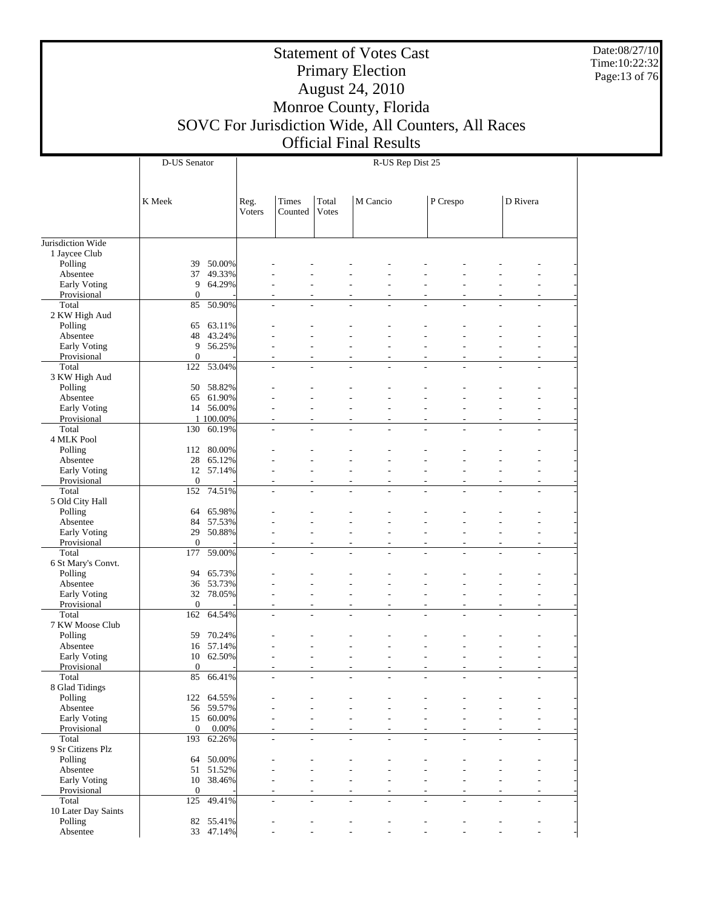Date:08/27/10 Time:10:22:32 Page:13 of 76

|                              | D-US Senator     |            |                |                                            |                |          | R-US Rep Dist 25                               |          |    |                |                                  |  |
|------------------------------|------------------|------------|----------------|--------------------------------------------|----------------|----------|------------------------------------------------|----------|----|----------------|----------------------------------|--|
|                              | K Meek           |            | Reg.<br>Voters | Times<br>Counted                           | Total<br>Votes | M Cancio |                                                | P Crespo |    | D Rivera       |                                  |  |
| Jurisdiction Wide            |                  |            |                |                                            |                |          |                                                |          |    |                |                                  |  |
| 1 Jaycee Club                |                  |            |                |                                            |                |          |                                                |          |    |                |                                  |  |
| Polling                      | 39               | 50.00%     |                |                                            |                |          |                                                |          |    |                |                                  |  |
| Absentee                     | 37               | 49.33%     |                |                                            |                |          |                                                |          |    |                |                                  |  |
| <b>Early Voting</b>          | 9                | 64.29%     |                |                                            |                |          |                                                |          |    |                |                                  |  |
| Provisional                  | $\mathbf{0}$     |            |                |                                            |                | ٠        |                                                |          |    |                |                                  |  |
| Total                        | 85               | 50.90%     |                | ٠                                          |                |          |                                                |          |    |                |                                  |  |
| 2 KW High Aud<br>Polling     | 65               | 63.11%     |                |                                            |                |          |                                                |          |    |                |                                  |  |
| Absentee                     | 48               | 43.24%     |                |                                            |                |          |                                                |          |    |                |                                  |  |
| Early Voting                 | 9                | 56.25%     |                |                                            |                |          |                                                |          |    |                |                                  |  |
| Provisional                  | $\mathbf{0}$     |            |                | ٠                                          |                | ÷        |                                                |          |    |                | $\overline{\phantom{a}}$         |  |
| Total                        | 122              | 53.04%     |                | $\overline{\phantom{a}}$<br>÷,             |                | ÷        | ÷,<br>$\overline{a}$                           |          | ÷. | ÷.             | $\overline{\phantom{a}}$         |  |
| 3 KW High Aud                |                  |            |                |                                            |                |          |                                                |          |    |                |                                  |  |
| Polling                      | 50               | 58.82%     |                |                                            |                |          |                                                |          |    |                |                                  |  |
| Absentee                     | 65               | 61.90%     |                |                                            |                |          |                                                |          |    |                |                                  |  |
| <b>Early Voting</b>          | 14               | 56.00%     |                |                                            |                |          |                                                |          |    |                |                                  |  |
| Provisional                  |                  | 1 100.00%  |                | L,                                         |                | ÷,       | $\overline{\phantom{a}}$                       |          | ٠  | ٠              | $\overline{\phantom{a}}$         |  |
| Total<br>4 MLK Pool          | 130              | 60.19%     |                |                                            |                |          |                                                |          |    |                |                                  |  |
| Polling                      | 112              | 80.00%     |                |                                            |                |          |                                                |          |    |                |                                  |  |
| Absentee                     | 28               | 65.12%     |                |                                            |                |          |                                                |          |    |                |                                  |  |
| Early Voting                 | 12               | 57.14%     |                |                                            |                |          |                                                |          |    |                |                                  |  |
| Provisional                  | $\boldsymbol{0}$ |            |                | L,                                         |                | ÷        |                                                |          | ÷, | ٠              | $\overline{\phantom{a}}$         |  |
| Total                        | 152              | 74.51%     |                | $\overline{\phantom{a}}$<br>÷,             |                | L,       | $\overline{a}$<br>÷,                           |          | L, | ٠              | $\overline{\phantom{a}}$         |  |
| 5 Old City Hall              |                  |            |                |                                            |                |          |                                                |          |    |                |                                  |  |
| Polling                      | 64               | 65.98%     |                |                                            |                |          |                                                |          |    |                |                                  |  |
| Absentee                     | 84               | 57.53%     |                |                                            |                |          |                                                |          |    |                |                                  |  |
| Early Voting                 | 29               | 50.88%     |                |                                            |                |          |                                                |          |    |                |                                  |  |
| Provisional                  | $\boldsymbol{0}$ |            |                | $\overline{a}$                             |                | ÷,       | $\overline{\phantom{a}}$<br>٠                  |          | ÷, | ٠              | ٠                                |  |
| Total<br>6 St Mary's Convt.  | 177              | 59.00%     |                |                                            |                |          |                                                |          |    |                |                                  |  |
| Polling                      | 94               | 65.73%     |                |                                            |                |          |                                                |          |    |                |                                  |  |
| Absentee                     | 36               | 53.73%     |                |                                            |                |          |                                                |          |    |                |                                  |  |
| Early Voting                 | 32               | 78.05%     |                |                                            |                |          |                                                |          |    |                | $\overline{\phantom{a}}$         |  |
| Provisional                  | $\boldsymbol{0}$ |            |                | L,                                         |                | ÷,       |                                                |          | ÷, | ٠              | ٠                                |  |
| Total                        | 162              | 64.54%     |                | $\overline{a}$<br>÷,                       |                | L,       | $\overline{a}$<br>÷,                           |          | L, | ÷,             | $\overline{\phantom{a}}$         |  |
| 7 KW Moose Club              |                  |            |                |                                            |                |          |                                                |          |    |                |                                  |  |
| Polling                      | 59               | 70.24%     |                |                                            |                |          |                                                |          |    |                |                                  |  |
| Absentee                     | 16               | 57.14%     |                |                                            |                |          |                                                |          |    |                |                                  |  |
| Early Voting                 | 10               | 62.50%     |                |                                            |                |          |                                                |          |    |                |                                  |  |
| Provisional                  | $\boldsymbol{0}$ |            |                |                                            |                |          |                                                |          |    |                |                                  |  |
| Total<br>8 Glad Tidings      | 85               | 66.41%     |                |                                            |                |          |                                                |          |    |                |                                  |  |
| Polling                      |                  | 122 64.55% |                |                                            |                |          |                                                |          |    |                |                                  |  |
| Absentee                     |                  | 56 59.57%  |                |                                            |                |          |                                                |          |    |                |                                  |  |
| Early Voting                 |                  | 15 60.00%  |                |                                            |                |          |                                                |          |    |                |                                  |  |
| Provisional                  | $\overline{0}$   | 0.00%      |                | L,                                         |                | ÷,       | $\overline{\phantom{a}}$                       |          | ÷, |                | ٠                                |  |
| Total                        |                  | 193 62.26% |                | $\overline{a}$<br>$\overline{\phantom{a}}$ |                | L,       | L,<br>$\overline{a}$                           |          | L, | ÷,             | $\overline{a}$                   |  |
| 9 Sr Citizens Plz            |                  |            |                |                                            |                |          |                                                |          |    |                |                                  |  |
| Polling                      | 64               | 50.00%     |                |                                            |                |          |                                                |          |    |                |                                  |  |
| Absentee                     | 51               | 51.52%     |                |                                            |                |          |                                                |          |    |                |                                  |  |
| Early Voting                 |                  | 10 38.46%  |                |                                            |                | ÷        | $\overline{a}$                                 |          |    |                |                                  |  |
| Provisional                  | $\mathbf{0}$     |            |                | L,<br>٠                                    |                | ÷,       | $\overline{a}$<br>٠                            |          | ÷, | ٠              | $\overline{a}$<br>$\overline{a}$ |  |
| Total<br>10 Later Day Saints | 125              | 49.41%     |                | $\overline{a}$<br>$\overline{\phantom{a}}$ |                | ÷,       | $\qquad \qquad \blacksquare$<br>$\overline{a}$ |          | ÷, | $\overline{a}$ |                                  |  |
| Polling                      |                  | 82 55.41%  |                |                                            |                |          |                                                |          |    |                |                                  |  |
| Absentee                     |                  | 33 47.14%  |                |                                            |                |          |                                                |          |    |                |                                  |  |
|                              |                  |            |                |                                            |                |          |                                                |          |    |                |                                  |  |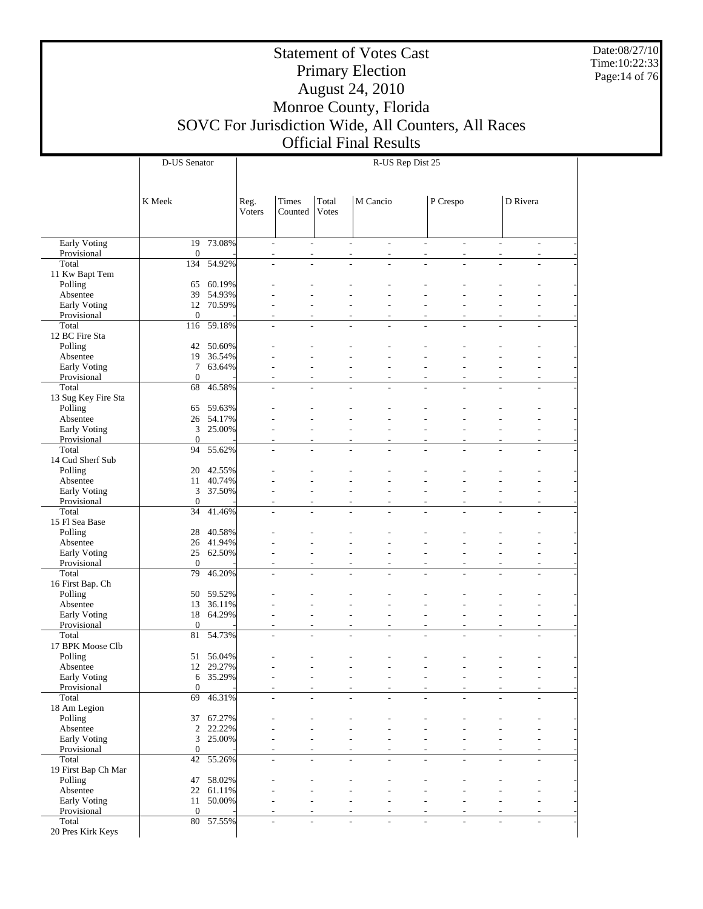Date:08/27/10 Time:10:22:33 Page:14 of 76

|                                | D-US Senator       |                  |                |                                                      |                |                                                      | R-US Rep Dist 25         |          |                          |                          |                              |
|--------------------------------|--------------------|------------------|----------------|------------------------------------------------------|----------------|------------------------------------------------------|--------------------------|----------|--------------------------|--------------------------|------------------------------|
|                                |                    |                  |                |                                                      |                |                                                      |                          |          |                          |                          |                              |
|                                | K Meek             |                  | Reg.<br>Voters | Times<br>Counted                                     | Total<br>Votes | M Cancio                                             |                          | P Crespo |                          | D Rivera                 |                              |
|                                |                    |                  |                |                                                      |                |                                                      |                          |          |                          |                          |                              |
| <b>Early Voting</b>            | 19                 | 73.08%           |                | $\overline{\phantom{a}}$<br>$\overline{a}$           |                | $\overline{\phantom{a}}$<br>$\overline{\phantom{a}}$ | $\overline{\phantom{a}}$ |          | $\overline{\phantom{a}}$ | $\overline{\phantom{a}}$ | $\overline{\phantom{a}}$     |
| Provisional<br>Total           | $\theta$<br>134    | 54.92%           |                | ÷,<br>$\overline{a}$<br>$\overline{\phantom{a}}$     |                | $\overline{\phantom{a}}$<br>÷,                       | $\overline{\phantom{a}}$ |          | $\overline{\phantom{a}}$ | $\overline{\phantom{a}}$ | $\overline{a}$               |
| 11 Kw Bapt Tem                 |                    |                  |                |                                                      |                |                                                      |                          |          |                          |                          |                              |
| Polling                        | 65                 | 60.19%           |                |                                                      |                |                                                      |                          |          |                          |                          |                              |
| Absentee                       | 39                 | 54.93%           |                |                                                      |                |                                                      |                          |          |                          |                          |                              |
| Early Voting                   | 12                 | 70.59%           |                |                                                      |                |                                                      |                          |          |                          |                          | $\overline{a}$               |
| Provisional<br>Total           | $\theta$<br>116    | 59.18%           |                |                                                      |                | ٠                                                    | $\overline{a}$           |          | $\overline{a}$           |                          | ä,                           |
| 12 BC Fire Sta                 |                    |                  |                | $\overline{\phantom{a}}$<br>$\overline{\phantom{a}}$ |                | $\overline{\phantom{a}}$<br>÷,                       |                          |          |                          | ÷,                       | $\overline{\phantom{a}}$     |
| Polling                        | 42                 | 50.60%           |                |                                                      |                |                                                      |                          |          |                          |                          |                              |
| Absentee                       | 19                 | 36.54%           |                |                                                      |                |                                                      |                          |          |                          |                          |                              |
| Early Voting                   | 7                  | 63.64%           |                |                                                      |                |                                                      |                          |          |                          |                          |                              |
| Provisional                    | $\theta$           |                  |                |                                                      |                | ٠                                                    |                          |          |                          |                          | $\overline{a}$               |
| Total                          | 68                 | 46.58%           |                | ÷,                                                   |                |                                                      |                          |          |                          |                          | ä,                           |
| 13 Sug Key Fire Sta<br>Polling | 65                 | 59.63%           |                |                                                      |                |                                                      |                          |          |                          |                          |                              |
| Absentee                       | $26\,$             | 54.17%           |                |                                                      |                |                                                      |                          |          |                          |                          |                              |
| Early Voting                   | 3                  | 25.00%           |                |                                                      |                | ٠                                                    |                          |          |                          |                          | ۰                            |
| Provisional                    | $\theta$           |                  |                |                                                      |                | $\overline{\phantom{a}}$                             |                          |          |                          |                          | ä,                           |
| Total                          | 94                 | 55.62%           |                | $\overline{\phantom{a}}$<br>÷,                       |                | $\sim$<br>$\overline{\phantom{a}}$                   | $\overline{a}$           |          | $\overline{a}$           | ÷,                       | $\overline{a}$               |
| 14 Cud Sherf Sub               |                    |                  |                |                                                      |                |                                                      |                          |          |                          |                          |                              |
| Polling<br>Absentee            | 20<br>11           | 42.55%<br>40.74% |                |                                                      |                |                                                      |                          |          |                          |                          |                              |
| Early Voting                   | 3                  | 37.50%           |                |                                                      |                |                                                      |                          |          |                          |                          |                              |
| Provisional                    | $\theta$           |                  |                |                                                      |                | ٠                                                    |                          |          | ٠                        | ٠                        | L,                           |
| Total                          | 34                 | 41.46%           |                | L,                                                   |                |                                                      |                          |          |                          |                          | ä,                           |
| 15 Fl Sea Base                 |                    |                  |                |                                                      |                |                                                      |                          |          |                          |                          |                              |
| Polling                        | 28                 | 40.58%           |                |                                                      |                |                                                      |                          |          |                          |                          |                              |
| Absentee                       | 26<br>25           | 41.94%<br>62.50% |                |                                                      |                |                                                      |                          |          |                          |                          |                              |
| Early Voting<br>Provisional    | $\theta$           |                  |                |                                                      |                | ٠<br>$\overline{\phantom{a}}$                        |                          |          |                          |                          | $\overline{a}$<br>ä,         |
| Total                          | 79                 | 46.20%           |                | ÷,<br>$\overline{a}$                                 |                | L,<br>$\overline{\phantom{a}}$                       | $\overline{a}$           |          | ÷                        | L,                       | $\overline{\phantom{a}}$     |
| 16 First Bap. Ch               |                    |                  |                |                                                      |                |                                                      |                          |          |                          |                          |                              |
| Polling                        | 50                 | 59.52%           |                |                                                      |                |                                                      |                          |          |                          |                          |                              |
| Absentee                       | 13                 | 36.11%           |                |                                                      |                |                                                      |                          |          |                          |                          |                              |
| Early Voting                   | 18                 | 64.29%           |                |                                                      |                |                                                      |                          |          |                          |                          | $\overline{a}$               |
| Provisional<br>Total           | $\theta$<br>81     | 54.73%           |                |                                                      |                | $\overline{\phantom{a}}$<br>٠                        |                          |          | $\overline{\phantom{a}}$ | $\overline{\phantom{a}}$ | ä,<br>$\overline{a}$         |
| 17 BPK Moose Clb               |                    |                  |                |                                                      |                |                                                      |                          |          |                          |                          |                              |
| Polling                        | 51                 | 56.04%           |                |                                                      |                |                                                      |                          |          |                          |                          |                              |
| Absentee                       | 12                 | 29.27%           |                |                                                      |                | ٠                                                    |                          |          |                          |                          | $\overline{a}$               |
| Early Voting                   | 6                  | 35.29%           |                | $\overline{a}$                                       |                | $\overline{a}$                                       |                          |          |                          |                          | $\qquad \qquad \blacksquare$ |
| Provisional<br>Total           | $\mathbf{0}$<br>69 | 46.31%           |                | $\overline{a}$<br>$\sim$                             |                | $\overline{\phantom{a}}$                             |                          |          | ٠                        |                          | $\overline{a}$               |
| 18 Am Legion                   |                    |                  |                |                                                      |                |                                                      |                          |          |                          |                          |                              |
| Polling                        | 37                 | 67.27%           |                |                                                      |                |                                                      |                          |          |                          |                          |                              |
| Absentee                       | 2                  | 22.22%           |                |                                                      |                |                                                      |                          |          |                          |                          |                              |
| Early Voting                   | 3                  | 25.00%           |                |                                                      |                |                                                      |                          |          |                          |                          | $\overline{a}$               |
| Provisional                    | $\mathbf{0}$       |                  |                |                                                      |                |                                                      | $\overline{a}$           |          |                          |                          | $\overline{a}$               |
| Total                          | 42                 | 55.26%           |                | $\overline{\phantom{a}}$<br>$\overline{a}$           |                | $\overline{\phantom{a}}$<br>$\overline{\phantom{a}}$ | $\overline{a}$           |          | $\overline{\phantom{a}}$ | $\overline{\phantom{a}}$ | $\overline{\phantom{a}}$     |
| 19 First Bap Ch Mar<br>Polling | 47                 | 58.02%           |                |                                                      |                |                                                      |                          |          |                          |                          |                              |
| Absentee                       | 22                 | 61.11%           |                |                                                      |                |                                                      |                          |          |                          |                          |                              |
| Early Voting                   | 11                 | 50.00%           |                |                                                      |                |                                                      |                          |          |                          |                          |                              |
| Provisional                    | $\theta$           |                  |                |                                                      |                |                                                      |                          |          |                          |                          | L,                           |
| Total                          |                    | 80 57.55%        |                | $\overline{\phantom{a}}$<br>$\overline{a}$           |                | ÷,                                                   | $\overline{a}$           |          |                          | ÷,                       | $\overline{a}$               |
| 20 Pres Kirk Keys              |                    |                  |                |                                                      |                |                                                      |                          |          |                          |                          |                              |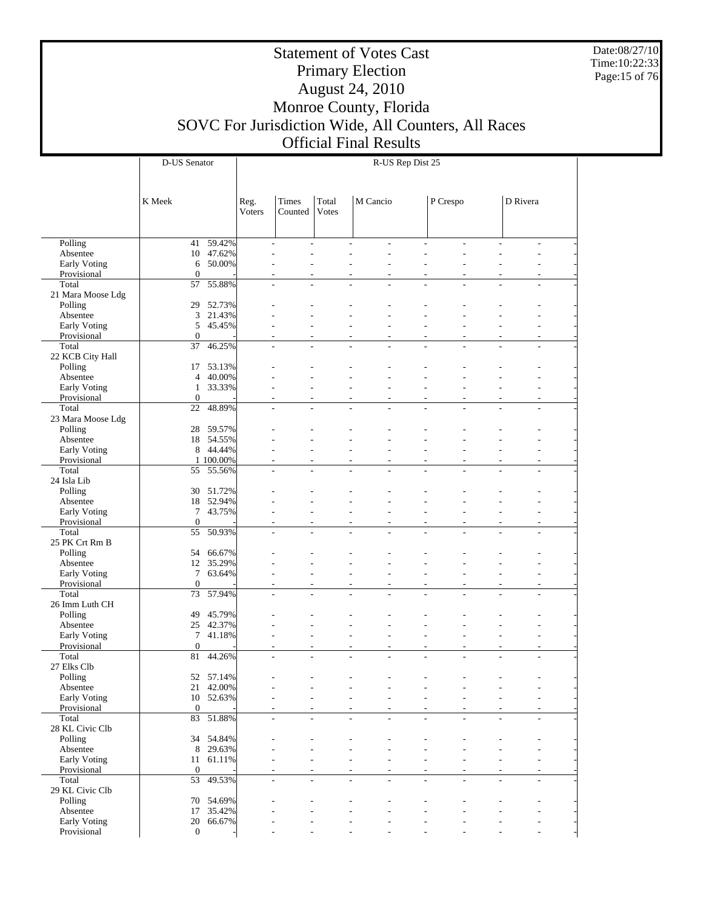Date:08/27/10 Time:10:22:33 Page:15 of 76

|                             | D-US Senator                | R-US Rep Dist 25 |                                                                      |                       |                                                      |                                                      |                |                                            |                                |  |
|-----------------------------|-----------------------------|------------------|----------------------------------------------------------------------|-----------------------|------------------------------------------------------|------------------------------------------------------|----------------|--------------------------------------------|--------------------------------|--|
|                             | K Meek                      | Reg.<br>Voters   | <b>Times</b><br>Counted                                              | Total<br><b>Votes</b> | M Cancio                                             |                                                      | P Crespo       |                                            | D Rivera                       |  |
|                             |                             |                  |                                                                      |                       |                                                      |                                                      |                |                                            |                                |  |
| Polling                     | 59.42%<br>41                |                  | ÷,<br>$\sim$                                                         |                       | $\overline{a}$<br>$\overline{\phantom{a}}$           | $\overline{\phantom{a}}$                             | $\overline{a}$ | $\overline{a}$                             | $\overline{a}$                 |  |
| Absentee                    | 47.62%<br>10                |                  | ۷                                                                    |                       | L,<br>L.                                             | $\overline{a}$                                       | ÷,             | ÷.                                         | $\overline{a}$                 |  |
| Early Voting                | 50.00%<br>6                 |                  | ÷                                                                    |                       | $\overline{a}$<br>٠                                  |                                                      | ÷.             |                                            |                                |  |
| Provisional<br>Total        | $\theta$<br>55.88%<br>57    |                  | ä,<br>$\overline{\phantom{a}}$<br>$\overline{\phantom{a}}$           |                       | ä,<br>$\overline{\phantom{a}}$<br>$\sim$<br>٠        | $\overline{\phantom{a}}$<br>$\sim$                   | ÷,<br>÷,       | ÷<br>÷,                                    | $\overline{\phantom{a}}$<br>L, |  |
| 21 Mara Moose Ldg           |                             |                  | $\overline{\phantom{a}}$                                             |                       |                                                      |                                                      |                |                                            |                                |  |
| Polling                     | 52.73%<br>29                |                  |                                                                      |                       |                                                      |                                                      |                |                                            |                                |  |
| Absentee                    | 3<br>21.43%                 |                  |                                                                      |                       |                                                      |                                                      |                |                                            |                                |  |
| Early Voting                | 5<br>45.45%                 |                  |                                                                      |                       |                                                      |                                                      |                |                                            |                                |  |
| Provisional                 | $\mathbf{0}$                |                  | ٠                                                                    |                       | $\overline{\phantom{a}}$<br>٠                        | $\overline{a}$                                       | ٠              | ÷,                                         | $\overline{\phantom{a}}$       |  |
| Total                       | 46.25%<br>37                |                  | L,                                                                   |                       | $\overline{a}$                                       |                                                      |                | ÷                                          | L,                             |  |
| 22 KCB City Hall            |                             |                  |                                                                      |                       |                                                      |                                                      |                |                                            |                                |  |
| Polling                     | 53.13%<br>17                |                  |                                                                      |                       |                                                      |                                                      |                |                                            |                                |  |
| Absentee                    | 40.00%<br>4                 |                  |                                                                      |                       |                                                      |                                                      |                |                                            |                                |  |
| Early Voting                | 33.33%<br>1<br>$\theta$     |                  | ÷                                                                    |                       | $\overline{a}$<br>٠                                  | $\overline{a}$                                       | ÷.             |                                            | $\overline{a}$                 |  |
| Provisional<br>Total        | 48.89%<br>22                |                  | ä,<br>$\overline{\phantom{a}}$<br>$\overline{\phantom{a}}$<br>$\sim$ |                       | $\overline{a}$<br>ä,<br>$\sim$<br>L.                 | $\overline{\phantom{a}}$<br>$\overline{\phantom{a}}$ | ÷,<br>÷.       | $\overline{\phantom{a}}$<br>÷.             | L,<br>$\overline{a}$           |  |
| 23 Mara Moose Ldg           |                             |                  |                                                                      |                       |                                                      |                                                      |                |                                            |                                |  |
| Polling                     | 28<br>59.57%                |                  |                                                                      |                       |                                                      |                                                      |                |                                            |                                |  |
| Absentee                    | 18<br>54.55%                |                  |                                                                      |                       |                                                      |                                                      |                |                                            |                                |  |
| Early Voting                | 8<br>44.44%                 |                  |                                                                      |                       |                                                      |                                                      |                |                                            |                                |  |
| Provisional                 | 1 100.00%                   |                  | ä,<br>$\overline{\phantom{a}}$                                       |                       | $\overline{\phantom{a}}$<br>$\overline{\phantom{a}}$ | $\overline{\phantom{a}}$                             | ٠              | $\overline{\phantom{a}}$                   | ÷,                             |  |
| Total                       | 55.56%<br>55                |                  | ä,                                                                   |                       |                                                      |                                                      |                |                                            |                                |  |
| 24 Isla Lib                 |                             |                  |                                                                      |                       |                                                      |                                                      |                |                                            |                                |  |
| Polling                     | 51.72%<br>30                |                  |                                                                      |                       |                                                      |                                                      |                |                                            |                                |  |
| Absentee                    | 52.94%<br>18                |                  |                                                                      |                       |                                                      |                                                      |                |                                            |                                |  |
| Early Voting                | 7<br>43.75%<br>$\theta$     |                  | $\overline{a}$                                                       |                       | $\overline{a}$<br>٠                                  | L,                                                   | ÷,             | ٠                                          | ÷,                             |  |
| Provisional<br>Total        | 50.93%<br>55                |                  | ä,<br>$\overline{\phantom{a}}$<br>$\overline{a}$<br>$\sim$           |                       | ä,<br>$\overline{\phantom{a}}$<br>$\sim$<br>٠        | $\overline{\phantom{a}}$<br>$\sim$                   | ÷,<br>÷,       | $\overline{\phantom{a}}$<br>$\overline{a}$ | ÷,<br>L,                       |  |
| 25 PK Crt Rm B              |                             |                  |                                                                      |                       |                                                      |                                                      |                |                                            |                                |  |
| Polling                     | 54<br>66.67%                |                  |                                                                      |                       |                                                      |                                                      |                |                                            |                                |  |
| Absentee                    | 12<br>35.29%                |                  |                                                                      |                       |                                                      |                                                      |                |                                            |                                |  |
| Early Voting                | 7<br>63.64%                 |                  |                                                                      |                       | $\overline{a}$                                       |                                                      |                |                                            | $\overline{a}$                 |  |
| Provisional                 | $\theta$                    |                  | ä,<br>$\overline{\phantom{a}}$                                       |                       | $\overline{\phantom{a}}$<br>$\overline{\phantom{a}}$ | $\overline{\phantom{a}}$                             | $\overline{a}$ | $\overline{a}$                             | ÷,                             |  |
| Total                       | 57.94%<br>73                |                  | L,                                                                   |                       |                                                      |                                                      |                |                                            |                                |  |
| 26 Imm Luth CH              |                             |                  |                                                                      |                       |                                                      |                                                      |                |                                            |                                |  |
| Polling                     | 45.79%<br>49                |                  |                                                                      |                       |                                                      |                                                      |                |                                            |                                |  |
| Absentee                    | 25<br>42.37%                |                  |                                                                      |                       | $\overline{a}$                                       |                                                      |                |                                            |                                |  |
| Early Voting<br>Provisional | 7<br>41.18%<br>$\theta$     |                  | $\overline{a}$<br>L,                                                 |                       | ٠<br>ä,<br>$\overline{\phantom{a}}$                  | L,<br>L,                                             | ٠<br>÷,        | ٠<br>÷,                                    | $\overline{\phantom{a}}$       |  |
| Total                       | 81<br>44.26%                |                  | ä,                                                                   |                       | $\overline{a}$<br>÷.                                 | $\overline{a}$                                       | L,             | ÷,                                         | L,                             |  |
| 27 Elks Clb                 |                             |                  |                                                                      |                       |                                                      |                                                      |                |                                            |                                |  |
| Polling                     | 52<br>57.14%                |                  |                                                                      |                       |                                                      |                                                      |                |                                            |                                |  |
| Absentee                    | 21<br>42.00%                |                  |                                                                      |                       |                                                      |                                                      |                |                                            |                                |  |
| Early Voting                | 10 52.63%                   |                  |                                                                      |                       |                                                      |                                                      |                |                                            |                                |  |
| Provisional                 | $\mathbf{0}$                |                  | ٠<br>٠                                                               |                       | $\overline{a}$                                       | $\overline{\phantom{a}}$                             | ٠              | ٠                                          | ÷,                             |  |
| Total                       | 51.88%<br>83                |                  | $\overline{\phantom{a}}$<br>$\overline{\phantom{a}}$                 |                       | $\sim$<br>٠                                          | $\sim$                                               | $\overline{a}$ | $\overline{\phantom{a}}$                   | $\overline{a}$                 |  |
| 28 KL Civic Clb             |                             |                  |                                                                      |                       |                                                      |                                                      |                |                                            |                                |  |
| Polling                     | 34 54.84%                   |                  |                                                                      |                       |                                                      |                                                      |                |                                            |                                |  |
| Absentee<br>Early Voting    | 29.63%<br>8<br>61.11%<br>11 |                  |                                                                      |                       |                                                      |                                                      |                |                                            |                                |  |
| Provisional                 | $\theta$                    |                  |                                                                      |                       | $\overline{a}$                                       |                                                      | ٠              |                                            |                                |  |
| Total                       | 53 49.53%                   |                  | ÷.                                                                   |                       | $\overline{a}$                                       | $\overline{a}$                                       | ÷.             | ÷                                          | $\overline{a}$                 |  |
| 29 KL Civic Clb             |                             |                  |                                                                      |                       |                                                      |                                                      |                |                                            |                                |  |
| Polling                     | 54.69%<br>70                |                  |                                                                      |                       |                                                      |                                                      |                |                                            |                                |  |
| Absentee                    | 35.42%<br>17                |                  |                                                                      |                       |                                                      |                                                      |                |                                            |                                |  |
| Early Voting                | 20<br>66.67%                |                  |                                                                      |                       |                                                      |                                                      |                |                                            |                                |  |
| Provisional                 | $\boldsymbol{0}$            |                  |                                                                      |                       |                                                      |                                                      |                |                                            |                                |  |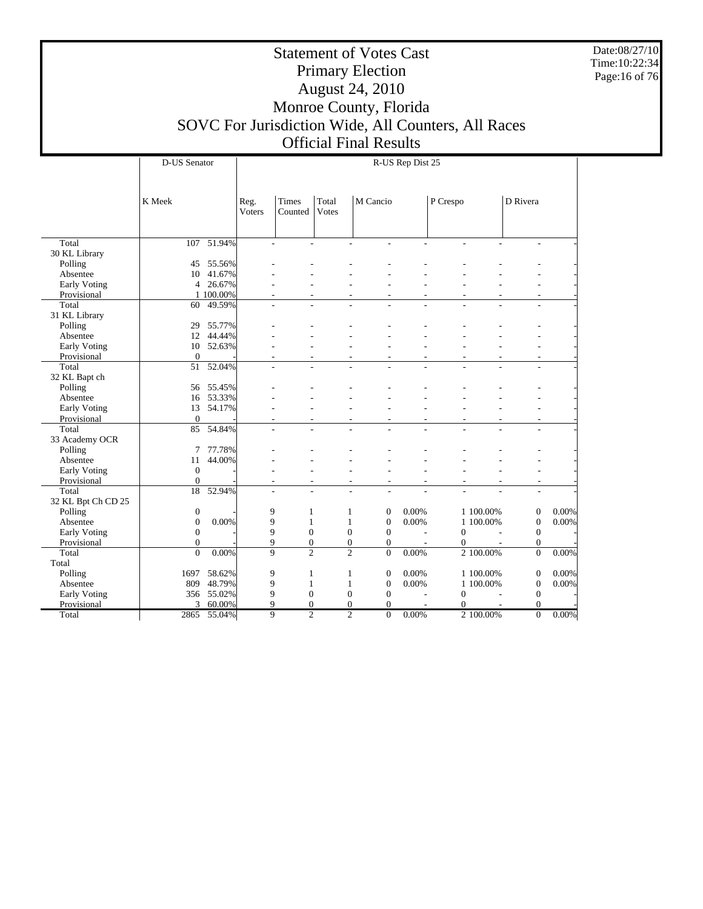Date:08/27/10 Time:10:22:34 Page:16 of 76

|                    | D-US Senator     |                 |             | R-US Rep Dist 25 |       |                                      |                          |              |           |                  |       |  |
|--------------------|------------------|-----------------|-------------|------------------|-------|--------------------------------------|--------------------------|--------------|-----------|------------------|-------|--|
|                    |                  |                 |             |                  |       |                                      |                          |              |           |                  |       |  |
|                    |                  |                 |             |                  |       |                                      |                          |              |           |                  |       |  |
|                    | K Meek           |                 | Reg.        | <b>Times</b>     | Total | M Cancio                             |                          | P Crespo     |           | D Rivera         |       |  |
|                    |                  |                 | Voters      | Counted          | Votes |                                      |                          |              |           |                  |       |  |
|                    |                  |                 |             |                  |       |                                      |                          |              |           |                  |       |  |
|                    |                  |                 |             |                  |       |                                      |                          |              |           |                  |       |  |
| Total              |                  | $107 - 51.94\%$ |             |                  |       |                                      |                          |              |           |                  |       |  |
| 30 KL Library      |                  |                 |             |                  |       |                                      |                          |              |           |                  |       |  |
| Polling            | 45               | 55.56%          |             |                  |       |                                      |                          |              |           |                  |       |  |
| Absentee           | 10               | 41.67%          |             |                  |       |                                      |                          |              |           |                  |       |  |
| Early Voting       |                  | 4 26.67%        |             |                  |       |                                      |                          |              |           |                  |       |  |
| Provisional        |                  | 1 100.00%       |             |                  |       |                                      |                          |              |           |                  |       |  |
| Total              | 60               | 49.59%          |             |                  |       |                                      |                          |              |           |                  |       |  |
| 31 KL Library      |                  |                 |             |                  |       |                                      |                          |              |           |                  |       |  |
| Polling            | 29               | 55.77%          |             |                  |       |                                      |                          |              |           |                  |       |  |
| Absentee           | 12               | 44.44%          |             |                  |       |                                      |                          |              |           |                  |       |  |
| Early Voting       | 10               | 52.63%          |             |                  |       |                                      |                          |              |           |                  |       |  |
| Provisional        | $\theta$         |                 |             |                  |       |                                      |                          |              |           |                  |       |  |
| Total              | 51               | 52.04%          |             |                  |       |                                      |                          |              |           |                  |       |  |
| 32 KL Bapt ch      |                  |                 |             |                  |       |                                      |                          |              |           |                  |       |  |
| Polling            | 56               | 55.45%          |             |                  |       |                                      |                          |              |           |                  |       |  |
| Absentee           | 16               | 53.33%          |             |                  |       |                                      |                          |              |           |                  |       |  |
| Early Voting       | 13               | 54.17%          |             |                  |       |                                      |                          |              |           |                  |       |  |
| Provisional        | $\theta$         |                 |             |                  |       |                                      |                          |              |           |                  |       |  |
| Total              | 85               | 54.84%          |             |                  |       |                                      |                          |              |           |                  |       |  |
| 33 Academy OCR     |                  |                 |             |                  |       |                                      |                          |              |           |                  |       |  |
| Polling            | 7                | 77.78%          |             |                  |       |                                      |                          |              |           |                  |       |  |
| Absentee           | 11               | 44.00%          |             |                  |       |                                      |                          |              |           |                  |       |  |
| Early Voting       | $\mathbf{0}$     |                 |             |                  |       |                                      |                          |              |           |                  |       |  |
| Provisional        | $\Omega$         |                 |             |                  |       |                                      |                          |              |           |                  |       |  |
| Total              | $\overline{18}$  | 52.94%          | ÷.          |                  |       |                                      |                          |              |           |                  |       |  |
| 32 KL Bpt Ch CD 25 |                  |                 |             |                  |       |                                      |                          |              |           |                  |       |  |
| Polling            | $\boldsymbol{0}$ |                 | 9           | 1                |       | $\mathbf{0}$<br>1                    | 0.00%                    |              | 1 100.00% | $\mathbf{0}$     | 0.00% |  |
| Absentee           | $\boldsymbol{0}$ | 0.00%           | 9           | $\mathbf{1}$     |       | $\mathbf{1}$<br>$\boldsymbol{0}$     | 0.00%                    |              | 1 100.00% | $\boldsymbol{0}$ | 0.00% |  |
| Early Voting       | $\mathbf{0}$     |                 | 9           | $\overline{0}$   |       | $\boldsymbol{0}$<br>$\mathbf{0}$     | $\overline{\phantom{a}}$ | $\mathbf{0}$ | ä,        | $\mathbf{0}$     |       |  |
| Provisional        | $\overline{0}$   |                 | 9           | $\boldsymbol{0}$ |       | $\boldsymbol{0}$<br>$\boldsymbol{0}$ |                          | $\mathbf{0}$ |           | $\mathbf{0}$     |       |  |
| Total              | $\overline{0}$   | 0.00%           | 9           | $\overline{2}$   |       | $\overline{2}$<br>$\overline{0}$     | $0.00\%$                 |              | 2 100.00% | $\Omega$         | 0.00% |  |
| Total              |                  |                 |             |                  |       |                                      |                          |              |           |                  |       |  |
| Polling            | 1697             | 58.62%          | 9           | 1                |       | $\boldsymbol{0}$<br>1                | 0.00%                    |              | 1 100.00% | $\mathbf{0}$     | 0.00% |  |
| Absentee           | 809              | 48.79%          | 9           | $\mathbf{1}$     |       | $\mathbf{1}$<br>$\boldsymbol{0}$     | 0.00%                    |              | 1 100.00% | $\mathbf{0}$     | 0.00% |  |
| Early Voting       | 356              | 55.02%          | 9           | $\overline{0}$   |       | $\overline{0}$<br>$\mathbf{0}$       |                          | $\mathbf{0}$ |           | $\mathbf{0}$     |       |  |
| Provisional        | 3                | 60.00%          | $\mathbf Q$ | $\mathbf{0}$     |       | $\overline{0}$<br>$\mathbf{0}$       |                          | $\Omega$     |           | $\mathbf{0}$     |       |  |
| Total              | 2865             | 55.04%          | 9           | $\overline{c}$   |       | $\overline{2}$<br>$\overline{0}$     | $0.00\%$                 |              | 2 100.00% | $\overline{0}$   | 0.00% |  |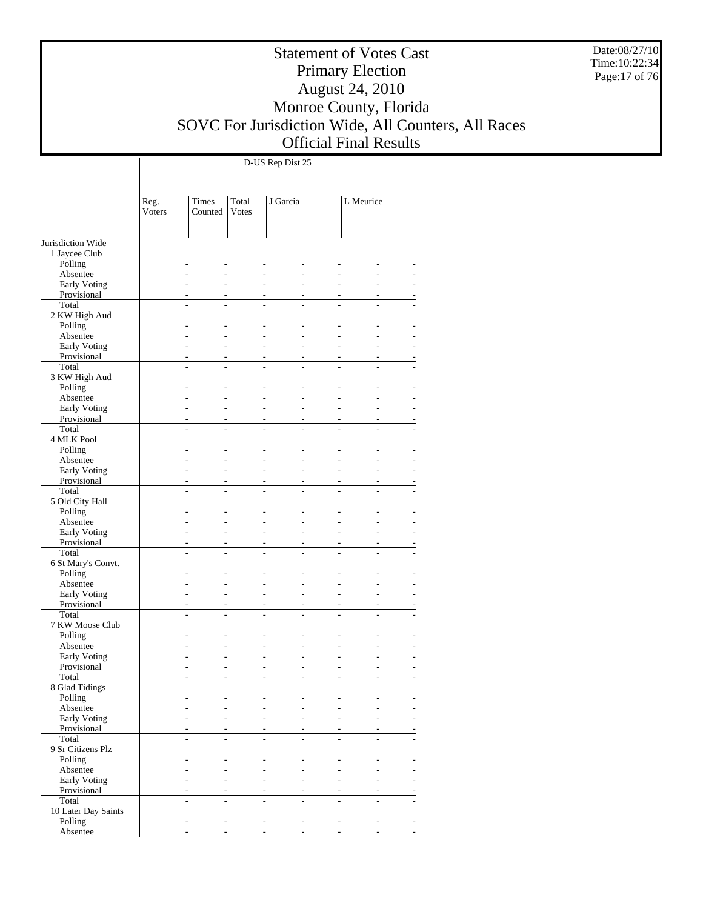Date:08/27/10 Time:10:22:34 Page:17 of 76

## Statement of Votes Cast Primary Election August 24, 2010 Monroe County, Florida SOVC For Jurisdiction Wide, All Counters, All Races Official Final Results

|                          | Reg.<br>Voters | Times<br>Counted | Total<br><b>Votes</b> | J Garcia | L Meurice |    |
|--------------------------|----------------|------------------|-----------------------|----------|-----------|----|
|                          |                |                  |                       |          |           |    |
| Jurisdiction Wide        |                |                  |                       |          |           |    |
| 1 Jaycee Club<br>Polling |                |                  |                       |          |           |    |
| Absentee                 |                |                  |                       |          |           |    |
| Early Voting             |                |                  |                       |          |           |    |
| Provisional              |                |                  |                       |          |           |    |
| Total                    |                |                  | ÷.                    |          |           |    |
| 2 KW High Aud            |                |                  |                       |          |           |    |
| Polling                  |                |                  |                       |          |           |    |
| Absentee                 |                |                  |                       |          |           |    |
| Early Voting             |                |                  |                       |          |           | ÷. |
| Provisional              |                |                  |                       |          |           |    |
| Total                    |                |                  |                       |          |           |    |
| 3 KW High Aud            |                |                  |                       |          |           |    |
| Polling                  |                |                  |                       |          |           |    |
| Absentee<br>Early Voting |                |                  |                       |          |           |    |
| Provisional              |                |                  |                       |          |           |    |
| Total                    |                |                  | L.                    |          |           |    |
| 4 MLK Pool               |                |                  |                       |          |           |    |
| Polling                  |                |                  |                       |          |           |    |
| Absentee                 |                |                  |                       |          |           | ÷. |
| Early Voting             |                |                  |                       |          |           | ÷. |
| Provisional              |                |                  |                       |          |           |    |
| Total                    |                |                  |                       |          |           |    |
| 5 Old City Hall          |                |                  |                       |          |           |    |
| Polling                  |                |                  |                       |          |           |    |
| Absentee                 |                |                  |                       |          |           |    |
| Early Voting             |                |                  |                       |          |           |    |
| Provisional<br>Total     |                |                  |                       |          |           |    |
| 6 St Mary's Convt.       |                |                  |                       |          |           |    |
| Polling                  |                |                  |                       |          |           |    |
| Absentee                 |                |                  |                       |          |           | ٠  |
| Early Voting             |                |                  |                       |          |           | ÷. |
| Provisional              |                |                  |                       |          |           |    |
| Total                    |                |                  |                       |          |           |    |
| 7 KW Moose Club          |                |                  |                       |          |           |    |
| Polling                  |                |                  |                       |          |           |    |
| Absentee                 |                |                  |                       |          |           |    |
| Early Voting             |                |                  |                       |          |           |    |
| Provisional<br>Total     |                |                  |                       |          |           |    |
| 8 Glad Tidings           |                |                  |                       |          |           |    |
| Polling                  |                |                  |                       |          |           |    |
| Absentee                 |                |                  |                       |          |           |    |
| Early Voting             |                |                  |                       |          |           |    |
| Provisional              |                |                  |                       |          |           |    |
| Total                    |                |                  |                       |          |           |    |
| 9 Sr Citizens Plz        |                |                  |                       |          |           |    |
| Polling                  |                |                  |                       |          |           |    |
| Absentee                 |                |                  |                       |          |           |    |
| Early Voting             |                |                  |                       |          |           |    |
| Provisional              |                |                  |                       |          |           |    |
| Total                    |                |                  |                       |          |           |    |
| 10 Later Day Saints      |                |                  |                       |          |           |    |
| Polling<br>Absentee      |                |                  |                       |          |           |    |
|                          |                |                  |                       |          |           |    |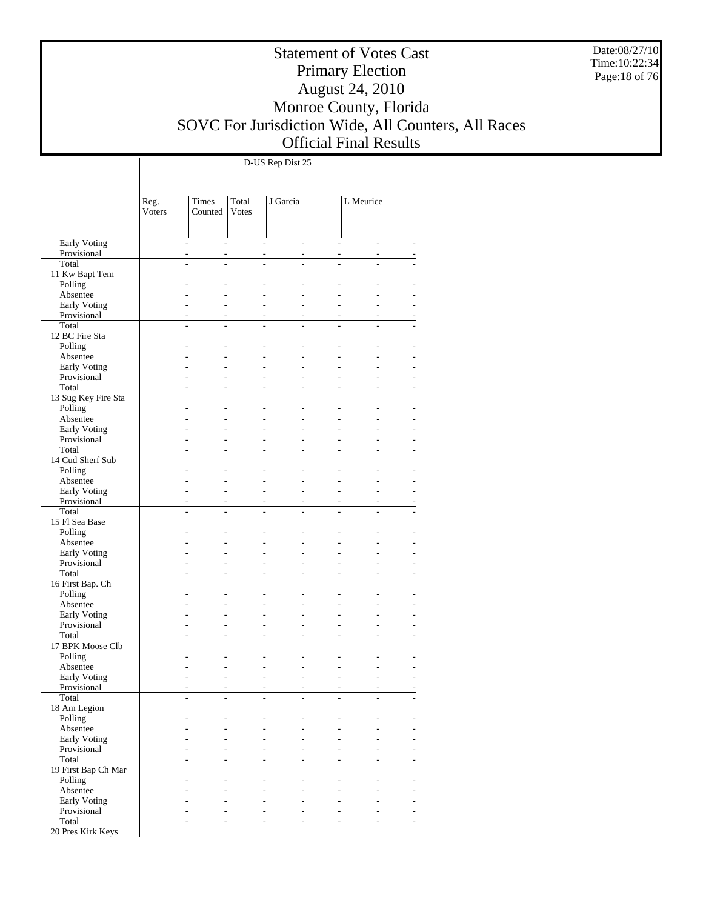Date:08/27/10 Time:10:22:34 Page:18 of 76

## Statement of Votes Cast Primary Election August 24, 2010 Monroe County, Florida SOVC For Jurisdiction Wide, All Counters, All Races Official Final Results

|                             | Reg.           | Times                    | Total                    | J Garcia       |                                            | L Meurice                |  |
|-----------------------------|----------------|--------------------------|--------------------------|----------------|--------------------------------------------|--------------------------|--|
|                             | Voters         | Counted                  | <b>Votes</b>             |                |                                            |                          |  |
|                             |                |                          |                          |                |                                            |                          |  |
| <b>Early Voting</b>         | ÷              | $\overline{\phantom{a}}$ | ÷.                       | ÷              | $\overline{\phantom{a}}$                   | ÷                        |  |
| Provisional                 | ÷,             | $\overline{\phantom{a}}$ | $\overline{\phantom{a}}$ | $\sim$         | $\overline{\phantom{a}}$                   | $\overline{\phantom{a}}$ |  |
| Total                       | $\overline{a}$ | L.                       | L                        | $\overline{a}$ | L,                                         | L                        |  |
| 11 Kw Bapt Tem              |                |                          |                          |                |                                            |                          |  |
| Polling                     |                |                          |                          |                |                                            |                          |  |
| Absentee                    |                |                          |                          |                | ۷                                          |                          |  |
| Early Voting                | L.             |                          |                          |                | ۷                                          |                          |  |
| Provisional<br>Total        | ÷,<br>L        | $\overline{a}$<br>L.     | ÷                        | $\overline{a}$ | $\overline{\phantom{a}}$<br>L,             | $\overline{\phantom{a}}$ |  |
| 12 BC Fire Sta              |                |                          |                          |                |                                            |                          |  |
| Polling                     |                |                          |                          |                |                                            |                          |  |
| Absentee                    | L,             | ÷                        | L,                       | ٠              | L.                                         |                          |  |
| Early Voting                | L,             |                          |                          |                | ٠                                          |                          |  |
| Provisional                 | ÷,             | $\overline{a}$           | ٠                        | $\sim$         | $\overline{\phantom{a}}$                   | $\overline{a}$           |  |
| Total                       | L              | L.                       | L                        | $\overline{a}$ | L,                                         | L,                       |  |
| 13 Sug Key Fire Sta         |                |                          |                          |                |                                            |                          |  |
| Polling                     |                |                          |                          |                |                                            |                          |  |
| Absentee                    |                |                          |                          |                | ۷                                          |                          |  |
| Early Voting                |                |                          |                          |                | ۷                                          |                          |  |
| Provisional<br>Total        | ÷,<br>L        | $\overline{a}$           | ÷                        | $\overline{a}$ | $\overline{\phantom{a}}$<br>$\overline{a}$ | $\overline{\phantom{a}}$ |  |
| 14 Cud Sherf Sub            |                |                          |                          |                |                                            |                          |  |
| Polling                     |                |                          |                          |                |                                            |                          |  |
| Absentee                    | L,             | ÷                        | L,                       | ٠              | L.                                         |                          |  |
| Early Voting                | L.             |                          |                          |                | ٠                                          |                          |  |
| Provisional                 | ÷,             | $\overline{a}$           | ٠                        | $\sim$         | $\overline{\phantom{a}}$                   | $\overline{a}$           |  |
| Total                       | L.             | L.                       | ÷.                       | L.             | L,                                         | L,                       |  |
| 15 Fl Sea Base              |                |                          |                          |                |                                            |                          |  |
| Polling                     |                |                          |                          |                |                                            |                          |  |
| Absentee                    |                |                          |                          |                | ۷                                          |                          |  |
| Early Voting                | L.             |                          |                          |                | ۷                                          |                          |  |
| Provisional                 | ٠              | $\overline{a}$           | $\overline{\phantom{a}}$ | $\sim$         | $\overline{\phantom{a}}$                   | $\overline{\phantom{a}}$ |  |
| Total                       | L              |                          |                          |                | $\overline{a}$                             |                          |  |
| 16 First Bap. Ch<br>Polling |                |                          |                          |                |                                            |                          |  |
| Absentee                    | L,             | ٠                        | L,                       | ٠              | ÷.                                         |                          |  |
| Early Voting                | L.             |                          |                          | ۳              | ÷.                                         |                          |  |
| Provisional                 | ÷,             | ÷                        | ٠                        | $\sim$         | $\overline{\phantom{a}}$                   | $\overline{a}$           |  |
| Total                       | L              | ÷.                       | ÷.                       | ÷.             | L.                                         | L,                       |  |
| 17 BPK Moose Clb            |                |                          |                          |                |                                            |                          |  |
| Polling                     |                |                          |                          |                |                                            |                          |  |
| Absentee                    |                |                          |                          |                |                                            |                          |  |
| Early Voting                |                |                          |                          |                |                                            |                          |  |
| Provisional                 |                |                          | L,                       |                |                                            |                          |  |
| Total                       |                |                          |                          |                |                                            |                          |  |
| 18 Am Legion<br>Polling     |                |                          |                          |                |                                            |                          |  |
| Absentee                    |                |                          |                          |                |                                            |                          |  |
| Early Voting                |                |                          |                          |                | ÷.                                         |                          |  |
| Provisional                 | ÷.             |                          | ۰                        |                | ٠                                          |                          |  |
| Total                       |                |                          |                          |                |                                            |                          |  |
| 19 First Bap Ch Mar         |                |                          |                          |                |                                            |                          |  |
| Polling                     |                |                          |                          |                |                                            |                          |  |
| Absentee                    |                |                          |                          |                | ÷.                                         |                          |  |
| Early Voting                |                |                          |                          |                | ÷.                                         |                          |  |
| Provisional                 |                |                          |                          | ÷              | ٠                                          |                          |  |
| Total                       |                |                          |                          |                |                                            |                          |  |
| 20 Pres Kirk Keys           |                |                          |                          |                |                                            |                          |  |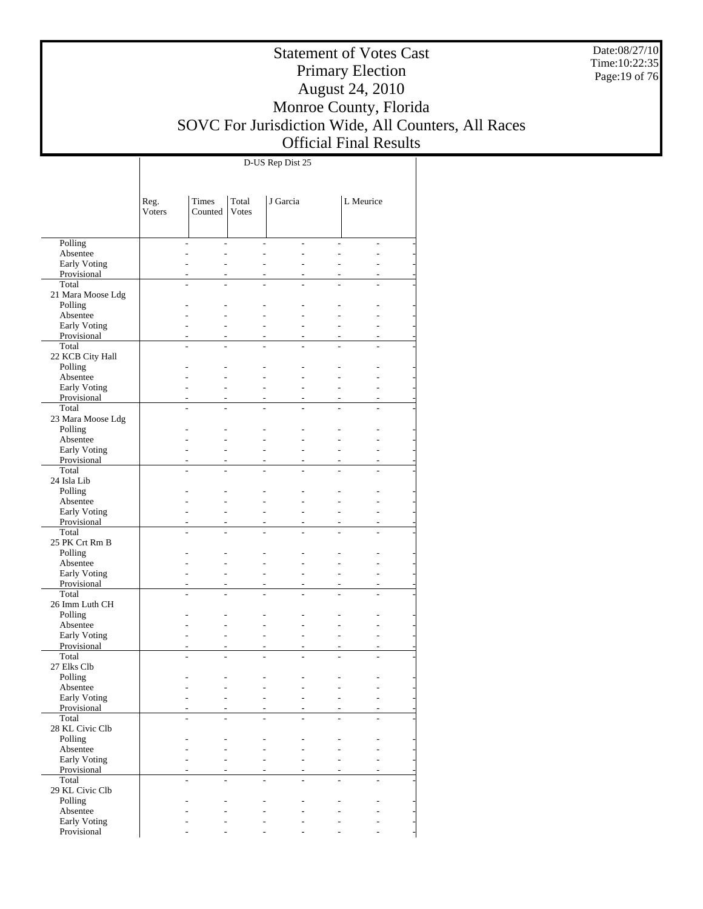Date:08/27/10 Time:10:22:35 Page:19 of 76

## Statement of Votes Cast Primary Election August 24, 2010 Monroe County, Florida SOVC For Jurisdiction Wide, All Counters, All Races Official Final Results

|                              | Reg.<br>Voters           | Times<br>Counted | Total<br><b>Votes</b>    | J Garcia       |                | L Meurice      |   |
|------------------------------|--------------------------|------------------|--------------------------|----------------|----------------|----------------|---|
|                              |                          |                  |                          |                |                |                |   |
| Polling                      | $\overline{\phantom{a}}$ | $\overline{a}$   | ÷.                       | $\overline{a}$ | L,             | ÷,             |   |
| Absentee                     | L.                       | L,               | ٠                        | ÷              |                | ÷.             |   |
| Early Voting<br>Provisional  | ٠                        | L.<br>٠          | ٠                        | ÷.             | $\overline{a}$ | ÷.<br>٠        |   |
| Total                        |                          |                  |                          |                |                |                |   |
| 21 Mara Moose Ldg            |                          |                  |                          |                |                |                |   |
| Polling                      |                          |                  |                          |                |                |                |   |
| Absentee                     |                          |                  |                          |                |                |                |   |
| Early Voting                 |                          | L.               | ÷                        |                |                | ÷.             |   |
| Provisional<br>Total         | L,                       | ä,<br>L,         | ٠<br>$\overline{a}$      | ÷.             | $\overline{a}$ | ÷<br>L.        |   |
| 22 KCB City Hall             |                          |                  |                          |                |                |                |   |
| Polling                      |                          |                  |                          |                |                |                |   |
| Absentee                     |                          |                  |                          |                |                |                |   |
| Early Voting                 |                          |                  | ÷                        |                |                | ÷.             |   |
| Provisional                  | ٠                        | ä,               | ٠                        |                | $\overline{a}$ | ٠              |   |
| Total                        |                          |                  |                          |                |                |                |   |
| 23 Mara Moose Ldg<br>Polling |                          |                  |                          |                |                |                |   |
| Absentee                     |                          |                  |                          |                |                |                |   |
| Early Voting                 |                          |                  | ÷                        |                |                | L.             |   |
| Provisional                  |                          | ä,               | ٠                        |                |                | ٠              |   |
| Total                        | L,                       | L,               | $\overline{a}$           | L.             | $\overline{a}$ | L              |   |
| 24 Isla Lib                  |                          |                  |                          |                |                |                |   |
| Polling                      |                          |                  |                          |                |                |                |   |
| Absentee<br>Early Voting     |                          | L.               | ÷                        |                |                | ÷              |   |
| Provisional                  | ٠                        | ä,               |                          |                | $\overline{a}$ |                | ۰ |
| Total                        |                          |                  |                          |                |                |                |   |
| 25 PK Crt Rm B               |                          |                  |                          |                |                |                |   |
| Polling                      |                          |                  |                          |                |                |                |   |
| Absentee                     |                          |                  |                          |                |                |                |   |
| Early Voting<br>Provisional  |                          | ä,               | ÷.                       |                |                | L.<br>٠        |   |
| Total                        | L.                       | L.               | L,                       |                | $\overline{a}$ | L              |   |
| 26 Imm Luth CH               |                          |                  |                          |                |                |                |   |
| Polling                      |                          |                  |                          |                |                |                |   |
| Absentee                     |                          |                  |                          |                |                |                |   |
| Early Voting                 |                          |                  |                          |                |                | L.             |   |
| Provisional<br>Total         | ٠                        |                  |                          |                | $\overline{a}$ |                | ۰ |
| 27 Elks Clb                  |                          |                  |                          |                |                |                |   |
| Polling                      |                          |                  |                          |                |                |                |   |
| Absentee                     |                          |                  |                          |                |                |                |   |
| Early Voting                 | -                        | $\overline{a}$   | $\overline{\phantom{0}}$ |                | $\overline{a}$ | $\overline{a}$ |   |
| Provisional                  |                          |                  |                          |                |                |                |   |
| Total                        |                          |                  |                          |                |                |                |   |
| 28 KL Civic Clb<br>Polling   |                          |                  |                          |                |                |                |   |
| Absentee                     |                          |                  |                          |                |                |                |   |
| Early Voting                 |                          |                  |                          |                |                |                |   |
| Provisional                  |                          |                  |                          |                |                |                |   |
| Total                        | L,                       | ٠                |                          |                | L.             | L.             |   |
| 29 KL Civic Clb              |                          |                  |                          |                |                |                |   |
| Polling<br>Absentee          |                          |                  |                          |                |                |                |   |
| Early Voting                 |                          |                  |                          |                |                |                |   |
| Provisional                  |                          |                  |                          |                |                |                |   |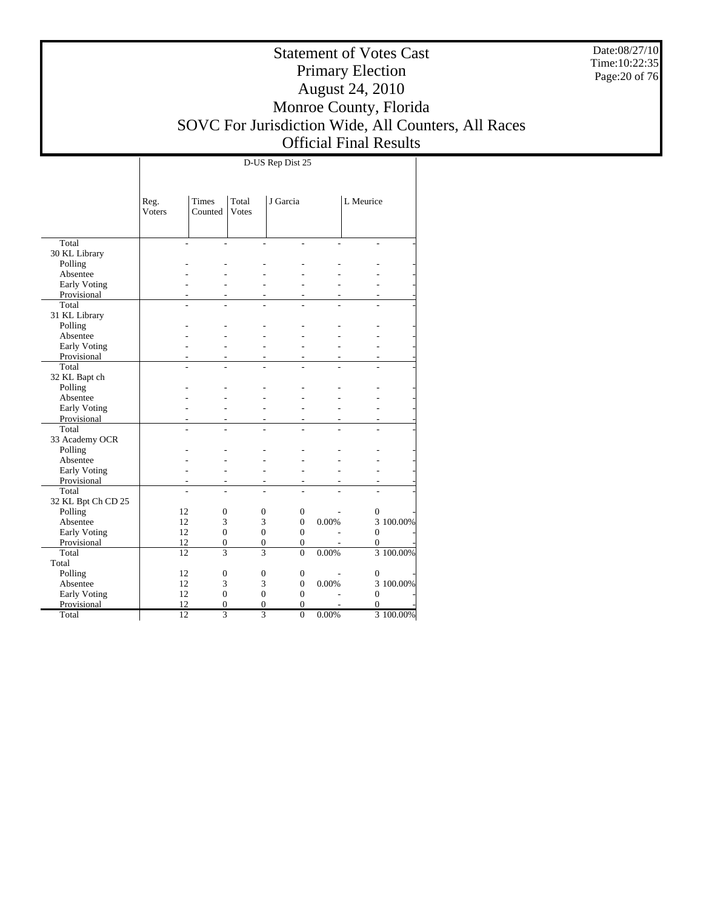Date:08/27/10 Time:10:22:35 Page:20 of 76

# Statement of Votes Cast Primary Election August 24, 2010 Monroe County, Florida SOVC For Jurisdiction Wide, All Counters, All Races Official Final Results

|                     | Reg.<br><b>Voters</b> | <b>Times</b><br>Counted | Total<br>Votes | J Garcia             |       | L Meurice        |             |
|---------------------|-----------------------|-------------------------|----------------|----------------------|-------|------------------|-------------|
|                     |                       |                         |                |                      |       |                  |             |
| Total               |                       |                         |                | $\overline{a}$       |       |                  |             |
| 30 KL Library       |                       |                         |                |                      |       |                  |             |
| Polling             |                       |                         |                |                      |       |                  |             |
| Absentee            |                       |                         |                |                      |       |                  |             |
| Early Voting        |                       |                         |                |                      |       |                  |             |
| Provisional         |                       |                         |                |                      |       |                  |             |
| Total               | $\overline{a}$        |                         |                |                      |       |                  |             |
| 31 KL Library       |                       |                         |                |                      |       |                  |             |
| Polling             |                       |                         |                |                      |       |                  |             |
| Absentee            |                       |                         |                |                      |       |                  |             |
| <b>Early Voting</b> |                       |                         |                |                      |       |                  |             |
| Provisional         |                       |                         |                |                      |       |                  |             |
| Total               | L,                    |                         |                |                      |       |                  |             |
| 32 KL Bapt ch       |                       |                         |                |                      |       |                  |             |
| Polling             |                       |                         |                |                      |       |                  |             |
| Absentee            |                       |                         |                |                      |       |                  |             |
| Early Voting        |                       |                         |                |                      |       |                  |             |
| Provisional         |                       |                         |                |                      |       |                  |             |
| Total               | L.                    |                         |                | L.<br>$\overline{a}$ | ÷.    |                  |             |
| 33 Academy OCR      |                       |                         |                |                      |       |                  |             |
| Polling             |                       |                         |                |                      |       |                  |             |
| Absentee            |                       |                         |                |                      |       |                  |             |
| Early Voting        |                       |                         |                |                      |       |                  |             |
| Provisional         |                       |                         |                |                      |       |                  |             |
| Total               |                       |                         |                |                      |       |                  |             |
| 32 KL Bpt Ch CD 25  |                       |                         |                |                      |       |                  |             |
| Polling             | 12                    | $\mathbf{0}$            | $\mathbf{0}$   | $\boldsymbol{0}$     |       | $\boldsymbol{0}$ |             |
| Absentee            | 12                    | 3                       | 3              | $\overline{0}$       | 0.00% |                  | 3 100.00%   |
| Early Voting        | 12                    | $\overline{0}$          | $\overline{0}$ | $\overline{0}$       |       | $\overline{0}$   |             |
| Provisional         | 12                    | $\mathbf{0}$            | $\overline{0}$ | $\overline{0}$       |       | $\overline{0}$   |             |
| Total               | 12                    | 3                       | $\overline{3}$ | $\theta$             | 0.00% |                  | $3100.00\%$ |
| Total               |                       |                         |                |                      |       |                  |             |
| Polling             | 12                    | $\mathbf{0}$            | $\mathbf{0}$   | $\boldsymbol{0}$     |       | $\overline{0}$   |             |
| Absentee            | 12                    | 3                       | 3              | $\overline{0}$       | 0.00% |                  | 3 100.00%   |
| Early Voting        | 12                    | $\Omega$                | $\overline{0}$ | $\Omega$             |       | $\overline{0}$   |             |
| Provisional         | 12                    | $\overline{0}$          | $\overline{0}$ | $\overline{0}$       |       | $\overline{0}$   |             |
| Total               | $\overline{12}$       | $\overline{3}$          | $\overline{3}$ | $\overline{0}$       | 0.00% |                  | 3 100.00%   |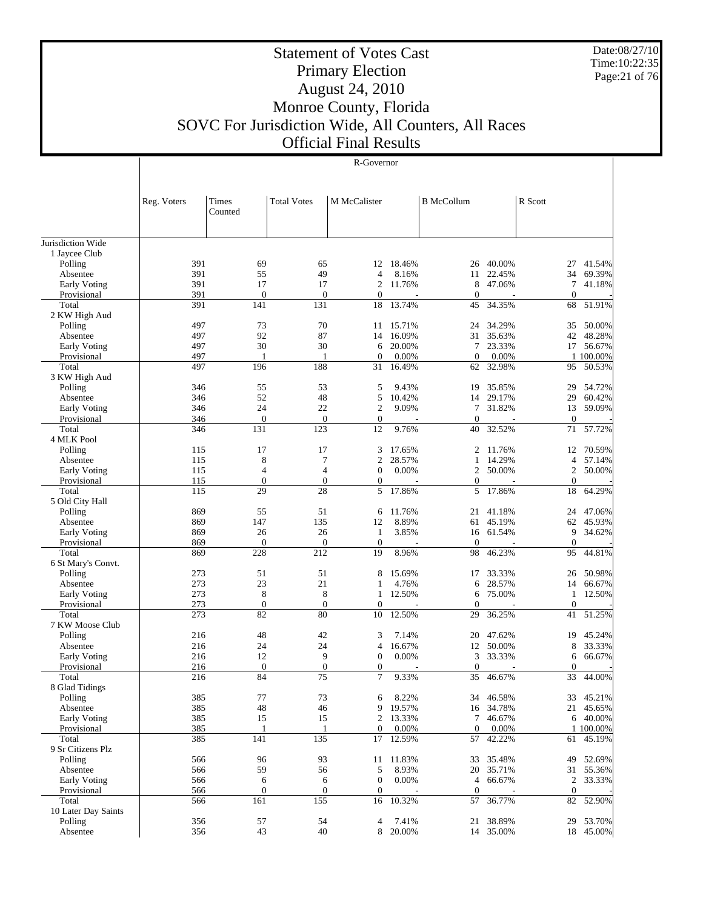Date:08/27/10 Time:10:22:35 Page:21 of 76

 $\mathbb{L}$ 

# Statement of Votes Cast Primary Election August 24, 2010 Monroe County, Florida SOVC For Jurisdiction Wide, All Counters, All Races Official Final Results

|  | a i mai kosan |
|--|---------------|
|  | R-Governor    |

|                                 | Reg. Voters | Times            | <b>Total Votes</b> | M McCalister        |                  | <b>B</b> McCollum |                  | R Scott          |                  |
|---------------------------------|-------------|------------------|--------------------|---------------------|------------------|-------------------|------------------|------------------|------------------|
|                                 |             | Counted          |                    |                     |                  |                   |                  |                  |                  |
|                                 |             |                  |                    |                     |                  |                   |                  |                  |                  |
| Jurisdiction Wide               |             |                  |                    |                     |                  |                   |                  |                  |                  |
| 1 Jaycee Club                   |             |                  |                    |                     |                  |                   |                  |                  |                  |
| Polling                         | 391         | 69               | 65<br>49           |                     | 12 18.46%        | 26                | 40.00%           | 27               | 41.54%           |
| Absentee<br><b>Early Voting</b> | 391<br>391  | 55<br>17         | 17                 | 4<br>$\overline{2}$ | 8.16%<br>11.76%  | 11<br>8           | 22.45%<br>47.06% | 34<br>7          | 69.39%<br>41.18% |
| Provisional                     | 391         | $\boldsymbol{0}$ | $\boldsymbol{0}$   | $\mathbf{0}$        |                  | $\theta$          |                  | $\Omega$         |                  |
| Total                           | 391         | 141              | 131                | 18                  | 13.74%           | 45                | 34.35%           | 68               | 51.91%           |
| 2 KW High Aud                   |             |                  |                    |                     |                  |                   |                  |                  |                  |
| Polling                         | 497         | 73               | 70                 | 11                  | 15.71%           | 24                | 34.29%           | 35               | 50.00%           |
| Absentee                        | 497         | 92               | 87                 | 14                  | 16.09%           | 31                | 35.63%           | 42               | 48.28%           |
| <b>Early Voting</b>             | 497         | 30               | 30                 | 6                   | 20.00%           | $\tau$            | 23.33%           | 17               | 56.67%           |
| Provisional                     | 497         | 1                | 1                  | $\boldsymbol{0}$    | 0.00%            | $\mathbf{0}$      | 0.00%            |                  | 1 100.00%        |
| Total                           | 497         | 196              | 188                | 31                  | 16.49%           | 62                | 32.98%           | 95               | 50.53%           |
| 3 KW High Aud                   |             |                  |                    |                     |                  |                   |                  |                  |                  |
| Polling                         | 346         | 55               | 53                 | 5                   | 9.43%            | 19                | 35.85%           | 29               | 54.72%           |
| Absentee                        | 346         | 52               | 48                 | 5                   | 10.42%           | 14                | 29.17%           | 29               | 60.42%           |
| <b>Early Voting</b>             | 346         | 24               | 22                 | $\overline{2}$      | 9.09%            | $\tau$            | 31.82%           | 13               | 59.09%           |
| Provisional                     | 346         | $\boldsymbol{0}$ | $\mathbf{0}$       | $\boldsymbol{0}$    |                  | $\theta$          |                  | $\overline{0}$   | 57.72%           |
| Total                           | 346         | 131              | 123                | 12                  | 9.76%            | 40                | 32.52%           | 71               |                  |
| 4 MLK Pool                      |             | 17               |                    |                     |                  | $\overline{2}$    |                  |                  |                  |
| Polling<br>Absentee             | 115<br>115  | 8                | 17<br>7            | 3<br>$\overline{c}$ | 17.65%<br>28.57% | 1                 | 11.76%<br>14.29% | 12<br>4          | 70.59%<br>57.14% |
| Early Voting                    | 115         | 4                | 4                  | $\boldsymbol{0}$    | 0.00%            | $\overline{c}$    | 50.00%           | $\boldsymbol{2}$ | 50.00%           |
| Provisional                     | 115         | $\boldsymbol{0}$ | $\boldsymbol{0}$   | $\boldsymbol{0}$    |                  | $\boldsymbol{0}$  |                  | $\mathbf{0}$     |                  |
| Total                           | 115         | 29               | 28                 | 5                   | 17.86%           | 5                 | 17.86%           | 18               | 64.29%           |
| 5 Old City Hall                 |             |                  |                    |                     |                  |                   |                  |                  |                  |
| Polling                         | 869         | 55               | 51                 | 6                   | 11.76%           | 21                | 41.18%           | 24               | 47.06%           |
| Absentee                        | 869         | 147              | 135                | 12                  | 8.89%            | 61                | 45.19%           | 62               | 45.93%           |
| <b>Early Voting</b>             | 869         | 26               | 26                 | $\mathbf{1}$        | 3.85%            | 16                | 61.54%           | 9                | 34.62%           |
| Provisional                     | 869         | $\boldsymbol{0}$ | $\boldsymbol{0}$   | $\boldsymbol{0}$    |                  | $\theta$          |                  | $\mathbf{0}$     |                  |
| Total                           | 869         | 228              | 212                | 19                  | 8.96%            | 98                | 46.23%           | 95               | 44.81%           |
| 6 St Mary's Convt.              |             |                  |                    |                     |                  |                   |                  |                  |                  |
| Polling                         | 273         | 51               | 51                 | 8                   | 15.69%           | 17                | 33.33%           | 26               | 50.98%           |
| Absentee                        | 273         | 23               | 21                 | 1                   | 4.76%            | 6                 | 28.57%           | 14               | 66.67%           |
| <b>Early Voting</b>             | 273         | $\,$ 8 $\,$      | 8                  | $\mathbf{1}$        | 12.50%           | 6                 | 75.00%           | $\mathbf{1}$     | 12.50%           |
| Provisional                     | 273         | $\boldsymbol{0}$ | $\boldsymbol{0}$   | $\boldsymbol{0}$    |                  | $\theta$          |                  | $\mathbf{0}$     |                  |
| Total                           | 273         | 82               | 80                 | 10                  | 12.50%           | 29                | 36.25%           | 41               | 51.25%           |
| 7 KW Moose Club                 |             |                  |                    |                     |                  |                   |                  |                  |                  |
| Polling                         | 216         | 48               | 42                 | 3                   | 7.14%            | 20                | 47.62%           | 19               | 45.24%           |
| Absentee                        | 216         | 24               | 24                 | $\overline{4}$      | 16.67%           |                   | 12 50.00%        | 8                | 33.33%           |
| <b>Early Voting</b>             | 216         | 12               | 9                  | $\boldsymbol{0}$    | 0.00%            | 3                 | 33.33%           | 6                | 66.67%           |
| Provisional                     | 216         | $\boldsymbol{0}$ | $\boldsymbol{0}$   | $\boldsymbol{0}$    |                  | $\theta$          |                  | $\mathbf{0}$     |                  |
| Total                           | 216         | 84               | 75                 | $\tau$              | 9.33%            | 35                | 46.67%           | 33               | 44.00%           |
| 8 Glad Tidings<br>Polling       | 385         | 77               | 73                 | 6                   | 8.22%            |                   | 34 46.58%        | 33               | 45.21%           |
| Absentee                        | 385         | 48               | 46                 | 9                   | 19.57%           |                   | 16 34.78%        | 21               | 45.65%           |
| <b>Early Voting</b>             | 385         | 15               | 15                 | $\overline{2}$      | 13.33%           | 7                 | 46.67%           | 6                | 40.00%           |
| Provisional                     | 385         | 1                | 1                  | $\mathbf{0}$        | 0.00%            | $\overline{0}$    | 0.00%            |                  | 1 100.00%        |
| Total                           | 385         | 141              | 135                | 17                  | 12.59%           | 57                | 42.22%           | 61               | 45.19%           |
| 9 Sr Citizens Plz               |             |                  |                    |                     |                  |                   |                  |                  |                  |
| Polling                         | 566         | 96               | 93                 | 11                  | 11.83%           | 33                | 35.48%           | 49               | 52.69%           |
| Absentee                        | 566         | 59               | 56                 | 5                   | 8.93%            | 20                | 35.71%           | 31               | 55.36%           |
| <b>Early Voting</b>             | 566         | 6                | 6                  | $\boldsymbol{0}$    | 0.00%            | $\overline{4}$    | 66.67%           | $\overline{c}$   | 33.33%           |
| Provisional                     | 566         | $\boldsymbol{0}$ | $\boldsymbol{0}$   | $\boldsymbol{0}$    |                  | $\boldsymbol{0}$  |                  | $\mathbf{0}$     |                  |
| Total                           | 566         | 161              | 155                | 16                  | 10.32%           | 57                | 36.77%           | 82               | 52.90%           |
| 10 Later Day Saints             |             |                  |                    |                     |                  |                   |                  |                  |                  |
| Polling                         | 356         | 57               | 54                 | 4                   | 7.41%            | 21                | 38.89%           | 29               | 53.70%           |
| Absentee                        | 356         | 43               | 40                 | 8                   | 20.00%           |                   | 14 35.00%        | 18               | 45.00%           |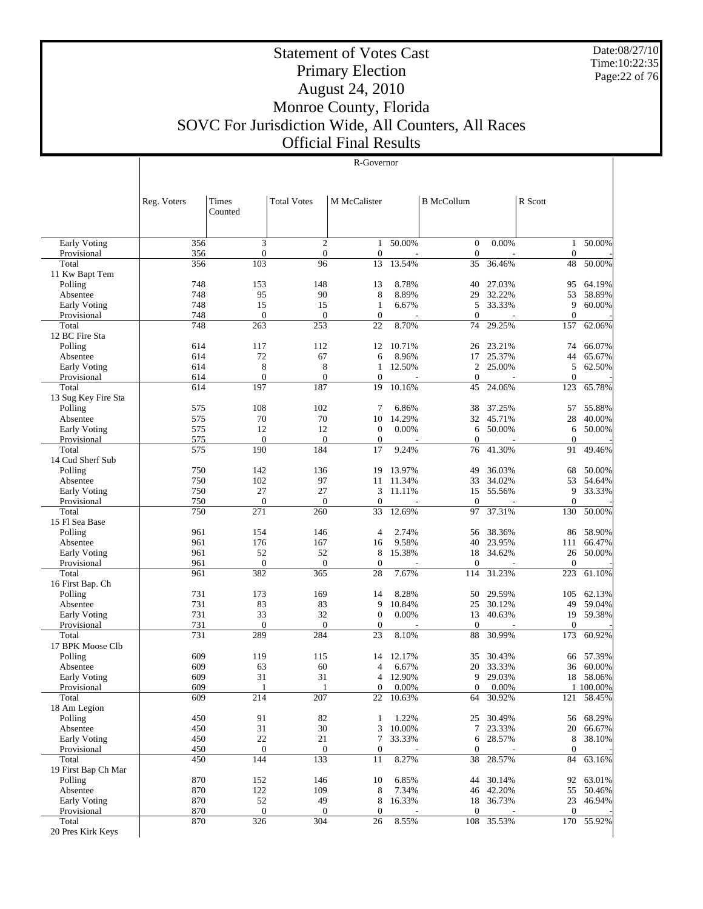Date:08/27/10 Time:10:22:35 Page:22 of 76

## Statement of Votes Cast Primary Election August 24, 2010 Monroe County, Florida SOVC For Jurisdiction Wide, All Counters, All Races Official Final Results

#### R-Governor

|                                    | Reg. Voters | Times<br>Counted    | <b>Total Votes</b>      | M McCalister           |                 | <b>B</b> McCollum |                  | R Scott                 |                  |
|------------------------------------|-------------|---------------------|-------------------------|------------------------|-----------------|-------------------|------------------|-------------------------|------------------|
|                                    |             |                     |                         |                        |                 |                   |                  |                         |                  |
| Early Voting                       | 356         | 3                   | $\overline{c}$          | $\mathbf{1}$           | 50.00%          | $\boldsymbol{0}$  | 0.00%            | $\mathbf{1}$            | 50.00%           |
| Provisional                        | 356         | $\boldsymbol{0}$    | $\mathbf{0}$            | $\mathbf{0}$           |                 | $\overline{0}$    |                  | $\boldsymbol{0}$        |                  |
| Total                              | 356         | 103                 | 96                      | 13                     | 13.54%          | 35                | 36.46%           | 48                      | 50.00%           |
| 11 Kw Bapt Tem                     |             |                     |                         |                        |                 |                   |                  |                         |                  |
| Polling                            | 748         | 153                 | 148                     | 13                     | 8.78%           | 40                | 27.03%           | 95                      | 64.19%           |
| Absentee                           | 748<br>748  | 95<br>15            | 90<br>15                | 8<br>$\mathbf{1}$      | 8.89%<br>6.67%  | 29<br>5           | 32.22%<br>33.33% | 53<br>9                 | 58.89%<br>60.00% |
| <b>Early Voting</b><br>Provisional | 748         | $\overline{0}$      | $\overline{0}$          | $\boldsymbol{0}$       |                 | $\Omega$          |                  | $\overline{0}$          |                  |
| Total                              | 748         | 263                 | 253                     | 22                     | 8.70%           | 74                | 29.25%           | 157                     | 62.06%           |
| 12 BC Fire Sta                     |             |                     |                         |                        |                 |                   |                  |                         |                  |
| Polling                            | 614         | 117                 | 112                     | 12                     | 10.71%          | 26                | 23.21%           | 74                      | 66.07%           |
| Absentee                           | 614         | 72                  | 67                      | 6                      | 8.96%           | 17                | 25.37%           | 44                      | 65.67%           |
| <b>Early Voting</b>                | 614         | 8                   | 8                       | 1                      | 12.50%          | $\overline{2}$    | 25.00%           | 5                       | 62.50%           |
| Provisional                        | 614         | $\overline{0}$      | $\overline{0}$          | $\overline{0}$         |                 | $\overline{0}$    |                  | $\overline{0}$          |                  |
| Total                              | 614         | 197                 | 187                     | 19                     | 10.16%          | 45                | 24.06%           | 123                     | 65.78%           |
| 13 Sug Key Fire Sta                |             |                     |                         |                        |                 |                   |                  |                         |                  |
| Polling                            | 575         | 108                 | 102                     | 7                      | 6.86%           | 38                | 37.25%           | 57                      | 55.88%           |
| Absentee                           | 575<br>575  | 70<br>12            | 70<br>12                | 10<br>$\boldsymbol{0}$ | 14.29%<br>0.00% | 32                | 45.71%<br>50.00% | 28                      | 40.00%<br>50.00% |
| Early Voting<br>Provisional        | 575         | $\mathbf{0}$        | $\overline{0}$          | $\boldsymbol{0}$       |                 | 6<br>$\Omega$     |                  | 6<br>$\boldsymbol{0}$   |                  |
| Total                              | 575         | 190                 | 184                     | 17                     | 9.24%           | 76                | 41.30%           | 91                      | 49.46%           |
| 14 Cud Sherf Sub                   |             |                     |                         |                        |                 |                   |                  |                         |                  |
| Polling                            | 750         | 142                 | 136                     | 19                     | 13.97%          | 49                | 36.03%           | 68                      | 50.00%           |
| Absentee                           | 750         | 102                 | 97                      | 11                     | 11.34%          | 33                | 34.02%           | 53                      | 54.64%           |
| <b>Early Voting</b>                | 750         | 27                  | 27                      | 3                      | 11.11%          | 15                | 55.56%           | 9                       | 33.33%           |
| Provisional                        | 750         | $\boldsymbol{0}$    | $\overline{0}$          | $\mathbf{0}$           |                 | $\overline{0}$    |                  | $\overline{0}$          |                  |
| Total                              | 750         | 271                 | 260                     | 33                     | 12.69%          | 97                | 37.31%           | 130                     | 50.00%           |
| 15 Fl Sea Base                     |             |                     |                         |                        |                 |                   |                  |                         |                  |
| Polling                            | 961         | 154                 | 146                     | $\overline{4}$         | 2.74%           | 56                | 38.36%           | 86                      | 58.90%           |
| Absentee                           | 961         | 176                 | 167                     | 16                     | 9.58%           | 40                | 23.95%           | 111                     | 66.47%           |
| <b>Early Voting</b>                | 961         | 52                  | 52                      | 8                      | 15.38%          | 18                | 34.62%           | 26                      | 50.00%           |
| Provisional<br>Total               | 961<br>961  | $\mathbf{0}$<br>382 | $\boldsymbol{0}$<br>365 | $\mathbf{0}$<br>28     | 7.67%           | $\theta$<br>114   | 31.23%           | $\boldsymbol{0}$<br>223 | 61.10%           |
| 16 First Bap. Ch                   |             |                     |                         |                        |                 |                   |                  |                         |                  |
| Polling                            | 731         | 173                 | 169                     | 14                     | 8.28%           | 50                | 29.59%           | 105                     | 62.13%           |
| Absentee                           | 731         | 83                  | 83                      | 9                      | 10.84%          | 25                | 30.12%           | 49                      | 59.04%           |
| <b>Early Voting</b>                | 731         | 33                  | 32                      | $\mathbf{0}$           | 0.00%           | 13                | 40.63%           | 19                      | 59.38%           |
| Provisional                        | 731         | $\boldsymbol{0}$    | $\overline{0}$          | $\mathbf{0}$           |                 | $\overline{0}$    |                  | $\overline{0}$          |                  |
| Total                              | 731         | 289                 | 284                     | 23                     | 8.10%           | 88                | 30.99%           | 173                     | 60.92%           |
| 17 BPK Moose Clb                   |             |                     |                         |                        |                 |                   |                  |                         |                  |
| Polling                            | 609         | 119                 | 115                     | 14                     | 12.17%          | 35                | 30.43%           | 66                      | 57.39%           |
| Absentee                           | 609         | 63                  | 60                      | 4                      | 6.67%           | 20                | 33.33%           | 36                      | 60.00%           |
| <b>Early Voting</b>                | 609         | 31                  | 31                      | 4                      | 12.90%          | 9                 | 29.03%           | 18                      | 58.06%           |
| Provisional                        | 609         | 1                   | 1                       | $\mathbf{0}$           | 0.00%           | $\overline{0}$    | 0.00%            |                         | 1 100,00%        |
| Total<br>18 Am Legion              | 609         | 214                 | 207                     |                        | 22 10.63%       |                   | 64 30.92%        |                         | 121 58.45%       |
| Polling                            | 450         | 91                  | 82                      | 1                      | 1.22%           |                   | 25 30.49%        | 56                      | 68.29%           |
| Absentee                           | 450         | 31                  | 30                      | 3                      | 10.00%          | 7                 | 23.33%           | 20                      | 66.67%           |
| Early Voting                       | 450         | 22                  | 21                      | $\overline{7}$         | 33.33%          | 6                 | 28.57%           | 8                       | 38.10%           |
| Provisional                        | 450         | $\boldsymbol{0}$    | $\boldsymbol{0}$        | $\boldsymbol{0}$       |                 | $\boldsymbol{0}$  |                  | $\boldsymbol{0}$        |                  |
| Total                              | 450         | 144                 | 133                     | 11                     | 8.27%           | 38                | 28.57%           | 84                      | 63.16%           |
| 19 First Bap Ch Mar                |             |                     |                         |                        |                 |                   |                  |                         |                  |
| Polling                            | 870         | 152                 | 146                     | 10                     | 6.85%           | 44                | 30.14%           | 92                      | 63.01%           |
| Absentee                           | 870         | 122                 | 109                     | 8                      | 7.34%           | 46                | 42.20%           | 55                      | 50.46%           |
| <b>Early Voting</b>                | 870         | 52                  | 49                      | 8                      | 16.33%          |                   | 18 36.73%        | 23                      | 46.94%           |
| Provisional                        | 870         | $\boldsymbol{0}$    | $\boldsymbol{0}$        | $\boldsymbol{0}$       |                 | $\boldsymbol{0}$  |                  | $\boldsymbol{0}$        |                  |
| Total                              | 870         | 326                 | 304                     | 26                     | 8.55%           |                   | 108 35.53%       | 170                     | 55.92%           |
| 20 Pres Kirk Keys                  |             |                     |                         |                        |                 |                   |                  |                         |                  |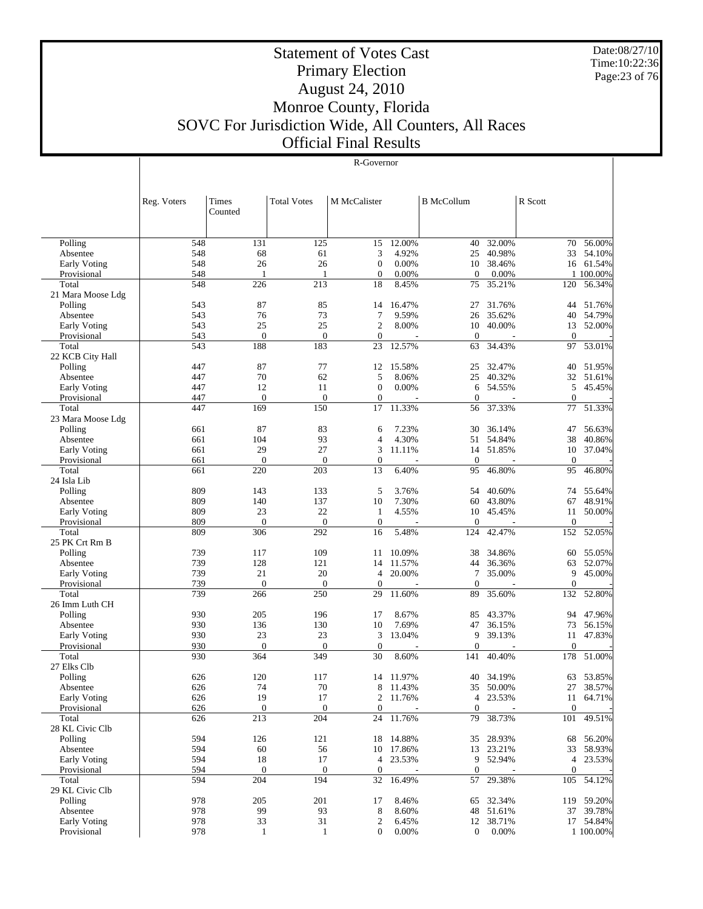Date:08/27/10 Time:10:22:36 Page:23 of 76

## Statement of Votes Cast Primary Election August 24, 2010 Monroe County, Florida SOVC For Jurisdiction Wide, All Counters, All Races Official Final Results

#### R-Governor

|                             | Reg. Voters | <b>Times</b><br>Counted | <b>Total Votes</b> | M McCalister        |                | <b>B</b> McCollum   |                    | R Scott          |                        |
|-----------------------------|-------------|-------------------------|--------------------|---------------------|----------------|---------------------|--------------------|------------------|------------------------|
|                             |             |                         |                    |                     |                |                     |                    |                  |                        |
| Polling                     | 548         | 131                     | 125                | 15                  | 12.00%         | 40                  | 32.00%             | 70               | 56.00%                 |
| Absentee                    | 548         | 68                      | 61                 | 3                   | 4.92%          | 25                  | 40.98%             | 33               | 54.10%                 |
| Early Voting                | 548         | 26                      | 26                 | $\boldsymbol{0}$    | 0.00%          |                     | 10 38.46%          | 16               | 61.54%                 |
| Provisional                 | 548         | 1                       |                    | $\mathbf{0}$        | 0.00%          | $\Omega$            | 0.00%              |                  | 1 100.00%              |
| Total                       | 548         | 226                     | 213                | 18                  | 8.45%          | 75                  | 35.21%             | 120              | 56.34%                 |
| 21 Mara Moose Ldg           |             |                         |                    |                     |                |                     |                    |                  |                        |
| Polling                     | 543         | 87                      | 85                 | 14                  | 16.47%         | 27                  | 31.76%             | 44               | 51.76%                 |
| Absentee                    | 543         | 76                      | 73                 | 7                   | 9.59%          | 26                  | 35.62%             | 40               | 54.79%                 |
| Early Voting                | 543         | 25                      | 25                 | $\mathfrak{2}$      | 8.00%          | 10                  | 40.00%             | 13               | 52.00%                 |
| Provisional                 | 543         | $\overline{0}$          | $\overline{0}$     | $\mathbf{0}$        |                | $\mathbf{0}$        |                    | $\mathbf{0}$     |                        |
| Total                       | 543         | 188                     | 183                | 23                  | 12.57%         | 63                  | 34.43%             | 97               | 53.01%                 |
| 22 KCB City Hall            |             |                         |                    |                     |                |                     |                    |                  |                        |
| Polling                     | 447         | 87                      | 77                 | 12                  | 15.58%         | 25                  | 32.47%             | 40               | 51.95%                 |
| Absentee                    | 447         | 70                      | 62                 | 5<br>$\overline{0}$ | 8.06%          | 25                  | 40.32%             | 32               | 51.61%                 |
| Early Voting                | 447<br>447  | 12<br>$\mathbf{0}$      | 11<br>$\mathbf{0}$ | $\mathbf{0}$        | 0.00%          | 6<br>$\overline{0}$ | 54.55%             | 5<br>$\Omega$    | 45.45%                 |
| Provisional<br>Total        | 447         | 169                     | 150                | $1\overline{7}$     | 11.33%         | 56                  | 37.33%             | 77               | 51.33%                 |
| 23 Mara Moose Ldg           |             |                         |                    |                     |                |                     |                    |                  |                        |
| Polling                     | 661         | 87                      | 83                 | 6                   | 7.23%          | 30                  | 36.14%             | 47               | 56.63%                 |
| Absentee                    | 661         | 104                     | 93                 | $\overline{4}$      | 4.30%          | 51                  | 54.84%             | 38               | 40.86%                 |
| Early Voting                | 661         | 29                      | 27                 | 3                   | 11.11%         |                     | 14 51.85%          | 10               | 37.04%                 |
| Provisional                 | 661         | $\overline{0}$          | $\mathbf{0}$       | $\boldsymbol{0}$    |                | $\mathbf{0}$        |                    | $\mathbf{0}$     |                        |
| Total                       | 661         | 220                     | 203                | 13                  | 6.40%          | 95                  | 46.80%             | 95               | 46.80%                 |
| 24 Isla Lib                 |             |                         |                    |                     |                |                     |                    |                  |                        |
| Polling                     | 809         | 143                     | 133                | 5                   | 3.76%          | 54                  | 40.60%             | 74               | 55.64%                 |
| Absentee                    | 809         | 140                     | 137                | 10                  | 7.30%          | 60                  | 43.80%             | 67               | 48.91%                 |
| Early Voting                | 809         | 23                      | 22                 | $\mathbf{1}$        | 4.55%          | 10                  | 45.45%             | 11               | 50.00%                 |
| Provisional                 | 809         | $\overline{0}$          | $\overline{0}$     | $\overline{0}$      |                | $\overline{0}$      |                    | $\mathbf{0}$     |                        |
| Total                       | 809         | 306                     | 292                | 16                  | 5.48%          | 124                 | 42.47%             | 152              | 52.05%                 |
| 25 PK Crt Rm B              |             |                         |                    |                     |                |                     |                    |                  |                        |
| Polling                     | 739         | 117                     | 109                | 11                  | 10.09%         | 38                  | 34.86%             | 60               | 55.05%                 |
| Absentee                    | 739         | 128                     | 121                | 14                  | 11.57%         | 44                  | 36.36%             | 63               | 52.07%                 |
| Early Voting                | 739         | 21                      | 20                 | 4                   | 20.00%         | $\tau$              | 35.00%             | 9                | 45.00%                 |
| Provisional                 | 739         | $\boldsymbol{0}$        | $\mathbf{0}$       | $\overline{0}$      |                | $\theta$            |                    | $\Omega$         |                        |
| Total                       | 739         | 266                     | 250                | 29                  | 11.60%         | 89                  | 35.60%             | 132              | 52.80%                 |
| 26 Imm Luth CH              | 930         | 205                     | 196                | 17                  | 8.67%          | 85                  | 43.37%             | 94               | 47.96%                 |
| Polling<br>Absentee         | 930         | 136                     | 130                | 10                  | 7.69%          | 47                  | 36.15%             | 73               | 56.15%                 |
| <b>Early Voting</b>         | 930         | 23                      | 23                 | 3                   | 13.04%         | 9                   | 39.13%             | 11               | 47.83%                 |
| Provisional                 | 930         | $\overline{0}$          | $\mathbf{0}$       | $\mathbf{0}$        |                | $\mathbf{0}$        |                    | $\mathbf{0}$     |                        |
| Total                       | 930         | 364                     | 349                | 30                  | 8.60%          | 141                 | 40.40%             | 178              | 51.00%                 |
| 27 Elks Clb                 |             |                         |                    |                     |                |                     |                    |                  |                        |
| Polling                     | 626         | 120                     | 117                | 14                  | 11.97%         | 40                  | 34.19%             | 63               | 53.85%                 |
| Absentee                    | 626         | 74                      | 70                 | 8                   | 11.43%         |                     | 35 50.00%          | 27               | 38.57%                 |
| Early Voting                | 626         | 19                      | 17                 |                     | 2 11.76%       |                     | 4 23.53%           |                  | 11 64.71%              |
| Provisional                 | 626         | $\boldsymbol{0}$        | $\mathbf{0}$       | $\boldsymbol{0}$    |                | $\mathbf{0}$        |                    | $\mathbf{0}$     |                        |
| Total                       | 626         | 213                     | 204                | 24                  | 11.76%         | 79                  | 38.73%             | 101              | 49.51%                 |
| 28 KL Civic Clb             |             |                         |                    |                     |                |                     |                    |                  |                        |
| Polling                     | 594         | 126                     | 121                |                     | 18 14.88%      |                     | 35 28.93%          | 68               | 56.20%                 |
| Absentee                    | 594         | 60                      | 56                 | 10                  | 17.86%         |                     | 13 23.21%          | 33               | 58.93%                 |
| <b>Early Voting</b>         | 594         | 18                      | 17                 | 4                   | 23.53%         |                     | 9 52.94%           |                  | 4 23.53%               |
| Provisional                 | 594         | $\boldsymbol{0}$        | $\mathbf{0}$       | $\boldsymbol{0}$    |                | $\mathbf{0}$        |                    | $\boldsymbol{0}$ |                        |
| Total                       | 594         | 204                     | 194                | 32                  | 16.49%         | 57                  | 29.38%             | 105              | 54.12%                 |
| 29 KL Civic Clb             |             |                         |                    |                     |                |                     |                    |                  |                        |
| Polling                     | 978         | 205                     | 201                | 17                  | 8.46%          |                     | 65 32.34%          |                  | 119 59.20%             |
| Absentee                    | 978         | 99                      | 93                 | 8                   | 8.60%          |                     | 48 51.61%          | 37               | 39.78%                 |
| Early Voting<br>Provisional | 978<br>978  | 33                      | 31                 | $\mathfrak{2}$      | 6.45%<br>0.00% |                     | 12 38.71%<br>0.00% |                  | 17 54.84%<br>1 100.00% |
|                             |             | 1                       | $\mathbf{1}$       | $\boldsymbol{0}$    |                | $\boldsymbol{0}$    |                    |                  |                        |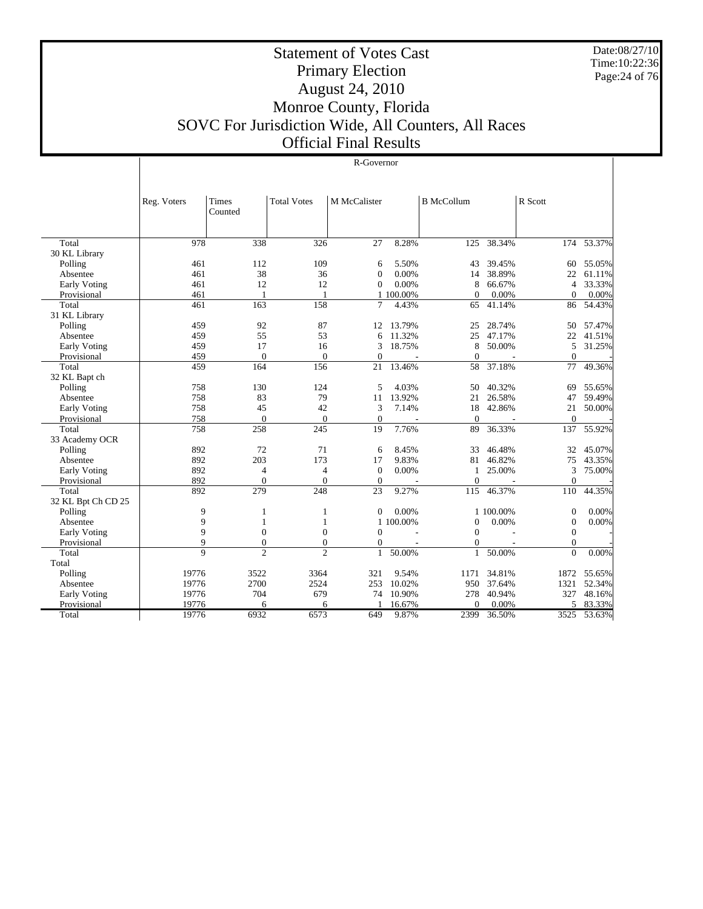Date:08/27/10 Time:10:22:36 Page:24 of 76

 $\overline{\phantom{a}}$ 

| iovernor |
|----------|

|                     | Reg. Voters    | Times<br>Counted | <b>Total Votes</b> | M McCalister     |           | <b>B</b> McCollum |                          | R Scott          |        |
|---------------------|----------------|------------------|--------------------|------------------|-----------|-------------------|--------------------------|------------------|--------|
| Total               | 978            | 338              | 326                | 27               | 8.28%     | 125               | 38.34%                   | 174              | 53.37% |
| 30 KL Library       |                |                  |                    |                  |           |                   |                          |                  |        |
| Polling             | 461            | 112              | 109                | 6                | 5.50%     | 43                | 39.45%                   | 60               | 55.05% |
| Absentee            | 461            | 38               | 36                 | $\mathbf{0}$     | 0.00%     | 14                | 38.89%                   | 22               | 61.11% |
| Early Voting        | 461            | 12               | 12                 | $\mathbf{0}$     | 0.00%     | 8                 | 66.67%                   | $\overline{4}$   | 33.33% |
| Provisional         | 461            | 1                | 1                  |                  | 1 100.00% | $\Omega$          | 0.00%                    | $\Omega$         | 0.00%  |
| Total               | 461            | 163              | 158                | 7                | 4.43%     | 65                | 41.14%                   | 86               | 54.43% |
| 31 KL Library       |                |                  |                    |                  |           |                   |                          |                  |        |
| Polling             | 459            | 92               | 87                 | 12.              | 13.79%    | 25                | 28.74%                   | 50               | 57.47% |
| Absentee            | 459            | 55               | 53                 | 6                | 11.32%    | 25                | 47.17%                   | 22               | 41.51% |
| <b>Early Voting</b> | 459            | 17               | 16                 | 3                | 18.75%    | 8                 | 50.00%                   | 5                | 31.25% |
| Provisional         | 459            | $\overline{0}$   | $\Omega$           | $\mathbf{0}$     | ٠         | $\Omega$          | $\overline{\phantom{a}}$ | $\Omega$         |        |
| Total               | 459            | 164              | 156                | 21               | 13.46%    | 58                | 37.18%                   | 77               | 49.36% |
| 32 KL Bapt ch       |                |                  |                    |                  |           |                   |                          |                  |        |
| Polling             | 758            | 130              | 124                | 5                | 4.03%     | 50                | 40.32%                   | 69               | 55.65% |
| Absentee            | 758            | 83               | 79                 | 11               | 13.92%    | 21                | 26.58%                   | 47               | 59.49% |
| <b>Early Voting</b> | 758            | 45               | 42                 | 3                | 7.14%     | 18                | 42.86%                   | 21               | 50.00% |
| Provisional         | 758            | $\overline{0}$   | $\mathbf{0}$       | $\boldsymbol{0}$ |           | $\theta$          |                          | $\mathbf{0}$     |        |
| Total               | 758            | 258              | 245                | $\overline{19}$  | 7.76%     | 89                | 36.33%                   | 137              | 55.92% |
| 33 Academy OCR      |                |                  |                    |                  |           |                   |                          |                  |        |
| Polling             | 892            | 72               | 71                 | 6                | 8.45%     | 33                | 46.48%                   | 32               | 45.07% |
| Absentee            | 892            | 203              | 173                | 17               | 9.83%     | 81                | 46.82%                   | 75               | 43.35% |
| Early Voting        | 892            | 4                | 4                  | $\mathbf{0}$     | 0.00%     | 1                 | 25.00%                   | 3                | 75.00% |
| Provisional         | 892            | $\mathbf{0}$     | $\overline{0}$     | $\boldsymbol{0}$ |           | $\Omega$          |                          | $\theta$         |        |
| Total               | 892            | 279              | 248                | 23               | 9.27%     | 115               | 46.37%                   | 110              | 44.35% |
| 32 KL Bpt Ch CD 25  |                |                  |                    |                  |           |                   |                          |                  |        |
| Polling             | 9              | 1                | 1                  | $\boldsymbol{0}$ | 0.00%     |                   | 1 100,00%                | $\boldsymbol{0}$ | 0.00%  |
| Absentee            | 9              | 1                | 1                  |                  | 1 100,00% | $\Omega$          | 0.00%                    | $\mathbf{0}$     | 0.00%  |
| Early Voting        | 9              | $\mathbf{0}$     | $\overline{0}$     | $\mathbf{0}$     |           | $\Omega$          |                          | $\overline{0}$   |        |
| Provisional         | 9              | $\overline{0}$   | $\overline{0}$     | $\mathbf{0}$     |           | $\theta$          |                          | $\theta$         |        |
| Total               | $\overline{q}$ | $\mathfrak{D}$   | $\overline{c}$     | $\mathbf{1}$     | 50.00%    | $\mathbf{1}$      | 50.00%                   | $\theta$         | 0.00%  |
| Total               |                |                  |                    |                  |           |                   |                          |                  |        |
| Polling             | 19776          | 3522             | 3364               | 321              | 9.54%     | 1171              | 34.81%                   | 1872             | 55.65% |
| Absentee            | 19776          | 2700             | 2524               | 253              | 10.02%    | 950               | 37.64%                   | 1321             | 52.34% |
| Early Voting        | 19776          | 704              | 679                | 74               | 10.90%    | 278               | 40.94%                   | 327              | 48.16% |
| Provisional         | 19776          | 6                | 6                  |                  | 16.67%    | $\Omega$          | 0.00%                    | 5                | 83.33% |
| Total               | 19776          | 6932             | 6573               | 649              | 9.87%     | 2399              | 36.50%                   | 3525             | 53.63% |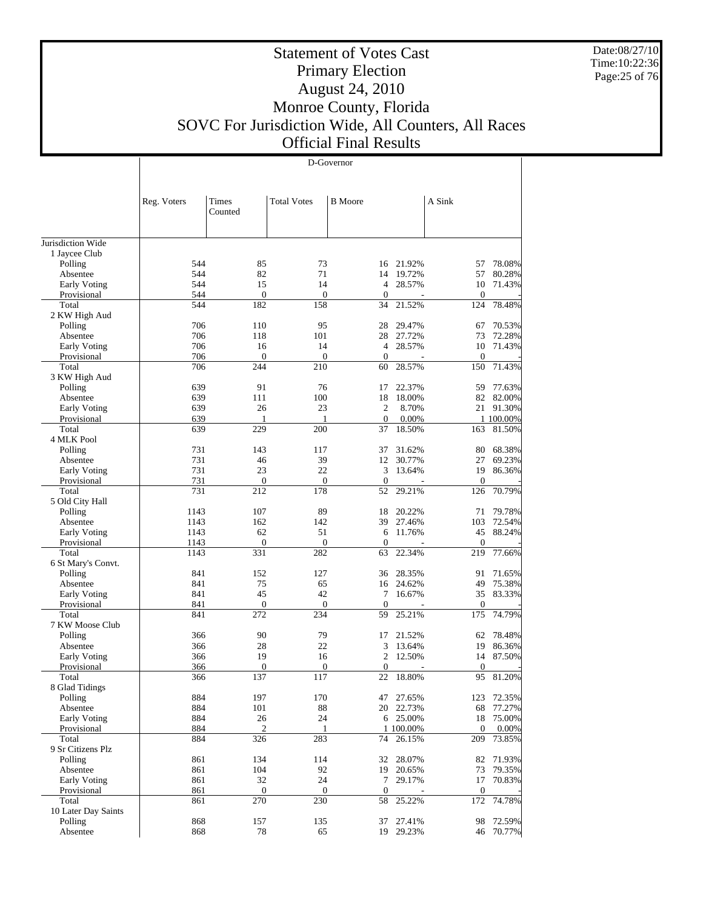Date:08/27/10 Time:10:22:36 Page:25 of 76

## Statement of Votes Cast Primary Election August 24, 2010 Monroe County, Florida SOVC For Jurisdiction Wide, All Counters, All Races Official Final Results

|                                    |              | D-Governor             |                         |                        |                     |                     |                     |  |  |
|------------------------------------|--------------|------------------------|-------------------------|------------------------|---------------------|---------------------|---------------------|--|--|
|                                    |              |                        |                         |                        |                     |                     |                     |  |  |
|                                    |              |                        |                         |                        |                     |                     |                     |  |  |
|                                    | Reg. Voters  | Times                  | <b>Total Votes</b>      | <b>B</b> Moore         |                     | A Sink              |                     |  |  |
|                                    |              | Counted                |                         |                        |                     |                     |                     |  |  |
|                                    |              |                        |                         |                        |                     |                     |                     |  |  |
| Jurisdiction Wide                  |              |                        |                         |                        |                     |                     |                     |  |  |
| 1 Jaycee Club                      |              |                        |                         |                        |                     |                     |                     |  |  |
| Polling                            | 544          | 85                     | 73                      |                        | 16 21.92%           | 57                  | 78.08%              |  |  |
| Absentee                           | 544          | 82                     | 71                      | 14                     | 19.72%              | 57                  | 80.28%              |  |  |
| <b>Early Voting</b><br>Provisional | 544<br>544   | 15<br>$\boldsymbol{0}$ | 14<br>$\boldsymbol{0}$  | 4<br>$\boldsymbol{0}$  | 28.57%              | 10<br>$\mathbf{0}$  | 71.43%              |  |  |
| Total                              | 544          | 182                    | 158                     | 34                     | 21.52%              | 124                 | 78.48%              |  |  |
| 2 KW High Aud                      |              |                        |                         |                        |                     |                     |                     |  |  |
| Polling                            | 706          | 110                    | 95                      | 28                     | 29.47%              | 67                  | 70.53%              |  |  |
| Absentee                           | 706          | 118                    | 101                     | 28                     | 27.72%              | 73                  | 72.28%              |  |  |
| Early Voting                       | 706          | 16                     | 14                      | 4                      | 28.57%              | 10                  | 71.43%              |  |  |
| Provisional<br>Total               | 706<br>706   | $\mathbf{0}$<br>244    | $\boldsymbol{0}$<br>210 | $\boldsymbol{0}$<br>60 | 28.57%              | $\mathbf{0}$<br>150 | 71.43%              |  |  |
| 3 KW High Aud                      |              |                        |                         |                        |                     |                     |                     |  |  |
| Polling                            | 639          | 91                     | 76                      | 17                     | 22.37%              | 59                  | 77.63%              |  |  |
| Absentee                           | 639          | 111                    | 100                     | 18                     | 18.00%              | 82                  | 82.00%              |  |  |
| Early Voting                       | 639          | 26                     | 23                      | 2                      | 8.70%               |                     | 21 91.30%           |  |  |
| Provisional                        | 639          | 1                      | -1                      | $\mathbf{0}$           | 0.00%               |                     | 1 100.00%           |  |  |
| Total                              | 639          | 229                    | 200                     | 37                     | 18.50%              | 163                 | 81.50%              |  |  |
| 4 MLK Pool<br>Polling              | 731          | 143                    | 117                     | 37                     | 31.62%              | 80                  | 68.38%              |  |  |
| Absentee                           | 731          | 46                     | 39                      | 12                     | 30.77%              | 27                  | 69.23%              |  |  |
| Early Voting                       | 731          | 23                     | 22                      | 3                      | 13.64%              | 19                  | 86.36%              |  |  |
| Provisional                        | 731          | $\boldsymbol{0}$       | $\boldsymbol{0}$        | $\boldsymbol{0}$       |                     | $\boldsymbol{0}$    |                     |  |  |
| Total                              | 731          | 212                    | 178                     | 52                     | 29.21%              | 126                 | 70.79%              |  |  |
| 5 Old City Hall                    |              |                        |                         |                        |                     |                     |                     |  |  |
| Polling                            | 1143         | 107                    | 89                      | 18                     | 20.22%              | 71                  | 79.78%              |  |  |
| Absentee<br>Early Voting           | 1143<br>1143 | 162<br>62              | 142<br>51               | 39<br>6                | 27.46%<br>11.76%    | 103<br>45           | 72.54%<br>88.24%    |  |  |
| Provisional                        | 1143         | $\mathbf{0}$           | $\boldsymbol{0}$        | $\boldsymbol{0}$       |                     | $\boldsymbol{0}$    |                     |  |  |
| Total                              | 1143         | 331                    | 282                     | 63                     | 22.34%              | 219                 | 77.66%              |  |  |
| 6 St Mary's Convt.                 |              |                        |                         |                        |                     |                     |                     |  |  |
| Polling                            | 841          | 152                    | 127                     | 36                     | 28.35%              | 91                  | 71.65%              |  |  |
| Absentee                           | 841          | 75                     | 65                      |                        | 16 24.62%           | 49                  | 75.38%              |  |  |
| Early Voting<br>Provisional        | 841<br>841   | 45<br>$\boldsymbol{0}$ | 42<br>$\boldsymbol{0}$  | 7<br>$\boldsymbol{0}$  | 16.67%              | 35<br>$\mathbf{0}$  | 83.33%              |  |  |
| Total                              | 841          | 272                    | 234                     | 59                     | 25.21%              | 175                 | 74.79%              |  |  |
| 7 KW Moose Club                    |              |                        |                         |                        |                     |                     |                     |  |  |
| Polling                            | 366          | 90                     | 79                      | 17                     | 21.52%              | 62                  | 78.48%              |  |  |
| Absentee                           | 366          | 28                     | 22                      | 3                      | 13.64%              | 19                  | 86.36%              |  |  |
| Early Voting                       | 366          | 19                     | 16                      | 2                      | 12.50%              | 14                  | 87.50%              |  |  |
| Provisional                        | 366          | $\boldsymbol{0}$       | $\boldsymbol{0}$        | 0                      |                     | $\mathbf{0}$        |                     |  |  |
| Total<br>8 Glad Tidings            | 366          | 137                    | 117                     | 22                     | 18.80%              |                     | 95 81.20%           |  |  |
| Polling                            | 884          | 197                    | 170                     | 47                     | 27.65%              | 123                 | 72.35%              |  |  |
| Absentee                           | 884          | 101                    | 88                      |                        | 20 22.73%           | 68                  | 77.27%              |  |  |
| Early Voting                       | 884          | 26                     | 24                      |                        | 6 25.00%            | 18                  | 75.00%              |  |  |
| Provisional                        | 884          | 2                      | 1                       |                        | 1 100.00%           | $\mathbf{0}$        | 0.00%               |  |  |
| Total<br>9 Sr Citizens Plz         | 884          | 326                    | 283                     | 74                     | 26.15%              | 209                 | 73.85%              |  |  |
| Polling                            | 861          | 134                    | 114                     | 32                     | 28.07%              | 82                  | 71.93%              |  |  |
| Absentee                           | 861          | 104                    | 92                      |                        | 19 20.65%           | 73                  | 79.35%              |  |  |
| Early Voting                       | 861          | 32                     | 24                      | $7\phantom{.0}$        | 29.17%              | 17                  | 70.83%              |  |  |
| Provisional                        | 861          | $\boldsymbol{0}$       | $\boldsymbol{0}$        | $\boldsymbol{0}$       |                     | $\mathbf{0}$        |                     |  |  |
| Total                              | 861          | 270                    | $\overline{230}$        | 58                     | 25.22%              | 172                 | 74.78%              |  |  |
| 10 Later Day Saints                |              |                        |                         |                        |                     |                     |                     |  |  |
| Polling<br>Absentee                | 868<br>868   | 157<br>78              | 135<br>65               | 37                     | 27.41%<br>19 29.23% | 98                  | 72.59%<br>46 70.77% |  |  |
|                                    |              |                        |                         |                        |                     |                     |                     |  |  |

D-Governor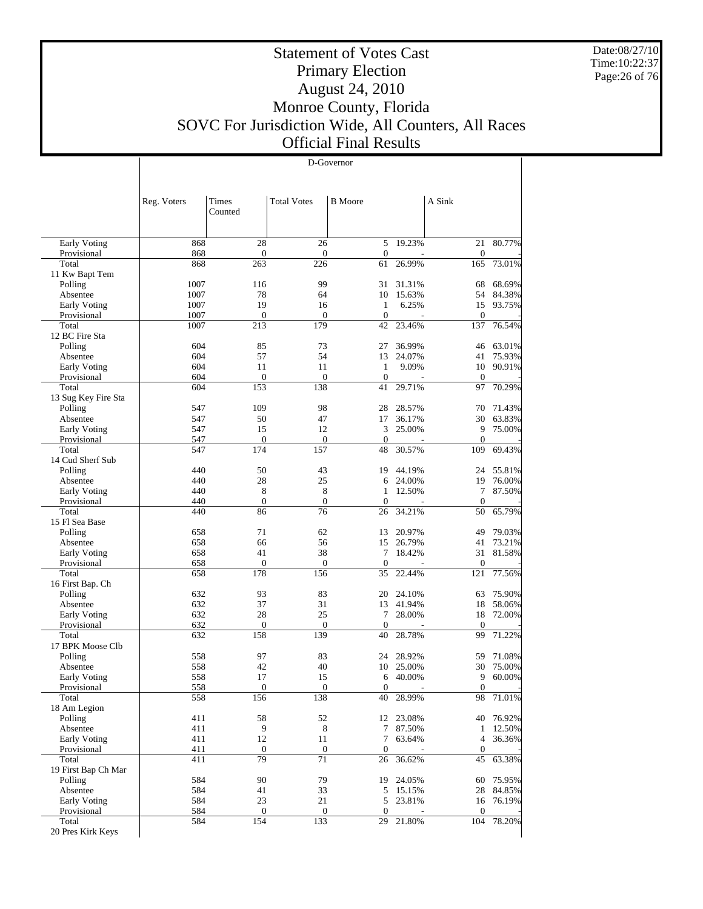Date:08/27/10 Time:10:22:37 Page:26 of 76

 $\overline{\phantom{a}}$ 

## Statement of Votes Cast Primary Election August 24, 2010 Monroe County, Florida SOVC For Jurisdiction Wide, All Counters, All Races Official Final Results

D-Governor

|                              | Reg. Voters | Times<br>Counted       | <b>Total Votes</b> | <b>B</b> Moore     |                  | A Sink                  |           |
|------------------------------|-------------|------------------------|--------------------|--------------------|------------------|-------------------------|-----------|
| <b>Early Voting</b>          | 868         | 28                     | 26                 | 5                  | 19.23%           | 21                      | 80.77%    |
| Provisional<br>Total         | 868<br>868  | $\mathbf{0}$<br>263    | 0<br>226           | $\mathbf{0}$<br>61 | 26.99%           | $\mathbf{0}$<br>165     | 73.01%    |
| 11 Kw Bapt Tem               |             |                        |                    |                    |                  |                         |           |
| Polling                      | 1007        | 116                    | 99                 | 31                 | 31.31%           | 68                      | 68.69%    |
| Absentee                     | 1007        | 78                     | 64                 | 10                 | 15.63%           | 54                      | 84.38%    |
| Early Voting                 | 1007        | 19                     | 16                 | 1                  | 6.25%            | 15                      | 93.75%    |
| Provisional                  | 1007        | $\boldsymbol{0}$       | $\mathbf{0}$       | $\mathbf{0}$       |                  | $\mathbf{0}$            |           |
| Total<br>12 BC Fire Sta      | 1007        | 213                    | 179                | 42                 | 23.46%           | 137                     | 76.54%    |
| Polling                      | 604         | 85                     | 73                 | 27                 | 36.99%           | 46                      | 63.01%    |
| Absentee                     | 604         | 57                     | 54                 | 13                 | 24.07%           | 41                      | 75.93%    |
| Early Voting                 | 604         | 11                     | 11                 | $\mathbf{1}$       | 9.09%            | 10                      | 90.91%    |
| Provisional                  | 604         | $\theta$               | $\mathbf{0}$       | $\mathbf{0}$       |                  | $\theta$                |           |
| Total                        | 604         | 153                    | 138                | 41                 | 29.71%           | 97                      | 70.29%    |
| 13 Sug Key Fire Sta          |             |                        |                    |                    |                  |                         |           |
| Polling                      | 547         | 109                    | 98                 | 28                 | 28.57%           | 70                      | 71.43%    |
| Absentee                     | 547<br>547  | 50<br>15               | 47<br>12           | 17<br>3            | 36.17%<br>25.00% | 30<br>9                 | 63.83%    |
| Early Voting<br>Provisional  | 547         | $\mathbf{0}$           | 0                  | $\boldsymbol{0}$   |                  | $\boldsymbol{0}$        | 75.00%    |
| Total                        | 547         | 174                    | 157                | 48                 | 30.57%           | 109                     | 69.43%    |
| 14 Cud Sherf Sub             |             |                        |                    |                    |                  |                         |           |
| Polling                      | 440         | 50                     | 43                 | 19                 | 44.19%           | 24                      | 55.81%    |
| Absentee                     | 440         | 28                     | 25                 | 6                  | 24.00%           | 19                      | 76.00%    |
| Early Voting                 | 440         | 8                      | 8                  | 1                  | 12.50%           | 7                       | 87.50%    |
| Provisional                  | 440         | $\mathbf{0}$           | $\overline{0}$     | $\mathbf{0}$       |                  | $\theta$                |           |
| Total                        | 440         | 86                     | 76                 | 26                 | 34.21%           | 50                      | 65.79%    |
| 15 Fl Sea Base               |             |                        |                    |                    |                  |                         |           |
| Polling                      | 658         | 71                     | 62                 | 13                 | 20.97%           | 49                      | 79.03%    |
| Absentee                     | 658         | 66                     | 56                 | 15                 | 26.79%           | 41                      | 73.21%    |
| Early Voting                 | 658         | 41<br>$\boldsymbol{0}$ | 38                 | 7<br>$\mathbf{0}$  | 18.42%           | 31                      | 81.58%    |
| Provisional<br>Total         | 658<br>658  | 178                    | 0<br>156           | 35                 | 22.44%           | $\boldsymbol{0}$<br>121 | 77.56%    |
| 16 First Bap. Ch             |             |                        |                    |                    |                  |                         |           |
| Polling                      | 632         | 93                     | 83                 | 20                 | 24.10%           | 63                      | 75.90%    |
| Absentee                     | 632         | 37                     | 31                 | 13                 | 41.94%           | 18                      | 58.06%    |
| Early Voting                 | 632         | 28                     | 25                 | 7                  | 28.00%           | 18                      | 72.00%    |
| Provisional                  | 632         | $\mathbf{0}$           | $\mathbf{0}$       | $\mathbf{0}$       |                  | $\theta$                |           |
| Total<br>17 BPK Moose Clb    | 632         | 158                    | 139                | 40                 | 28.78%           | 99                      | 71.22%    |
| Polling                      | 558         | 97                     | 83                 | 24                 | 28.92%           | 59                      | 71.08%    |
| Absentee                     | 558         | 42                     | 40                 | 10                 | 25.00%           | 30                      | 75.00%    |
| Early Voting                 | 558         | 17                     | 15                 | 6                  | 40.00%           | 9                       | 60.00%    |
| Provisional                  | <u>558</u>  | $\bf{0}$               | 0                  | $\mathbf{0}$       |                  | 0                       |           |
| Total                        | 558         | 156                    | 138                | 40                 | 28.99%           | 98                      | 71.01%    |
| 18 Am Legion                 |             |                        |                    |                    |                  |                         |           |
| Polling                      | 411         | 58                     | 52                 |                    | 12 23.08%        | 40                      | 76.92%    |
| Absentee                     | 411         | $\overline{9}$         | $8\,$              | 7                  | 87.50%           | $\mathbf{1}$            | 12.50%    |
| Early Voting                 | 411         | 12                     | 11                 | 7                  | 63.64%           | $\overline{4}$          | 36.36%    |
| Provisional                  | 411         | $\boldsymbol{0}$       | $\boldsymbol{0}$   | 0                  |                  | $\boldsymbol{0}$        |           |
| Total<br>19 First Bap Ch Mar | 411         | 79                     | 71                 | 26                 | 36.62%           | 45                      | 63.38%    |
| Polling                      | 584         | 90                     | 79                 |                    | 19 24.05%        | 60                      | 75.95%    |
| Absentee                     | 584         | 41                     | 33                 |                    | 5 15.15%         | 28                      | 84.85%    |
| Early Voting                 | 584         | 23                     | 21                 | 5                  | 23.81%           |                         | 16 76.19% |
| Provisional                  | 584         | $\boldsymbol{0}$       | $\boldsymbol{0}$   | $\mathbf{0}$       |                  | $\mathbf{0}$            |           |
| Total                        | 584         | 154                    | 133                | 29                 | 21.80%           | 104                     | 78.20%    |
| 20 Pres Kirk Keys            |             |                        |                    |                    |                  |                         |           |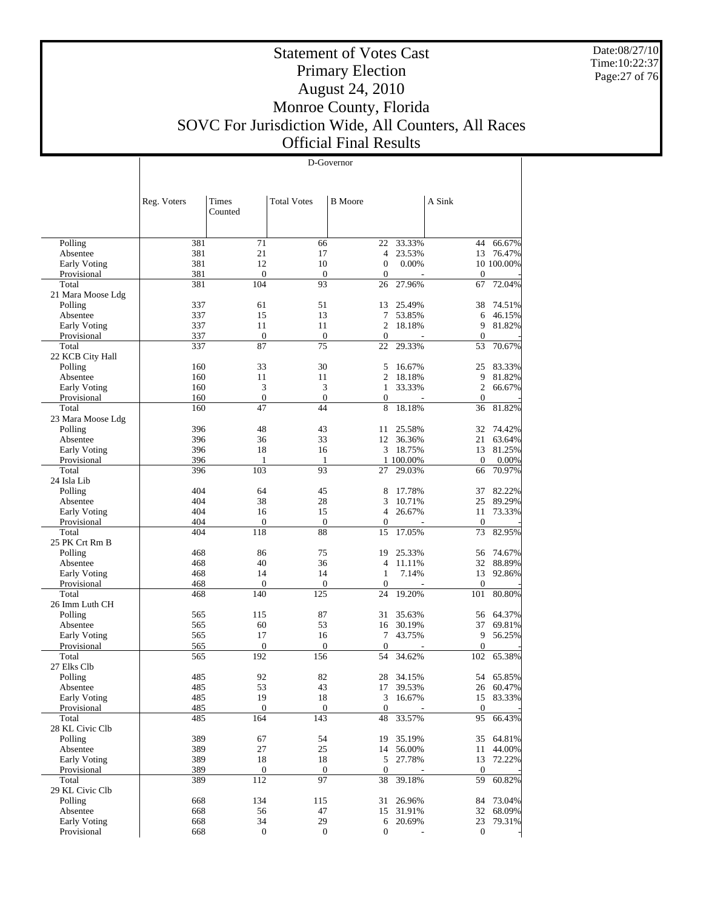Date:08/27/10 Time:10:22:37 Page:27 of 76

Τ

## Statement of Votes Cast Primary Election August 24, 2010 Monroe County, Florida SOVC For Jurisdiction Wide, All Counters, All Races Official Final Results

D-Governor

| <b>Total Votes</b><br>A Sink<br>Times<br><b>B</b> Moore<br>Reg. Voters<br>Counted<br>Polling<br>381<br>71<br>22<br>33.33%<br>44<br>66.67%<br>66<br>381<br>21<br>76.47%<br>17<br>$\overline{4}$<br>23.53%<br>13<br>Absentee<br>381<br>12<br>10<br>Early Voting<br>$\boldsymbol{0}$<br>0.00%<br>10 100.00%<br>381<br>$\boldsymbol{0}$<br>$\mathbf{0}$<br>Provisional<br>$\mathbf{0}$<br>$\boldsymbol{0}$<br>Total<br>381<br>104<br>93<br>27.96%<br>72.04%<br>26<br>67<br>21 Mara Moose Ldg<br>51<br>74.51%<br>Polling<br>337<br>61<br>25.49%<br>38<br>13<br>15<br>13<br>Absentee<br>337<br>7<br>53.85%<br>46.15%<br>6<br>Early Voting<br>337<br>11<br>11<br>2<br>9<br>81.82%<br>18.18%<br>$\mathbf{0}$<br>Provisional<br>337<br>$\mathbf{0}$<br>$\mathbf{0}$<br>$\boldsymbol{0}$<br>337<br>87<br>75<br>22<br>29.33%<br>70.67%<br>Total<br>53<br>22 KCB City Hall<br>33<br>30<br>83.33%<br>Polling<br>160<br>5<br>16.67%<br>25<br>Absentee<br>160<br>11<br>11<br>2<br>18.18%<br>9<br>81.82%<br>3<br>3<br>$\mathfrak{2}$<br>Early Voting<br>$\mathbf{1}$<br>33.33%<br>66.67%<br>160<br>$\boldsymbol{0}$<br>$\mathbf{0}$<br>Provisional<br>160<br>$\boldsymbol{0}$<br>$\mathbf{0}$<br>Total<br>47<br>44<br>18.18%<br>81.82%<br>160<br>8<br>36<br>23 Mara Moose Ldg<br>43<br>396<br>48<br>25.58%<br>32<br>74.42%<br>Polling<br>11<br>36<br>33<br>21<br>Absentee<br>396<br>12<br>36.36%<br>63.64%<br>Early Voting<br>396<br>18<br>16<br>18.75%<br>81.25%<br>3<br>13<br>Provisional<br>396<br>1 100.00%<br>$\theta$<br>0.00%<br>1<br>-1<br>396<br>103<br>93<br>Total<br>27<br>29.03%<br>66<br>70.97%<br>24 Isla Lib<br>404<br>64<br>45<br>82.22%<br>8<br>17.78%<br>37<br>Polling<br>38<br>28<br>25<br>89.29%<br>404<br>3<br>10.71%<br>Absentee<br>Early Voting<br>404<br>16<br>15<br>$\overline{4}$<br>26.67%<br>73.33%<br>11<br>$\boldsymbol{0}$<br>$\mathbf{0}$<br>Provisional<br>404<br>$\mathbf{0}$<br>$\mathbf{0}$<br>Total<br>118<br>88<br>17.05%<br>73<br>82.95%<br>404<br>15<br>25 PK Crt Rm B<br>75<br>74.67%<br>468<br>86<br>25.33%<br>56<br>Polling<br>19<br>40<br>36<br>32<br>4<br>11.11%<br>88.89%<br>Absentee<br>468<br>Early Voting<br>468<br>14<br>14<br>$\mathbf{1}$<br>7.14%<br>13<br>92.86%<br>Provisional<br>468<br>$\boldsymbol{0}$<br>$\theta$<br>$\mathbf{0}$<br>$\boldsymbol{0}$<br>140<br>125<br>19.20%<br>101<br>80.80%<br>Total<br>468<br>24<br>26 Imm Luth CH<br>87<br>64.37%<br>Polling<br>565<br>115<br>35.63%<br>56<br>31<br>53<br>37<br>565<br>60<br>30.19%<br>69.81%<br>Absentee<br>16<br>565<br>17<br>16<br>7<br>43.75%<br>9<br>56.25%<br>Early Voting<br>$\mathbf{0}$<br>$\boldsymbol{0}$<br>Provisional<br>565<br>$\mathbf{0}$<br>$\mathbf{0}$<br>192<br>34.62%<br>65.38%<br>Total<br>565<br>156<br>54<br>102<br>27 Elks Clb<br>92<br>485<br>82<br>65.85%<br>Polling<br>28<br>34.15%<br>54<br>Absentee<br>485<br>53<br>43<br>17<br>39.53%<br>26<br>60.47%<br>485<br>19<br>18<br>83.33%<br>Early Voting<br>3<br>16.67%<br>15<br>$\boldsymbol{0}$<br>485<br>$\boldsymbol{0}$<br>$\boldsymbol{0}$<br>$\boldsymbol{0}$<br>Provisional<br>143<br>66.43%<br>Total<br>164<br>33.57%<br>95<br>485<br>48<br>28 KL Civic Clb<br>389<br>54<br>64.81%<br>Polling<br>67<br>35.19%<br>35<br>19<br>389<br>27<br>25<br>44.00%<br>Absentee<br>14<br>56.00%<br>11<br>389<br>18<br>Early Voting<br>18<br>5<br>27.78%<br>72.22%<br>13<br>389<br>$\boldsymbol{0}$<br>Provisional<br>$\mathbf{0}$<br>$\boldsymbol{0}$<br>$\boldsymbol{0}$<br>97<br>389<br>112<br>39.18%<br>59<br>60.82%<br>Total<br>38<br>29 KL Civic Clb<br>668<br>134<br>73.04%<br>Polling<br>115<br>31<br>26.96%<br>84<br>47<br>68.09%<br>Absentee<br>668<br>56<br>31.91%<br>32<br>15<br>34<br>29<br>Early Voting<br>668<br>20.69%<br>23<br>79.31%<br>6<br>Provisional<br>$\boldsymbol{0}$<br>$\boldsymbol{0}$<br>$\boldsymbol{0}$<br>668<br>$\boldsymbol{0}$ |  |  |  |  |
|----------------------------------------------------------------------------------------------------------------------------------------------------------------------------------------------------------------------------------------------------------------------------------------------------------------------------------------------------------------------------------------------------------------------------------------------------------------------------------------------------------------------------------------------------------------------------------------------------------------------------------------------------------------------------------------------------------------------------------------------------------------------------------------------------------------------------------------------------------------------------------------------------------------------------------------------------------------------------------------------------------------------------------------------------------------------------------------------------------------------------------------------------------------------------------------------------------------------------------------------------------------------------------------------------------------------------------------------------------------------------------------------------------------------------------------------------------------------------------------------------------------------------------------------------------------------------------------------------------------------------------------------------------------------------------------------------------------------------------------------------------------------------------------------------------------------------------------------------------------------------------------------------------------------------------------------------------------------------------------------------------------------------------------------------------------------------------------------------------------------------------------------------------------------------------------------------------------------------------------------------------------------------------------------------------------------------------------------------------------------------------------------------------------------------------------------------------------------------------------------------------------------------------------------------------------------------------------------------------------------------------------------------------------------------------------------------------------------------------------------------------------------------------------------------------------------------------------------------------------------------------------------------------------------------------------------------------------------------------------------------------------------------------------------------------------------------------------------------------------------------------------------------------------------------------------------------------------------------------------------------------------------------------------------------------------------------------------------------------------------------------------------------------------------------------------------------------------------------------------------------------------------------------------------------------------------------------------------------------------------------------------------------------------------------------------------------------------------------------------------------------------------------------------------------------------------------------------|--|--|--|--|
|                                                                                                                                                                                                                                                                                                                                                                                                                                                                                                                                                                                                                                                                                                                                                                                                                                                                                                                                                                                                                                                                                                                                                                                                                                                                                                                                                                                                                                                                                                                                                                                                                                                                                                                                                                                                                                                                                                                                                                                                                                                                                                                                                                                                                                                                                                                                                                                                                                                                                                                                                                                                                                                                                                                                                                                                                                                                                                                                                                                                                                                                                                                                                                                                                                                                                                                                                                                                                                                                                                                                                                                                                                                                                                                                                                                                                                        |  |  |  |  |
|                                                                                                                                                                                                                                                                                                                                                                                                                                                                                                                                                                                                                                                                                                                                                                                                                                                                                                                                                                                                                                                                                                                                                                                                                                                                                                                                                                                                                                                                                                                                                                                                                                                                                                                                                                                                                                                                                                                                                                                                                                                                                                                                                                                                                                                                                                                                                                                                                                                                                                                                                                                                                                                                                                                                                                                                                                                                                                                                                                                                                                                                                                                                                                                                                                                                                                                                                                                                                                                                                                                                                                                                                                                                                                                                                                                                                                        |  |  |  |  |
|                                                                                                                                                                                                                                                                                                                                                                                                                                                                                                                                                                                                                                                                                                                                                                                                                                                                                                                                                                                                                                                                                                                                                                                                                                                                                                                                                                                                                                                                                                                                                                                                                                                                                                                                                                                                                                                                                                                                                                                                                                                                                                                                                                                                                                                                                                                                                                                                                                                                                                                                                                                                                                                                                                                                                                                                                                                                                                                                                                                                                                                                                                                                                                                                                                                                                                                                                                                                                                                                                                                                                                                                                                                                                                                                                                                                                                        |  |  |  |  |
|                                                                                                                                                                                                                                                                                                                                                                                                                                                                                                                                                                                                                                                                                                                                                                                                                                                                                                                                                                                                                                                                                                                                                                                                                                                                                                                                                                                                                                                                                                                                                                                                                                                                                                                                                                                                                                                                                                                                                                                                                                                                                                                                                                                                                                                                                                                                                                                                                                                                                                                                                                                                                                                                                                                                                                                                                                                                                                                                                                                                                                                                                                                                                                                                                                                                                                                                                                                                                                                                                                                                                                                                                                                                                                                                                                                                                                        |  |  |  |  |
|                                                                                                                                                                                                                                                                                                                                                                                                                                                                                                                                                                                                                                                                                                                                                                                                                                                                                                                                                                                                                                                                                                                                                                                                                                                                                                                                                                                                                                                                                                                                                                                                                                                                                                                                                                                                                                                                                                                                                                                                                                                                                                                                                                                                                                                                                                                                                                                                                                                                                                                                                                                                                                                                                                                                                                                                                                                                                                                                                                                                                                                                                                                                                                                                                                                                                                                                                                                                                                                                                                                                                                                                                                                                                                                                                                                                                                        |  |  |  |  |
|                                                                                                                                                                                                                                                                                                                                                                                                                                                                                                                                                                                                                                                                                                                                                                                                                                                                                                                                                                                                                                                                                                                                                                                                                                                                                                                                                                                                                                                                                                                                                                                                                                                                                                                                                                                                                                                                                                                                                                                                                                                                                                                                                                                                                                                                                                                                                                                                                                                                                                                                                                                                                                                                                                                                                                                                                                                                                                                                                                                                                                                                                                                                                                                                                                                                                                                                                                                                                                                                                                                                                                                                                                                                                                                                                                                                                                        |  |  |  |  |
|                                                                                                                                                                                                                                                                                                                                                                                                                                                                                                                                                                                                                                                                                                                                                                                                                                                                                                                                                                                                                                                                                                                                                                                                                                                                                                                                                                                                                                                                                                                                                                                                                                                                                                                                                                                                                                                                                                                                                                                                                                                                                                                                                                                                                                                                                                                                                                                                                                                                                                                                                                                                                                                                                                                                                                                                                                                                                                                                                                                                                                                                                                                                                                                                                                                                                                                                                                                                                                                                                                                                                                                                                                                                                                                                                                                                                                        |  |  |  |  |
|                                                                                                                                                                                                                                                                                                                                                                                                                                                                                                                                                                                                                                                                                                                                                                                                                                                                                                                                                                                                                                                                                                                                                                                                                                                                                                                                                                                                                                                                                                                                                                                                                                                                                                                                                                                                                                                                                                                                                                                                                                                                                                                                                                                                                                                                                                                                                                                                                                                                                                                                                                                                                                                                                                                                                                                                                                                                                                                                                                                                                                                                                                                                                                                                                                                                                                                                                                                                                                                                                                                                                                                                                                                                                                                                                                                                                                        |  |  |  |  |
|                                                                                                                                                                                                                                                                                                                                                                                                                                                                                                                                                                                                                                                                                                                                                                                                                                                                                                                                                                                                                                                                                                                                                                                                                                                                                                                                                                                                                                                                                                                                                                                                                                                                                                                                                                                                                                                                                                                                                                                                                                                                                                                                                                                                                                                                                                                                                                                                                                                                                                                                                                                                                                                                                                                                                                                                                                                                                                                                                                                                                                                                                                                                                                                                                                                                                                                                                                                                                                                                                                                                                                                                                                                                                                                                                                                                                                        |  |  |  |  |
|                                                                                                                                                                                                                                                                                                                                                                                                                                                                                                                                                                                                                                                                                                                                                                                                                                                                                                                                                                                                                                                                                                                                                                                                                                                                                                                                                                                                                                                                                                                                                                                                                                                                                                                                                                                                                                                                                                                                                                                                                                                                                                                                                                                                                                                                                                                                                                                                                                                                                                                                                                                                                                                                                                                                                                                                                                                                                                                                                                                                                                                                                                                                                                                                                                                                                                                                                                                                                                                                                                                                                                                                                                                                                                                                                                                                                                        |  |  |  |  |
|                                                                                                                                                                                                                                                                                                                                                                                                                                                                                                                                                                                                                                                                                                                                                                                                                                                                                                                                                                                                                                                                                                                                                                                                                                                                                                                                                                                                                                                                                                                                                                                                                                                                                                                                                                                                                                                                                                                                                                                                                                                                                                                                                                                                                                                                                                                                                                                                                                                                                                                                                                                                                                                                                                                                                                                                                                                                                                                                                                                                                                                                                                                                                                                                                                                                                                                                                                                                                                                                                                                                                                                                                                                                                                                                                                                                                                        |  |  |  |  |
|                                                                                                                                                                                                                                                                                                                                                                                                                                                                                                                                                                                                                                                                                                                                                                                                                                                                                                                                                                                                                                                                                                                                                                                                                                                                                                                                                                                                                                                                                                                                                                                                                                                                                                                                                                                                                                                                                                                                                                                                                                                                                                                                                                                                                                                                                                                                                                                                                                                                                                                                                                                                                                                                                                                                                                                                                                                                                                                                                                                                                                                                                                                                                                                                                                                                                                                                                                                                                                                                                                                                                                                                                                                                                                                                                                                                                                        |  |  |  |  |
|                                                                                                                                                                                                                                                                                                                                                                                                                                                                                                                                                                                                                                                                                                                                                                                                                                                                                                                                                                                                                                                                                                                                                                                                                                                                                                                                                                                                                                                                                                                                                                                                                                                                                                                                                                                                                                                                                                                                                                                                                                                                                                                                                                                                                                                                                                                                                                                                                                                                                                                                                                                                                                                                                                                                                                                                                                                                                                                                                                                                                                                                                                                                                                                                                                                                                                                                                                                                                                                                                                                                                                                                                                                                                                                                                                                                                                        |  |  |  |  |
|                                                                                                                                                                                                                                                                                                                                                                                                                                                                                                                                                                                                                                                                                                                                                                                                                                                                                                                                                                                                                                                                                                                                                                                                                                                                                                                                                                                                                                                                                                                                                                                                                                                                                                                                                                                                                                                                                                                                                                                                                                                                                                                                                                                                                                                                                                                                                                                                                                                                                                                                                                                                                                                                                                                                                                                                                                                                                                                                                                                                                                                                                                                                                                                                                                                                                                                                                                                                                                                                                                                                                                                                                                                                                                                                                                                                                                        |  |  |  |  |
|                                                                                                                                                                                                                                                                                                                                                                                                                                                                                                                                                                                                                                                                                                                                                                                                                                                                                                                                                                                                                                                                                                                                                                                                                                                                                                                                                                                                                                                                                                                                                                                                                                                                                                                                                                                                                                                                                                                                                                                                                                                                                                                                                                                                                                                                                                                                                                                                                                                                                                                                                                                                                                                                                                                                                                                                                                                                                                                                                                                                                                                                                                                                                                                                                                                                                                                                                                                                                                                                                                                                                                                                                                                                                                                                                                                                                                        |  |  |  |  |
|                                                                                                                                                                                                                                                                                                                                                                                                                                                                                                                                                                                                                                                                                                                                                                                                                                                                                                                                                                                                                                                                                                                                                                                                                                                                                                                                                                                                                                                                                                                                                                                                                                                                                                                                                                                                                                                                                                                                                                                                                                                                                                                                                                                                                                                                                                                                                                                                                                                                                                                                                                                                                                                                                                                                                                                                                                                                                                                                                                                                                                                                                                                                                                                                                                                                                                                                                                                                                                                                                                                                                                                                                                                                                                                                                                                                                                        |  |  |  |  |
|                                                                                                                                                                                                                                                                                                                                                                                                                                                                                                                                                                                                                                                                                                                                                                                                                                                                                                                                                                                                                                                                                                                                                                                                                                                                                                                                                                                                                                                                                                                                                                                                                                                                                                                                                                                                                                                                                                                                                                                                                                                                                                                                                                                                                                                                                                                                                                                                                                                                                                                                                                                                                                                                                                                                                                                                                                                                                                                                                                                                                                                                                                                                                                                                                                                                                                                                                                                                                                                                                                                                                                                                                                                                                                                                                                                                                                        |  |  |  |  |
|                                                                                                                                                                                                                                                                                                                                                                                                                                                                                                                                                                                                                                                                                                                                                                                                                                                                                                                                                                                                                                                                                                                                                                                                                                                                                                                                                                                                                                                                                                                                                                                                                                                                                                                                                                                                                                                                                                                                                                                                                                                                                                                                                                                                                                                                                                                                                                                                                                                                                                                                                                                                                                                                                                                                                                                                                                                                                                                                                                                                                                                                                                                                                                                                                                                                                                                                                                                                                                                                                                                                                                                                                                                                                                                                                                                                                                        |  |  |  |  |
|                                                                                                                                                                                                                                                                                                                                                                                                                                                                                                                                                                                                                                                                                                                                                                                                                                                                                                                                                                                                                                                                                                                                                                                                                                                                                                                                                                                                                                                                                                                                                                                                                                                                                                                                                                                                                                                                                                                                                                                                                                                                                                                                                                                                                                                                                                                                                                                                                                                                                                                                                                                                                                                                                                                                                                                                                                                                                                                                                                                                                                                                                                                                                                                                                                                                                                                                                                                                                                                                                                                                                                                                                                                                                                                                                                                                                                        |  |  |  |  |
|                                                                                                                                                                                                                                                                                                                                                                                                                                                                                                                                                                                                                                                                                                                                                                                                                                                                                                                                                                                                                                                                                                                                                                                                                                                                                                                                                                                                                                                                                                                                                                                                                                                                                                                                                                                                                                                                                                                                                                                                                                                                                                                                                                                                                                                                                                                                                                                                                                                                                                                                                                                                                                                                                                                                                                                                                                                                                                                                                                                                                                                                                                                                                                                                                                                                                                                                                                                                                                                                                                                                                                                                                                                                                                                                                                                                                                        |  |  |  |  |
|                                                                                                                                                                                                                                                                                                                                                                                                                                                                                                                                                                                                                                                                                                                                                                                                                                                                                                                                                                                                                                                                                                                                                                                                                                                                                                                                                                                                                                                                                                                                                                                                                                                                                                                                                                                                                                                                                                                                                                                                                                                                                                                                                                                                                                                                                                                                                                                                                                                                                                                                                                                                                                                                                                                                                                                                                                                                                                                                                                                                                                                                                                                                                                                                                                                                                                                                                                                                                                                                                                                                                                                                                                                                                                                                                                                                                                        |  |  |  |  |
|                                                                                                                                                                                                                                                                                                                                                                                                                                                                                                                                                                                                                                                                                                                                                                                                                                                                                                                                                                                                                                                                                                                                                                                                                                                                                                                                                                                                                                                                                                                                                                                                                                                                                                                                                                                                                                                                                                                                                                                                                                                                                                                                                                                                                                                                                                                                                                                                                                                                                                                                                                                                                                                                                                                                                                                                                                                                                                                                                                                                                                                                                                                                                                                                                                                                                                                                                                                                                                                                                                                                                                                                                                                                                                                                                                                                                                        |  |  |  |  |
|                                                                                                                                                                                                                                                                                                                                                                                                                                                                                                                                                                                                                                                                                                                                                                                                                                                                                                                                                                                                                                                                                                                                                                                                                                                                                                                                                                                                                                                                                                                                                                                                                                                                                                                                                                                                                                                                                                                                                                                                                                                                                                                                                                                                                                                                                                                                                                                                                                                                                                                                                                                                                                                                                                                                                                                                                                                                                                                                                                                                                                                                                                                                                                                                                                                                                                                                                                                                                                                                                                                                                                                                                                                                                                                                                                                                                                        |  |  |  |  |
|                                                                                                                                                                                                                                                                                                                                                                                                                                                                                                                                                                                                                                                                                                                                                                                                                                                                                                                                                                                                                                                                                                                                                                                                                                                                                                                                                                                                                                                                                                                                                                                                                                                                                                                                                                                                                                                                                                                                                                                                                                                                                                                                                                                                                                                                                                                                                                                                                                                                                                                                                                                                                                                                                                                                                                                                                                                                                                                                                                                                                                                                                                                                                                                                                                                                                                                                                                                                                                                                                                                                                                                                                                                                                                                                                                                                                                        |  |  |  |  |
|                                                                                                                                                                                                                                                                                                                                                                                                                                                                                                                                                                                                                                                                                                                                                                                                                                                                                                                                                                                                                                                                                                                                                                                                                                                                                                                                                                                                                                                                                                                                                                                                                                                                                                                                                                                                                                                                                                                                                                                                                                                                                                                                                                                                                                                                                                                                                                                                                                                                                                                                                                                                                                                                                                                                                                                                                                                                                                                                                                                                                                                                                                                                                                                                                                                                                                                                                                                                                                                                                                                                                                                                                                                                                                                                                                                                                                        |  |  |  |  |
|                                                                                                                                                                                                                                                                                                                                                                                                                                                                                                                                                                                                                                                                                                                                                                                                                                                                                                                                                                                                                                                                                                                                                                                                                                                                                                                                                                                                                                                                                                                                                                                                                                                                                                                                                                                                                                                                                                                                                                                                                                                                                                                                                                                                                                                                                                                                                                                                                                                                                                                                                                                                                                                                                                                                                                                                                                                                                                                                                                                                                                                                                                                                                                                                                                                                                                                                                                                                                                                                                                                                                                                                                                                                                                                                                                                                                                        |  |  |  |  |
|                                                                                                                                                                                                                                                                                                                                                                                                                                                                                                                                                                                                                                                                                                                                                                                                                                                                                                                                                                                                                                                                                                                                                                                                                                                                                                                                                                                                                                                                                                                                                                                                                                                                                                                                                                                                                                                                                                                                                                                                                                                                                                                                                                                                                                                                                                                                                                                                                                                                                                                                                                                                                                                                                                                                                                                                                                                                                                                                                                                                                                                                                                                                                                                                                                                                                                                                                                                                                                                                                                                                                                                                                                                                                                                                                                                                                                        |  |  |  |  |
|                                                                                                                                                                                                                                                                                                                                                                                                                                                                                                                                                                                                                                                                                                                                                                                                                                                                                                                                                                                                                                                                                                                                                                                                                                                                                                                                                                                                                                                                                                                                                                                                                                                                                                                                                                                                                                                                                                                                                                                                                                                                                                                                                                                                                                                                                                                                                                                                                                                                                                                                                                                                                                                                                                                                                                                                                                                                                                                                                                                                                                                                                                                                                                                                                                                                                                                                                                                                                                                                                                                                                                                                                                                                                                                                                                                                                                        |  |  |  |  |
|                                                                                                                                                                                                                                                                                                                                                                                                                                                                                                                                                                                                                                                                                                                                                                                                                                                                                                                                                                                                                                                                                                                                                                                                                                                                                                                                                                                                                                                                                                                                                                                                                                                                                                                                                                                                                                                                                                                                                                                                                                                                                                                                                                                                                                                                                                                                                                                                                                                                                                                                                                                                                                                                                                                                                                                                                                                                                                                                                                                                                                                                                                                                                                                                                                                                                                                                                                                                                                                                                                                                                                                                                                                                                                                                                                                                                                        |  |  |  |  |
|                                                                                                                                                                                                                                                                                                                                                                                                                                                                                                                                                                                                                                                                                                                                                                                                                                                                                                                                                                                                                                                                                                                                                                                                                                                                                                                                                                                                                                                                                                                                                                                                                                                                                                                                                                                                                                                                                                                                                                                                                                                                                                                                                                                                                                                                                                                                                                                                                                                                                                                                                                                                                                                                                                                                                                                                                                                                                                                                                                                                                                                                                                                                                                                                                                                                                                                                                                                                                                                                                                                                                                                                                                                                                                                                                                                                                                        |  |  |  |  |
|                                                                                                                                                                                                                                                                                                                                                                                                                                                                                                                                                                                                                                                                                                                                                                                                                                                                                                                                                                                                                                                                                                                                                                                                                                                                                                                                                                                                                                                                                                                                                                                                                                                                                                                                                                                                                                                                                                                                                                                                                                                                                                                                                                                                                                                                                                                                                                                                                                                                                                                                                                                                                                                                                                                                                                                                                                                                                                                                                                                                                                                                                                                                                                                                                                                                                                                                                                                                                                                                                                                                                                                                                                                                                                                                                                                                                                        |  |  |  |  |
|                                                                                                                                                                                                                                                                                                                                                                                                                                                                                                                                                                                                                                                                                                                                                                                                                                                                                                                                                                                                                                                                                                                                                                                                                                                                                                                                                                                                                                                                                                                                                                                                                                                                                                                                                                                                                                                                                                                                                                                                                                                                                                                                                                                                                                                                                                                                                                                                                                                                                                                                                                                                                                                                                                                                                                                                                                                                                                                                                                                                                                                                                                                                                                                                                                                                                                                                                                                                                                                                                                                                                                                                                                                                                                                                                                                                                                        |  |  |  |  |
|                                                                                                                                                                                                                                                                                                                                                                                                                                                                                                                                                                                                                                                                                                                                                                                                                                                                                                                                                                                                                                                                                                                                                                                                                                                                                                                                                                                                                                                                                                                                                                                                                                                                                                                                                                                                                                                                                                                                                                                                                                                                                                                                                                                                                                                                                                                                                                                                                                                                                                                                                                                                                                                                                                                                                                                                                                                                                                                                                                                                                                                                                                                                                                                                                                                                                                                                                                                                                                                                                                                                                                                                                                                                                                                                                                                                                                        |  |  |  |  |
|                                                                                                                                                                                                                                                                                                                                                                                                                                                                                                                                                                                                                                                                                                                                                                                                                                                                                                                                                                                                                                                                                                                                                                                                                                                                                                                                                                                                                                                                                                                                                                                                                                                                                                                                                                                                                                                                                                                                                                                                                                                                                                                                                                                                                                                                                                                                                                                                                                                                                                                                                                                                                                                                                                                                                                                                                                                                                                                                                                                                                                                                                                                                                                                                                                                                                                                                                                                                                                                                                                                                                                                                                                                                                                                                                                                                                                        |  |  |  |  |
|                                                                                                                                                                                                                                                                                                                                                                                                                                                                                                                                                                                                                                                                                                                                                                                                                                                                                                                                                                                                                                                                                                                                                                                                                                                                                                                                                                                                                                                                                                                                                                                                                                                                                                                                                                                                                                                                                                                                                                                                                                                                                                                                                                                                                                                                                                                                                                                                                                                                                                                                                                                                                                                                                                                                                                                                                                                                                                                                                                                                                                                                                                                                                                                                                                                                                                                                                                                                                                                                                                                                                                                                                                                                                                                                                                                                                                        |  |  |  |  |
|                                                                                                                                                                                                                                                                                                                                                                                                                                                                                                                                                                                                                                                                                                                                                                                                                                                                                                                                                                                                                                                                                                                                                                                                                                                                                                                                                                                                                                                                                                                                                                                                                                                                                                                                                                                                                                                                                                                                                                                                                                                                                                                                                                                                                                                                                                                                                                                                                                                                                                                                                                                                                                                                                                                                                                                                                                                                                                                                                                                                                                                                                                                                                                                                                                                                                                                                                                                                                                                                                                                                                                                                                                                                                                                                                                                                                                        |  |  |  |  |
|                                                                                                                                                                                                                                                                                                                                                                                                                                                                                                                                                                                                                                                                                                                                                                                                                                                                                                                                                                                                                                                                                                                                                                                                                                                                                                                                                                                                                                                                                                                                                                                                                                                                                                                                                                                                                                                                                                                                                                                                                                                                                                                                                                                                                                                                                                                                                                                                                                                                                                                                                                                                                                                                                                                                                                                                                                                                                                                                                                                                                                                                                                                                                                                                                                                                                                                                                                                                                                                                                                                                                                                                                                                                                                                                                                                                                                        |  |  |  |  |
|                                                                                                                                                                                                                                                                                                                                                                                                                                                                                                                                                                                                                                                                                                                                                                                                                                                                                                                                                                                                                                                                                                                                                                                                                                                                                                                                                                                                                                                                                                                                                                                                                                                                                                                                                                                                                                                                                                                                                                                                                                                                                                                                                                                                                                                                                                                                                                                                                                                                                                                                                                                                                                                                                                                                                                                                                                                                                                                                                                                                                                                                                                                                                                                                                                                                                                                                                                                                                                                                                                                                                                                                                                                                                                                                                                                                                                        |  |  |  |  |
|                                                                                                                                                                                                                                                                                                                                                                                                                                                                                                                                                                                                                                                                                                                                                                                                                                                                                                                                                                                                                                                                                                                                                                                                                                                                                                                                                                                                                                                                                                                                                                                                                                                                                                                                                                                                                                                                                                                                                                                                                                                                                                                                                                                                                                                                                                                                                                                                                                                                                                                                                                                                                                                                                                                                                                                                                                                                                                                                                                                                                                                                                                                                                                                                                                                                                                                                                                                                                                                                                                                                                                                                                                                                                                                                                                                                                                        |  |  |  |  |
|                                                                                                                                                                                                                                                                                                                                                                                                                                                                                                                                                                                                                                                                                                                                                                                                                                                                                                                                                                                                                                                                                                                                                                                                                                                                                                                                                                                                                                                                                                                                                                                                                                                                                                                                                                                                                                                                                                                                                                                                                                                                                                                                                                                                                                                                                                                                                                                                                                                                                                                                                                                                                                                                                                                                                                                                                                                                                                                                                                                                                                                                                                                                                                                                                                                                                                                                                                                                                                                                                                                                                                                                                                                                                                                                                                                                                                        |  |  |  |  |
|                                                                                                                                                                                                                                                                                                                                                                                                                                                                                                                                                                                                                                                                                                                                                                                                                                                                                                                                                                                                                                                                                                                                                                                                                                                                                                                                                                                                                                                                                                                                                                                                                                                                                                                                                                                                                                                                                                                                                                                                                                                                                                                                                                                                                                                                                                                                                                                                                                                                                                                                                                                                                                                                                                                                                                                                                                                                                                                                                                                                                                                                                                                                                                                                                                                                                                                                                                                                                                                                                                                                                                                                                                                                                                                                                                                                                                        |  |  |  |  |
|                                                                                                                                                                                                                                                                                                                                                                                                                                                                                                                                                                                                                                                                                                                                                                                                                                                                                                                                                                                                                                                                                                                                                                                                                                                                                                                                                                                                                                                                                                                                                                                                                                                                                                                                                                                                                                                                                                                                                                                                                                                                                                                                                                                                                                                                                                                                                                                                                                                                                                                                                                                                                                                                                                                                                                                                                                                                                                                                                                                                                                                                                                                                                                                                                                                                                                                                                                                                                                                                                                                                                                                                                                                                                                                                                                                                                                        |  |  |  |  |
|                                                                                                                                                                                                                                                                                                                                                                                                                                                                                                                                                                                                                                                                                                                                                                                                                                                                                                                                                                                                                                                                                                                                                                                                                                                                                                                                                                                                                                                                                                                                                                                                                                                                                                                                                                                                                                                                                                                                                                                                                                                                                                                                                                                                                                                                                                                                                                                                                                                                                                                                                                                                                                                                                                                                                                                                                                                                                                                                                                                                                                                                                                                                                                                                                                                                                                                                                                                                                                                                                                                                                                                                                                                                                                                                                                                                                                        |  |  |  |  |
|                                                                                                                                                                                                                                                                                                                                                                                                                                                                                                                                                                                                                                                                                                                                                                                                                                                                                                                                                                                                                                                                                                                                                                                                                                                                                                                                                                                                                                                                                                                                                                                                                                                                                                                                                                                                                                                                                                                                                                                                                                                                                                                                                                                                                                                                                                                                                                                                                                                                                                                                                                                                                                                                                                                                                                                                                                                                                                                                                                                                                                                                                                                                                                                                                                                                                                                                                                                                                                                                                                                                                                                                                                                                                                                                                                                                                                        |  |  |  |  |
|                                                                                                                                                                                                                                                                                                                                                                                                                                                                                                                                                                                                                                                                                                                                                                                                                                                                                                                                                                                                                                                                                                                                                                                                                                                                                                                                                                                                                                                                                                                                                                                                                                                                                                                                                                                                                                                                                                                                                                                                                                                                                                                                                                                                                                                                                                                                                                                                                                                                                                                                                                                                                                                                                                                                                                                                                                                                                                                                                                                                                                                                                                                                                                                                                                                                                                                                                                                                                                                                                                                                                                                                                                                                                                                                                                                                                                        |  |  |  |  |
|                                                                                                                                                                                                                                                                                                                                                                                                                                                                                                                                                                                                                                                                                                                                                                                                                                                                                                                                                                                                                                                                                                                                                                                                                                                                                                                                                                                                                                                                                                                                                                                                                                                                                                                                                                                                                                                                                                                                                                                                                                                                                                                                                                                                                                                                                                                                                                                                                                                                                                                                                                                                                                                                                                                                                                                                                                                                                                                                                                                                                                                                                                                                                                                                                                                                                                                                                                                                                                                                                                                                                                                                                                                                                                                                                                                                                                        |  |  |  |  |
|                                                                                                                                                                                                                                                                                                                                                                                                                                                                                                                                                                                                                                                                                                                                                                                                                                                                                                                                                                                                                                                                                                                                                                                                                                                                                                                                                                                                                                                                                                                                                                                                                                                                                                                                                                                                                                                                                                                                                                                                                                                                                                                                                                                                                                                                                                                                                                                                                                                                                                                                                                                                                                                                                                                                                                                                                                                                                                                                                                                                                                                                                                                                                                                                                                                                                                                                                                                                                                                                                                                                                                                                                                                                                                                                                                                                                                        |  |  |  |  |
|                                                                                                                                                                                                                                                                                                                                                                                                                                                                                                                                                                                                                                                                                                                                                                                                                                                                                                                                                                                                                                                                                                                                                                                                                                                                                                                                                                                                                                                                                                                                                                                                                                                                                                                                                                                                                                                                                                                                                                                                                                                                                                                                                                                                                                                                                                                                                                                                                                                                                                                                                                                                                                                                                                                                                                                                                                                                                                                                                                                                                                                                                                                                                                                                                                                                                                                                                                                                                                                                                                                                                                                                                                                                                                                                                                                                                                        |  |  |  |  |
|                                                                                                                                                                                                                                                                                                                                                                                                                                                                                                                                                                                                                                                                                                                                                                                                                                                                                                                                                                                                                                                                                                                                                                                                                                                                                                                                                                                                                                                                                                                                                                                                                                                                                                                                                                                                                                                                                                                                                                                                                                                                                                                                                                                                                                                                                                                                                                                                                                                                                                                                                                                                                                                                                                                                                                                                                                                                                                                                                                                                                                                                                                                                                                                                                                                                                                                                                                                                                                                                                                                                                                                                                                                                                                                                                                                                                                        |  |  |  |  |
|                                                                                                                                                                                                                                                                                                                                                                                                                                                                                                                                                                                                                                                                                                                                                                                                                                                                                                                                                                                                                                                                                                                                                                                                                                                                                                                                                                                                                                                                                                                                                                                                                                                                                                                                                                                                                                                                                                                                                                                                                                                                                                                                                                                                                                                                                                                                                                                                                                                                                                                                                                                                                                                                                                                                                                                                                                                                                                                                                                                                                                                                                                                                                                                                                                                                                                                                                                                                                                                                                                                                                                                                                                                                                                                                                                                                                                        |  |  |  |  |
|                                                                                                                                                                                                                                                                                                                                                                                                                                                                                                                                                                                                                                                                                                                                                                                                                                                                                                                                                                                                                                                                                                                                                                                                                                                                                                                                                                                                                                                                                                                                                                                                                                                                                                                                                                                                                                                                                                                                                                                                                                                                                                                                                                                                                                                                                                                                                                                                                                                                                                                                                                                                                                                                                                                                                                                                                                                                                                                                                                                                                                                                                                                                                                                                                                                                                                                                                                                                                                                                                                                                                                                                                                                                                                                                                                                                                                        |  |  |  |  |
|                                                                                                                                                                                                                                                                                                                                                                                                                                                                                                                                                                                                                                                                                                                                                                                                                                                                                                                                                                                                                                                                                                                                                                                                                                                                                                                                                                                                                                                                                                                                                                                                                                                                                                                                                                                                                                                                                                                                                                                                                                                                                                                                                                                                                                                                                                                                                                                                                                                                                                                                                                                                                                                                                                                                                                                                                                                                                                                                                                                                                                                                                                                                                                                                                                                                                                                                                                                                                                                                                                                                                                                                                                                                                                                                                                                                                                        |  |  |  |  |
|                                                                                                                                                                                                                                                                                                                                                                                                                                                                                                                                                                                                                                                                                                                                                                                                                                                                                                                                                                                                                                                                                                                                                                                                                                                                                                                                                                                                                                                                                                                                                                                                                                                                                                                                                                                                                                                                                                                                                                                                                                                                                                                                                                                                                                                                                                                                                                                                                                                                                                                                                                                                                                                                                                                                                                                                                                                                                                                                                                                                                                                                                                                                                                                                                                                                                                                                                                                                                                                                                                                                                                                                                                                                                                                                                                                                                                        |  |  |  |  |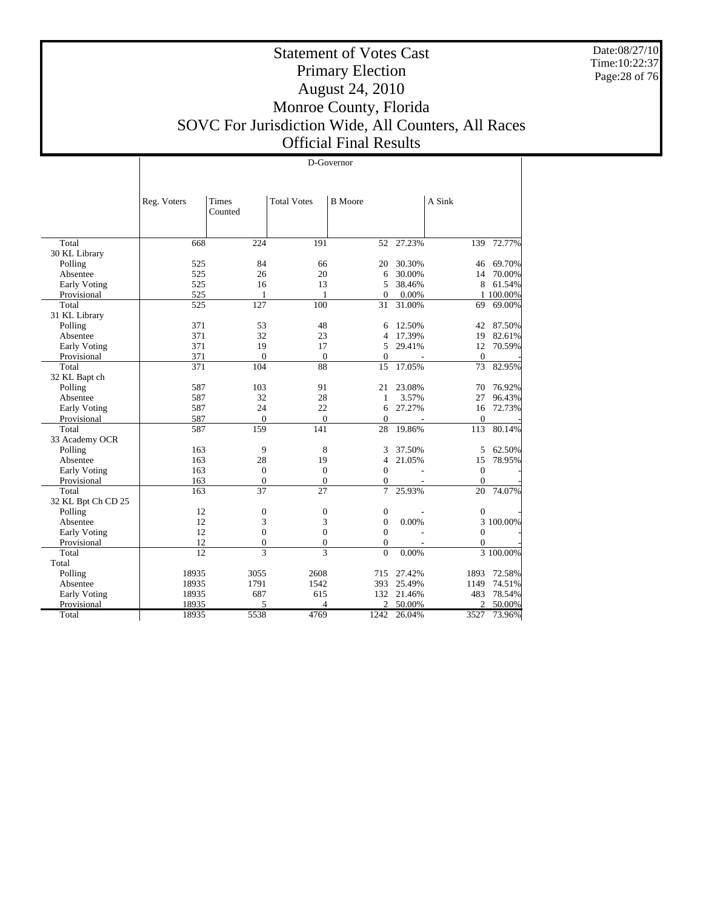Date:08/27/10 Time:10:22:37 Page:28 of 76

T

## Statement of Votes Cast Primary Election August 24, 2010 Monroe County, Florida SOVC For Jurisdiction Wide, All Counters, All Races Official Final Results

|                     | D-Governor      |                          |                    |                  |        |                  |           |  |  |
|---------------------|-----------------|--------------------------|--------------------|------------------|--------|------------------|-----------|--|--|
|                     |                 |                          |                    |                  |        |                  |           |  |  |
|                     |                 |                          |                    |                  |        |                  |           |  |  |
|                     | Reg. Voters     | <b>Times</b><br>Counted  | <b>Total Votes</b> | <b>B</b> Moore   |        | A Sink           |           |  |  |
|                     |                 |                          |                    |                  |        |                  |           |  |  |
| Total               | 668             | 224                      | 191                | 52               | 27.23% | 139              | 72.77%    |  |  |
| 30 KL Library       |                 |                          |                    |                  |        |                  |           |  |  |
| Polling             | 525             | 84                       | 66                 | 20               | 30.30% | 46               | 69.70%    |  |  |
| Absentee            | 525             | 26                       | 20                 | 6                | 30.00% | 14               | 70.00%    |  |  |
| Early Voting        | 525             | 16                       | 13                 | 5                | 38.46% | 8                | 61.54%    |  |  |
| Provisional         | 525             | 1                        | $\mathbf{1}$       | $\Omega$         | 0.00%  |                  | 1 100.00% |  |  |
| Total               | 525             | 127                      | 100                | 31               | 31.00% | 69               | 69.00%    |  |  |
| 31 KL Library       |                 |                          |                    |                  |        |                  |           |  |  |
| Polling             | 371             | 53                       | 48                 | 6                | 12.50% | 42               | 87.50%    |  |  |
| Absentee            | 371             | 32                       | 23                 | 4                | 17.39% | 19               | 82.61%    |  |  |
| <b>Early Voting</b> | 371             | 19                       | 17                 | 5                | 29.41% | 12               | 70.59%    |  |  |
| Provisional         | 371             | $\overline{0}$           | $\theta$           | $\mathbf{0}$     |        | $\overline{0}$   |           |  |  |
| Total               | 371             | 104                      | 88                 | 15               | 17.05% | 73               | 82.95%    |  |  |
| 32 KL Bapt ch       |                 |                          |                    |                  |        |                  |           |  |  |
| Polling             | 587             | 103                      | 91                 | 21               | 23.08% | 70               | 76.92%    |  |  |
| Absentee            | 587             | 32                       | 28                 | 1                | 3.57%  | 27               | 96.43%    |  |  |
| Early Voting        | 587             | 24                       | 22                 | 6                | 27.27% | 16               | 72.73%    |  |  |
| Provisional         | 587             | $\overline{0}$           | $\Omega$           | $\Omega$         |        | $\overline{0}$   |           |  |  |
| Total               | 587             | 159                      | 141                | 28               | 19.86% | 113              | 80.14%    |  |  |
| 33 Academy OCR      |                 |                          |                    |                  |        |                  |           |  |  |
| Polling             | 163             | 9                        | 8                  | 3                | 37.50% | 5                | 62.50%    |  |  |
| Absentee            | 163             | 28                       | 19                 | $\overline{4}$   | 21.05% | 15               | 78.95%    |  |  |
| Early Voting        | 163             | $\boldsymbol{0}$         | $\theta$           | $\Omega$         |        | $\theta$         |           |  |  |
| Provisional         | 163             | $\boldsymbol{0}$         | $\mathbf{0}$       | $\boldsymbol{0}$ |        | $\mathbf{0}$     |           |  |  |
| Total               | 163             | $\overline{37}$          | 27                 | $\overline{7}$   | 25.93% | 20               | 74.07%    |  |  |
| 32 KL Bpt Ch CD 25  |                 |                          |                    |                  |        |                  |           |  |  |
| Polling             | 12              | $\mathbf{0}$             | $\mathbf{0}$       | $\boldsymbol{0}$ |        | $\mathbf{0}$     |           |  |  |
| Absentee            | 12              | 3                        | 3                  | $\mathbf{0}$     | 0.00%  |                  | 3 100.00% |  |  |
| Early Voting        | 12              | $\mathbf{0}$             | $\mathbf{0}$       | $\mathbf{0}$     |        | $\mathbf{0}$     |           |  |  |
| Provisional         | 12              | $\boldsymbol{0}$         | $\boldsymbol{0}$   | $\boldsymbol{0}$ |        | $\boldsymbol{0}$ |           |  |  |
| Total               | $\overline{12}$ | $\overline{\mathcal{E}}$ | $\mathbf{3}$       | $\theta$         | 0.00%  |                  | 3 100.00% |  |  |
| Total               |                 |                          |                    |                  |        |                  |           |  |  |
| Polling             | 18935           | 3055                     | 2608               | 715              | 27.42% | 1893             | 72.58%    |  |  |
| Absentee            | 18935           | 1791                     | 1542               | 393              | 25.49% | 1149             | 74.51%    |  |  |
| Early Voting        | 18935           | 687                      | 615                | 132              | 21.46% | 483              | 78.54%    |  |  |
| Provisional         | 18935           | 5                        | $\Delta$           | $\mathfrak{D}$   | 50.00% | $\mathfrak{D}$   | 50.00%    |  |  |
| Total               | 18935           | 5538                     | 4769               | 1242             | 26.04% | 3527             | 73.96%    |  |  |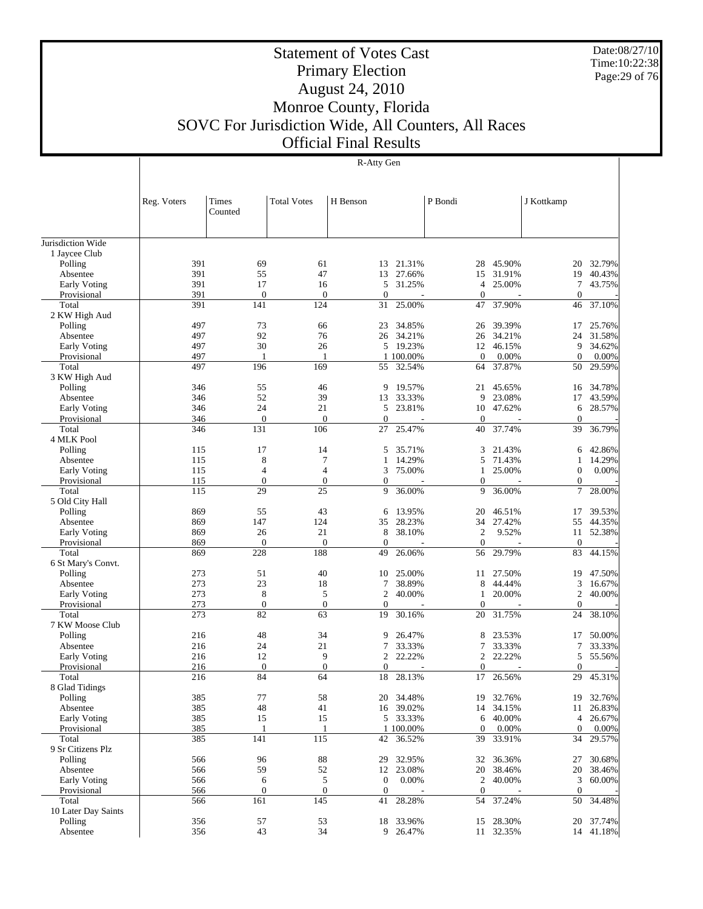Date:08/27/10 Time:10:22:38 Page:29 of 76

## Statement of Votes Cast Primary Election August 24, 2010 Monroe County, Florida SOVC For Jurisdiction Wide, All Counters, All Races Official Final Results

|                      | Reg. Voters | Times<br>Counted | <b>Total Votes</b> | H Benson       |                     | P Bondi            |                 | J Kottkamp        |                 |
|----------------------|-------------|------------------|--------------------|----------------|---------------------|--------------------|-----------------|-------------------|-----------------|
|                      |             |                  |                    |                |                     |                    |                 |                   |                 |
| Jurisdiction Wide    |             |                  |                    |                |                     |                    |                 |                   |                 |
| 1 Jaycee Club        |             |                  |                    |                |                     |                    |                 |                   |                 |
| Polling              | 391         | 69               | 61                 | 13             | 21.31%              | 28                 | 45.90%          | 20                | 32.79%          |
| Absentee             | 391         | 55               | 47                 | 13             | 27.66%              | 15                 | 31.91%          | 19                | 40.43%          |
| <b>Early Voting</b>  | 391         | 17               | 16                 | 5              | 31.25%              | 4                  | 25.00%          | 7                 | 43.75%          |
| Provisional          | 391         | $\theta$         | $\mathbf{0}$       | $\mathbf{0}$   |                     | $\boldsymbol{0}$   |                 | $\boldsymbol{0}$  |                 |
| Total                | 391         | 141              | 124                | 31             | 25.00%              | 47                 | 37.90%          | 46                | 37.10%          |
| 2 KW High Aud        |             |                  |                    |                |                     |                    |                 |                   |                 |
| Polling              | 497         | 73               | 66                 | 23             | 34.85%              | 26                 | 39.39%          | 17                | 25.76%          |
| Absentee             | 497         | 92<br>30         | 76<br>26           | 26             | 34.21%              | 26                 | 34.21%          | 24                | 31.58%          |
| <b>Early Voting</b>  | 497<br>497  | 1                | $\mathbf{1}$       | 5              | 19.23%              | 12<br>$\mathbf{0}$ | 46.15%          | 9<br>$\mathbf{0}$ | 34.62%          |
| Provisional<br>Total | 497         | 196              | 169                | 55             | 1 100.00%<br>32.54% | 64                 | 0.00%<br>37.87% | 50                | 0.00%<br>29.59% |
| 3 KW High Aud        |             |                  |                    |                |                     |                    |                 |                   |                 |
| Polling              | 346         | 55               | 46                 | 9              | 19.57%              | 21                 | 45.65%          | 16                | 34.78%          |
| Absentee             | 346         | 52               | 39                 | 13             | 33.33%              | 9                  | 23.08%          | 17                | 43.59%          |
| <b>Early Voting</b>  | 346         | 24               | 21                 | 5              | 23.81%              | 10                 | 47.62%          | 6                 | 28.57%          |
| Provisional          | 346         | $\mathbf{0}$     | $\mathbf{0}$       | $\mathbf{0}$   |                     | $\mathbf{0}$       |                 | $\boldsymbol{0}$  |                 |
| Total                | 346         | 131              | 106                | 27             | 25.47%              | 40                 | 37.74%          | 39                | 36.79%          |
| 4 MLK Pool           |             |                  |                    |                |                     |                    |                 |                   |                 |
| Polling              | 115         | 17               | 14                 | 5              | 35.71%              | 3                  | 21.43%          | 6                 | 42.86%          |
| Absentee             | 115         | 8                | 7                  | 1              | 14.29%              | 5                  | 71.43%          | 1                 | 14.29%          |
| <b>Early Voting</b>  | 115         | $\overline{4}$   | $\overline{4}$     | 3              | 75.00%              | $\mathbf{1}$       | 25.00%          | $\mathbf{0}$      | 0.00%           |
| Provisional          | 115         | $\mathbf{0}$     | $\mathbf{0}$       | $\mathbf{0}$   |                     | $\boldsymbol{0}$   |                 | $\mathbf{0}$      |                 |
| Total                | 115         | 29               | 25                 | 9              | 36.00%              | 9                  | 36.00%          | 7                 | 28.00%          |
| 5 Old City Hall      |             |                  |                    |                |                     |                    |                 |                   |                 |
| Polling              | 869         | 55               | 43                 | 6              | 13.95%              | 20                 | 46.51%          | 17                | 39.53%          |
| Absentee             | 869         | 147              | 124                | 35             | 28.23%              | 34                 | 27.42%          | 55                | 44.35%          |
| <b>Early Voting</b>  | 869         | 26               | 21                 | 8              | 38.10%              | $\overline{2}$     | 9.52%           | 11                | 52.38%          |
| Provisional          | 869         | $\boldsymbol{0}$ | $\mathbf{0}$       | $\mathbf{0}$   |                     | $\boldsymbol{0}$   |                 | $\mathbf{0}$      |                 |
| Total                | 869         | 228              | 188                | 49             | 26.06%              | 56                 | 29.79%          | 83                | 44.15%          |
| 6 St Mary's Convt.   |             |                  |                    |                |                     |                    |                 |                   |                 |
| Polling              | 273         | 51               | 40                 | 10             | 25.00%              | 11                 | 27.50%          | 19                | 47.50%          |
| Absentee             | 273         | 23               | 18                 | 7              | 38.89%              | 8                  | 44.44%          | 3                 | 16.67%          |
| <b>Early Voting</b>  | 273         | 8                | 5                  | $\overline{2}$ | 40.00%              | $\mathbf{1}$       | 20.00%          | $\overline{c}$    | 40.00%          |
| Provisional          | 273         | $\mathbf{0}$     | $\mathbf{0}$       | $\mathbf{0}$   |                     | $\boldsymbol{0}$   |                 | $\mathbf{0}$      |                 |
| Total                | 273         | 82               | 63                 | 19             | 30.16%              | 20                 | 31.75%          | 24                | 38.10%          |
| 7 KW Moose Club      |             |                  |                    |                |                     |                    |                 |                   |                 |
| Polling              | 216         | 48               | 34                 | 9              | 26.47%              | 8                  | 23.53%          | 17                | 50.00%          |
| Absentee             | 216         | 24               | 21                 | 7              | 33.33%              | 7                  | 33.33%          | 7                 | 33.33%          |
| Early Voting         | 216         | 12               | 9                  | $\mathfrak{2}$ | 22.22%              | $\mathfrak{2}$     | 22.22%          | 5                 | 55.56%          |
| Provisional          | 216         | $\mathbf{0}$     | $\mathbf{0}$       | $\mathbf{0}$   |                     | $\boldsymbol{0}$   |                 | $\overline{0}$    |                 |
| Total                | 216         | 84               | 64                 | 18             | 28.13%              | 17                 | 26.56%          | 29                | 45.31%          |
| 8 Glad Tidings       |             |                  |                    |                |                     |                    |                 |                   |                 |
| Polling              | 385         | $77 \,$          | 58                 | 20             | 34.48%              | 19                 | 32.76%          | 19                | 32.76%          |
| Absentee             | 385         | 48               | 41                 |                | 16 39.02%           | 14                 | 34.15%          | 11                | 26.83%          |
| <b>Early Voting</b>  | 385         | 15               | 15                 |                | 5 33.33%            | 6                  | 40.00%          | 4                 | 26.67%          |
| Provisional          | 385         | 1                | $\mathbf{1}$       |                | 1 100.00%           | $\boldsymbol{0}$   | 0.00%           | $\mathbf{0}$      | 0.00%           |
| Total                | 385         | 141              | 115                | 42             | 36.52%              | 39                 | 33.91%          | 34                | 29.57%          |
| 9 Sr Citizens Plz    |             |                  |                    |                |                     |                    |                 |                   |                 |
| Polling              | 566         | 96               | 88                 | 29             | 32.95%              | 32                 | 36.36%          | 27                | 30.68%          |
| Absentee             | 566         | 59               | 52                 | 12             | 23.08%              | 20                 | 38.46%          | 20                | 38.46%          |
| <b>Early Voting</b>  | 566         | 6                | 5                  | $\mathbf{0}$   | 0.00%               | $\boldsymbol{2}$   | 40.00%          | 3                 | 60.00%          |
| Provisional          | 566         | $\boldsymbol{0}$ | $\mathbf{0}$       | $\mathbf{0}$   |                     | $\mathbf{0}$       |                 | $\mathbf{0}$      |                 |
| Total                | 566         | 161              | 145                | 41             | 28.28%              | 54                 | 37.24%          | 50                | 34.48%          |
| 10 Later Day Saints  |             |                  |                    |                |                     |                    |                 |                   |                 |
| Polling              | 356         | 57               | 53                 | 18             | 33.96%              | 15                 | 28.30%          | 20                | 37.74%          |
| Absentee             | 356         | 43               | 34                 |                | 9 26.47%            |                    | 11 32.35%       |                   | 14 41.18%       |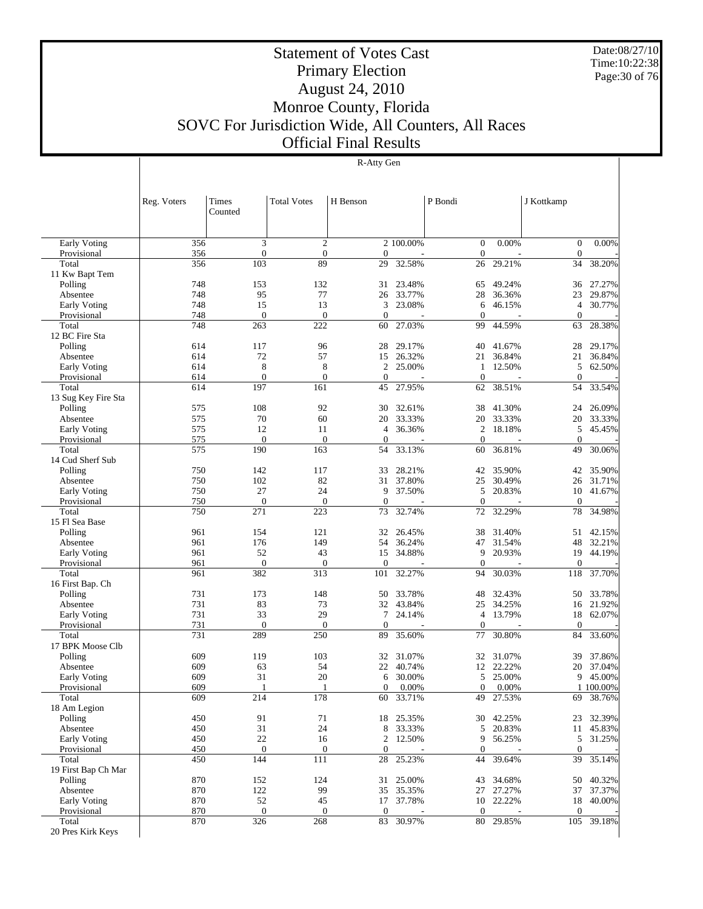Date:08/27/10 Time:10:22:38 Page:30 of 76

## Statement of Votes Cast Primary Election August 24, 2010 Monroe County, Florida SOVC For Jurisdiction Wide, All Counters, All Races Official Final Results

|                                    | Reg. Voters      | <b>Times</b><br>Counted | <b>Total Votes</b>         | H Benson          |                  | P Bondi                          |                  | J Kottkamp                   |                  |
|------------------------------------|------------------|-------------------------|----------------------------|-------------------|------------------|----------------------------------|------------------|------------------------------|------------------|
|                                    |                  |                         |                            |                   |                  |                                  |                  |                              |                  |
|                                    |                  |                         |                            |                   |                  |                                  |                  |                              |                  |
| <b>Early Voting</b><br>Provisional | 356<br>356       | 3<br>$\overline{0}$     | $\mathfrak{2}$<br>$\theta$ | $\mathbf{0}$      | 2 100.00%        | $\mathbf{0}$<br>$\mathbf{0}$     | 0.00%            | $\mathbf{0}$<br>$\mathbf{0}$ | 0.00%            |
| Total                              | 356              | 103                     | 89                         | 29                | 32.58%           | 26                               | 29.21%           | 34                           | 38.20%           |
| 11 Kw Bapt Tem                     |                  |                         |                            |                   |                  |                                  |                  |                              |                  |
| Polling                            | 748              | 153                     | 132                        | 31                | 23.48%           | 65                               | 49.24%           | 36                           | 27.27%           |
| Absentee                           | 748              | 95                      | 77                         | 26                | 33.77%           | 28                               | 36.36%           | 23                           | 29.87%           |
| Early Voting                       | 748              | 15                      | 13                         | 3                 | 23.08%           | 6                                | 46.15%           | $\overline{4}$               | 30.77%           |
| Provisional                        | 748              | $\overline{0}$          | $\mathbf{0}$               | $\mathbf{0}$      |                  | $\theta$                         |                  | $\mathbf{0}$                 |                  |
| Total<br>12 BC Fire Sta            | 748              | 263                     | 222                        | 60                | 27.03%           | 99                               | 44.59%           | 63                           | 28.38%           |
| Polling                            | 614              | 117                     | 96                         | 28                | 29.17%           | 40                               | 41.67%           | 28                           | 29.17%           |
| Absentee                           | 614              | 72                      | 57                         | 15                | 26.32%           | 21                               | 36.84%           | 21                           | 36.84%           |
| Early Voting                       | 614              | 8                       | 8                          | 2                 | 25.00%           | 1                                | 12.50%           | 5                            | 62.50%           |
| Provisional                        | 614              | $\overline{0}$          | $\overline{0}$             | $\mathbf{0}$      |                  | $\theta$                         |                  | $\mathbf{0}$                 |                  |
| Total                              | 614              | 197                     | 161                        | 45                | 27.95%           | 62                               | 38.51%           | 54                           | 33.54%           |
| 13 Sug Key Fire Sta                |                  |                         |                            |                   |                  |                                  |                  |                              |                  |
| Polling                            | 575              | 108                     | 92                         | 30                | 32.61%           | 38                               | 41.30%           | 24                           | 26.09%           |
| Absentee                           | 575              | 70                      | 60                         | 20                | 33.33%           | 20                               | 33.33%           | 20                           | 33.33%           |
| Early Voting                       | 575              | 12                      | 11                         | $\overline{4}$    | 36.36%           | $\overline{2}$                   | 18.18%           | 5                            | 45.45%           |
| Provisional                        | 575              | $\overline{0}$          | $\overline{0}$             | $\mathbf{0}$      |                  | $\theta$                         |                  | $\mathbf{0}$                 |                  |
| Total                              | 575              | 190                     | 163                        | 54                | 33.13%           | 60                               | 36.81%           | 49                           | 30.06%           |
| 14 Cud Sherf Sub                   |                  |                         |                            |                   |                  |                                  |                  |                              |                  |
| Polling                            | 750              | 142                     | 117                        | 33                | 28.21%<br>37.80% | 42                               | 35.90%           | 42                           | 35.90%           |
| Absentee                           | 750<br>750       | 102<br>27               | 82<br>24                   | 31<br>9           | 37.50%           | 25<br>5                          | 30.49%<br>20.83% | 26<br>10                     | 31.71%<br>41.67% |
| Early Voting<br>Provisional        | 750              | $\overline{0}$          | $\overline{0}$             | $\mathbf{0}$      |                  | $\overline{0}$                   | ÷,               | $\mathbf{0}$                 |                  |
| Total                              | 750              | 271                     | 223                        | 73                | 32.74%           | 72                               | 32.29%           | 78                           | 34.98%           |
| 15 Fl Sea Base                     |                  |                         |                            |                   |                  |                                  |                  |                              |                  |
| Polling                            | 961              | 154                     | 121                        | 32                | 26.45%           | 38                               | 31.40%           | 51                           | 42.15%           |
| Absentee                           | 961              | 176                     | 149                        | 54                | 36.24%           | 47                               | 31.54%           | 48                           | 32.21%           |
| Early Voting                       | 961              | 52                      | 43                         | 15                | 34.88%           | 9                                | 20.93%           | 19                           | 44.19%           |
| Provisional                        | 961              | $\mathbf{0}$            | $\theta$                   | $\mathbf{0}$      |                  | $\theta$                         |                  | $\mathbf{0}$                 |                  |
| Total                              | 961              | 382                     | 313                        | 101               | 32.27%           | 94                               | 30.03%           | 118                          | 37.70%           |
| 16 First Bap. Ch                   |                  |                         |                            |                   |                  |                                  |                  |                              |                  |
| Polling                            | 731              | 173                     | 148                        | 50                | 33.78%           | 48                               | 32.43%           | 50                           | 33.78%           |
| Absentee                           | 731              | 83                      | 73                         | 32                | 43.84%           | 25                               | 34.25%           | 16                           | 21.92%           |
| Early Voting<br>Provisional        | 731<br>731       | 33<br>$\overline{0}$    | 29<br>$\boldsymbol{0}$     | 7<br>$\mathbf{0}$ | 24.14%           | $\overline{4}$<br>$\overline{0}$ | 13.79%           | 18<br>$\boldsymbol{0}$       | 62.07%           |
| Total                              | 731              | 289                     | 250                        | 89                | 35.60%           | 77                               | 30.80%           | 84                           | 33.60%           |
| 17 BPK Moose Clb                   |                  |                         |                            |                   |                  |                                  |                  |                              |                  |
| Polling                            | 609              | 119                     | 103                        | 32                | 31.07%           | 32                               | 31.07%           | 39                           | 37.86%           |
| Absentee                           | 609              | 63                      | 54                         | 22                | 40.74%           | 12                               | 22.22%           | 20                           | 37.04%           |
| Early Voting                       | 609              | 31                      | 20                         | 6                 | 30.00%           | 5                                | 25.00%           | 9                            | 45.00%           |
| Provisional                        | 609              |                         | 1                          | $\overline{0}$    | 0.00%            | $\mathbf{0}$                     | 0.00%            |                              | 1 100.00%        |
| Total                              | $\overline{609}$ | $\overline{214}$        | 178                        | 60                | 33.71%           | 49                               | 27.53%           | 69                           | 38.76%           |
| 18 Am Legion                       |                  |                         |                            |                   |                  |                                  |                  |                              |                  |
| Polling                            | 450              | 91                      | 71                         |                   | 18 25.35%        | 30                               | 42.25%           | 23                           | 32.39%           |
| Absentee                           | 450              | 31                      | 24                         | 8                 | 33.33%           |                                  | 5 20.83%         | 11                           | 45.83%           |
| Early Voting                       | 450              | $22\,$                  | 16                         | 2                 | 12.50%           | 9                                | 56.25%           | 5                            | 31.25%           |
| Provisional                        | 450              | $\mathbf{0}$<br>144     | $\boldsymbol{0}$           | $\boldsymbol{0}$  |                  | $\boldsymbol{0}$                 |                  | $\mathbf{0}$                 |                  |
| Total<br>19 First Bap Ch Mar       | 450              |                         | 111                        | 28                | 25.23%           | 44                               | 39.64%           | 39                           | 35.14%           |
| Polling                            | 870              | 152                     | 124                        | 31                | 25.00%           | 43                               | 34.68%           | 50                           | 40.32%           |
| Absentee                           | 870              | 122                     | 99                         | 35                | 35.35%           |                                  | 27 27.27%        | 37                           | 37.37%           |
| Early Voting                       | 870              | 52                      | 45                         | 17                | 37.78%           | 10                               | 22.22%           | 18                           | 40.00%           |
| Provisional                        | 870              | $\mathbf{0}$            | $\mathbf{0}$               | $\boldsymbol{0}$  |                  | $\boldsymbol{0}$                 |                  | $\boldsymbol{0}$             |                  |
| Total                              | 870              | 326                     | 268                        | 83                | 30.97%           | 80                               | 29.85%           | 105                          | 39.18%           |
| 20 Pres Kirk Keys                  |                  |                         |                            |                   |                  |                                  |                  |                              |                  |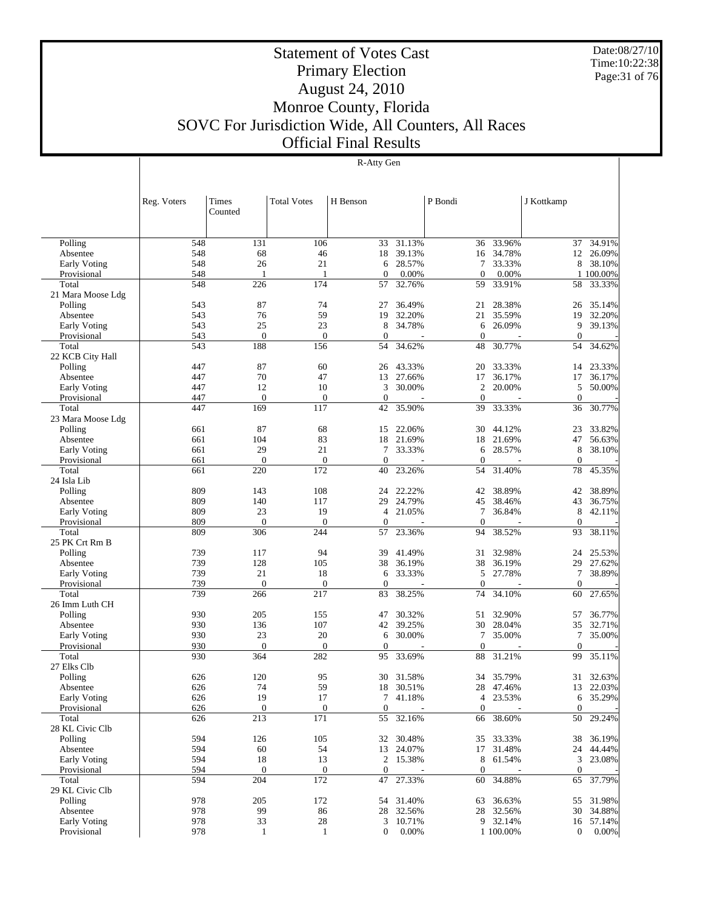Date:08/27/10 Time:10:22:38 Page:31 of 76

## Statement of Votes Cast Primary Election August 24, 2010 Monroe County, Florida SOVC For Jurisdiction Wide, All Counters, All Races Official Final Results

|                      | Reg. Voters | Times                | <b>Total Votes</b>      | H Benson         |                | P Bondi             |           | J Kottkamp       |           |
|----------------------|-------------|----------------------|-------------------------|------------------|----------------|---------------------|-----------|------------------|-----------|
|                      |             | Counted              |                         |                  |                |                     |           |                  |           |
|                      |             |                      |                         |                  |                |                     |           |                  |           |
| Polling              | 548         | 131                  | 106                     | 33               | 31.13%         | 36                  | 33.96%    | 37               | 34.91%    |
| Absentee             | 548         | 68                   | 46                      | 18               | 39.13%         |                     | 16 34.78% | 12               | 26.09%    |
| <b>Early Voting</b>  | 548         | 26                   | 21                      | 6                | 28.57%         | 7                   | 33.33%    | 8                | 38.10%    |
| Provisional          | 548         |                      |                         | $\mathbf{0}$     | 0.00%          | $\mathbf{0}$        | 0.00%     |                  | 1 100.00% |
| Total                | 548         | 226                  | 174                     | 57               | 32.76%         | 59                  | 33.91%    | 58               | 33.33%    |
| 21 Mara Moose Ldg    |             |                      |                         |                  |                |                     |           |                  |           |
| Polling              | 543         | 87                   | 74                      | 27               | 36.49%         | 21                  | 28.38%    | 26               | 35.14%    |
| Absentee             | 543         | 76                   | 59                      | 19               | 32.20%         | 21                  | 35.59%    | 19               | 32.20%    |
| <b>Early Voting</b>  | 543         | 25                   | 23                      | 8                | 34.78%         | 6                   | 26.09%    | 9                | 39.13%    |
| Provisional          | 543         | $\overline{0}$       | $\mathbf{0}$            | $\mathbf{0}$     |                | $\overline{0}$      |           | $\mathbf{0}$     |           |
| Total                | 543         | 188                  | 156                     | 54               | 34.62%         | 48                  | 30.77%    | 54               | 34.62%    |
| 22 KCB City Hall     |             |                      |                         |                  |                |                     |           |                  |           |
| Polling              | 447         | 87                   | 60                      | 26               | 43.33%         | 20                  | 33.33%    | 14               | 23.33%    |
| Absentee             | 447         | 70                   | 47                      | 13               | 27.66%         | 17                  | 36.17%    | 17               | 36.17%    |
| Early Voting         | 447         | 12                   | 10                      | 3                | 30.00%         | $\overline{2}$      | 20.00%    | 5                | 50.00%    |
| Provisional          | 447         | $\overline{0}$       | $\boldsymbol{0}$        | $\mathbf{0}$     |                | $\overline{0}$      |           | $\mathbf{0}$     |           |
| Total                | 447         | 169                  | 117                     | 42               | 35.90%         | 39                  | 33.33%    | 36               | 30.77%    |
| 23 Mara Moose Ldg    |             |                      |                         |                  |                |                     |           |                  |           |
| Polling              | 661         | 87                   | 68                      | 15               | 22.06%         | 30                  | 44.12%    | 23               | 33.82%    |
| Absentee             | 661         | 104                  | 83                      | 18               | 21.69%         | 18                  | 21.69%    | 47               | 56.63%    |
| <b>Early Voting</b>  | 661         | 29<br>$\overline{0}$ | 21                      | 7                | 33.33%         | 6<br>$\overline{0}$ | 28.57%    | 8                | 38.10%    |
| Provisional<br>Total | 661         |                      | $\boldsymbol{0}$<br>172 | $\boldsymbol{0}$ | $\overline{a}$ |                     | 31.40%    | $\boldsymbol{0}$ |           |
| 24 Isla Lib          | 661         | 220                  |                         | 40               | 23.26%         | 54                  |           | 78               | 45.35%    |
|                      | 809         | 143                  | 108                     | 24               | 22.22%         |                     | 38.89%    | 42               | 38.89%    |
| Polling<br>Absentee  | 809         | 140                  | 117                     | 29               | 24.79%         | 42<br>45            | 38.46%    | 43               | 36.75%    |
| Early Voting         | 809         | 23                   | 19                      | $\overline{4}$   | 21.05%         | 7                   | 36.84%    | 8                | 42.11%    |
| Provisional          | 809         | $\theta$             | $\overline{0}$          | $\mathbf{0}$     |                | $\overline{0}$      |           | $\boldsymbol{0}$ |           |
| Total                | 809         | 306                  | 244                     | 57               | 23.36%         | 94                  | 38.52%    | 93               | 38.11%    |
| 25 PK Crt Rm B       |             |                      |                         |                  |                |                     |           |                  |           |
| Polling              | 739         | 117                  | 94                      | 39               | 41.49%         | 31                  | 32.98%    | 24               | 25.53%    |
| Absentee             | 739         | 128                  | 105                     | 38               | 36.19%         | 38                  | 36.19%    | 29               | 27.62%    |
| Early Voting         | 739         | 21                   | 18                      | 6                | 33.33%         | 5                   | 27.78%    | 7                | 38.89%    |
| Provisional          | 739         | $\theta$             | $\mathbf{0}$            | $\boldsymbol{0}$ |                | $\overline{0}$      |           | $\mathbf{0}$     |           |
| Total                | 739         | 266                  | 217                     | 83               | 38.25%         | 74                  | 34.10%    | 60               | 27.65%    |
| 26 Imm Luth CH       |             |                      |                         |                  |                |                     |           |                  |           |
| Polling              | 930         | 205                  | 155                     | 47               | 30.32%         | 51                  | 32.90%    | 57               | 36.77%    |
| Absentee             | 930         | 136                  | 107                     | 42               | 39.25%         | 30                  | 28.04%    | 35               | 32.71%    |
| Early Voting         | 930         | 23                   | 20                      | 6                | 30.00%         | 7                   | 35.00%    | 7                | 35.00%    |
| Provisional          | 930         | $\theta$             | $\mathbf{0}$            | $\mathbf{0}$     |                | $\mathbf{0}$        |           | $\mathbf{0}$     |           |
| Total                | 930         | 364                  | 282                     | 95               | 33.69%         | 88                  | 31.21%    | 99               | 35.11%    |
| 27 Elks Clb          |             |                      |                         |                  |                |                     |           |                  |           |
| Polling              | 626         | 120                  | 95                      | 30               | 31.58%         | 34                  | 35.79%    | 31               | 32.63%    |
| Absentee             | 626         | 74                   | 59                      | 18               | 30.51%         | 28                  | 47.46%    |                  | 13 22.03% |
| Early Voting         | 626         | 19                   | 17                      |                  | 7 41.18%       | 4                   | 23.53%    |                  | 6 35.29%  |
| Provisional          | 626         | $\mathbf{0}$         | $\boldsymbol{0}$        | $\overline{0}$   |                | $\boldsymbol{0}$    |           | $\overline{0}$   |           |
| Total                | 626         | 213                  | 171                     | 55               | 32.16%         |                     | 66 38.60% | 50               | 29.24%    |
| 28 KL Civic Clb      |             |                      |                         |                  |                |                     |           |                  |           |
| Polling              | 594         | 126                  | 105                     | 32               | 30.48%         | 35                  | 33.33%    | 38               | 36.19%    |
| Absentee             | 594         | 60                   | 54                      |                  | 13 24.07%      |                     | 17 31.48% | 24               | 44.44%    |
| Early Voting         | 594         | 18                   | 13                      | $\overline{c}$   | 15.38%         | 8                   | 61.54%    | 3                | 23.08%    |
| Provisional          | 594         | $\theta$             | $\boldsymbol{0}$        | $\mathbf{0}$     |                | $\boldsymbol{0}$    |           | $\mathbf{0}$     |           |
| Total                | 594         | 204                  | 172                     | 47               | 27.33%         | 60                  | 34.88%    | 65               | 37.79%    |
| 29 KL Civic Clb      |             |                      |                         |                  |                |                     |           |                  |           |
| Polling              | 978         | 205                  | 172                     | 54               | 31.40%         | 63                  | 36.63%    | 55               | 31.98%    |
| Absentee             | 978         | 99                   | 86                      |                  | 28 32.56%      |                     | 28 32.56% | 30               | 34.88%    |
| Early Voting         | 978         | 33                   | $28\,$                  | 3                | 10.71%         |                     | 9 32.14%  |                  | 16 57.14% |
| Provisional          | 978         | 1                    | $\mathbf{1}$            | $\overline{0}$   | 0.00%          |                     | 1 100.00% | $\mathbf{0}$     | 0.00%     |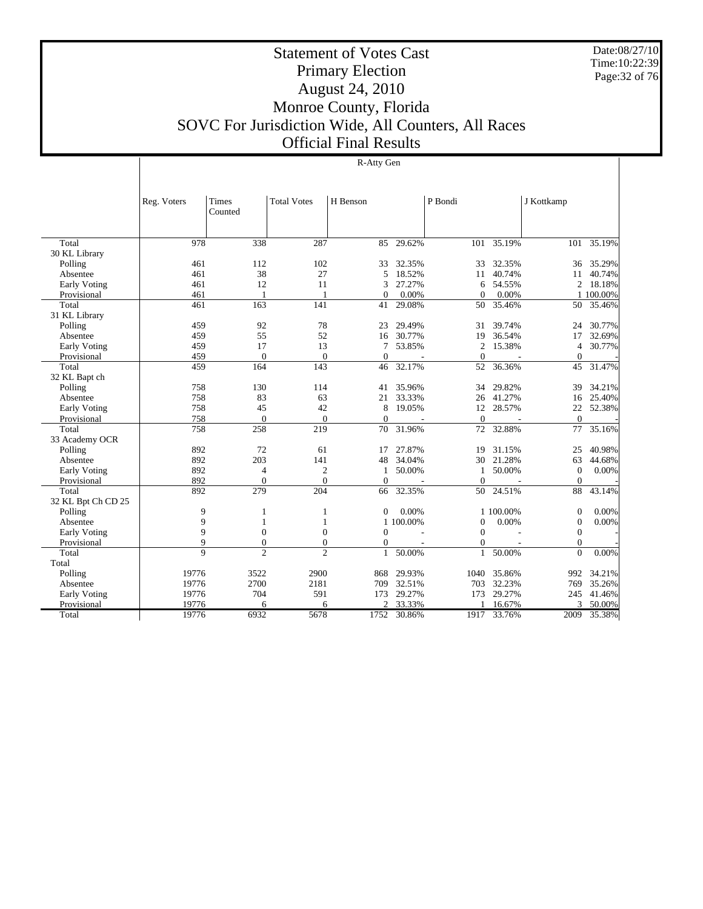Date:08/27/10 Time:10:22:39 Page:32 of 76

## Statement of Votes Cast Primary Election August 24, 2010 Monroe County, Florida SOVC For Jurisdiction Wide, All Counters, All Races Official Final Results

|                     | Reg. Voters    | Times          | <b>Total Votes</b> | H Benson       |           | P Bondi        |             | J Kottkamp       |           |
|---------------------|----------------|----------------|--------------------|----------------|-----------|----------------|-------------|------------------|-----------|
|                     |                | Counted        |                    |                |           |                |             |                  |           |
|                     |                |                |                    |                |           |                |             |                  |           |
| Total               | 978            | 338            | 287                | 85             | 29.62%    | 101            | 35.19%      | 101              | 35.19%    |
| 30 KL Library       |                |                |                    |                |           |                |             |                  |           |
| Polling             | 461            | 112            | 102                | 33             | 32.35%    | 33             | 32.35%      | 36               | 35.29%    |
| Absentee            | 461            | 38             | 27                 | 5              | 18.52%    | 11             | 40.74%      | 11               | 40.74%    |
| <b>Early Voting</b> | 461            | 12             | 11                 | 3              | 27.27%    | 6              | 54.55%      | $\overline{c}$   | 18.18%    |
| Provisional         | 461            | 1              | $\mathbf{1}$       | $\Omega$       | 0.00%     | $\Omega$       | 0.00%       |                  | 1 100,00% |
| Total               | 461            | 163            | 141                | 41             | 29.08%    | 50             | 35.46%      | 50               | 35.46%    |
| 31 KL Library       |                |                |                    |                |           |                |             |                  |           |
| Polling             | 459            | 92             | 78                 | 23             | 29.49%    | 31             | 39.74%      | 24               | 30.77%    |
| Absentee            | 459            | 55             | 52                 | 16             | 30.77%    | 19             | 36.54%      | 17               | 32.69%    |
| Early Voting        | 459            | 17             | 13                 | 7              | 53.85%    | $\mathfrak{2}$ | 15.38%      | $\overline{4}$   | 30.77%    |
| Provisional         | 459            | $\Omega$       | $\mathbf{0}$       | $\theta$       |           | $\Omega$       |             | $\mathbf{0}$     |           |
| Total               | 459            | 164            | 143                | 46             | 32.17%    | 52             | 36.36%      | 45               | 31.47%    |
| 32 KL Bapt ch       |                |                |                    |                |           |                |             |                  |           |
| Polling             | 758            | 130            | 114                | 41             | 35.96%    | 34             | 29.82%      | 39               | 34.21%    |
| Absentee            | 758            | 83             | 63                 | 21             | 33.33%    | 26             | 41.27%      | 16               | 25.40%    |
| <b>Early Voting</b> | 758            | 45             | 42                 | 8              | 19.05%    | 12             | 28.57%      | 22               | 52.38%    |
| Provisional         | 758            | $\mathbf{0}$   | $\overline{0}$     | $\overline{0}$ |           | $\mathbf{0}$   |             | $\overline{0}$   |           |
| Total               | 758            | 258            | 219                | 70             | 31.96%    | 72             | 32.88%      | 77               | 35.16%    |
| 33 Academy OCR      |                |                |                    |                |           |                |             |                  |           |
| Polling             | 892            | 72             | 61                 | 17             | 27.87%    | 19             | 31.15%      | 25               | 40.98%    |
| Absentee            | 892            | 203            | 141                | 48             | 34.04%    | 30             | 21.28%      | 63               | 44.68%    |
| Early Voting        | 892            | 4              | $\mathfrak{2}$     | 1              | 50.00%    | 1              | 50.00%      | $\mathbf{0}$     | 0.00%     |
| Provisional         | 892            | $\Omega$       | $\Omega$           | $\Omega$       |           | $\Omega$       |             | $\mathbf{0}$     |           |
| Total               | 892            | 279            | 204                | 66             | 32.35%    | 50             | 24.51%      | 88               | 43.14%    |
| 32 KL Bpt Ch CD 25  |                |                |                    |                |           |                |             |                  |           |
| Polling             | 9              | 1              | $\mathbf{1}$       | $\Omega$       | 0.00%     |                | 1 100,00%   | $\mathbf{0}$     | 0.00%     |
| Absentee            | 9              | 1              | 1                  |                | 1 100.00% | $\Omega$       | 0.00%       | $\boldsymbol{0}$ | 0.00%     |
| Early Voting        | 9              | $\mathbf{0}$   | $\boldsymbol{0}$   | $\mathbf{0}$   |           | $\Omega$       |             | $\mathbf{0}$     |           |
| Provisional         | 9              | $\mathbf{0}$   | $\mathbf{0}$       | $\mathbf{0}$   |           | $\Omega$       |             | $\mathbf{0}$     |           |
| Total               | $\overline{Q}$ | $\overline{2}$ | $\overline{c}$     | $\mathbf{1}$   | 50.00%    | $\mathbf{1}$   | 50.00%      | $\Omega$         | 0.00%     |
| Total               |                |                |                    |                |           |                |             |                  |           |
| Polling             | 19776          | 3522           | 2900               | 868            | 29.93%    | 1040           | 35.86%      | 992              | 34.21%    |
| Absentee            | 19776          | 2700           | 2181               | 709            | 32.51%    | 703            | 32.23%      | 769              | 35.26%    |
| Early Voting        | 19776          | 704            | 591                | 173            | 29.27%    | 173            | 29.27%      | 245              | 41.46%    |
| Provisional         | 19776          | 6              | 6                  |                | 33.33%    |                | 16.67%      | 3                | 50.00%    |
| Total               | 19776          | 6932           | 5678               | 1752           | 30.86%    |                | 1917 33.76% | 2009             | 35.38%    |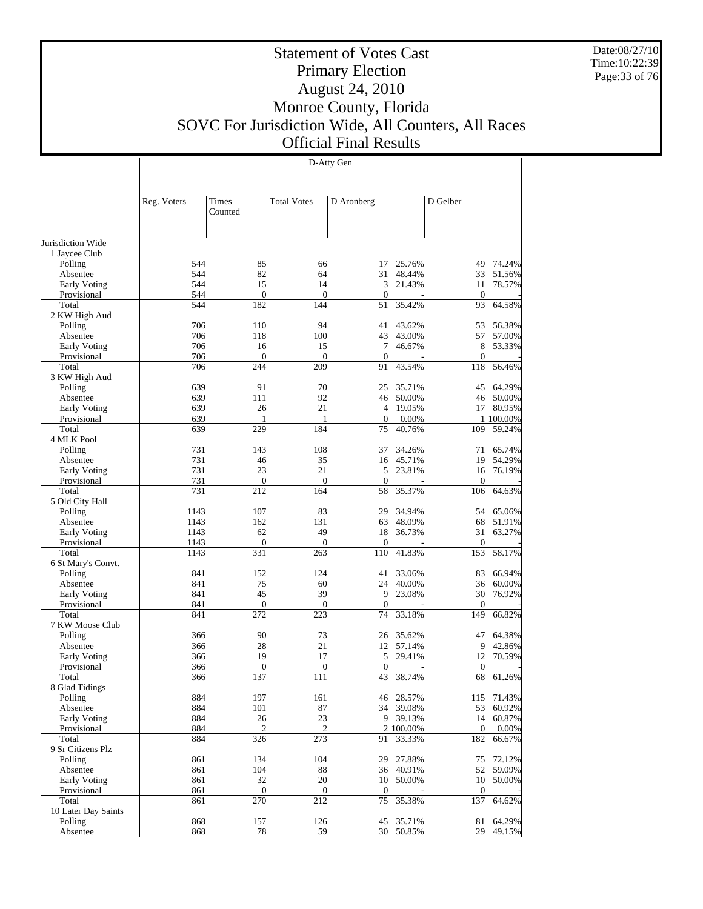Date:08/27/10 Time:10:22:39 Page:33 of 76

## Statement of Votes Cast Primary Election August 24, 2010 Monroe County, Florida SOVC For Jurisdiction Wide, All Counters, All Races Official Final Results

| D Gelber<br>Reg. Voters<br>Times<br><b>Total Votes</b><br>D Aronberg<br>Counted<br>Jurisdiction Wide<br>1 Jaycee Club<br>Polling<br>544<br>85<br>66<br>25.76%<br>74.24%<br>17<br>49<br>544<br>82<br>31<br>Absentee<br>64<br>48.44%<br>33<br>51.56%<br>Early Voting<br>544<br>15<br>14<br>3<br>21.43%<br>78.57%<br>11<br>Provisional<br>544<br>$\boldsymbol{0}$<br>$\boldsymbol{0}$<br>$\boldsymbol{0}$<br>$\mathbf{0}$<br>544<br>182<br>144<br>35.42%<br>93<br>64.58%<br>Total<br>51<br>2 KW High Aud<br>706<br>110<br>94<br>Polling<br>41<br>43.62%<br>53<br>706<br>57<br>118<br>100<br>43<br>43.00%<br>Absentee<br>$\tau$<br>Early Voting<br>706<br>16<br>15<br>46.67%<br>8<br>706<br>$\mathbf{0}$<br>$\mathbf{0}$<br>$\boldsymbol{0}$<br>$\boldsymbol{0}$<br>Provisional<br>Total<br>706<br>244<br>209<br>43.54%<br>118<br>56.46%<br>91<br>3 KW High Aud<br>91<br>70<br>64.29%<br>639<br>35.71%<br>45<br>Polling<br>25<br>92<br>639<br>111<br>46<br>50.00%<br>46<br>50.00%<br>Absentee<br>21<br>Early Voting<br>639<br>26<br>$\overline{4}$<br>19.05%<br>17<br>Provisional<br>639<br>$\overline{0}$<br>0.00%<br>1<br>1<br>1 100.00%<br>639<br>229<br>Total<br>184<br>75<br>40.76%<br>109<br>59.24%<br>4 MLK Pool<br>731<br>108<br>34.26%<br>143<br>37<br>71<br>65.74%<br>Polling<br>731<br>35<br>54.29%<br>46<br>16<br>45.71%<br>19<br>Absentee<br>731<br>23<br>21<br>Early Voting<br>5<br>23.81%<br>16<br>76.19%<br>731<br>$\boldsymbol{0}$<br>$\mathbf{0}$<br>Provisional<br>$\boldsymbol{0}$<br>$\boldsymbol{0}$<br>731<br>Total<br>212<br>35.37%<br>106<br>64.63%<br>164<br>58<br>5 Old City Hall<br>1143<br>107<br>83<br>29<br>34.94%<br>54<br>Polling<br>131<br>1143<br>162<br>63<br>48.09%<br>68<br>Absentee<br>49<br>Early Voting<br>1143<br>62<br>18<br>36.73%<br>31<br>63.27%<br>$\boldsymbol{0}$<br>Provisional<br>1143<br>$\mathbf{0}$<br>$\boldsymbol{0}$<br>$\mathbf{0}$<br>1143<br>331<br>263<br>110<br>41.83%<br>153<br>58.17%<br>Total<br>6 St Mary's Convt.<br>152<br>124<br>66.94%<br>Polling<br>841<br>33.06%<br>83<br>41<br>60<br>36<br>841<br>75<br>24<br>40.00%<br>Absentee<br>45<br>39<br>841<br>9<br>23.08%<br>30<br>Early Voting<br>$\boldsymbol{0}$<br>Provisional<br>841<br>$\boldsymbol{0}$<br>$\boldsymbol{0}$<br>$\boldsymbol{0}$<br>Total<br>841<br>272<br>223<br>33.18%<br>66.82%<br>74<br>149<br>7 KW Moose Club<br>Polling<br>366<br>90<br>73<br>35.62%<br>47<br>64.38%<br>26<br>28<br>21<br>366<br>12<br>57.14%<br>9<br>42.86%<br>Absentee<br>Early Voting<br>366<br>19<br>17<br>5<br>29.41%<br>12<br>70.59%<br>$\boldsymbol{0}$<br>$\boldsymbol{0}$<br>366<br>0<br>$\mathbf{0}$<br>Provisional<br>Total<br>366<br>137<br>111<br>43<br>38.74%<br>68<br>8 Glad Tidings<br>884<br>197<br>161<br>28.57%<br>71.43%<br>Polling<br>115<br>46<br>884<br>101<br>87<br>53<br>60.92%<br>Absentee<br>34 39.08% |  | D-Atty Gen |  |  |  |  |                 |  |  |  |
|--------------------------------------------------------------------------------------------------------------------------------------------------------------------------------------------------------------------------------------------------------------------------------------------------------------------------------------------------------------------------------------------------------------------------------------------------------------------------------------------------------------------------------------------------------------------------------------------------------------------------------------------------------------------------------------------------------------------------------------------------------------------------------------------------------------------------------------------------------------------------------------------------------------------------------------------------------------------------------------------------------------------------------------------------------------------------------------------------------------------------------------------------------------------------------------------------------------------------------------------------------------------------------------------------------------------------------------------------------------------------------------------------------------------------------------------------------------------------------------------------------------------------------------------------------------------------------------------------------------------------------------------------------------------------------------------------------------------------------------------------------------------------------------------------------------------------------------------------------------------------------------------------------------------------------------------------------------------------------------------------------------------------------------------------------------------------------------------------------------------------------------------------------------------------------------------------------------------------------------------------------------------------------------------------------------------------------------------------------------------------------------------------------------------------------------------------------------------------------------------------------------------------------------------------------------------------------------------------------------------------------------------------------------------------------------------------------------------------------------------------------------------------------------------------------------------------------------------|--|------------|--|--|--|--|-----------------|--|--|--|
|                                                                                                                                                                                                                                                                                                                                                                                                                                                                                                                                                                                                                                                                                                                                                                                                                                                                                                                                                                                                                                                                                                                                                                                                                                                                                                                                                                                                                                                                                                                                                                                                                                                                                                                                                                                                                                                                                                                                                                                                                                                                                                                                                                                                                                                                                                                                                                                                                                                                                                                                                                                                                                                                                                                                                                                                                                            |  |            |  |  |  |  |                 |  |  |  |
|                                                                                                                                                                                                                                                                                                                                                                                                                                                                                                                                                                                                                                                                                                                                                                                                                                                                                                                                                                                                                                                                                                                                                                                                                                                                                                                                                                                                                                                                                                                                                                                                                                                                                                                                                                                                                                                                                                                                                                                                                                                                                                                                                                                                                                                                                                                                                                                                                                                                                                                                                                                                                                                                                                                                                                                                                                            |  |            |  |  |  |  |                 |  |  |  |
|                                                                                                                                                                                                                                                                                                                                                                                                                                                                                                                                                                                                                                                                                                                                                                                                                                                                                                                                                                                                                                                                                                                                                                                                                                                                                                                                                                                                                                                                                                                                                                                                                                                                                                                                                                                                                                                                                                                                                                                                                                                                                                                                                                                                                                                                                                                                                                                                                                                                                                                                                                                                                                                                                                                                                                                                                                            |  |            |  |  |  |  |                 |  |  |  |
|                                                                                                                                                                                                                                                                                                                                                                                                                                                                                                                                                                                                                                                                                                                                                                                                                                                                                                                                                                                                                                                                                                                                                                                                                                                                                                                                                                                                                                                                                                                                                                                                                                                                                                                                                                                                                                                                                                                                                                                                                                                                                                                                                                                                                                                                                                                                                                                                                                                                                                                                                                                                                                                                                                                                                                                                                                            |  |            |  |  |  |  |                 |  |  |  |
|                                                                                                                                                                                                                                                                                                                                                                                                                                                                                                                                                                                                                                                                                                                                                                                                                                                                                                                                                                                                                                                                                                                                                                                                                                                                                                                                                                                                                                                                                                                                                                                                                                                                                                                                                                                                                                                                                                                                                                                                                                                                                                                                                                                                                                                                                                                                                                                                                                                                                                                                                                                                                                                                                                                                                                                                                                            |  |            |  |  |  |  |                 |  |  |  |
|                                                                                                                                                                                                                                                                                                                                                                                                                                                                                                                                                                                                                                                                                                                                                                                                                                                                                                                                                                                                                                                                                                                                                                                                                                                                                                                                                                                                                                                                                                                                                                                                                                                                                                                                                                                                                                                                                                                                                                                                                                                                                                                                                                                                                                                                                                                                                                                                                                                                                                                                                                                                                                                                                                                                                                                                                                            |  |            |  |  |  |  |                 |  |  |  |
|                                                                                                                                                                                                                                                                                                                                                                                                                                                                                                                                                                                                                                                                                                                                                                                                                                                                                                                                                                                                                                                                                                                                                                                                                                                                                                                                                                                                                                                                                                                                                                                                                                                                                                                                                                                                                                                                                                                                                                                                                                                                                                                                                                                                                                                                                                                                                                                                                                                                                                                                                                                                                                                                                                                                                                                                                                            |  |            |  |  |  |  |                 |  |  |  |
|                                                                                                                                                                                                                                                                                                                                                                                                                                                                                                                                                                                                                                                                                                                                                                                                                                                                                                                                                                                                                                                                                                                                                                                                                                                                                                                                                                                                                                                                                                                                                                                                                                                                                                                                                                                                                                                                                                                                                                                                                                                                                                                                                                                                                                                                                                                                                                                                                                                                                                                                                                                                                                                                                                                                                                                                                                            |  |            |  |  |  |  |                 |  |  |  |
|                                                                                                                                                                                                                                                                                                                                                                                                                                                                                                                                                                                                                                                                                                                                                                                                                                                                                                                                                                                                                                                                                                                                                                                                                                                                                                                                                                                                                                                                                                                                                                                                                                                                                                                                                                                                                                                                                                                                                                                                                                                                                                                                                                                                                                                                                                                                                                                                                                                                                                                                                                                                                                                                                                                                                                                                                                            |  |            |  |  |  |  |                 |  |  |  |
|                                                                                                                                                                                                                                                                                                                                                                                                                                                                                                                                                                                                                                                                                                                                                                                                                                                                                                                                                                                                                                                                                                                                                                                                                                                                                                                                                                                                                                                                                                                                                                                                                                                                                                                                                                                                                                                                                                                                                                                                                                                                                                                                                                                                                                                                                                                                                                                                                                                                                                                                                                                                                                                                                                                                                                                                                                            |  |            |  |  |  |  |                 |  |  |  |
|                                                                                                                                                                                                                                                                                                                                                                                                                                                                                                                                                                                                                                                                                                                                                                                                                                                                                                                                                                                                                                                                                                                                                                                                                                                                                                                                                                                                                                                                                                                                                                                                                                                                                                                                                                                                                                                                                                                                                                                                                                                                                                                                                                                                                                                                                                                                                                                                                                                                                                                                                                                                                                                                                                                                                                                                                                            |  |            |  |  |  |  |                 |  |  |  |
|                                                                                                                                                                                                                                                                                                                                                                                                                                                                                                                                                                                                                                                                                                                                                                                                                                                                                                                                                                                                                                                                                                                                                                                                                                                                                                                                                                                                                                                                                                                                                                                                                                                                                                                                                                                                                                                                                                                                                                                                                                                                                                                                                                                                                                                                                                                                                                                                                                                                                                                                                                                                                                                                                                                                                                                                                                            |  |            |  |  |  |  |                 |  |  |  |
|                                                                                                                                                                                                                                                                                                                                                                                                                                                                                                                                                                                                                                                                                                                                                                                                                                                                                                                                                                                                                                                                                                                                                                                                                                                                                                                                                                                                                                                                                                                                                                                                                                                                                                                                                                                                                                                                                                                                                                                                                                                                                                                                                                                                                                                                                                                                                                                                                                                                                                                                                                                                                                                                                                                                                                                                                                            |  |            |  |  |  |  | 56.38%          |  |  |  |
|                                                                                                                                                                                                                                                                                                                                                                                                                                                                                                                                                                                                                                                                                                                                                                                                                                                                                                                                                                                                                                                                                                                                                                                                                                                                                                                                                                                                                                                                                                                                                                                                                                                                                                                                                                                                                                                                                                                                                                                                                                                                                                                                                                                                                                                                                                                                                                                                                                                                                                                                                                                                                                                                                                                                                                                                                                            |  |            |  |  |  |  | 57.00%          |  |  |  |
|                                                                                                                                                                                                                                                                                                                                                                                                                                                                                                                                                                                                                                                                                                                                                                                                                                                                                                                                                                                                                                                                                                                                                                                                                                                                                                                                                                                                                                                                                                                                                                                                                                                                                                                                                                                                                                                                                                                                                                                                                                                                                                                                                                                                                                                                                                                                                                                                                                                                                                                                                                                                                                                                                                                                                                                                                                            |  |            |  |  |  |  | 53.33%          |  |  |  |
|                                                                                                                                                                                                                                                                                                                                                                                                                                                                                                                                                                                                                                                                                                                                                                                                                                                                                                                                                                                                                                                                                                                                                                                                                                                                                                                                                                                                                                                                                                                                                                                                                                                                                                                                                                                                                                                                                                                                                                                                                                                                                                                                                                                                                                                                                                                                                                                                                                                                                                                                                                                                                                                                                                                                                                                                                                            |  |            |  |  |  |  |                 |  |  |  |
|                                                                                                                                                                                                                                                                                                                                                                                                                                                                                                                                                                                                                                                                                                                                                                                                                                                                                                                                                                                                                                                                                                                                                                                                                                                                                                                                                                                                                                                                                                                                                                                                                                                                                                                                                                                                                                                                                                                                                                                                                                                                                                                                                                                                                                                                                                                                                                                                                                                                                                                                                                                                                                                                                                                                                                                                                                            |  |            |  |  |  |  |                 |  |  |  |
|                                                                                                                                                                                                                                                                                                                                                                                                                                                                                                                                                                                                                                                                                                                                                                                                                                                                                                                                                                                                                                                                                                                                                                                                                                                                                                                                                                                                                                                                                                                                                                                                                                                                                                                                                                                                                                                                                                                                                                                                                                                                                                                                                                                                                                                                                                                                                                                                                                                                                                                                                                                                                                                                                                                                                                                                                                            |  |            |  |  |  |  |                 |  |  |  |
|                                                                                                                                                                                                                                                                                                                                                                                                                                                                                                                                                                                                                                                                                                                                                                                                                                                                                                                                                                                                                                                                                                                                                                                                                                                                                                                                                                                                                                                                                                                                                                                                                                                                                                                                                                                                                                                                                                                                                                                                                                                                                                                                                                                                                                                                                                                                                                                                                                                                                                                                                                                                                                                                                                                                                                                                                                            |  |            |  |  |  |  |                 |  |  |  |
|                                                                                                                                                                                                                                                                                                                                                                                                                                                                                                                                                                                                                                                                                                                                                                                                                                                                                                                                                                                                                                                                                                                                                                                                                                                                                                                                                                                                                                                                                                                                                                                                                                                                                                                                                                                                                                                                                                                                                                                                                                                                                                                                                                                                                                                                                                                                                                                                                                                                                                                                                                                                                                                                                                                                                                                                                                            |  |            |  |  |  |  | 80.95%          |  |  |  |
|                                                                                                                                                                                                                                                                                                                                                                                                                                                                                                                                                                                                                                                                                                                                                                                                                                                                                                                                                                                                                                                                                                                                                                                                                                                                                                                                                                                                                                                                                                                                                                                                                                                                                                                                                                                                                                                                                                                                                                                                                                                                                                                                                                                                                                                                                                                                                                                                                                                                                                                                                                                                                                                                                                                                                                                                                                            |  |            |  |  |  |  |                 |  |  |  |
|                                                                                                                                                                                                                                                                                                                                                                                                                                                                                                                                                                                                                                                                                                                                                                                                                                                                                                                                                                                                                                                                                                                                                                                                                                                                                                                                                                                                                                                                                                                                                                                                                                                                                                                                                                                                                                                                                                                                                                                                                                                                                                                                                                                                                                                                                                                                                                                                                                                                                                                                                                                                                                                                                                                                                                                                                                            |  |            |  |  |  |  |                 |  |  |  |
|                                                                                                                                                                                                                                                                                                                                                                                                                                                                                                                                                                                                                                                                                                                                                                                                                                                                                                                                                                                                                                                                                                                                                                                                                                                                                                                                                                                                                                                                                                                                                                                                                                                                                                                                                                                                                                                                                                                                                                                                                                                                                                                                                                                                                                                                                                                                                                                                                                                                                                                                                                                                                                                                                                                                                                                                                                            |  |            |  |  |  |  |                 |  |  |  |
|                                                                                                                                                                                                                                                                                                                                                                                                                                                                                                                                                                                                                                                                                                                                                                                                                                                                                                                                                                                                                                                                                                                                                                                                                                                                                                                                                                                                                                                                                                                                                                                                                                                                                                                                                                                                                                                                                                                                                                                                                                                                                                                                                                                                                                                                                                                                                                                                                                                                                                                                                                                                                                                                                                                                                                                                                                            |  |            |  |  |  |  |                 |  |  |  |
|                                                                                                                                                                                                                                                                                                                                                                                                                                                                                                                                                                                                                                                                                                                                                                                                                                                                                                                                                                                                                                                                                                                                                                                                                                                                                                                                                                                                                                                                                                                                                                                                                                                                                                                                                                                                                                                                                                                                                                                                                                                                                                                                                                                                                                                                                                                                                                                                                                                                                                                                                                                                                                                                                                                                                                                                                                            |  |            |  |  |  |  |                 |  |  |  |
|                                                                                                                                                                                                                                                                                                                                                                                                                                                                                                                                                                                                                                                                                                                                                                                                                                                                                                                                                                                                                                                                                                                                                                                                                                                                                                                                                                                                                                                                                                                                                                                                                                                                                                                                                                                                                                                                                                                                                                                                                                                                                                                                                                                                                                                                                                                                                                                                                                                                                                                                                                                                                                                                                                                                                                                                                                            |  |            |  |  |  |  |                 |  |  |  |
|                                                                                                                                                                                                                                                                                                                                                                                                                                                                                                                                                                                                                                                                                                                                                                                                                                                                                                                                                                                                                                                                                                                                                                                                                                                                                                                                                                                                                                                                                                                                                                                                                                                                                                                                                                                                                                                                                                                                                                                                                                                                                                                                                                                                                                                                                                                                                                                                                                                                                                                                                                                                                                                                                                                                                                                                                                            |  |            |  |  |  |  |                 |  |  |  |
|                                                                                                                                                                                                                                                                                                                                                                                                                                                                                                                                                                                                                                                                                                                                                                                                                                                                                                                                                                                                                                                                                                                                                                                                                                                                                                                                                                                                                                                                                                                                                                                                                                                                                                                                                                                                                                                                                                                                                                                                                                                                                                                                                                                                                                                                                                                                                                                                                                                                                                                                                                                                                                                                                                                                                                                                                                            |  |            |  |  |  |  |                 |  |  |  |
|                                                                                                                                                                                                                                                                                                                                                                                                                                                                                                                                                                                                                                                                                                                                                                                                                                                                                                                                                                                                                                                                                                                                                                                                                                                                                                                                                                                                                                                                                                                                                                                                                                                                                                                                                                                                                                                                                                                                                                                                                                                                                                                                                                                                                                                                                                                                                                                                                                                                                                                                                                                                                                                                                                                                                                                                                                            |  |            |  |  |  |  | 65.06%          |  |  |  |
|                                                                                                                                                                                                                                                                                                                                                                                                                                                                                                                                                                                                                                                                                                                                                                                                                                                                                                                                                                                                                                                                                                                                                                                                                                                                                                                                                                                                                                                                                                                                                                                                                                                                                                                                                                                                                                                                                                                                                                                                                                                                                                                                                                                                                                                                                                                                                                                                                                                                                                                                                                                                                                                                                                                                                                                                                                            |  |            |  |  |  |  | 51.91%          |  |  |  |
|                                                                                                                                                                                                                                                                                                                                                                                                                                                                                                                                                                                                                                                                                                                                                                                                                                                                                                                                                                                                                                                                                                                                                                                                                                                                                                                                                                                                                                                                                                                                                                                                                                                                                                                                                                                                                                                                                                                                                                                                                                                                                                                                                                                                                                                                                                                                                                                                                                                                                                                                                                                                                                                                                                                                                                                                                                            |  |            |  |  |  |  |                 |  |  |  |
|                                                                                                                                                                                                                                                                                                                                                                                                                                                                                                                                                                                                                                                                                                                                                                                                                                                                                                                                                                                                                                                                                                                                                                                                                                                                                                                                                                                                                                                                                                                                                                                                                                                                                                                                                                                                                                                                                                                                                                                                                                                                                                                                                                                                                                                                                                                                                                                                                                                                                                                                                                                                                                                                                                                                                                                                                                            |  |            |  |  |  |  |                 |  |  |  |
|                                                                                                                                                                                                                                                                                                                                                                                                                                                                                                                                                                                                                                                                                                                                                                                                                                                                                                                                                                                                                                                                                                                                                                                                                                                                                                                                                                                                                                                                                                                                                                                                                                                                                                                                                                                                                                                                                                                                                                                                                                                                                                                                                                                                                                                                                                                                                                                                                                                                                                                                                                                                                                                                                                                                                                                                                                            |  |            |  |  |  |  |                 |  |  |  |
|                                                                                                                                                                                                                                                                                                                                                                                                                                                                                                                                                                                                                                                                                                                                                                                                                                                                                                                                                                                                                                                                                                                                                                                                                                                                                                                                                                                                                                                                                                                                                                                                                                                                                                                                                                                                                                                                                                                                                                                                                                                                                                                                                                                                                                                                                                                                                                                                                                                                                                                                                                                                                                                                                                                                                                                                                                            |  |            |  |  |  |  |                 |  |  |  |
|                                                                                                                                                                                                                                                                                                                                                                                                                                                                                                                                                                                                                                                                                                                                                                                                                                                                                                                                                                                                                                                                                                                                                                                                                                                                                                                                                                                                                                                                                                                                                                                                                                                                                                                                                                                                                                                                                                                                                                                                                                                                                                                                                                                                                                                                                                                                                                                                                                                                                                                                                                                                                                                                                                                                                                                                                                            |  |            |  |  |  |  | 60.00%          |  |  |  |
|                                                                                                                                                                                                                                                                                                                                                                                                                                                                                                                                                                                                                                                                                                                                                                                                                                                                                                                                                                                                                                                                                                                                                                                                                                                                                                                                                                                                                                                                                                                                                                                                                                                                                                                                                                                                                                                                                                                                                                                                                                                                                                                                                                                                                                                                                                                                                                                                                                                                                                                                                                                                                                                                                                                                                                                                                                            |  |            |  |  |  |  | 76.92%          |  |  |  |
|                                                                                                                                                                                                                                                                                                                                                                                                                                                                                                                                                                                                                                                                                                                                                                                                                                                                                                                                                                                                                                                                                                                                                                                                                                                                                                                                                                                                                                                                                                                                                                                                                                                                                                                                                                                                                                                                                                                                                                                                                                                                                                                                                                                                                                                                                                                                                                                                                                                                                                                                                                                                                                                                                                                                                                                                                                            |  |            |  |  |  |  |                 |  |  |  |
|                                                                                                                                                                                                                                                                                                                                                                                                                                                                                                                                                                                                                                                                                                                                                                                                                                                                                                                                                                                                                                                                                                                                                                                                                                                                                                                                                                                                                                                                                                                                                                                                                                                                                                                                                                                                                                                                                                                                                                                                                                                                                                                                                                                                                                                                                                                                                                                                                                                                                                                                                                                                                                                                                                                                                                                                                                            |  |            |  |  |  |  |                 |  |  |  |
|                                                                                                                                                                                                                                                                                                                                                                                                                                                                                                                                                                                                                                                                                                                                                                                                                                                                                                                                                                                                                                                                                                                                                                                                                                                                                                                                                                                                                                                                                                                                                                                                                                                                                                                                                                                                                                                                                                                                                                                                                                                                                                                                                                                                                                                                                                                                                                                                                                                                                                                                                                                                                                                                                                                                                                                                                                            |  |            |  |  |  |  |                 |  |  |  |
|                                                                                                                                                                                                                                                                                                                                                                                                                                                                                                                                                                                                                                                                                                                                                                                                                                                                                                                                                                                                                                                                                                                                                                                                                                                                                                                                                                                                                                                                                                                                                                                                                                                                                                                                                                                                                                                                                                                                                                                                                                                                                                                                                                                                                                                                                                                                                                                                                                                                                                                                                                                                                                                                                                                                                                                                                                            |  |            |  |  |  |  |                 |  |  |  |
|                                                                                                                                                                                                                                                                                                                                                                                                                                                                                                                                                                                                                                                                                                                                                                                                                                                                                                                                                                                                                                                                                                                                                                                                                                                                                                                                                                                                                                                                                                                                                                                                                                                                                                                                                                                                                                                                                                                                                                                                                                                                                                                                                                                                                                                                                                                                                                                                                                                                                                                                                                                                                                                                                                                                                                                                                                            |  |            |  |  |  |  |                 |  |  |  |
|                                                                                                                                                                                                                                                                                                                                                                                                                                                                                                                                                                                                                                                                                                                                                                                                                                                                                                                                                                                                                                                                                                                                                                                                                                                                                                                                                                                                                                                                                                                                                                                                                                                                                                                                                                                                                                                                                                                                                                                                                                                                                                                                                                                                                                                                                                                                                                                                                                                                                                                                                                                                                                                                                                                                                                                                                                            |  |            |  |  |  |  |                 |  |  |  |
|                                                                                                                                                                                                                                                                                                                                                                                                                                                                                                                                                                                                                                                                                                                                                                                                                                                                                                                                                                                                                                                                                                                                                                                                                                                                                                                                                                                                                                                                                                                                                                                                                                                                                                                                                                                                                                                                                                                                                                                                                                                                                                                                                                                                                                                                                                                                                                                                                                                                                                                                                                                                                                                                                                                                                                                                                                            |  |            |  |  |  |  | 61.26%          |  |  |  |
|                                                                                                                                                                                                                                                                                                                                                                                                                                                                                                                                                                                                                                                                                                                                                                                                                                                                                                                                                                                                                                                                                                                                                                                                                                                                                                                                                                                                                                                                                                                                                                                                                                                                                                                                                                                                                                                                                                                                                                                                                                                                                                                                                                                                                                                                                                                                                                                                                                                                                                                                                                                                                                                                                                                                                                                                                                            |  |            |  |  |  |  |                 |  |  |  |
|                                                                                                                                                                                                                                                                                                                                                                                                                                                                                                                                                                                                                                                                                                                                                                                                                                                                                                                                                                                                                                                                                                                                                                                                                                                                                                                                                                                                                                                                                                                                                                                                                                                                                                                                                                                                                                                                                                                                                                                                                                                                                                                                                                                                                                                                                                                                                                                                                                                                                                                                                                                                                                                                                                                                                                                                                                            |  |            |  |  |  |  |                 |  |  |  |
|                                                                                                                                                                                                                                                                                                                                                                                                                                                                                                                                                                                                                                                                                                                                                                                                                                                                                                                                                                                                                                                                                                                                                                                                                                                                                                                                                                                                                                                                                                                                                                                                                                                                                                                                                                                                                                                                                                                                                                                                                                                                                                                                                                                                                                                                                                                                                                                                                                                                                                                                                                                                                                                                                                                                                                                                                                            |  |            |  |  |  |  |                 |  |  |  |
| $23\,$<br>884<br>Early Voting<br>26<br>9<br>39.13%<br>14<br>884<br>$\mathfrak{2}$<br>$\mathbf{0}$<br>Provisional<br>2<br>2 100.00%                                                                                                                                                                                                                                                                                                                                                                                                                                                                                                                                                                                                                                                                                                                                                                                                                                                                                                                                                                                                                                                                                                                                                                                                                                                                                                                                                                                                                                                                                                                                                                                                                                                                                                                                                                                                                                                                                                                                                                                                                                                                                                                                                                                                                                                                                                                                                                                                                                                                                                                                                                                                                                                                                                         |  |            |  |  |  |  | 60.87%<br>0.00% |  |  |  |
| 273<br>Total<br>884<br>326<br>33.33%<br>182<br>91                                                                                                                                                                                                                                                                                                                                                                                                                                                                                                                                                                                                                                                                                                                                                                                                                                                                                                                                                                                                                                                                                                                                                                                                                                                                                                                                                                                                                                                                                                                                                                                                                                                                                                                                                                                                                                                                                                                                                                                                                                                                                                                                                                                                                                                                                                                                                                                                                                                                                                                                                                                                                                                                                                                                                                                          |  |            |  |  |  |  | 66.67%          |  |  |  |
| 9 Sr Citizens Plz                                                                                                                                                                                                                                                                                                                                                                                                                                                                                                                                                                                                                                                                                                                                                                                                                                                                                                                                                                                                                                                                                                                                                                                                                                                                                                                                                                                                                                                                                                                                                                                                                                                                                                                                                                                                                                                                                                                                                                                                                                                                                                                                                                                                                                                                                                                                                                                                                                                                                                                                                                                                                                                                                                                                                                                                                          |  |            |  |  |  |  |                 |  |  |  |
| 861<br>104<br>27.88%<br>Polling<br>134<br>29<br>75                                                                                                                                                                                                                                                                                                                                                                                                                                                                                                                                                                                                                                                                                                                                                                                                                                                                                                                                                                                                                                                                                                                                                                                                                                                                                                                                                                                                                                                                                                                                                                                                                                                                                                                                                                                                                                                                                                                                                                                                                                                                                                                                                                                                                                                                                                                                                                                                                                                                                                                                                                                                                                                                                                                                                                                         |  |            |  |  |  |  | 72.12%          |  |  |  |
| 861<br>104<br>88<br>Absentee<br>36 40.91%<br>52                                                                                                                                                                                                                                                                                                                                                                                                                                                                                                                                                                                                                                                                                                                                                                                                                                                                                                                                                                                                                                                                                                                                                                                                                                                                                                                                                                                                                                                                                                                                                                                                                                                                                                                                                                                                                                                                                                                                                                                                                                                                                                                                                                                                                                                                                                                                                                                                                                                                                                                                                                                                                                                                                                                                                                                            |  |            |  |  |  |  | 59.09%          |  |  |  |
| 32<br>20<br>Early Voting<br>861<br>50.00%<br>10<br>10                                                                                                                                                                                                                                                                                                                                                                                                                                                                                                                                                                                                                                                                                                                                                                                                                                                                                                                                                                                                                                                                                                                                                                                                                                                                                                                                                                                                                                                                                                                                                                                                                                                                                                                                                                                                                                                                                                                                                                                                                                                                                                                                                                                                                                                                                                                                                                                                                                                                                                                                                                                                                                                                                                                                                                                      |  |            |  |  |  |  | 50.00%          |  |  |  |
| 861<br>$\boldsymbol{0}$<br>Provisional<br>$\boldsymbol{0}$<br>$\boldsymbol{0}$<br>$\mathbf{0}$                                                                                                                                                                                                                                                                                                                                                                                                                                                                                                                                                                                                                                                                                                                                                                                                                                                                                                                                                                                                                                                                                                                                                                                                                                                                                                                                                                                                                                                                                                                                                                                                                                                                                                                                                                                                                                                                                                                                                                                                                                                                                                                                                                                                                                                                                                                                                                                                                                                                                                                                                                                                                                                                                                                                             |  |            |  |  |  |  |                 |  |  |  |
| 212<br>270<br>35.38%<br>Total<br>861<br>75<br>137<br>10 Later Day Saints                                                                                                                                                                                                                                                                                                                                                                                                                                                                                                                                                                                                                                                                                                                                                                                                                                                                                                                                                                                                                                                                                                                                                                                                                                                                                                                                                                                                                                                                                                                                                                                                                                                                                                                                                                                                                                                                                                                                                                                                                                                                                                                                                                                                                                                                                                                                                                                                                                                                                                                                                                                                                                                                                                                                                                   |  |            |  |  |  |  | 64.62%          |  |  |  |
| 868<br>Polling<br>157<br>126<br>35.71%<br>45<br>81                                                                                                                                                                                                                                                                                                                                                                                                                                                                                                                                                                                                                                                                                                                                                                                                                                                                                                                                                                                                                                                                                                                                                                                                                                                                                                                                                                                                                                                                                                                                                                                                                                                                                                                                                                                                                                                                                                                                                                                                                                                                                                                                                                                                                                                                                                                                                                                                                                                                                                                                                                                                                                                                                                                                                                                         |  |            |  |  |  |  | 64.29%          |  |  |  |
| Absentee<br>78<br>59<br>30<br>29<br>868<br>50.85%                                                                                                                                                                                                                                                                                                                                                                                                                                                                                                                                                                                                                                                                                                                                                                                                                                                                                                                                                                                                                                                                                                                                                                                                                                                                                                                                                                                                                                                                                                                                                                                                                                                                                                                                                                                                                                                                                                                                                                                                                                                                                                                                                                                                                                                                                                                                                                                                                                                                                                                                                                                                                                                                                                                                                                                          |  |            |  |  |  |  | 49.15%          |  |  |  |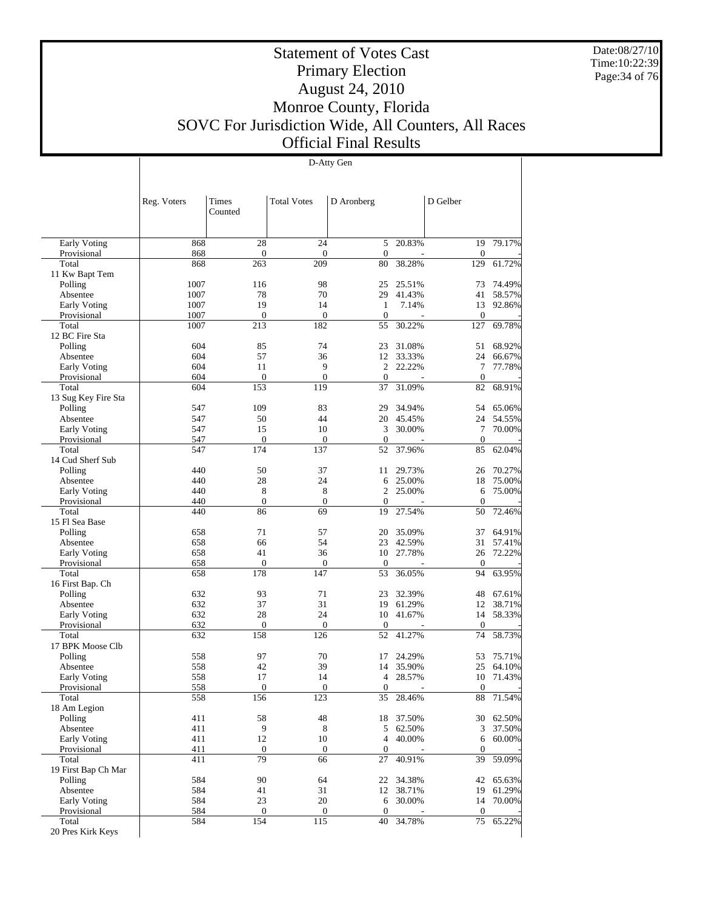Date:08/27/10 Time:10:22:39 Page:34 of 76

Τ

## Statement of Votes Cast Primary Election August 24, 2010 Monroe County, Florida SOVC For Jurisdiction Wide, All Counters, All Races Official Final Results

D-Atty Gen

|                              | Reg. Voters  | Times<br>Counted       | <b>Total Votes</b>     | D Aronberg         |                  | D Gelber         |                  |
|------------------------------|--------------|------------------------|------------------------|--------------------|------------------|------------------|------------------|
| Early Voting                 | 868          | 28                     | 24                     | 5                  | 20.83%           | 19               | 79.17%           |
| Provisional                  | 868          | $\mathbf{0}$           | $\mathbf{0}$           | $\theta$           |                  | $\boldsymbol{0}$ |                  |
| Total                        | 868          | 263                    | 209                    | 80                 | 38.28%           | 129              | 61.72%           |
| 11 Kw Bapt Tem               |              |                        |                        |                    |                  |                  |                  |
| Polling<br>Absentee          | 1007<br>1007 | 116<br>78              | 98<br>70               | 25<br>29           | 25.51%<br>41.43% | 73<br>41         | 74.49%<br>58.57% |
| Early Voting                 | 1007         | 19                     | 14                     | $\mathbf{1}$       | 7.14%            | 13               | 92.86%           |
| Provisional                  | 1007         | $\mathbf{0}$           | $\mathbf{0}$           | $\theta$           |                  | $\boldsymbol{0}$ |                  |
| Total                        | 1007         | 213                    | 182                    | 55                 | 30.22%           | 127              | 69.78%           |
| 12 BC Fire Sta               |              |                        |                        |                    |                  |                  |                  |
| Polling                      | 604          | 85                     | 74                     | 23                 | 31.08%           | 51               | 68.92%           |
| Absentee                     | 604          | 57                     | 36                     | 12                 | 33.33%           | 24               | 66.67%           |
| Early Voting                 | 604          | 11                     | 9                      | 2                  | 22.22%           | 7                | 77.78%           |
| Provisional                  | 604          | $\mathbf{0}$<br>153    | $\mathbf{0}$<br>119    | $\mathbf{0}$       | 31.09%           | $\boldsymbol{0}$ | 68.91%           |
| Total<br>13 Sug Key Fire Sta | 604          |                        |                        | 37                 |                  | 82               |                  |
| Polling                      | 547          | 109                    | 83                     | 29                 | 34.94%           | 54               | 65.06%           |
| Absentee                     | 547          | 50                     | 44                     | 20                 | 45.45%           | 24               | 54.55%           |
| Early Voting                 | 547          | 15                     | 10                     | 3                  | 30.00%           | 7                | 70.00%           |
| Provisional                  | 547          | $\mathbf{0}$           | $\boldsymbol{0}$       | $\theta$           |                  | $\boldsymbol{0}$ |                  |
| Total                        | 547          | 174                    | 137                    | 52                 | 37.96%           | 85               | 62.04%           |
| 14 Cud Sherf Sub             |              |                        |                        |                    |                  |                  |                  |
| Polling                      | 440          | 50                     | 37                     | 11                 | 29.73%           | 26               | 70.27%           |
| Absentee                     | 440          | 28                     | 24                     | 6                  | 25.00%           | 18               | 75.00%           |
| Early Voting                 | 440          | 8                      | 8                      | 2                  | 25.00%           | 6                | 75.00%           |
| Provisional<br>Total         | 440<br>440   | $\boldsymbol{0}$<br>86 | $\boldsymbol{0}$<br>69 | $\mathbf{0}$<br>19 | 27.54%           | $\theta$<br>50   | 72.46%           |
| 15 Fl Sea Base               |              |                        |                        |                    |                  |                  |                  |
| Polling                      | 658          | 71                     | 57                     | 20                 | 35.09%           | 37               | 64.91%           |
| Absentee                     | 658          | 66                     | 54                     | 23                 | 42.59%           | 31               | 57.41%           |
| Early Voting                 | 658          | 41                     | 36                     | 10                 | 27.78%           | 26               | 72.22%           |
| Provisional                  | 658          | $\mathbf{0}$           | $\boldsymbol{0}$       | $\theta$           |                  | $\mathbf{0}$     |                  |
| Total                        | 658          | 178                    | 147                    | 53                 | 36.05%           | 94               | 63.95%           |
| 16 First Bap. Ch             |              |                        |                        |                    |                  |                  |                  |
| Polling                      | 632          | 93                     | 71                     | 23                 | 32.39%           | 48               | 67.61%           |
| Absentee                     | 632<br>632   | 37<br>28               | 31<br>24               | 19<br>10           | 61.29%<br>41.67% | 12<br>14         | 38.71%<br>58.33% |
| Early Voting<br>Provisional  | 632          | $\mathbf{0}$           | $\mathbf{0}$           | $\theta$           |                  | $\boldsymbol{0}$ |                  |
| Total                        | 632          | 158                    | 126                    | 52                 | 41.27%           | 74               | 58.73%           |
| 17 BPK Moose Clb             |              |                        |                        |                    |                  |                  |                  |
| Polling                      | 558          | 97                     | 70                     | 17                 | 24.29%           | 53               | 75.71%           |
| Absentee                     | 558          | 42                     | 39                     | 14                 | 35.90%           | 25               | 64.10%           |
| Early Voting                 | 558          | 17                     | 14                     | 4                  | 28.57%           | 10               | 71.43%           |
| Provisional                  | <u>558</u>   | $\overline{0}$         | 0                      | 0                  |                  | 0                |                  |
| Total                        | 558          | 156                    | 123                    | 35                 | 28.46%           | 88               | 71.54%           |
| 18 Am Legion                 |              |                        |                        |                    |                  |                  | 62.50%           |
| Polling<br>Absentee          | 411<br>411   | 58<br>9                | 48<br>$\,8\,$          | 18<br>5            | 37.50%<br>62.50% | 30<br>3          | 37.50%           |
| Early Voting                 | 411          | 12                     | 10                     | 4                  | 40.00%           | 6                | 60.00%           |
| Provisional                  | 411          | $\boldsymbol{0}$       | $\boldsymbol{0}$       | $\boldsymbol{0}$   |                  | $\mathbf{0}$     |                  |
| Total                        | 411          | 79                     | 66                     | 27                 | 40.91%           | 39               | 59.09%           |
| 19 First Bap Ch Mar          |              |                        |                        |                    |                  |                  |                  |
| Polling                      | 584          | 90                     | 64                     |                    | 22 34.38%        | 42               | 65.63%           |
| Absentee                     | 584          | 41                     | 31                     | 12                 | 38.71%           | 19               | 61.29%           |
| Early Voting                 | 584          | 23                     | 20                     | 6                  | 30.00%           | 14               | 70.00%           |
| Provisional                  | 584          | $\boldsymbol{0}$       | $\boldsymbol{0}$       | $\boldsymbol{0}$   |                  | $\boldsymbol{0}$ | 65.22%           |
| Total<br>20 Pres Kirk Keys   | 584          | 154                    | 115                    | 40                 | 34.78%           | $75\,$           |                  |
|                              |              |                        |                        |                    |                  |                  |                  |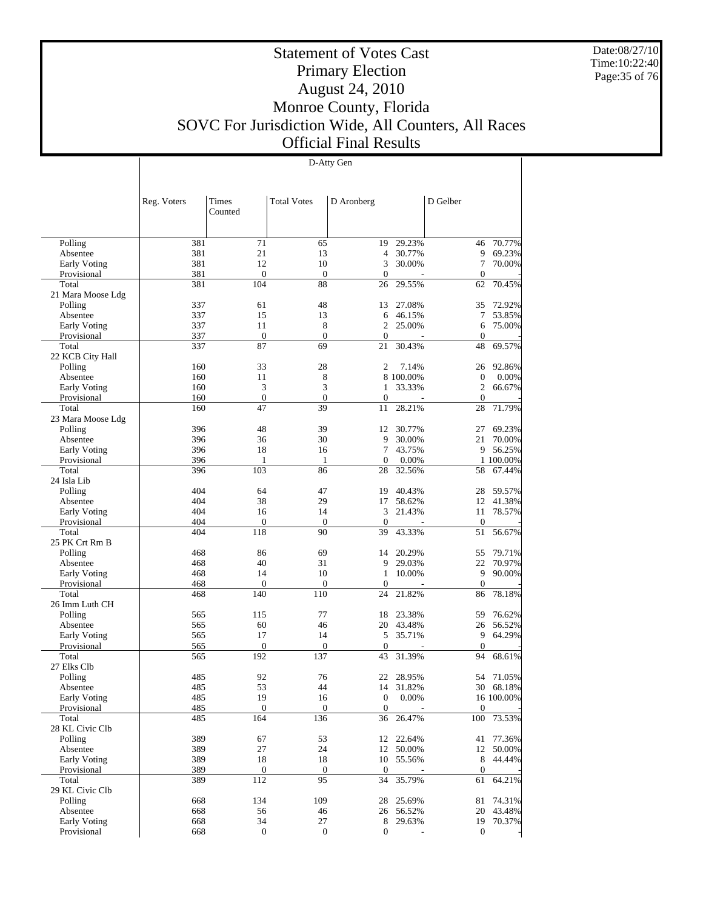Date:08/27/10 Time:10:22:40 Page:35 of 76

#### Statement of Votes Cast Primary Election August 24, 2010 Monroe County, Florida SOVC For Jurisdiction Wide, All Counters, All Races Official Final Results

D-Atty Gen

 Polling Absentee Early Voting Provisional Total 21 Mara Moose Ldg Polling Absentee Early Voting Provisional Total 22 KCB City Hall Polling Absentee Early Voting Provisional Total 23 Mara Moose Ldg Polling Absentee Early Voting Provisional Total 24 Isla Lib Polling Absentee Early Voting Provisional Total 25 PK Crt Rm B Polling Absentee Early Voting Provisional Total 26 Imm Luth CH Polling Absentee Early Voting Provisional Total 27 Elks Clb Polling Absentee Early Voting Provisional Total 28 KL Civic Clb Polling Absentee Early Voting Provisional Total 29 KL Civic Clb Polling Absentee Early Voting Provisional Reg. Voters | Times Counted Total Votes | D Aronberg | D Gelber 381 71 65 19 29.23% 46 70.77% 381 21 13 4 30.77% 9 69.23% 381 12 10 3 30.00% 7 70.00% 381 0 0 0 - 0 -381 104 88 26 29.55% 62 70.45% 337 61 48 13 27.08% 35 72.92%<br>337 15 13 6 46.15% 7 53.85% 337 15 13 6 46.15% 7 53.85% 337 11 8 2 25.00% 6 75.00% 337 0 0 0 0 0 0 0 337 87 69 21 30.43% 48 69.57% 160 33 28 2 7.14% 26 92.86%<br>160 11 8 8 100.00% 0 0.00% 160 11 8 8 100.00% 0 0.00%<br>160 3 3 1 33.33% 2 66.67% 160 3 3 1 33.33% 2 66.67% 160 0 0 0 - 0 -160 47 39 11 28.21% 28 71.79% 396 18 39 12 30.77% 27 69.23% 396 36 30 30 3000 36 30 3000 31 320 321 32000 36 30 3000 31 32000 31 32000 31 320 396 36 30 9 30.00% 21 70.00% 396 18 16 7 43.75% 9 56.25%<br>396 1 1 0 0.00% 1 100.00% 396 1 1 1 0 0.00% 1 100.00%<br>396 103 86 28 32.56% 58 67.44% 58 67.44% 404 64 47 19 40.43% 28 59.57%<br>404 38 29 17 58.62% 12 41.38% 404 38 29 17 58.62% 12 41.38% 404 16 14 3 21.43% 11 78.57% 404 0 0 0 - 0 - 404 118 90 39 43.33% 51 56.67% 468 86 69 14 20.29% 55 79.71% 468 40 31 9 29.03% 22 70.97% 468 14 10 1 10.00% 9 90.00% 468 0 0 0 - 0 -468 140 110 24 21.82% 86 78.18% 565 115 77 18 23.38% 59 76.62%<br>565 60 46 20 43.48% 26 56.52% 565 60 46 20 43.48% 26 56.52% 565 17 14 5 35.71% 9 64.29% 565 0 0 0 0 0 0 0 565 192 137 43 31.39% 94 68.61% 485 92 76 22 28.95% 54 71.05%<br>485 53 44 14 31.82% 30 68.18% 485 53 44 14 31.82%<br>485 19 16 0 0.00% 16 100.00% 485 0 0 0 - 0 -485 164 136 36 26.47% 100 73.53% 389 67 53 12 22.64% 41 77.36% 389 27 24 12 50.00% 12 50.00% 389 18 18 10 55.56% 8 44.44% 389 0 0 0 0 - 0 -389 112 95 34 35.79% 61 64.21% 668 134 109 28 25.69% 81 74.31% 668 56 46 26 56.52% 20 43.48% 668 34 27 8 29.63% 19 70.37% 668 0 0 0 - 0 -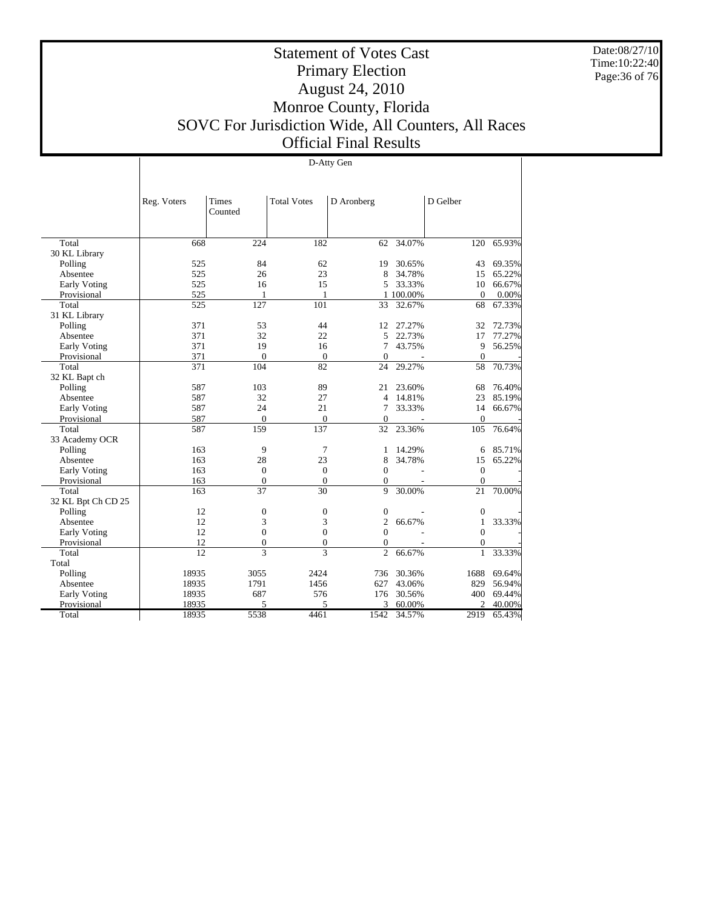Date:08/27/10 Time:10:22:40 Page:36 of 76

## Statement of Votes Cast Primary Election August 24, 2010 Monroe County, Florida SOVC For Jurisdiction Wide, All Counters, All Races Official Final Results

|                     | D-Atty Gen      |                  |                    |                |           |                  |        |  |  |  |  |
|---------------------|-----------------|------------------|--------------------|----------------|-----------|------------------|--------|--|--|--|--|
|                     |                 |                  |                    |                |           |                  |        |  |  |  |  |
|                     |                 |                  |                    |                |           |                  |        |  |  |  |  |
|                     | Reg. Voters     | Times<br>Counted | <b>Total Votes</b> | D Aronberg     |           | D Gelber         |        |  |  |  |  |
|                     |                 |                  |                    |                |           |                  |        |  |  |  |  |
| Total               | 668             | 224              | 182                | 62             | 34.07%    | 120              | 65.93% |  |  |  |  |
| 30 KL Library       |                 |                  |                    |                |           |                  |        |  |  |  |  |
| Polling             | 525             | 84               | 62                 | 19             | 30.65%    | 43               | 69.35% |  |  |  |  |
| Absentee            | 525             | 26               | 23                 | 8              | 34.78%    | 15               | 65.22% |  |  |  |  |
| Early Voting        | 525             | 16               | 15                 | 5              | 33.33%    | 10               | 66.67% |  |  |  |  |
| Provisional         | 525             | 1                | 1                  |                | 1 100.00% | $\boldsymbol{0}$ | 0.00%  |  |  |  |  |
| Total               | 525             | 127              | 101                | 33             | 32.67%    | 68               | 67.33% |  |  |  |  |
| 31 KL Library       |                 |                  |                    |                |           |                  |        |  |  |  |  |
| Polling             | 371             | 53               | 44                 | 12             | 27.27%    | 32               | 72.73% |  |  |  |  |
| Absentee            | 371             | 32               | 22                 | 5              | 22.73%    | 17               | 77.27% |  |  |  |  |
| Early Voting        | 371             | 19               | 16                 | 7              | 43.75%    | 9                | 56.25% |  |  |  |  |
| Provisional         | 371             | $\mathbf{0}$     | $\overline{0}$     | $\Omega$       |           | $\overline{0}$   |        |  |  |  |  |
| Total               | 371             | 104              | 82                 | 24             | 29.27%    | 58               | 70.73% |  |  |  |  |
| 32 KL Bapt ch       |                 |                  |                    |                |           |                  |        |  |  |  |  |
| Polling             | 587             | 103              | 89                 | 21             | 23.60%    | 68               | 76.40% |  |  |  |  |
| Absentee            | 587             | 32               | 27                 | 4              | 14.81%    | 23               | 85.19% |  |  |  |  |
| Early Voting        | 587             | 24               | 21                 | 7              | 33.33%    | 14               | 66.67% |  |  |  |  |
| Provisional         | 587             | $\mathbf{0}$     | $\mathbf{0}$       | $\overline{0}$ |           | $\overline{0}$   |        |  |  |  |  |
| Total               | 587             | 159              | 137                | 32             | 23.36%    | 105              | 76.64% |  |  |  |  |
| 33 Academy OCR      |                 |                  |                    |                |           |                  |        |  |  |  |  |
| Polling             | 163             | 9                | 7                  | 1              | 14.29%    | 6                | 85.71% |  |  |  |  |
| Absentee            | 163             | 28               | 23                 | 8              | 34.78%    | 15               | 65.22% |  |  |  |  |
| <b>Early Voting</b> | 163             | $\mathbf{0}$     | $\mathbf{0}$       | $\Omega$       |           | $\overline{0}$   |        |  |  |  |  |
| Provisional         | 163             | $\mathbf{0}$     | $\overline{0}$     | $\mathbf{0}$   |           | $\overline{0}$   |        |  |  |  |  |
| Total               | 163             | 37               | 30                 | 9              | 30.00%    | 21               | 70.00% |  |  |  |  |
| 32 KL Bpt Ch CD 25  |                 |                  |                    |                |           |                  |        |  |  |  |  |
| Polling             | 12              | $\boldsymbol{0}$ | $\mathbf{0}$       | $\mathbf{0}$   |           | $\mathbf{0}$     |        |  |  |  |  |
| Absentee            | 12              | 3                | 3                  | $\overline{c}$ | 66.67%    | 1                | 33.33% |  |  |  |  |
| Early Voting        | 12              | $\boldsymbol{0}$ | $\overline{0}$     | $\Omega$       |           | $\overline{0}$   |        |  |  |  |  |
| Provisional         | 12              | $\overline{0}$   | $\mathbf{0}$       | $\mathbf{0}$   |           | $\mathbf{0}$     |        |  |  |  |  |
| Total               | $\overline{12}$ | 3                | 3                  | $\overline{c}$ | 66.67%    | $\mathbf{1}$     | 33.33% |  |  |  |  |
| Total               |                 |                  |                    |                |           |                  |        |  |  |  |  |
| Polling             | 18935           | 3055             | 2424               | 736            | 30.36%    | 1688             | 69.64% |  |  |  |  |
| Absentee            | 18935           | 1791             | 1456               | 627            | 43.06%    | 829              | 56.94% |  |  |  |  |
| Early Voting        | 18935           | 687              | 576                | 176            | 30.56%    | 400              | 69.44% |  |  |  |  |
| Provisional         | 18935           | 5                | 5                  | 3              | 60.00%    | $\overline{c}$   | 40.00% |  |  |  |  |
| Total               | 18935           | 5538             | 4461               | 1542           | 34.57%    | 2919             | 65.43% |  |  |  |  |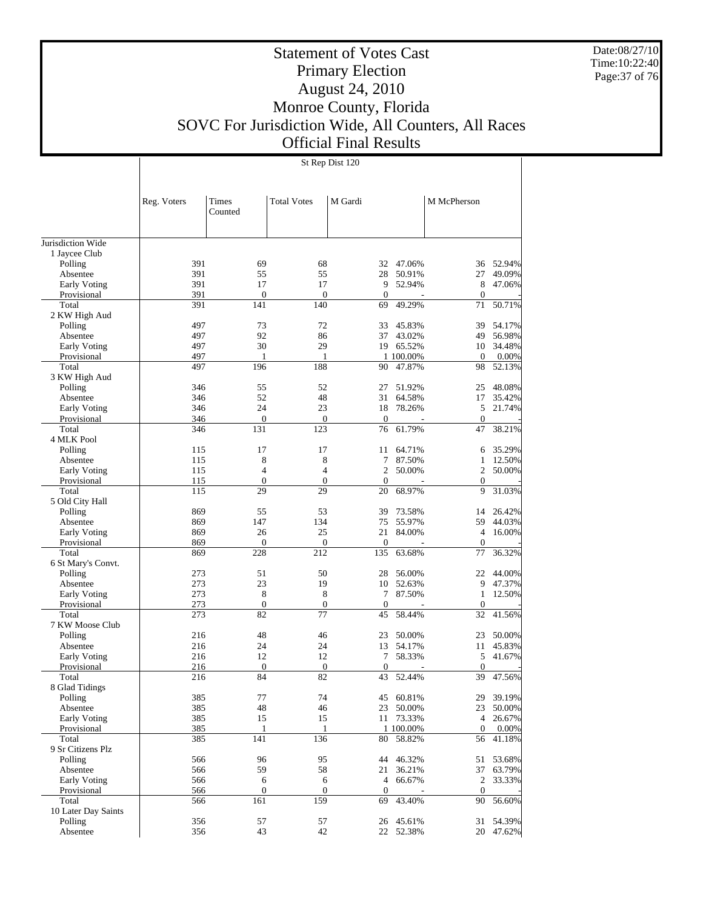Date:08/27/10 Time:10:22:40 Page:37 of 76

#### Statement of Votes Cast Primary Election August 24, 2010 Monroe County, Florida SOVC For Jurisdiction Wide, All Counters, All Races Official Final Results

St Rep Dist 120

Jurisdiction Wide 1 Jaycee Club Polling Absentee Early Voting Provisional Total 2 KW High Aud Polling Absentee Early Voting Provisional Total 3 KW High Aud Polling Absentee Early Voting Provisional Total 4 MLK Pool Polling Absentee Early Voting Provisional Total 5 Old City Hall Polling Absentee Early Voting Provisional Total 6 St Mary's Convt. Polling Absentee Early Voting Provisional Total 7 KW Moose Club Polling Absentee Early Voting Provisional Total 8 Glad Tidings Polling Absentee Early Voting Provisional Total 9 Sr Citizens Plz Polling Absentee Early Voting Provisional Total 10 Later Day Saints Polling Absentee Reg. Voters | Times Counted Total Votes | M Gardi | M McPherson 391 69 68 32 47.06% 36 52.94%<br>391 55 55 28 50.91% 27 49.09% 391 55 55 28 50.91% 27 49.09%<br>391 17 17 9 52.94% 8 47.06% 391 17 17 9 52.94% 8 47.06% 391 0 0 0 0 0 0 0 391 141 140 69 49.29% 71 50.71% 497 73 72 33 45.83% 39 54.17%<br>497 92 86 37 43.02% 49 56.98% 497 92 86 37 43.02% 49 56.98%<br>497 30 29 19 65.52% 10 34.48% 19 65.52% 497 1 1 1 100.00% 0 0.00%<br>497 196 188 90 47.87% 98 52.13% 90 47.87% 346 55 52 27 51.92% 25 48.08% 346 52 48 31 64.58% 17 35.42%<br>346 24 23 18 78.26% 5 21.74% 346 24 23 18 78.26% 5 21.74% 346 0 0 0 - 0 - 346 131 123 76 61.79% 47 38.21%  $\begin{array}{ccccccccccc} 115 &&&& 17 &&&& 17 &&&& 164.71\% & & & & & & & 6 & 35.29\% \\ 115 &&&& 8 &&&& 8 &&&& 7 & 87.50\% &&&& 1 & 12.50\% \end{array}$ 115 8 8 7 87.50% 1 12.50%  $\begin{array}{ccccccccccc} 115 &&&& 4 &&&& 4 && && 2 && 50.00\% & && && 2 && 50.00\% \\ 115 && && 0 && && 0 && && 0 && && 0 && && 0 \end{array}$ 115 0 0 0 - 0 -115 29 29 20 68.97% 9 31.03% 869 55 53 39 73.58% 14 26.42% 869 147 134 75 55.97% 59 44.03% 869 147 134 75 55.97% 59 44.03% 869 26 25 21 84.00% 4 16.00% 869 0 0 0 - 0 - 869 228 212 135 63.68% 77 36.32% 273 51 50 28 56.00% 22 44.00% 273 23 19 10 52.63% 9 47.37%<br>273 8 8 7 87.50% 1 12.50% 273 8 8 7 87.50% 1 12.50% 273 0 0 0 - 0 - 273 82 77 45 58.44% 32 41.56% 216 48 46 23 50.00% 23 50.00% 23 48 46 23 50.00% 23 50.00% 23 50.00% 216 24 24 13 54.17% 11 45.83% 216 12 12 7 58.33% 5 41.67% 216 0 0 0 - 0 -216 84 82 43 52.44% 39 47.56% 385 77 74 45 60.81% 29 39.19%<br>385 48 46 23 50.00% 23 50.00% 385 48 46 23 50.00% 23 50.00% 385 15 15 16 173.33% 4 26.67% 385 1 1 1 100.00% 0 0.00% 385 1 1 1 100.00% 0 0.00%<br>385 141 136 80 58.82% 56 41.18% 385 141 136 80 58.82% 56 41.18% 566 96 95 44 46.32% 51 53.68%<br>566 59 58 21 36.21% 37 63.79% 566 59 58 21 36.21% 37 63.79% 566 6 6 4 66.67% 2 33.33% 566 0 0 0 - 0 -566 161 159 69 43.40% 90 56.60%  $\begin{array}{ccccccccc} 356 && 57 && 57 && 26 & 45.61\% & & & 31 & 54.39\% \\ 356 && 43 && 42 && 22 & 52.38\% && 20 & 47.62\% \end{array}$ 22 52.38%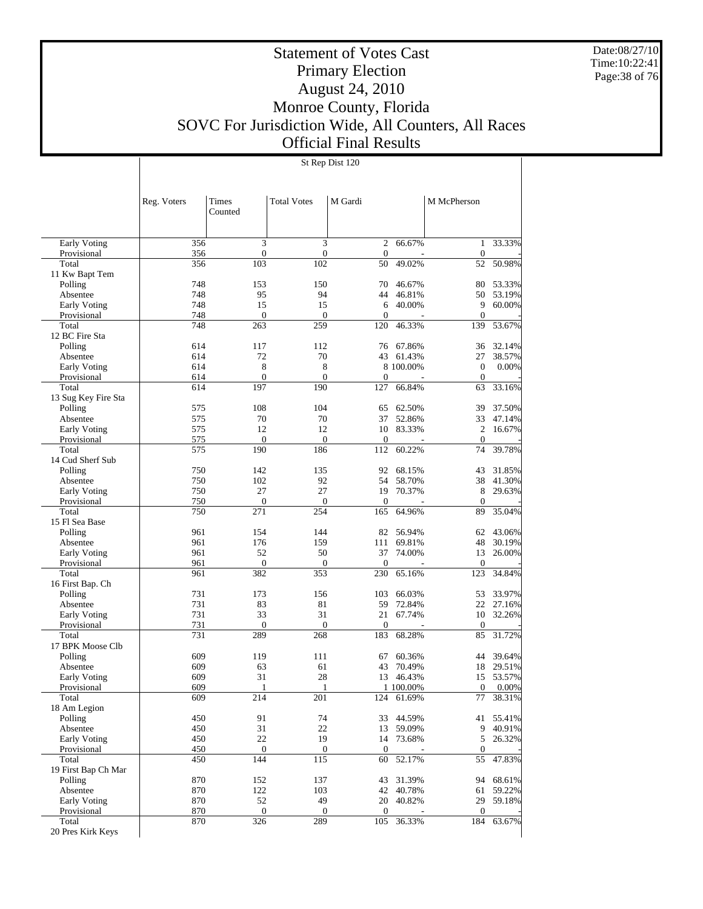Date:08/27/10 Time:10:22:41 Page:38 of 76

# Statement of Votes Cast Primary Election August 24, 2010 Monroe County, Florida SOVC For Jurisdiction Wide, All Counters, All Races Official Final Results

St Rep Dist 120

|                             | Reg. Voters | Times<br>Counted   | <b>Total Votes</b>  | M Gardi             |                     | M McPherson       |                  |
|-----------------------------|-------------|--------------------|---------------------|---------------------|---------------------|-------------------|------------------|
| Early Voting                | 356         | 3                  | 3                   | 2                   | 66.67%              | 1                 | 33.33%           |
| Provisional                 | 356         | $\boldsymbol{0}$   | $\mathbf{0}$        | $\mathbf{0}$        |                     | $\boldsymbol{0}$  |                  |
| Total                       | 356         | 103                | 102                 | 50                  | 49.02%              | 52                | 50.98%           |
| 11 Kw Bapt Tem              |             |                    |                     |                     |                     |                   |                  |
| Polling                     | 748         | 153                | 150                 | 70                  | 46.67%              | 80                | 53.33%           |
| Absentee                    | 748         | 95                 | 94                  | 44                  | 46.81%              | 50                | 53.19%           |
| Early Voting<br>Provisional | 748<br>748  | 15<br>$\mathbf{0}$ | 15<br>$\mathbf{0}$  | 6<br>$\mathbf{0}$   | 40.00%              | 9<br>$\mathbf{0}$ | 60.00%           |
| Total                       | 748         | 263                | 259                 | 120                 | 46.33%              | 139               | 53.67%           |
| 12 BC Fire Sta              |             |                    |                     |                     |                     |                   |                  |
| Polling                     | 614         | 117                | 112                 | 76                  | 67.86%              | 36                | 32.14%           |
| Absentee                    | 614         | 72                 | 70                  | 43                  | 61.43%              | 27                | 38.57%           |
| <b>Early Voting</b>         | 614         | 8                  | 8                   |                     | 8 100,00%           | $\mathbf{0}$      | 0.00%            |
| Provisional                 | 614         | $\mathbf{0}$       | $\mathbf{0}$        | $\mathbf{0}$        |                     | $\theta$          |                  |
| Total                       | 614         | 197                | 190                 | 127                 | 66.84%              | 63                | 33.16%           |
| 13 Sug Key Fire Sta         |             |                    |                     |                     |                     |                   |                  |
| Polling                     | 575         | 108                | 104                 | 65                  | 62.50%              | 39                | 37.50%           |
| Absentee                    | 575         | 70                 | 70                  | 37                  | 52.86%              | 33                | 47.14%           |
| Early Voting                | 575         | 12                 | 12                  | 10                  | 83.33%              | $\overline{2}$    | 16.67%           |
| Provisional<br>Total        | 575<br>575  | $\theta$<br>190    | $\mathbf{0}$<br>186 | $\mathbf{0}$<br>112 | 60.22%              | $\theta$<br>74    | 39.78%           |
| 14 Cud Sherf Sub            |             |                    |                     |                     |                     |                   |                  |
| Polling                     | 750         | 142                | 135                 | 92                  | 68.15%              | 43                | 31.85%           |
| Absentee                    | 750         | 102                | 92                  | 54                  | 58.70%              | 38                | 41.30%           |
| <b>Early Voting</b>         | 750         | 27                 | 27                  | 19                  | 70.37%              | 8                 | 29.63%           |
| Provisional                 | 750         | $\boldsymbol{0}$   | $\mathbf{0}$        | $\mathbf{0}$        |                     | $\theta$          |                  |
| Total                       | 750         | 271                | 254                 | 165                 | 64.96%              | 89                | 35.04%           |
| 15 Fl Sea Base              |             |                    |                     |                     |                     |                   |                  |
| Polling                     | 961         | 154                | 144                 | 82                  | 56.94%              | 62                | 43.06%           |
| Absentee                    | 961         | 176                | 159                 | 111                 | 69.81%              | 48                | 30.19%           |
| <b>Early Voting</b>         | 961         | 52                 | 50                  | 37                  | 74.00%              | 13                | 26.00%           |
| Provisional                 | 961         | $\mathbf{0}$       | $\mathbf{0}$        | $\mathbf{0}$        |                     | $\mathbf{0}$      |                  |
| Total                       | 961         | 382                | 353                 | 230                 | 65.16%              | 123               | 34.84%           |
| 16 First Bap. Ch            | 731         | 173                | 156                 |                     |                     | 53                | 33.97%           |
| Polling<br>Absentee         | 731         | 83                 | 81                  | 103<br>59           | 66.03%<br>72.84%    | 22                | 27.16%           |
| <b>Early Voting</b>         | 731         | 33                 | 31                  | 21                  | 67.74%              | 10                | 32.26%           |
| Provisional                 | 731         | $\mathbf{0}$       | $\mathbf{0}$        | $\mathbf{0}$        |                     | $\theta$          |                  |
| Total                       | 731         | 289                | 268                 | 183                 | 68.28%              | 85                | 31.72%           |
| 17 BPK Moose Clb            |             |                    |                     |                     |                     |                   |                  |
| Polling                     | 609         | 119                | 111                 | 67                  | 60.36%              | 44                | 39.64%           |
| Absentee                    | 609         | 63                 | 61                  | 43                  | 70.49%              | 18                | 29.51%           |
| <b>Early Voting</b>         | 609         | 31                 | 28                  | 13                  | 46.43%              | 15                | 53.57%           |
| Provisional                 | 609         | 1                  | 1                   |                     | 1 100.00%           | $\theta$          | 0.00%            |
| Total                       | 609         | 214                | 201                 |                     | 124 61.69%          | 77                | 38.31%           |
| 18 Am Legion                |             |                    |                     |                     |                     |                   |                  |
| Polling                     | 450         | 91                 | 74                  |                     | 33 44.59%           |                   | 41 55.41%        |
| Absentee<br>Early Voting    | 450<br>450  | 31<br>22           | 22<br>19            | 13                  | 59.09%<br>14 73.68% | 9<br>5            | 40.91%<br>26.32% |
| Provisional                 | 450         | $\mathbf{0}$       | $\boldsymbol{0}$    | $\mathbf{0}$        |                     | $\boldsymbol{0}$  |                  |
| Total                       | 450         | 144                | 115                 | 60                  | 52.17%              | 55                | 47.83%           |
| 19 First Bap Ch Mar         |             |                    |                     |                     |                     |                   |                  |
| Polling                     | 870         | 152                | 137                 | 43                  | 31.39%              | 94                | 68.61%           |
| Absentee                    | 870         | 122                | 103                 |                     | 42 40.78%           | 61                | 59.22%           |
| Early Voting                | 870         | 52                 | 49                  | 20                  | 40.82%              | 29                | 59.18%           |
| Provisional                 | 870         | $\overline{0}$     | $\boldsymbol{0}$    | $\boldsymbol{0}$    |                     | $\mathbf{0}$      |                  |
| Total                       | 870         | 326                | 289                 | 105                 | 36.33%              | 184               | 63.67%           |
| 20 Pres Kirk Keys           |             |                    |                     |                     |                     |                   |                  |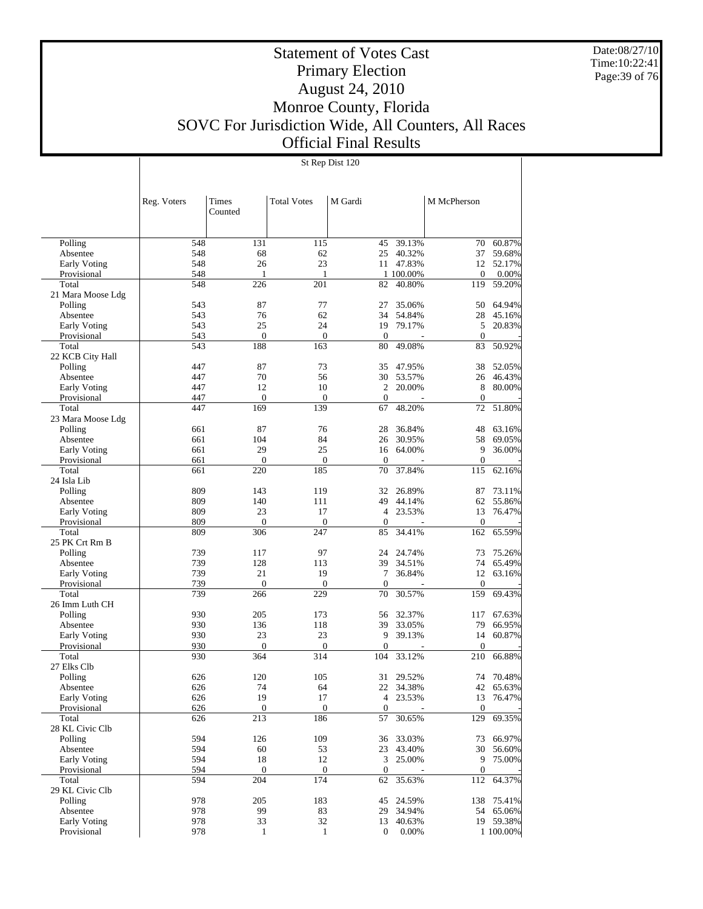Date:08/27/10 Time:10:22:41 Page:39 of 76

# Statement of Votes Cast Primary Election August 24, 2010 Monroe County, Florida SOVC For Jurisdiction Wide, All Counters, All Races Official Final Results

St Rep Dist 120

|                                    | Reg. Voters | Times<br>Counted   | <b>Total Votes</b> | M Gardi          |                     | M McPherson            |                  |
|------------------------------------|-------------|--------------------|--------------------|------------------|---------------------|------------------------|------------------|
|                                    |             |                    |                    |                  |                     |                        |                  |
| Polling                            | 548         | 131                | 115                | 45               | 39.13%              | 70                     | 60.87%           |
| Absentee                           | 548         | 68                 | 62                 | 25               | 40.32%              | 37                     | 59.68%           |
| <b>Early Voting</b>                | 548         | 26                 | 23                 |                  | 11 47.83%           | 12                     | 52.17%           |
| Provisional<br>Total               | 548<br>548  | 1<br>226           | 1<br>201           | 82               | 1 100.00%<br>40.80% | $\theta$<br>119        | 0.00%<br>59.20%  |
| 21 Mara Moose Ldg                  |             |                    |                    |                  |                     |                        |                  |
| Polling                            | 543         | 87                 | 77                 | 27               | 35.06%              | 50                     | 64.94%           |
| Absentee                           | 543         | 76                 | 62                 | 34               | 54.84%              | 28                     | 45.16%           |
| <b>Early Voting</b>                | 543         | 25                 | 24                 | 19               | 79.17%              | 5                      | 20.83%           |
| Provisional                        | 543         | $\boldsymbol{0}$   | $\mathbf{0}$       | $\boldsymbol{0}$ |                     | $\theta$               |                  |
| Total                              | 543         | 188                | 163                | 80               | 49.08%              | 83                     | 50.92%           |
| 22 KCB City Hall                   |             |                    |                    |                  |                     |                        |                  |
| Polling                            | 447         | 87                 | 73                 | 35               | 47.95%              | 38                     | 52.05%           |
| Absentee                           | 447         | 70                 | 56                 | 30               | 53.57%              | 26                     | 46.43%           |
| Early Voting                       | 447         | 12                 | 10                 | $\overline{2}$   | 20.00%              | 8                      | 80.00%           |
| Provisional                        | 447         | $\mathbf{0}$       | $\mathbf{0}$       | $\overline{0}$   |                     | $\theta$               |                  |
| Total                              | 447         | 169                | 139                | 67               | 48.20%              | 72                     | 51.80%           |
| 23 Mara Moose Ldg                  |             |                    |                    |                  |                     |                        |                  |
| Polling                            | 661         | 87                 | 76                 | 28               | 36.84%              | 48                     | 63.16%           |
| Absentee                           | 661         | 104                | 84                 | 26               | 30.95%              | 58                     | 69.05%           |
| Early Voting                       | 661         | 29                 | 25                 | 16               | 64.00%              | 9                      | 36.00%           |
| Provisional                        | 661         | $\boldsymbol{0}$   | $\boldsymbol{0}$   | $\mathbf{0}$     |                     | $\boldsymbol{0}$       |                  |
| Total                              | 661         | 220                | 185                | 70               | 37.84%              | 115                    | 62.16%           |
| 24 Isla Lib                        |             |                    |                    |                  |                     |                        |                  |
| Polling                            | 809         | 143                | 119                | 32               | 26.89%              | 87                     | 73.11%           |
| Absentee                           | 809         | 140                | 111                | 49               | 44.14%              | 62                     | 55.86%           |
| Early Voting                       | 809<br>809  | 23<br>$\mathbf{0}$ | 17<br>$\mathbf{0}$ | $\mathbf{0}$     | 4 23.53%            | 13<br>$\mathbf{0}$     | 76.47%           |
| Provisional<br>Total               | 809         | 306                | 247                | 85               | 34.41%              | 162                    | 65.59%           |
| 25 PK Crt Rm B                     |             |                    |                    |                  |                     |                        |                  |
| Polling                            | 739         | 117                | 97                 | 24               | 24.74%              | 73                     | 75.26%           |
| Absentee                           | 739         | 128                | 113                | 39               | 34.51%              | 74                     | 65.49%           |
| <b>Early Voting</b>                | 739         | 21                 | 19                 | 7                | 36.84%              | 12                     | 63.16%           |
| Provisional                        | 739         | $\boldsymbol{0}$   | $\boldsymbol{0}$   | $\mathbf{0}$     |                     | $\mathbf{0}$           |                  |
| Total                              | 739         | 266                | 229                | 70               | 30.57%              | 159                    | 69.43%           |
| 26 Imm Luth CH                     |             |                    |                    |                  |                     |                        |                  |
| Polling                            | 930         | 205                | 173                | 56               | 32.37%              | 117                    | 67.63%           |
| Absentee                           | 930         | 136                | 118                | 39               | 33.05%              | 79                     | 66.95%           |
| Early Voting                       | 930         | 23                 | 23                 | 9                | 39.13%              | 14                     | 60.87%           |
| Provisional                        | 930         | $\mathbf{0}$       | $\mathbf{0}$       | $\mathbf{0}$     |                     | $\theta$               |                  |
| Total                              | 930         | 364                | 314                | 104              | 33.12%              | 210                    | 66.88%           |
| 27 Elks Clb                        |             |                    |                    |                  |                     |                        |                  |
| Polling                            | 626         | 120                | 105                | 31               | 29.52%              | 74                     | 70.48%           |
| Absentee                           | 626         | 74<br>19           | 64<br>17           |                  | 22 34.38%           | 42                     | 65.63%<br>76.47% |
| <b>Early Voting</b><br>Provisional | 626<br>626  | $\boldsymbol{0}$   | $\boldsymbol{0}$   | $\mathbf{0}$     | 4 23.53%            | 13<br>$\boldsymbol{0}$ |                  |
| Total                              | 626         | 213                | 186                | 57               | 30.65%              | 129                    | 69.35%           |
| 28 KL Civic Clb                    |             |                    |                    |                  |                     |                        |                  |
| Polling                            | 594         | 126                | 109                | 36               | 33.03%              | 73                     | 66.97%           |
| Absentee                           | 594         | 60                 | 53                 | 23               | 43.40%              | 30                     | 56.60%           |
| <b>Early Voting</b>                | 594         | 18                 | 12                 |                  | 3 25.00%            | 9                      | 75.00%           |
| Provisional                        | 594         | $\boldsymbol{0}$   | $\boldsymbol{0}$   | $\boldsymbol{0}$ |                     | $\boldsymbol{0}$       |                  |
| Total                              | 594         | $\overline{204}$   | 174                | 62               | 35.63%              | 112                    | 64.37%           |
| 29 KL Civic Clb                    |             |                    |                    |                  |                     |                        |                  |
| Polling                            | 978         | 205                | 183                | 45               | 24.59%              | 138                    | 75.41%           |
| Absentee                           | 978         | 99                 | 83                 | 29               | 34.94%              | 54                     | 65.06%           |
| Early Voting                       | 978         | 33                 | 32                 | 13               | 40.63%              |                        | 19 59.38%        |
| Provisional                        | 978         | $\mathbf{1}$       | $\mathbf{1}$       | $\boldsymbol{0}$ | 0.00%               |                        | 1 100.00%        |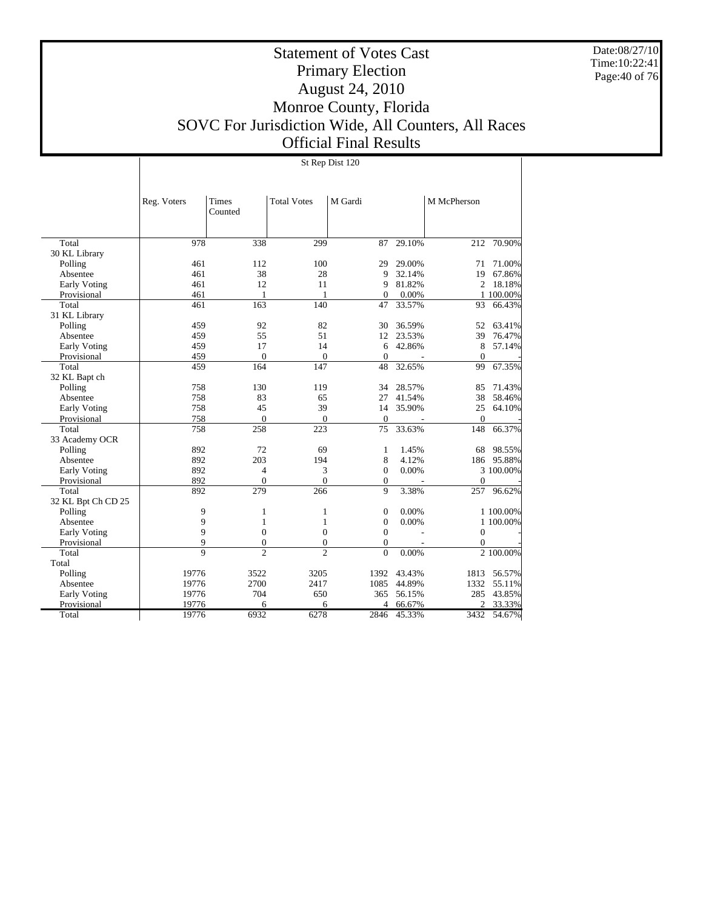Date:08/27/10 Time:10:22:41 Page:40 of 76

# Statement of Votes Cast Primary Election August 24, 2010 Monroe County, Florida SOVC For Jurisdiction Wide, All Counters, All Races Official Final Results

|                     |                |                  |                    | St Rep Dist 120  |        |                  |           |
|---------------------|----------------|------------------|--------------------|------------------|--------|------------------|-----------|
|                     |                |                  |                    |                  |        |                  |           |
|                     | Reg. Voters    | Times<br>Counted | <b>Total Votes</b> | M Gardi          |        | M McPherson      |           |
|                     |                |                  |                    |                  |        |                  |           |
| Total               | 978            | 338              | 299                | 87               | 29.10% | 212              | 70.90%    |
| 30 KL Library       |                |                  |                    |                  |        |                  |           |
| Polling             | 461            | 112              | 100                | 29               | 29.00% | 71               | 71.00%    |
| Absentee            | 461            | 38               | 28                 | 9                | 32.14% | 19               | 67.86%    |
| <b>Early Voting</b> | 461            | 12               | 11                 | 9                | 81.82% | 2                | 18.18%    |
| Provisional         | 461            | $\mathbf{1}$     | 1                  | $\mathbf{0}$     | 0.00%  |                  | 1 100.00% |
| Total               | 461            | 163              | $\overline{140}$   | 47               | 33.57% | 93               | 66.43%    |
| 31 KL Library       |                |                  |                    |                  |        |                  |           |
| Polling             | 459            | 92               | 82                 | 30               | 36.59% | 52               | 63.41%    |
| Absentee            | 459            | 55               | 51                 | 12               | 23.53% | 39               | 76.47%    |
| <b>Early Voting</b> | 459            | 17               | 14                 | 6                | 42.86% | 8                | 57.14%    |
| Provisional         | 459            | $\overline{0}$   | $\mathbf{0}$       | $\theta$         |        | $\Omega$         |           |
| Total               | 459            | 164              | 147                | 48               | 32.65% | 99               | 67.35%    |
| 32 KL Bapt ch       |                |                  |                    |                  |        |                  |           |
| Polling             | 758            | 130              | 119                | 34               | 28.57% | 85               | 71.43%    |
| Absentee            | 758            | 83               | 65                 | 27               | 41.54% | 38               | 58.46%    |
| <b>Early Voting</b> | 758            | 45               | 39                 | 14               | 35.90% | 25               | 64.10%    |
| Provisional         | 758            | $\overline{0}$   | $\mathbf{0}$       | $\mathbf{0}$     |        | $\mathbf{0}$     |           |
| Total               | 758            | 258              | 223                | 75               | 33.63% | 148              | 66.37%    |
| 33 Academy OCR      |                |                  |                    |                  |        |                  |           |
| Polling             | 892            | 72               | 69                 | 1                | 1.45%  | 68               | 98.55%    |
| Absentee            | 892            | 203              | 194                | 8                | 4.12%  | 186              | 95.88%    |
| <b>Early Voting</b> | 892            | $\overline{4}$   | 3                  | $\mathbf{0}$     | 0.00%  |                  | 3 100.00% |
| Provisional         | 892            | $\overline{0}$   | $\overline{0}$     | $\mathbf{0}$     |        | $\overline{0}$   |           |
| Total               | 892            | 279              | 266                | 9                | 3.38%  | 257              | 96.62%    |
| 32 KL Bpt Ch CD 25  |                |                  |                    |                  |        |                  |           |
| Polling             | 9              | $\mathbf{1}$     | 1                  | $\boldsymbol{0}$ | 0.00%  |                  | 1 100.00% |
| Absentee            | 9              | $\mathbf{1}$     | $\mathbf{1}$       | $\theta$         | 0.00%  |                  | 1 100.00% |
| <b>Early Voting</b> | 9              | $\mathbf{0}$     | $\mathbf{0}$       | $\mathbf{0}$     |        | $\overline{0}$   |           |
| Provisional         | 9              | $\boldsymbol{0}$ | $\boldsymbol{0}$   | $\boldsymbol{0}$ |        | $\boldsymbol{0}$ |           |
| Total               | $\overline{9}$ | $\overline{2}$   | $\overline{c}$     | $\theta$         | 0.00%  |                  | 2 100.00% |
| Total               |                |                  |                    |                  |        |                  |           |
| Polling             | 19776          | 3522             | 3205               | 1392             | 43.43% | 1813             | 56.57%    |
| Absentee            | 19776          | 2700             | 2417               | 1085             | 44.89% | 1332             | 55.11%    |
| <b>Early Voting</b> | 19776          | 704              | 650                | 365              | 56.15% | 285              | 43.85%    |
| Provisional         | 19776          | 6                | 6                  | 4                | 66.67% | $\overline{c}$   | 33.33%    |
| Total               | 19776          | 6932             | 6278               | 2846             | 45.33% | 3432             | 54.67%    |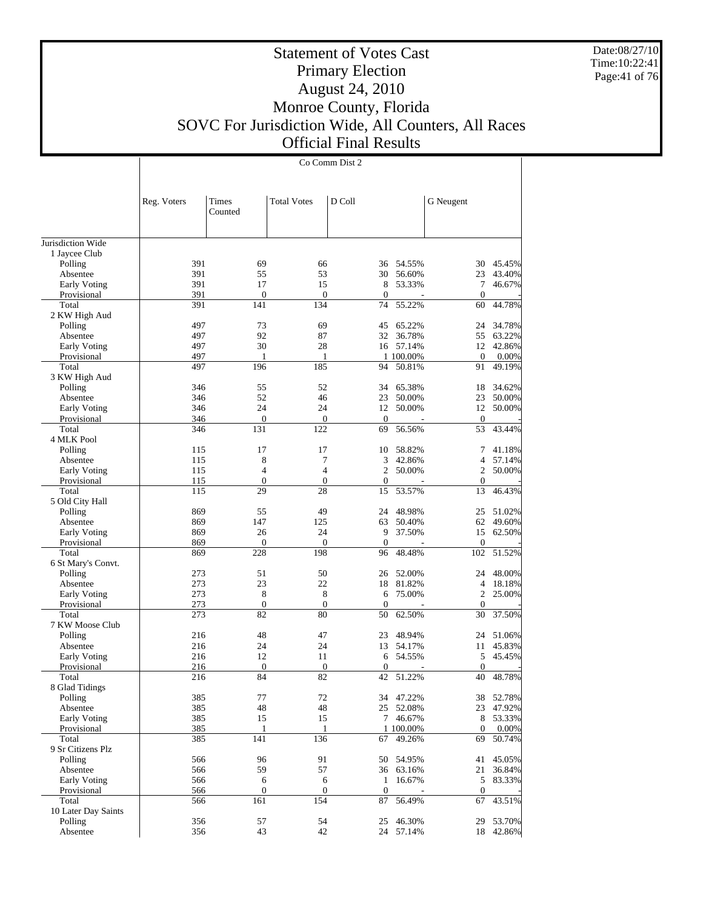Date:08/27/10 Time:10:22:41 Page:41 of 76

#### Statement of Votes Cast Primary Election August 24, 2010 Monroe County, Florida SOVC For Jurisdiction Wide, All Counters, All Races Official Final Results

Co Comm Dist 2

Jurisdiction Wide 1 Jaycee Club Polling Absentee Early Voting Provisional Total 2 KW High Aud Polling Absentee Early Voting Provisional Total 3 KW High Aud Polling Absentee Early Voting Provisional Total 4 MLK Pool Polling Absentee Early Voting Provisional Total 5 Old City Hall Polling Absentee Early Voting Provisional Total 6 St Mary's Convt. Polling Absentee Early Voting Provisional Total 7 KW Moose Club Polling Absentee Early Voting Provisional Total 8 Glad Tidings Polling Absentee Early Voting Provisional Total 9 Sr Citizens Plz Polling Absentee Early Voting Provisional Total 10 Later Day Saints Polling Absentee Reg. Voters | Times Counted Total Votes D Coll G Neugent 391 69 66 36 54.55% 30 45.45%<br>391 55 53 30 56.60% 23 43.40% 391 55 53 30 56.60% 23 43.40%<br>391 17 15 8 53.33% 7 46.67% 391 17 15 8 53.33% 7 46.67% 391 0 0 0 0 0 0 0 391 141 134 74 55.22% 60 44.78% 497 73 69 45 65.22% 24 34.78%<br>497 92 87 32 36.78% 55 63.22% 497 92 87 32 36.78% 55 63.22%<br>497 30 28 16 57.14% 12 42.86% 16 57.14% 497 1 1 1 100.00% 0 0.00%<br>497 196 185 94 50.81% 91 49.19% 94 50.81% 346 55 52 34 65.38% 18 34.62% 346 52 46 23 50.00% 23 50.00% 346 24 24 12 50.00% 12 50.00% 346 0 0 0 - 0 - 346 131 122 69 56.56% 53 43.44%  $\begin{array}{ccccccccccc} 115 &&&& 17 &&&& 10 && 58.82\% & && && 7 && 41.18\% \\ 115 &&&& 8 && && 7 && && 3 && 42.86\% & && && 4 && 57.14\% \end{array}$ 115 8 7 3 42.86% 4 57.14%  $\begin{array}{ccccccccccc} 115 &&&& 4 &&&& 4 && && 2 && 50.00\% & && && 2 && 50.00\% \\ 115 && && 0 && && 0 && && 0 && && 0 && && 0 \end{array}$ 115 0 0 0 - 0 -115 29 28 15 53.57% 13 46.43% 869 55 49 24 48.98% 25 51.02%<br>869 147 125 63 50.40% 62 49.60% 869 147 125 63 50.40% 62 49.60% 869 26 24 9 37.50% 15 62.50% 869 0 0 0 - 0 - 869 228 198 96 48.48% 102 51.52% 273 51 50 26 52.00% 24 48.00% 273 23 22 18 81.82% 4 18.18%  $\begin{array}{ccccccc}\n8 & & 8 & & 6 & 75.00\% & & 2 & 25.00\% \\
0 & & 0 & & 0 & & 0\n\end{array}$ 273 0 0 0 - 0 - 273 82 80 50 62.50% 30 37.50% 216 48 47 23 48.94% 24 51.06%<br>216 24 24 13 54.17% 11 45.83% 016 24 24 13 54.17% 11 45.83% 216 12 11 6 54.55% 5 45.45% 216 12 11 6 54.55% 5 45.45% 216 0 0 0 - 0 -216 84 82 42 51.22% 40 48.78% 385 77 72 34 47.22% 38 52.78% 385 48 48 25 52.08% 23 47.92%<br>385 15 15 7 46.67% 8 53.33% 7 46.67% 385 1 1 100.00% 0 0.00% 385 141 136 67 49.26% 69 50.74% 566 96 91 50 54.95% 41 45.05% 566 59 57 36 63.16% 21 36.84% 566 6 6 1 16.67% 5 83.33% 566 0 0 0 - 0 -566 161 154 87 56.49% 67 43.51% 356 57 54 25 46.30% 29 53.70%<br>356 43 42 24 57.14% 18 42.86% 24 57.14%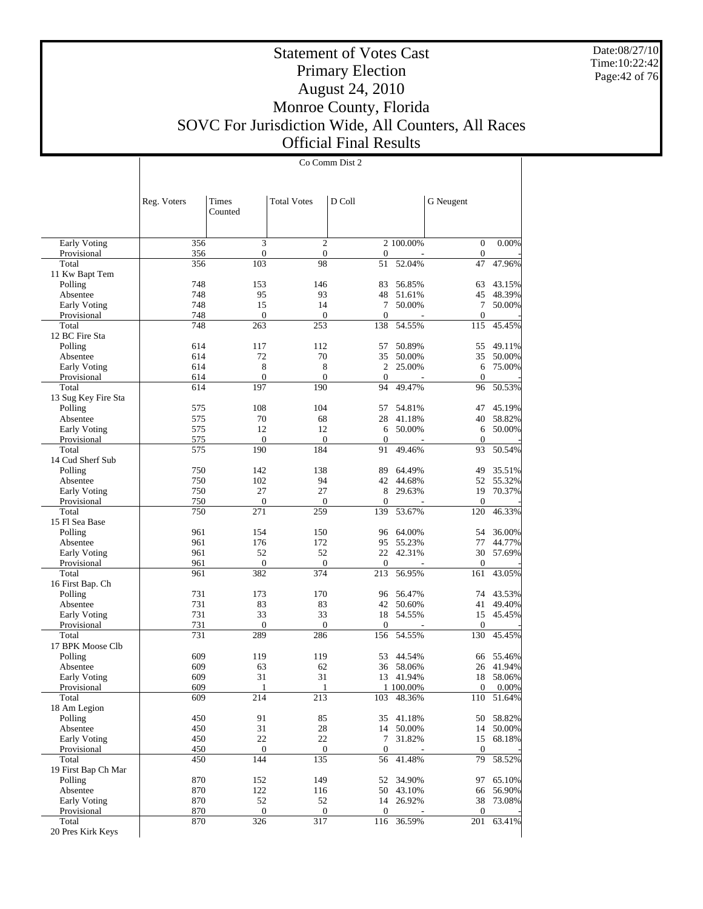Date:08/27/10 Time:10:22:42 Page:42 of 76

#### Statement of Votes Cast Primary Election August 24, 2010 Monroe County, Florida SOVC For Jurisdiction Wide, All Counters, All Races Official Final Results

 Early Voting Provisional Total 11 Kw Bapt Tem Polling Absentee Early Voting Provisional Total 12 BC Fire Sta Polling Absentee Early Voting **Provisional**  Total 13 Sug Key Fire Sta Polling Absentee Early Voting Provisional Total 14 Cud Sherf Sub Polling Absentee Reg. Voters | Times Counted Total Votes  $\begin{array}{c|c}\n\end{array}$  D Coll  $\begin{array}{c|c}\n\end{array}$  G Neugent Co Comm Dist 2  $\frac{356}{356}$  3 2 2 100.00% 0 0.00%<br>356 0 0 0 0 0 356 0 0 0 - 0 -356 103 98 51 52.04% 47 47.96% 748 153 146 83 56.85% 63 43.15% 748 95 93 48 51.61% 45 48.39% 748 15 14 7 50.00% 7 50.00% 748 0 0 0 0 - 0 -748 263 253 138 54.55% 115 45.45% 614 117 112 57 50.89% 55 49.11% 614 72 70 35 50.00% 35 50.00% 614 8 8 2 25.00% 6 75.00% 614 0 0 0 0 - 0 -614 197 190 94 49.47% 96 50.53% 575 108 104 57 54.81% 47 45.19% 575 70 68 28 41.18% 40 58.82% 575 12 12 6 50.00% 6 50.00% 575 0 0 0 0 - 0 -575 190 184 91 49.46% 93 50.54% 750 142 138 89 64.49% 49 35.51% 52 55.32% 750 27 27 8 29.63% 19 70.37% 750 0 0 0 - 0 - 750 271 259 139 53.67% 120 46.33% 961 154 150 96 64.00% 54 36.00% 961 176 172 95 55.23% 77 44.77% 961 52 52 22 42.31% 30 57.69% 961 0 0 0 - 0 -961 382 374 213 56.95% 161 43.05%

| Early Voting        | 750 | 27               | 27               | 8              | 29.63%     | 19             | 70.37% |
|---------------------|-----|------------------|------------------|----------------|------------|----------------|--------|
| Provisional         | 750 | $\boldsymbol{0}$ | $\overline{0}$   | $\mathbf{0}$   |            | $\overline{0}$ |        |
| Total               | 750 | 271              | 259              | 139            | 53.67%     | 120            | 46.33% |
| 15 Fl Sea Base      |     |                  |                  |                |            |                |        |
| Polling             | 961 | 154              | 150              | 96             | 64.00%     | 54             | 36.00% |
| Absentee            | 961 | 176              | 172              | 95             | 55.23%     | 77             | 44.77% |
| Early Voting        | 961 | 52               | 52               | 22             | 42.31%     | 30             | 57.69% |
| Provisional         | 961 | $\mathbf{0}$     | $\boldsymbol{0}$ | $\theta$       |            | $\theta$       |        |
| Total               | 961 | 382              | 374              | 213            | 56.95%     | 161            | 43.05% |
| 16 First Bap. Ch    |     |                  |                  |                |            |                |        |
| Polling             | 731 | 173              | 170              | 96             | 56.47%     | 74             | 43.53% |
| Absentee            | 731 | 83               | 83               | 42             | 50.60%     | 41             | 49.40% |
| Early Voting        | 731 | 33               | 33               | 18             | 54.55%     | 15             | 45.45% |
| Provisional         | 731 | $\mathbf{0}$     | $\overline{0}$   | $\overline{0}$ |            | $\overline{0}$ |        |
| Total               | 731 | 289              | 286              |                | 156 54.55% | 130            | 45.45% |
| 17 BPK Moose Clb    |     |                  |                  |                |            |                |        |
| Polling             | 609 | 119              | 119              | 53             | 44.54%     | 66             | 55.46% |
| Absentee            | 609 | 63               | 62               | 36             | 58.06%     | 26             | 41.94% |
| Early Voting        | 609 | 31               | 31               | 13             | 41.94%     | 18             | 58.06% |
| Provisional         | 609 | $\mathbf{1}$     | $\mathbf{1}$     |                | 1 100.00%  | $\Omega$       | 0.00%  |
| Total               | 609 | 214              | 213              | 103            | 48.36%     | 110            | 51.64% |
| 18 Am Legion        |     |                  |                  |                |            |                |        |
| Polling             | 450 | 91               | 85               | 35             | 41.18%     | 50             | 58.82% |
| Absentee            | 450 | 31               | 28               | 14             | 50.00%     | 14             | 50.00% |
| Early Voting        | 450 | 22               | 22               | 7              | 31.82%     | 15             | 68.18% |
| Provisional         | 450 | $\mathbf{0}$     | $\boldsymbol{0}$ | $\theta$       |            | $\theta$       |        |
| Total               | 450 | 144              | 135              | 56             | 41.48%     | 79             | 58.52% |
| 19 First Bap Ch Mar |     |                  |                  |                |            |                |        |
| Polling             | 870 | 152              | 149              | 52             | 34.90%     | 97             | 65.10% |
| Absentee            | 870 | 122              | 116              | 50             | 43.10%     | 66             | 56.90% |
| Early Voting        | 870 | 52               | 52               | 14             | 26.92%     | 38             | 73.08% |
| Provisional         | 870 | $\Omega$         | $\boldsymbol{0}$ | $\Omega$       |            | $\Omega$       |        |
| Total               | 870 | 326              | 317              | 116            | 36.59%     | 201            | 63.41% |
| 20 Pres Kirk Keys   |     |                  |                  |                |            |                |        |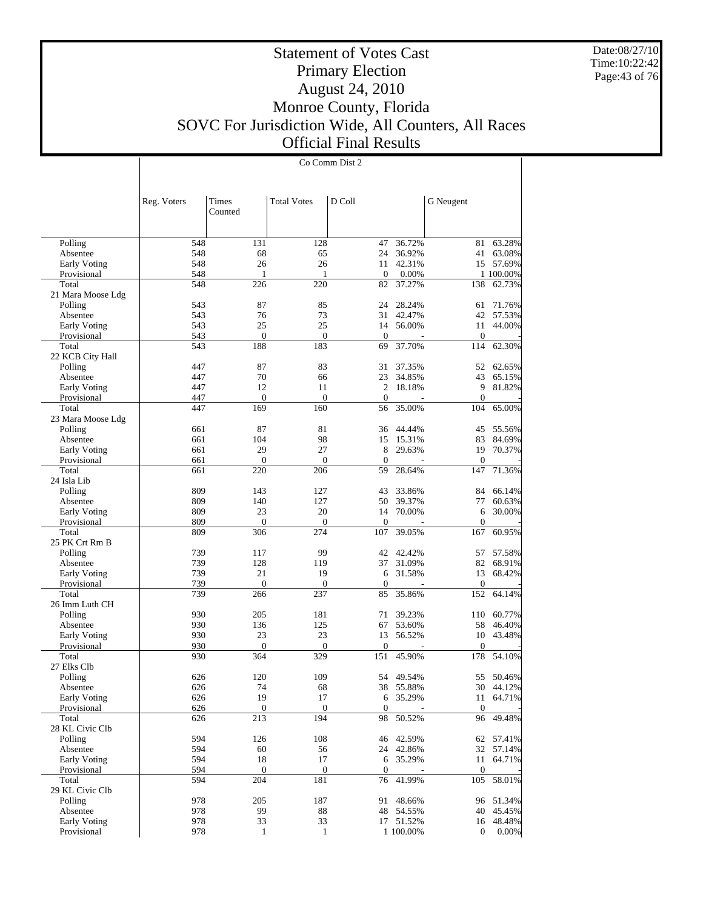Date:08/27/10 Time:10:22:42 Page:43 of 76

# Statement of Votes Cast Primary Election August 24, 2010 Monroe County, Florida SOVC For Jurisdiction Wide, All Counters, All Races Official Final Results

Co Comm Dist 2

|                          | Reg. Voters | Times<br>Counted    | <b>Total Votes</b>  | D Coll             |                    | G Neugent        |                     |
|--------------------------|-------------|---------------------|---------------------|--------------------|--------------------|------------------|---------------------|
|                          |             |                     |                     |                    |                    |                  |                     |
| Polling                  | 548         | 131                 | 128                 | 47                 | 36.72%             | 81               | 63.28%              |
| Absentee                 | 548         | 68                  | 65                  | 24                 | 36.92%             | 41               | 63.08%              |
| <b>Early Voting</b>      | 548         | 26                  | 26                  | 11                 | 42.31%             | 15               | 57.69%              |
| Provisional              | 548         | 1                   | 1                   | $\mathbf{0}$       | 0.00%              |                  | 1 100.00%           |
| Total                    | 548         | 226                 | 220                 | 82                 | 37.27%             | 138              | 62.73%              |
| 21 Mara Moose Ldg        |             |                     |                     |                    |                    |                  |                     |
| Polling                  | 543         | 87                  | 85                  | 24                 | 28.24%             | 61               | 71.76%              |
| Absentee                 | 543         | 76                  | 73                  | 31                 | 42.47%             | 42               | 57.53%              |
| <b>Early Voting</b>      | 543         | 25                  | 25                  | 14                 | 56.00%             | 11               | 44.00%              |
| Provisional              | 543         | $\boldsymbol{0}$    | $\boldsymbol{0}$    | $\mathbf{0}$       |                    | $\mathbf{0}$     |                     |
| Total                    | 543         | 188                 | 183                 | 69                 | 37.70%             | 114              | 62.30%              |
| 22 KCB City Hall         |             |                     |                     |                    |                    |                  |                     |
| Polling                  | 447         | 87                  | 83                  | 31                 | 37.35%             | 52               | 62.65%              |
| Absentee                 | 447         | 70                  | 66                  | 23                 | 34.85%             | 43               | 65.15%              |
| Early Voting             | 447         | 12                  | 11                  | 2                  | 18.18%             | 9                | 81.82%              |
| Provisional<br>Total     | 447<br>447  | $\mathbf{0}$<br>169 | $\mathbf{0}$<br>160 | $\mathbf{0}$<br>56 | 35.00%             | $\theta$<br>104  | 65.00%              |
| 23 Mara Moose Ldg        |             |                     |                     |                    |                    |                  |                     |
| Polling                  | 661         | 87                  | 81                  | 36                 | 44.44%             | 45               | 55.56%              |
| Absentee                 | 661         | 104                 | 98                  | 15                 | 15.31%             | 83               | 84.69%              |
| <b>Early Voting</b>      | 661         | 29                  | 27                  | 8                  | 29.63%             | 19               | 70.37%              |
| Provisional              | 661         | $\boldsymbol{0}$    | $\boldsymbol{0}$    | $\mathbf{0}$       |                    | $\mathbf{0}$     |                     |
| Total                    | 661         | 220                 | 206                 | 59                 | 28.64%             | 147              | 71.36%              |
| 24 Isla Lib              |             |                     |                     |                    |                    |                  |                     |
| Polling                  | 809         | 143                 | 127                 | 43                 | 33.86%             | 84               | 66.14%              |
| Absentee                 | 809         | 140                 | 127                 | 50                 | 39.37%             | 77               | 60.63%              |
| Early Voting             | 809         | 23                  | 20                  | 14                 | 70.00%             | 6                | 30.00%              |
| Provisional              | 809         | $\mathbf{0}$        | $\mathbf{0}$        | $\mathbf{0}$       |                    | $\theta$         |                     |
| Total                    | 809         | 306                 | 274                 | 107                | 39.05%             | 167              | 60.95%              |
| 25 PK Crt Rm B           |             |                     |                     |                    |                    |                  |                     |
| Polling<br>Absentee      | 739<br>739  | 117<br>128          | 99<br>119           | 42<br>37           | 42.42%<br>31.09%   | 57<br>82         | 57.58%<br>68.91%    |
| <b>Early Voting</b>      | 739         | 21                  | 19                  | 6                  | 31.58%             | 13               | 68.42%              |
| Provisional              | 739         | $\boldsymbol{0}$    | $\boldsymbol{0}$    | $\theta$           |                    | $\mathbf{0}$     |                     |
| Total                    | 739         | 266                 | 237                 | 85                 | 35.86%             | 152              | 64.14%              |
| 26 Imm Luth CH           |             |                     |                     |                    |                    |                  |                     |
| Polling                  | 930         | 205                 | 181                 | 71                 | 39.23%             | 110              | 60.77%              |
| Absentee                 | 930         | 136                 | 125                 | 67                 | 53.60%             | 58               | 46.40%              |
| Early Voting             | 930         | 23                  | 23                  | 13                 | 56.52%             | 10               | 43.48%              |
| Provisional              | 930         | $\mathbf{0}$        | $\mathbf{0}$        | $\boldsymbol{0}$   |                    | $\theta$         |                     |
| Total                    | 930         | 364                 | 329                 | 151                | 45.90%             | 178              | 54.10%              |
| 27 Elks Clb              |             |                     |                     |                    |                    |                  |                     |
| Polling                  | 626         | 120                 | 109                 | 54                 | 49.54%             | 55               | 50.46%              |
| Absentee<br>Early Voting | 626<br>626  | 74<br>19            | 68<br>17            | 38                 | 55.88%<br>6 35.29% | 30               | 44.12%<br>11 64.71% |
| Provisional              | 626         | $\boldsymbol{0}$    | $\mathbf{0}$        | $\mathbf{0}$       |                    | $\boldsymbol{0}$ |                     |
| Total                    | 626         | 213                 | 194                 | 98                 | 50.52%             | 96               | 49.48%              |
| 28 KL Civic Clb          |             |                     |                     |                    |                    |                  |                     |
| Polling                  | 594         | 126                 | 108                 | 46                 | 42.59%             | 62               | 57.41%              |
| Absentee                 | 594         | 60                  | 56                  |                    | 24 42.86%          | 32               | 57.14%              |
| Early Voting             | 594         | 18                  | 17                  |                    | 6 35.29%           | 11               | 64.71%              |
| Provisional              | 594         | $\boldsymbol{0}$    | $\overline{0}$      | $\boldsymbol{0}$   |                    | $\boldsymbol{0}$ |                     |
| Total                    | 594         | $\overline{204}$    | 181                 | 76                 | 41.99%             | 105              | 58.01%              |
| 29 KL Civic Clb          |             |                     |                     |                    |                    |                  |                     |
| Polling                  | 978         | 205                 | 187                 | 91                 | 48.66%             |                  | 96 51.34%           |
| Absentee                 | 978         | 99                  | 88                  |                    | 48 54.55%          |                  | 40 45.45%           |
| <b>Early Voting</b>      | 978         | 33                  | 33                  |                    | 17 51.52%          | 16               | 48.48%              |
| Provisional              | 978         | $\mathbf{1}$        | $\mathbf{1}$        |                    | 1 100.00%          | $\boldsymbol{0}$ | 0.00%               |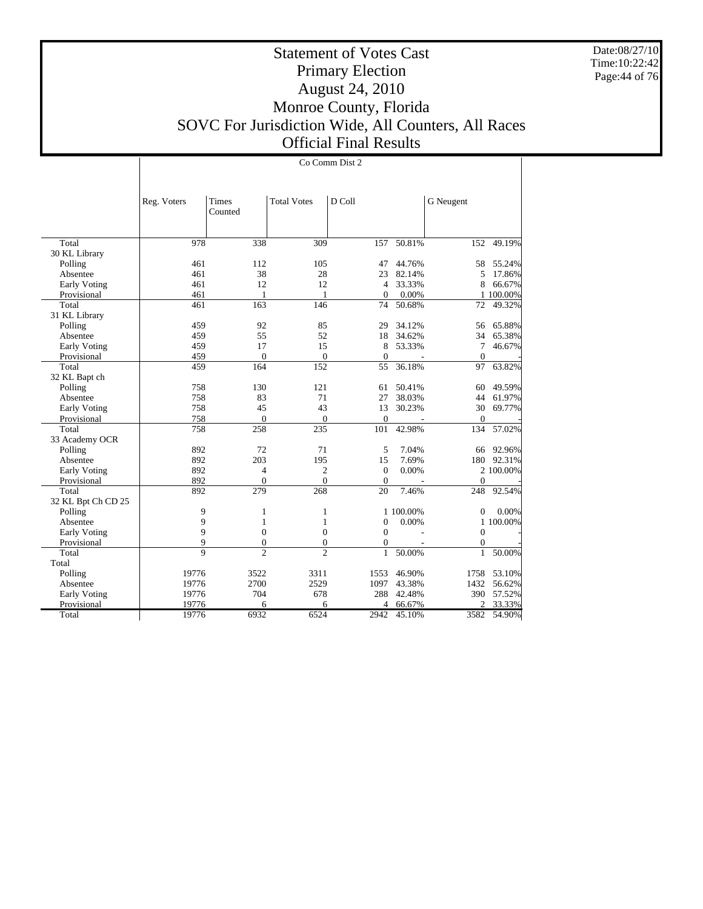Date:08/27/10 Time:10:22:42 Page:44 of 76

Τ

# Statement of Votes Cast Primary Election August 24, 2010 Monroe County, Florida SOVC For Jurisdiction Wide, All Counters, All Races Official Final Results

|                     |              |                |                    | Co Comm Dist 2 |                          |                  |           |
|---------------------|--------------|----------------|--------------------|----------------|--------------------------|------------------|-----------|
|                     |              |                |                    |                |                          |                  |           |
|                     |              |                |                    |                |                          |                  |           |
|                     | Reg. Voters  | <b>Times</b>   | <b>Total Votes</b> | D Coll         |                          | G Neugent        |           |
|                     |              | Counted        |                    |                |                          |                  |           |
|                     |              |                |                    |                |                          |                  |           |
|                     |              |                |                    |                |                          |                  |           |
| Total               | 978          | 338            | 309                | 157            | 50.81%                   | 152              | 49.19%    |
| 30 KL Library       |              |                |                    |                |                          |                  |           |
| Polling             | 461          | 112            | 105                | 47             | 44.76%                   | 58               | 55.24%    |
| Absentee            | 461          | 38             | 28                 | 23             | 82.14%                   | 5                | 17.86%    |
| <b>Early Voting</b> | 461          | 12             | 12                 | $\overline{4}$ | 33.33%                   | 8                | 66.67%    |
| Provisional         | 461          | 1              | 1                  | $\Omega$       | 0.00%                    |                  | 1 100.00% |
| Total               | 461          | 163            | 146                | 74             | 50.68%                   | 72               | 49.32%    |
| 31 KL Library       |              |                |                    |                |                          |                  |           |
| Polling             | 459          | 92             | 85                 | 29             | 34.12%                   | 56               | 65.88%    |
| Absentee            | 459          | 55             | 52                 | 18             | 34.62%                   | 34               | 65.38%    |
| <b>Early Voting</b> | 459          | 17             | 15                 | 8              | 53.33%                   | $\overline{7}$   | 46.67%    |
| Provisional         | 459          | $\mathbf{0}$   | $\mathbf{0}$       | $\overline{0}$ | ÷                        | $\mathbf{0}$     |           |
| Total               | 459          | 164            | 152                | 55             | 36.18%                   | 97               | 63.82%    |
| 32 KL Bapt ch       |              |                |                    |                |                          |                  |           |
| Polling             | 758          | 130            | 121                | 61             | 50.41%                   | 60               | 49.59%    |
| Absentee            | 758          | 83             | 71                 | 27             | 38.03%                   | 44               | 61.97%    |
| Early Voting        | 758          | 45             | 43                 | 13             | 30.23%                   | 30               | 69.77%    |
| Provisional         | 758          | $\mathbf{0}$   | $\mathbf{0}$       | $\mathbf{0}$   | $\overline{\phantom{a}}$ | $\mathbf{0}$     |           |
| Total               | 758          | 258            | 235                | 101            | 42.98%                   | 134              | 57.02%    |
| 33 Academy OCR      |              |                |                    |                |                          |                  |           |
| Polling             | 892          | 72             | 71                 | 5              | 7.04%                    | 66               | 92.96%    |
| Absentee            | 892          | 203            | 195                | 15             | 7.69%                    | 180              | 92.31%    |
| Early Voting        | 892          | $\overline{4}$ | $\mathfrak{2}$     | $\Omega$       | 0.00%                    |                  | 2 100.00% |
| Provisional         | 892          | $\mathbf{0}$   | $\overline{0}$     | $\mathbf{0}$   |                          | $\mathbf{0}$     |           |
| Total               | 892          | 279            | $\frac{268}{ }$    | 20             | 7.46%                    | 248              | 92.54%    |
| 32 KL Bpt Ch CD 25  |              |                |                    |                |                          |                  |           |
| Polling             | 9            | 1              | 1                  |                | 1 100.00%                | $\overline{0}$   | $0.00\%$  |
| Absentee            | 9            | $\mathbf{1}$   | $\mathbf{1}$       | $\mathbf{0}$   | 0.00%                    |                  | 1 100.00% |
| Early Voting        | 9            | $\overline{0}$ | $\mathbf{0}$       | $\Omega$       |                          | $\theta$         |           |
| Provisional         | 9            | $\overline{0}$ | $\boldsymbol{0}$   | $\mathbf{0}$   |                          | $\boldsymbol{0}$ |           |
| Total               | $\mathbf{Q}$ | $\overline{c}$ | $\overline{c}$     | $\mathbf{1}$   | 50.00%                   | $\mathbf{1}$     | 50.00%    |
| Total               |              |                |                    |                |                          |                  |           |
| Polling             | 19776        | 3522           | 3311               | 1553           | 46.90%                   | 1758             | 53.10%    |
| Absentee            | 19776        | 2700           | 2529               | 1097           | 43.38%                   | 1432             | 56.62%    |
| Early Voting        | 19776        | 704            | 678                | 288            | 42.48%                   | 390              | 57.52%    |
| Provisional         | 19776        | 6              | 6                  | 4              | 66.67%                   | 2                | 33.33%    |
| Total               | 19776        | 6932           | 6524               | 2942           | 45.10%                   | 3582             | 54.90%    |
|                     |              |                |                    |                |                          |                  |           |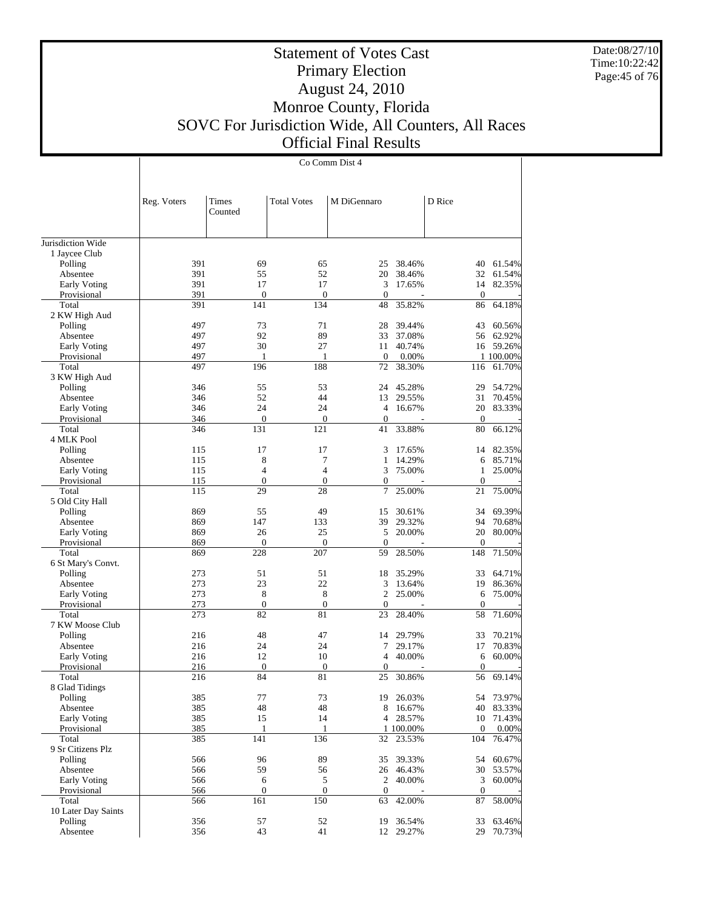Date:08/27/10 Time:10:22:42 Page:45 of 76

# Statement of Votes Cast Primary Election August 24, 2010 Monroe County, Florida SOVC For Jurisdiction Wide, All Counters, All Races Official Final Results

|                             |             |                       |                    | Co Comm Dist 4                     |                  |                      |                  |
|-----------------------------|-------------|-----------------------|--------------------|------------------------------------|------------------|----------------------|------------------|
|                             |             |                       |                    |                                    |                  |                      |                  |
|                             |             |                       |                    |                                    |                  |                      |                  |
|                             | Reg. Voters | Times                 | <b>Total Votes</b> | M DiGennaro                        |                  | D Rice               |                  |
|                             |             | Counted               |                    |                                    |                  |                      |                  |
|                             |             |                       |                    |                                    |                  |                      |                  |
|                             |             |                       |                    |                                    |                  |                      |                  |
| Jurisdiction Wide           |             |                       |                    |                                    |                  |                      |                  |
| 1 Jaycee Club<br>Polling    | 391         | 69                    | 65                 | 25                                 | 38.46%           | 40                   | 61.54%           |
| Absentee                    | 391         | 55                    | 52                 | 20                                 | 38.46%           | 32                   | 61.54%           |
| Early Voting                | 391         | 17                    | 17                 | 3                                  | 17.65%           |                      | 14 82.35%        |
| Provisional                 | 391         | $\boldsymbol{0}$      | $\mathbf{0}$       | $\boldsymbol{0}$                   |                  | $\boldsymbol{0}$     |                  |
| Total                       | 391         | 141                   | 134                | 48                                 | 35.82%           | 86                   | 64.18%           |
| 2 KW High Aud               |             |                       |                    |                                    |                  |                      |                  |
| Polling                     | 497         | 73                    | 71                 | 28                                 | 39.44%           | 43                   | 60.56%           |
| Absentee                    | 497         | 92                    | 89                 | 33                                 | 37.08%           |                      | 56 62.92%        |
| Early Voting                | 497         | 30                    | 27                 | 11                                 | 40.74%           | 16                   | 59.26%           |
| Provisional                 | 497         | 1                     | $\mathbf{1}$       | $\boldsymbol{0}$                   | 0.00%            |                      | 1 100.00%        |
| Total                       | 497         | 196                   | 188                | 72                                 | 38.30%           | 116                  | 61.70%           |
| 3 KW High Aud               |             |                       |                    |                                    |                  |                      |                  |
| Polling                     | 346         | 55<br>52              | 53                 | 24                                 | 45.28%           | 29                   | 54.72%           |
| Absentee                    | 346         | 24                    | 44<br>24           | 13<br>$\overline{4}$               | 29.55%           | 31                   | 70.45%           |
| Early Voting<br>Provisional | 346<br>346  | $\boldsymbol{0}$      | $\boldsymbol{0}$   | $\boldsymbol{0}$                   | 16.67%           | 20<br>$\mathbf{0}$   | 83.33%           |
| Total                       | 346         | 131                   | 121                | 41                                 | 33.88%           | 80                   | 66.12%           |
| 4 MLK Pool                  |             |                       |                    |                                    |                  |                      |                  |
| Polling                     | 115         | 17                    | 17                 | 3                                  | 17.65%           | 14                   | 82.35%           |
| Absentee                    | 115         | 8                     | 7                  | 1                                  | 14.29%           | 6                    | 85.71%           |
| Early Voting                | 115         | $\overline{4}$        | $\overline{4}$     | 3                                  | 75.00%           | 1                    | 25.00%           |
| Provisional                 | 115         | $\boldsymbol{0}$      | $\boldsymbol{0}$   | $\boldsymbol{0}$                   |                  | $\boldsymbol{0}$     |                  |
| Total                       | 115         | 29                    | 28                 | 7                                  | 25.00%           | 21                   | 75.00%           |
| 5 Old City Hall             |             |                       |                    |                                    |                  |                      |                  |
| Polling                     | 869         | 55                    | 49                 | 15                                 | 30.61%           | 34                   | 69.39%           |
| Absentee                    | 869         | 147                   | 133                | 39                                 | 29.32%           | 94                   | 70.68%           |
| Early Voting                | 869         | 26                    | 25                 | 5                                  | 20.00%           | 20                   | 80.00%           |
| Provisional                 | 869         | $\mathbf{0}$          | $\boldsymbol{0}$   | $\boldsymbol{0}$                   |                  | $\mathbf{0}$         |                  |
| Total                       | 869         | 228                   | 207                | 59                                 | 28.50%           | 148                  | 71.50%           |
| 6 St Mary's Convt.          |             |                       |                    |                                    |                  |                      |                  |
| Polling                     | 273         | 51                    | 51                 | 18                                 | 35.29%           | 33                   | 64.71%           |
| Absentee                    | 273<br>273  | 23<br>8               | 22<br>8            | 3<br>2                             | 13.64%<br>25.00% | 19<br>6              | 86.36%<br>75.00% |
| Early Voting<br>Provisional | 273         | $\boldsymbol{0}$      | $\boldsymbol{0}$   | $\boldsymbol{0}$                   |                  | $\mathbf{0}$         |                  |
| Total                       | 273         | 82                    | 81                 | 23                                 | 28.40%           | 58                   | 71.60%           |
| 7 KW Moose Club             |             |                       |                    |                                    |                  |                      |                  |
| Polling                     | 216         | 48                    | 47                 | 14                                 | 29.79%           | 33                   | 70.21%           |
| Absentee                    | 216         | 24                    | 24                 | 7                                  | 29.17%           | 17                   | 70.83%           |
| Early Voting                | 216         | 12                    | 10                 | 4                                  | 40.00%           | 6                    | 60.00%           |
| Provisional                 | 216         | $\mathbf{0}$          | $\boldsymbol{0}$   | 0                                  |                  | $\mathbf{0}$         |                  |
| Total                       | 216         | 84                    | 81                 | 25                                 | 30.86%           |                      | 56 69.14%        |
| 8 Glad Tidings              |             |                       |                    |                                    |                  |                      |                  |
| Polling                     | 385         | 77                    | 73                 | 19                                 | 26.03%           | 54                   | 73.97%           |
| Absentee                    | 385         | 48                    | $48\,$             | 8                                  | 16.67%           | 40                   | 83.33%           |
| Early Voting                | 385         | 15                    | 14                 | 4                                  | 28.57%           | 10                   | 71.43%           |
| Provisional                 | 385         | $\mathbf{1}$          | $\mathbf{1}$       |                                    | 1 100.00%        | $\mathbf{0}$         | 0.00%            |
| Total                       | 385         | 141                   | 136                | 32                                 | 23.53%           | 104                  | 76.47%           |
| 9 Sr Citizens Plz           |             |                       |                    |                                    |                  |                      |                  |
| Polling                     | 566         | 96                    | 89                 | 35                                 | 39.33%           | 54                   | 60.67%           |
| Absentee                    | 566<br>566  | 59                    | 56<br>5            |                                    | 26 46.43%        | 30<br>$\mathfrak{Z}$ | 53.57%           |
| Early Voting<br>Provisional | 566         | 6<br>$\boldsymbol{0}$ | $\boldsymbol{0}$   | $\overline{2}$<br>$\boldsymbol{0}$ | 40.00%           | $\boldsymbol{0}$     | 60.00%           |
| Total                       | 566         | 161                   | 150                | 63                                 | 42.00%           | 87                   | 58.00%           |
| 10 Later Day Saints         |             |                       |                    |                                    |                  |                      |                  |
| Polling                     | 356         | 57                    | 52                 | 19                                 | 36.54%           | 33                   | 63.46%           |
| Absentee                    | 356         | 43                    | 41                 |                                    | 12 29.27%        | 29                   | 70.73%           |
|                             |             |                       |                    |                                    |                  |                      |                  |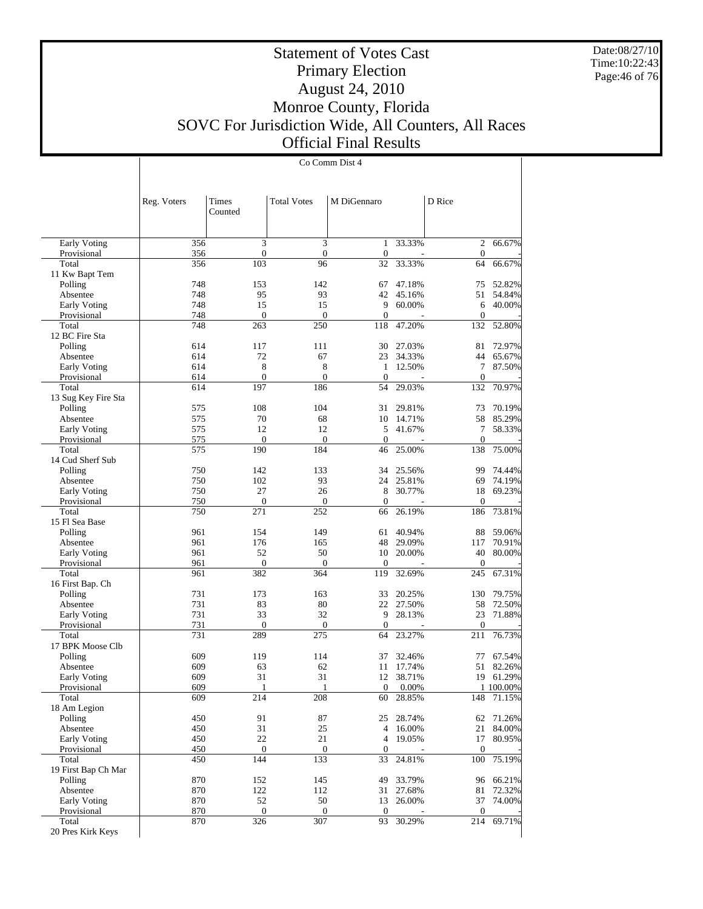Date:08/27/10 Time:10:22:43 Page:46 of 76

 $\overline{1}$ 

# Statement of Votes Cast Primary Election August 24, 2010 Monroe County, Florida SOVC For Jurisdiction Wide, All Counters, All Races Official Final Results

Co Comm Dist 4

|                              | Reg. Voters | Times               | <b>Total Votes</b>  | M DiGennaro        |                  | D Rice              |                  |
|------------------------------|-------------|---------------------|---------------------|--------------------|------------------|---------------------|------------------|
|                              |             | Counted             |                     |                    |                  |                     |                  |
| Early Voting                 | 356         | 3                   | 3                   | 1                  | 33.33%           | $\mathfrak{2}$      | 66.67%           |
| Provisional                  | 356         | $\boldsymbol{0}$    | $\mathbf{0}$        | $\mathbf{0}$       |                  | $\mathbf{0}$        |                  |
| Total                        | 356         | 103                 | 96                  | 32                 | 33.33%           | 64                  | 66.67%           |
| 11 Kw Bapt Tem               |             | 153                 | 142                 |                    |                  |                     | 52.82%           |
| Polling<br>Absentee          | 748<br>748  | 95                  | 93                  | 67<br>42           | 47.18%<br>45.16% | 75<br>51            | 54.84%           |
| Early Voting                 | 748         | 15                  | 15                  | 9                  | 60.00%           | 6                   | 40.00%           |
| Provisional                  | 748         | $\theta$            | $\mathbf{0}$        | $\mathbf{0}$       |                  | $\overline{0}$      |                  |
| Total                        | 748         | 263                 | 250                 | 118                | 47.20%           | 132                 | 52.80%           |
| 12 BC Fire Sta               |             |                     |                     |                    |                  |                     |                  |
| Polling                      | 614         | 117                 | 111                 | 30                 | 27.03%           | 81                  | 72.97%           |
| Absentee                     | 614         | 72                  | 67                  | 23                 | 34.33%           | 44                  | 65.67%           |
| <b>Early Voting</b>          | 614         | 8                   | 8                   | $\mathbf{1}$       | 12.50%           | 7                   | 87.50%           |
| Provisional                  | 614         | $\mathbf{0}$        | $\mathbf{0}$        | $\theta$           |                  | $\mathbf{0}$        |                  |
| Total                        | 614         | 197                 | 186                 | 54                 | 29.03%           | 132                 | 70.97%           |
| 13 Sug Key Fire Sta          |             |                     |                     |                    |                  |                     |                  |
| Polling                      | 575         | 108                 | 104                 | 31                 | 29.81%           | 73                  | 70.19%           |
| Absentee                     | 575         | 70                  | 68                  | 10                 | 14.71%           | 58                  | 85.29%           |
| Early Voting                 | 575         | 12                  | 12                  | 5                  | 41.67%           | 7<br>$\overline{0}$ | 58.33%           |
| Provisional<br>Total         | 575<br>575  | $\mathbf{0}$<br>190 | $\mathbf{0}$<br>184 | $\mathbf{0}$<br>46 | 25.00%           | 138                 | 75.00%           |
| 14 Cud Sherf Sub             |             |                     |                     |                    |                  |                     |                  |
| Polling                      | 750         | 142                 | 133                 | 34                 | 25.56%           | 99                  | 74.44%           |
| Absentee                     | 750         | 102                 | 93                  | 24                 | 25.81%           | 69                  | 74.19%           |
| <b>Early Voting</b>          | 750         | 27                  | 26                  | 8                  | 30.77%           | 18                  | 69.23%           |
| Provisional                  | 750         | $\mathbf{0}$        | $\mathbf{0}$        | $\mathbf{0}$       |                  | $\mathbf{0}$        |                  |
| Total                        | 750         | 271                 | 252                 | 66                 | 26.19%           | 186                 | 73.81%           |
| 15 Fl Sea Base               |             |                     |                     |                    |                  |                     |                  |
| Polling                      | 961         | 154                 | 149                 | 61                 | 40.94%           | 88                  | 59.06%           |
| Absentee                     | 961         | 176                 | 165                 | 48                 | 29.09%           | 117                 | 70.91%           |
| Early Voting                 | 961         | 52                  | 50                  | 10                 | 20.00%           | 40                  | 80.00%           |
| Provisional                  | 961         | $\mathbf{0}$        | $\mathbf{0}$        | $\mathbf{0}$       |                  | $\boldsymbol{0}$    |                  |
| Total                        | 961         | 382                 | 364                 | 119                | 32.69%           | 245                 | 67.31%           |
| 16 First Bap. Ch             |             |                     |                     |                    |                  |                     |                  |
| Polling                      | 731<br>731  | 173                 | 163<br>80           | 33<br>22           | 20.25%           | 130                 | 79.75%           |
| Absentee                     | 731         | 83<br>33            | 32                  | 9                  | 27.50%<br>28.13% | 58<br>23            | 72.50%<br>71.88% |
| Early Voting<br>Provisional  | 731         | $\boldsymbol{0}$    | $\overline{0}$      | $\mathbf{0}$       |                  | $\mathbf{0}$        |                  |
| Total                        | 731         | 289                 | 275                 | 64                 | 23.27%           | 211                 | 76.73%           |
| 17 BPK Moose Clb             |             |                     |                     |                    |                  |                     |                  |
| Polling                      | 609         | 119                 | 114                 | 37                 | 32.46%           | 77                  | 67.54%           |
| Absentee                     | 609         | 63                  | 62                  | 11                 | 17.74%           | 51                  | 82.26%           |
| Early Voting                 | 609         | 31                  | 31                  | 12                 | 38.71%           |                     | 19 61.29%        |
| Provisional                  | 609         | $\mathbf{1}$        | $\mathbf{1}$        |                    | $0\quad 0.00\%$  |                     | 1 100.00%        |
| Total                        | 609         | 214                 | 208                 | 60                 | 28.85%           |                     | 148 71.15%       |
| 18 Am Legion                 |             |                     |                     |                    |                  |                     |                  |
| Polling                      | 450         | 91                  | 87                  | 25                 | 28.74%           | 62                  | 71.26%           |
| Absentee                     | 450         | 31                  | 25                  | 4                  | 16.00%           | 21                  | 84.00%           |
| Early Voting                 | 450         | 22                  | 21                  | 4                  | 19.05%           | 17                  | 80.95%           |
| Provisional                  | 450         | $\boldsymbol{0}$    | $\boldsymbol{0}$    | $\mathbf{0}$       |                  | $\boldsymbol{0}$    |                  |
| Total<br>19 First Bap Ch Mar | 450         | 144                 | 133                 | 33                 | 24.81%           | 100                 | 75.19%           |
| Polling                      | 870         | 152                 | 145                 | 49                 | 33.79%           | 96                  | 66.21%           |
| Absentee                     | 870         | 122                 | 112                 | 31                 | 27.68%           | 81                  | 72.32%           |
| Early Voting                 | 870         | 52                  | 50                  | 13                 | 26.00%           | 37                  | 74.00%           |
| Provisional                  | 870         | $\boldsymbol{0}$    | $\boldsymbol{0}$    | $\theta$           |                  | $\boldsymbol{0}$    |                  |
| Total                        | 870         | 326                 | 307                 | 93                 | 30.29%           | 214                 | 69.71%           |
| 20 Pres Kirk Keys            |             |                     |                     |                    |                  |                     |                  |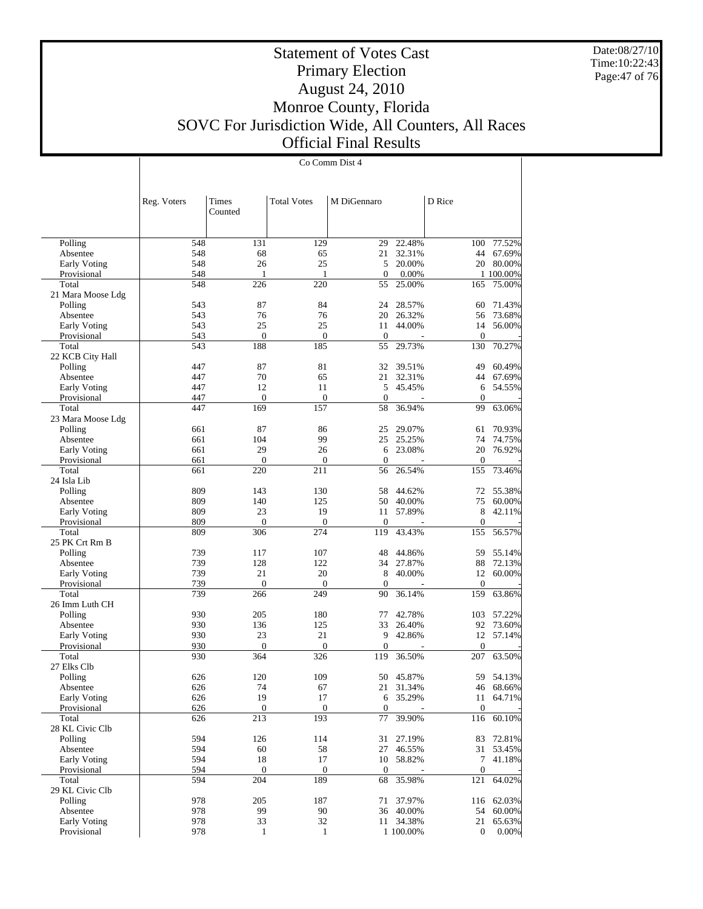Date:08/27/10 Time:10:22:43 Page:47 of 76

#### Statement of Votes Cast Primary Election August 24, 2010 Monroe County, Florida SOVC For Jurisdiction Wide, All Counters, All Races Official Final Results

Co Comm Dist 4

 Polling Absentee Early Voting Provisional Total 21 Mara Moose Ldg Polling Absentee Early Voting Provisional Total 22 KCB City Hall Polling Absentee Early Voting Provisional Total 23 Mara Moose Ldg Polling Absentee Early Voting Provisional Total 24 Isla Lib Polling Absentee Early Voting Provisional Total 25 PK Crt Rm B Polling Absentee Early Voting Provisional Total 26 Imm Luth CH Polling Absentee Early Voting Provisional Total 27 Elks Clb Polling Absentee Early Voting Provisional Total 28 KL Civic Clb Polling Absentee Early Voting Provisional Total 29 KL Civic Clb Polling Absentee Early Voting Provisional Reg. Voters | Times Counted Total Votes | M DiGennaro | D Rice 548 131 129 29 22.48% 100 77.52% 548 68 65 21 32.31% 44 67.69% 548 26 25 5 20.00% 20 80.00%  $\begin{array}{ccccccccc}\n 548 & 1 & 1 & 0 & 0.00\% & 1 & 100.00\% \\
 \hline\n 548 & 226 & 220 & 55 & 25.00\% & 165 & 75.00\% \\
 \end{array}$ 548 226 220 55 25.00% 165 75.00% 543 87 84 24 28.57% 60 71.43% 543 76 76 20 26.32% 56 73.68% 543 25 25 11 44.00% 14 56.00% 543 0 0 0 0 0 0 0 0 543 188 185 55 29.73% 130 70.27% 447 87 81 32 39.51% 49 60.49%<br>447 70 65 21 32.31% 44 67.69% 447 70 65 21 32.31% 44 67.69% 447 12 11 5 45.45% 6 54.55% 447 0 0 0 0 - 0 -447 169 157 58 36.94% 99 63.06% 661 87 86 25 29.07% 61 70.93% 661 104 99 25 25.25% 74 74.75% 661 29 26 6 23.08% 20 76.92% 661 0 0 0 - 0 -661 220 211 56 26.54% 155 73.46% 809 143 130 58 44.62% 72 55.38%<br>809 140 125 50 40.00% 75 60.00% 809 140 125 50 40.00% 75 60.00% 809 23 19 11 57.89% 8 42.11% 809 0 0 0 - 0 - 809 306 274 119 43.43% 155 56.57% 739 117 107 48 44.86% 59 55.14% 739 128 122 34 27.87% 88 72.13% 739 21 20 8 40.00% 12 60.00% 739 0 0 0 - 0 - 739 266 249 90 36.14% 159 63.86% 930 205 180 77 42.78% 103 57.22%<br>930 136 125 33 26.40% 92 73.60% 930 136 125 33 26.40% 92 73.60% 930 23 21 9 42.86% 12 57.14% 930 0 0 0 - 0 - 930 364 326 119 36.50% 207 63.50% 626 120 109 50 45.87% 59 54.13% 626 74 67 21 31.34% 626 74 9 17 6 35.29% 6 35.29% 11 64.71%  $626$  0 0 0 - 0 -626 213 193 77 39.90% 116 60.10% 594 126 114 31 27.19% 83 72.81%<br>594 60 58 27 46.55% 31 53.45% 594 60 58 27 46.55% 31 53.45% 594 18 17 10 58.82% 7 41.18% 594 0 0 0 0 - 0 -594 204 189 68 35.98% 121 64.02% 978 205 187 71 37.97% 116 62.03% 978 99 90 36 40.00% 54 60.00%<br>978 33 32 11 34.38% 21 65.63% 978 33 32 11 34.38% 21 65.63%<br>978 1 1 100.00% 0 0.00% 1 1 100.00% 0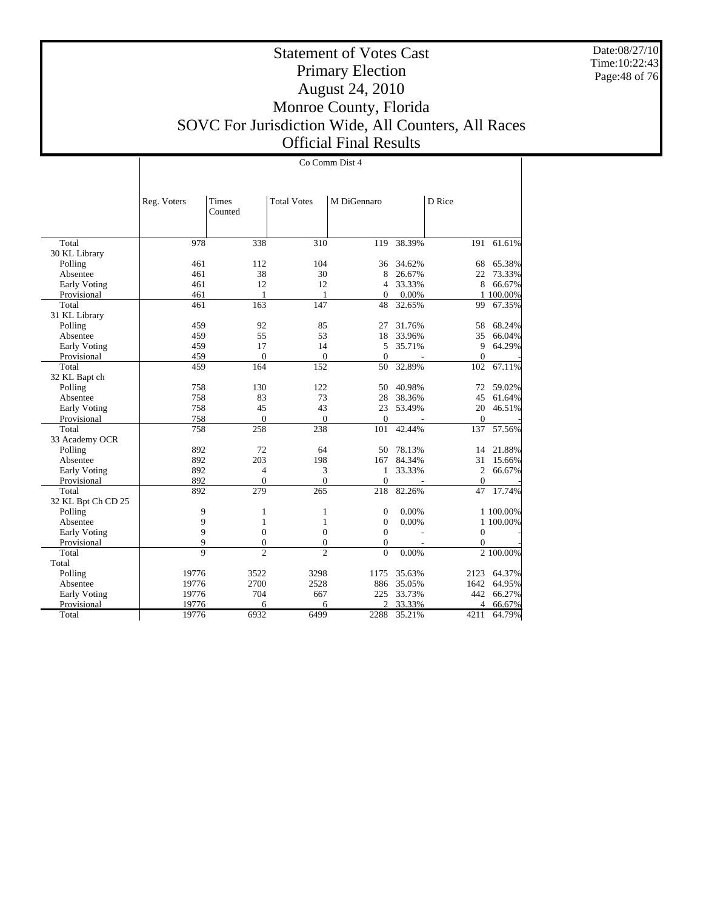Date:08/27/10 Time:10:22:43 Page:48 of 76

# Statement of Votes Cast Primary Election August 24, 2010 Monroe County, Florida SOVC For Jurisdiction Wide, All Counters, All Races Official Final Results

|                     |             | Co Comm Dist 4   |                    |                |                          |                |           |
|---------------------|-------------|------------------|--------------------|----------------|--------------------------|----------------|-----------|
|                     |             |                  |                    |                |                          |                |           |
|                     |             |                  |                    |                |                          |                |           |
|                     | Reg. Voters | Times<br>Counted | <b>Total Votes</b> | M DiGennaro    |                          | D Rice         |           |
|                     |             |                  |                    |                |                          |                |           |
| Total               | 978         | 338              | 310                | 119            | 38.39%                   | 191            | 61.61%    |
| 30 KL Library       |             |                  |                    |                |                          |                |           |
| Polling             | 461         | 112              | 104                | 36             | 34.62%                   | 68             | 65.38%    |
| Absentee            | 461         | 38               | 30                 | 8              | 26.67%                   | 22             | 73.33%    |
| <b>Early Voting</b> | 461         | 12               | 12                 | 4              | 33.33%                   | 8              | 66.67%    |
| Provisional         | 461         | 1                | 1                  | $\Omega$       | 0.00%                    |                | 1 100.00% |
| Total               | 461         | 163              | 147                | 48             | 32.65%                   | 99             | 67.35%    |
| 31 KL Library       |             |                  |                    |                |                          |                |           |
| Polling             | 459         | 92               | 85                 | 27             | 31.76%                   | 58             | 68.24%    |
| Absentee            | 459         | 55               | 53                 | 18             | 33.96%                   | 35             | 66.04%    |
| Early Voting        | 459         | 17               | 14                 | 5              | 35.71%                   | 9              | 64.29%    |
| Provisional         | 459         | $\overline{0}$   | $\mathbf{0}$       | $\mathbf{0}$   | $\overline{\phantom{a}}$ | $\overline{0}$ |           |
| Total               | 459         | 164              | 152                | 50             | 32.89%                   | 102            | 67.11%    |
| 32 KL Bapt ch       |             |                  |                    |                |                          |                |           |
| Polling             | 758         | 130              | 122                | 50             | 40.98%                   | 72             | 59.02%    |
| Absentee            | 758         | 83               | 73                 | 28             | 38.36%                   | 45             | 61.64%    |
| Early Voting        | 758         | 45               | 43                 | 23             | 53.49%                   | 20             | 46.51%    |
| Provisional         | 758         | $\overline{0}$   | $\mathbf{0}$       | $\overline{0}$ |                          | $\mathbf{0}$   |           |
| Total               | 758         | 258              | 238                | 101            | 42.44%                   | 137            | 57.56%    |
| 33 Academy OCR      |             |                  |                    |                |                          |                |           |
| Polling             | 892         | 72               | 64                 | 50             | 78.13%                   | 14             | 21.88%    |
| Absentee            | 892         | 203              | 198                | 167            | 84.34%                   | 31             | 15.66%    |
| <b>Early Voting</b> | 892         | $\overline{4}$   | 3                  | 1              | 33.33%                   | $\overline{2}$ | 66.67%    |
| Provisional         | 892         | $\overline{0}$   | $\overline{0}$     | $\overline{0}$ |                          | $\mathbf{0}$   |           |
| Total               | 892         | 279              | 265                | 218            | 82.26%                   | 47             | 17.74%    |
| 32 KL Bpt Ch CD 25  |             |                  |                    |                |                          |                |           |
| Polling             | 9           | $\mathbf{1}$     | 1                  | $\mathbf{0}$   | 0.00%                    |                | 1 100.00% |
| Absentee            | 9           | $\mathbf{1}$     | $\mathbf{1}$       | $\mathbf{0}$   | 0.00%                    |                | 1 100.00% |
| <b>Early Voting</b> | 9           | $\overline{0}$   | $\overline{0}$     | $\Omega$       |                          | $\overline{0}$ |           |
| Provisional         | 9           | $\overline{0}$   | $\overline{0}$     | $\overline{0}$ |                          | $\mathbf{0}$   |           |
| Total               | 9           | $\overline{c}$   | $\overline{c}$     | $\overline{0}$ | 0.00%                    |                | 2 100.00% |
| Total               |             |                  |                    |                |                          |                |           |
| Polling             | 19776       | 3522             | 3298               | 1175           | 35.63%                   | 2123           | 64.37%    |
| Absentee            | 19776       | 2700             | 2528               | 886            | 35.05%                   | 1642           | 64.95%    |
| <b>Early Voting</b> | 19776       | 704              | 667                | 225            | 33.73%                   | 442            | 66.27%    |
| Provisional         | 19776       | 6                | 6                  | 2              | 33.33%                   | 4              | 66.67%    |
| Total               | 19776       | 6932             | 6499               | 2288           | 35.21%                   | 4211           | 64.79%    |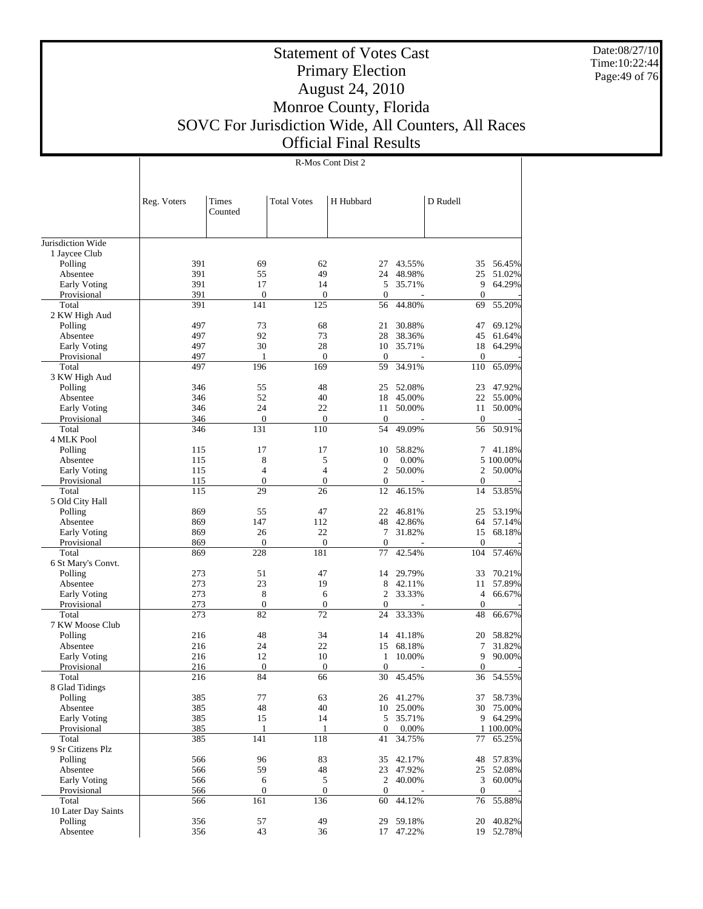Date:08/27/10 Time:10:22:44 Page:49 of 76

# Statement of Votes Cast Primary Election August 24, 2010 Monroe County, Florida SOVC For Jurisdiction Wide, All Counters, All Races Official Final Results

|                                |             |                         |                         | R-Mos Cont Dist 2      |                     |                        |                  |
|--------------------------------|-------------|-------------------------|-------------------------|------------------------|---------------------|------------------------|------------------|
|                                |             |                         |                         |                        |                     |                        |                  |
|                                |             |                         |                         |                        |                     |                        |                  |
|                                | Reg. Voters | Times                   | <b>Total Votes</b>      | H Hubbard              |                     | D Rudell               |                  |
|                                |             | Counted                 |                         |                        |                     |                        |                  |
|                                |             |                         |                         |                        |                     |                        |                  |
| Jurisdiction Wide              |             |                         |                         |                        |                     |                        |                  |
| 1 Jaycee Club                  |             |                         |                         |                        |                     |                        |                  |
| Polling                        | 391         | 69                      | 62                      | 27                     | 43.55%              | 35                     | 56.45%           |
| Absentee                       | 391         | 55                      | 49                      | 24                     | 48.98%              | 25                     | 51.02%           |
| Early Voting                   | 391         | 17                      | 14                      | 5                      | 35.71%              | 9                      | 64.29%           |
| Provisional<br>Total           | 391<br>391  | $\boldsymbol{0}$<br>141 | $\boldsymbol{0}$<br>125 | $\boldsymbol{0}$<br>56 | 44.80%              | $\mathbf{0}$<br>69     | 55.20%           |
| 2 KW High Aud                  |             |                         |                         |                        |                     |                        |                  |
| Polling                        | 497         | 73                      | 68                      | 21                     | 30.88%              | 47                     | 69.12%           |
| Absentee                       | 497         | 92                      | 73                      | 28                     | 38.36%              | 45                     | 61.64%           |
| Early Voting                   | 497         | 30                      | 28                      | 10                     | 35.71%              | 18                     | 64.29%           |
| Provisional                    | 497         | 1                       | $\mathbf{0}$            | $\boldsymbol{0}$       |                     | $\boldsymbol{0}$       |                  |
| Total                          | 497         | 196                     | 169                     | 59                     | 34.91%              | 110                    | 65.09%           |
| 3 KW High Aud                  |             |                         |                         |                        |                     |                        |                  |
| Polling                        | 346         | 55                      | 48                      | 25                     | 52.08%              | 23                     | 47.92%           |
| Absentee                       | 346<br>346  | 52<br>24                | 40<br>22                | 18                     | 45.00%<br>50.00%    | 22                     | 55.00%<br>50.00% |
| Early Voting<br>Provisional    | 346         | $\boldsymbol{0}$        | $\boldsymbol{0}$        | 11<br>$\boldsymbol{0}$ |                     | 11<br>$\mathbf{0}$     |                  |
| Total                          | 346         | 131                     | 110                     | 54                     | 49.09%              | 56                     | 50.91%           |
| 4 MLK Pool                     |             |                         |                         |                        |                     |                        |                  |
| Polling                        | 115         | 17                      | 17                      | 10                     | 58.82%              | 7                      | 41.18%           |
| Absentee                       | 115         | 8                       | 5                       | $\boldsymbol{0}$       | 0.00%               |                        | 5 100.00%        |
| Early Voting                   | 115         | $\overline{4}$          | $\overline{4}$          | 2                      | 50.00%              | 2                      | 50.00%           |
| Provisional                    | 115         | $\boldsymbol{0}$        | $\boldsymbol{0}$        | $\boldsymbol{0}$       |                     | $\boldsymbol{0}$       |                  |
| Total                          | 115         | 29                      | 26                      | 12                     | 46.15%              | 14                     | 53.85%           |
| 5 Old City Hall<br>Polling     | 869         | 55                      | 47                      | 22                     | 46.81%              | 25                     | 53.19%           |
| Absentee                       | 869         | 147                     | 112                     | 48                     | 42.86%              | 64                     | 57.14%           |
| Early Voting                   | 869         | 26                      | 22                      | 7                      | 31.82%              | 15                     | 68.18%           |
| Provisional                    | 869         | $\mathbf{0}$            | $\boldsymbol{0}$        | $\boldsymbol{0}$       |                     | $\mathbf{0}$           |                  |
| Total                          | 869         | 228                     | 181                     | 77                     | 42.54%              | 104                    | 57.46%           |
| 6 St Mary's Convt.             |             |                         |                         |                        |                     |                        |                  |
| Polling                        | 273         | 51                      | 47                      | 14                     | 29.79%              | 33                     | 70.21%           |
| Absentee                       | 273         | 23                      | 19                      | 8                      | 42.11%              | 11                     | 57.89%           |
| Early Voting                   | 273         | 8                       | 6                       | 2                      | 33.33%              | $\overline{4}$         | 66.67%           |
| Provisional<br>Total           | 273<br>273  | $\boldsymbol{0}$<br>82  | $\boldsymbol{0}$<br>72  | $\boldsymbol{0}$<br>24 | 33.33%              | $\boldsymbol{0}$<br>48 | 66.67%           |
| 7 KW Moose Club                |             |                         |                         |                        |                     |                        |                  |
| Polling                        | 216         | 48                      | 34                      | 14                     | 41.18%              | 20                     | 58.82%           |
| Absentee                       | 216         | 24                      | 22                      | 15                     | 68.18%              | 7                      | 31.82%           |
| Early Voting                   | 216         | 12                      | 10                      | $\mathbf{1}$           | 10.00%              | 9                      | 90.00%           |
| Provisional                    | 216         | $\mathbf{0}$            | $\boldsymbol{0}$        | $\boldsymbol{0}$       |                     | $\mathbf{0}$           |                  |
| Total                          | 216         | 84                      | 66                      | 30                     | 45.45%              |                        | 36 54.55%        |
| 8 Glad Tidings                 |             |                         |                         |                        |                     |                        |                  |
| Polling                        | 385         | 77                      | 63                      |                        | 26 41.27%           | 37                     | 58.73%           |
| Absentee<br>Early Voting       | 385<br>385  | 48<br>15                | 40<br>14                | 5                      | 10 25.00%<br>35.71% | 30<br>9                | 75.00%<br>64.29% |
| Provisional                    | 385         | $\mathbf{1}$            | $\mathbf{1}$            | $\mathbf{0}$           | 0.00%               |                        | 1 100.00%        |
| Total                          | 385         | 141                     | 118                     | 41                     | 34.75%              | 77                     | 65.25%           |
| 9 Sr Citizens Plz              |             |                         |                         |                        |                     |                        |                  |
| Polling                        | 566         | 96                      | 83                      | 35                     | 42.17%              | 48                     | 57.83%           |
| Absentee                       | 566         | 59                      | 48                      | 23                     | 47.92%              | 25                     | 52.08%           |
| Early Voting                   | 566         | 6                       | 5                       | $\overline{2}$         | 40.00%              | $\mathfrak{Z}$         | 60.00%           |
| Provisional                    | 566         | $\boldsymbol{0}$        | $\mathbf{0}$            | $\mathbf{0}$           |                     | $\boldsymbol{0}$       |                  |
| Total                          | 566         | 161                     | 136                     | 60                     | 44.12%              | 76                     | 55.88%           |
| 10 Later Day Saints<br>Polling | 356         | 57                      | 49                      | 29                     | 59.18%              | 20                     | 40.82%           |
| Absentee                       | 356         | 43                      | 36                      | 17                     | 47.22%              | 19                     | 52.78%           |
|                                |             |                         |                         |                        |                     |                        |                  |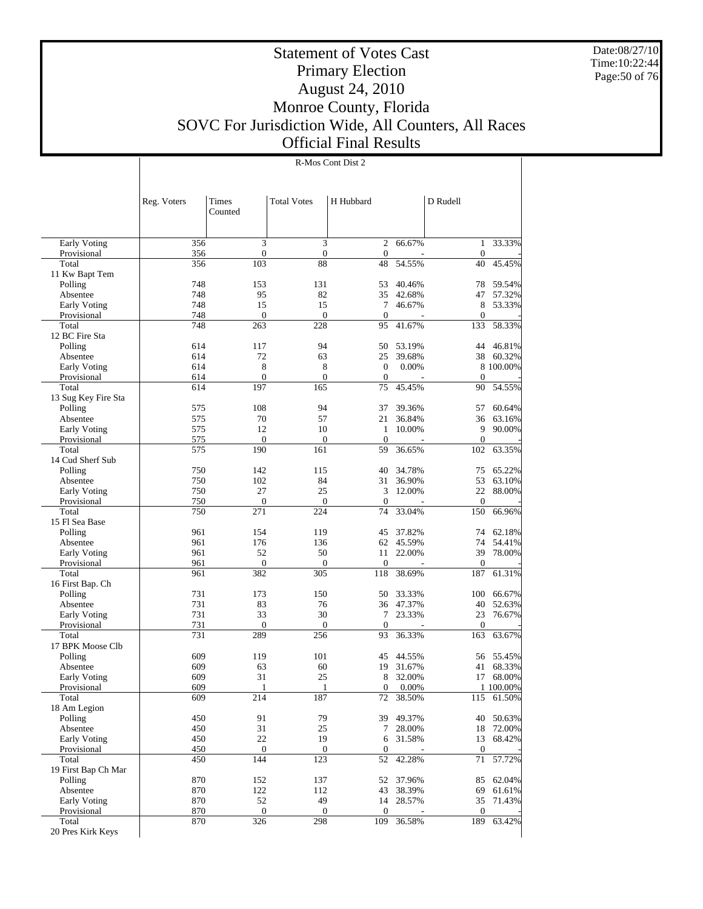Date:08/27/10 Time:10:22:44 Page:50 of 76

 $\overline{\phantom{a}}$ 

# Statement of Votes Cast Primary Election August 24, 2010 Monroe County, Florida SOVC For Jurisdiction Wide, All Counters, All Races Official Final Results

R-Mos Cont Dist 2

|                           | Reg. Voters | Times<br>Counted | <b>Total Votes</b> | H Hubbard             |                        | D Rudell         |                         |
|---------------------------|-------------|------------------|--------------------|-----------------------|------------------------|------------------|-------------------------|
| Early Voting              | 356         | 3                | 3                  | $\overline{c}$        | 66.67%                 | 1                | 33.33%                  |
| Provisional               | 356         | $\boldsymbol{0}$ | $\boldsymbol{0}$   | $\mathbf{0}$          |                        | $\mathbf{0}$     |                         |
| Total                     | 356         | 103              | 88                 | 48                    | 54.55%                 | 40               | 45.45%                  |
| 11 Kw Bapt Tem<br>Polling | 748         | 153              | 131                | 53                    | 40.46%                 | 78               | 59.54%                  |
| Absentee                  | 748         | 95               | 82                 | 35                    | 42.68%                 | 47               | 57.32%                  |
| Early Voting              | 748         | 15               | 15                 | 7                     | 46.67%                 | 8                | 53.33%                  |
| Provisional               | 748         | $\boldsymbol{0}$ | $\boldsymbol{0}$   | $\mathbf{0}$          |                        | $\boldsymbol{0}$ |                         |
| Total                     | 748         | 263              | 228                | 95                    | 41.67%                 | 133              | 58.33%                  |
| 12 BC Fire Sta            |             |                  | 94                 |                       |                        |                  |                         |
| Polling<br>Absentee       | 614<br>614  | 117<br>72        | 63                 | 50<br>25              | 53.19%<br>39.68%       | 44<br>38         | 46.81%<br>60.32%        |
| <b>Early Voting</b>       | 614         | 8                | 8                  | $\boldsymbol{0}$      | 0.00%                  |                  | 8 100.00%               |
| Provisional               | 614         | $\mathbf{0}$     | $\boldsymbol{0}$   | $\mathbf{0}$          |                        | $\theta$         |                         |
| Total                     | 614         | 197              | 165                | 75                    | 45.45%                 | 90               | 54.55%                  |
| 13 Sug Key Fire Sta       |             |                  |                    |                       |                        |                  |                         |
| Polling                   | 575         | 108              | 94                 | 37                    | 39.36%                 | 57               | 60.64%                  |
| Absentee                  | 575         | 70               | 57                 | 21                    | 36.84%                 | 36               | 63.16%                  |
| Early Voting              | 575         | 12               | 10                 | 1                     | 10.00%                 | 9                | 90.00%                  |
| Provisional               | 575         | $\mathbf{0}$     | $\boldsymbol{0}$   | $\mathbf{0}$          |                        | $\boldsymbol{0}$ |                         |
| Total                     | 575         | 190              | 161                | 59                    | 36.65%                 | 102              | 63.35%                  |
| 14 Cud Sherf Sub          | 750         | 142              | 115                | 40                    | 34.78%                 | 75               | 65.22%                  |
| Polling<br>Absentee       | 750         | 102              | 84                 | 31                    | 36.90%                 | 53               | 63.10%                  |
| Early Voting              | 750         | 27               | 25                 | 3                     | 12.00%                 | 22               | 88.00%                  |
| Provisional               | 750         | $\mathbf{0}$     | $\boldsymbol{0}$   | $\mathbf{0}$          |                        | $\mathbf{0}$     |                         |
| Total                     | 750         | 271              | 224                | 74                    | 33.04%                 | 150              | 66.96%                  |
| 15 Fl Sea Base            |             |                  |                    |                       |                        |                  |                         |
| Polling                   | 961         | 154              | 119                | 45                    | 37.82%                 | 74               | 62.18%                  |
| Absentee                  | 961         | 176              | 136                |                       | 62 45.59%              | 74               | 54.41%                  |
| Early Voting              | 961         | 52               | 50                 | 11                    | 22.00%                 | 39               | 78.00%                  |
| Provisional               | 961         | $\boldsymbol{0}$ | $\boldsymbol{0}$   | 0                     |                        | $\boldsymbol{0}$ |                         |
| Total<br>16 First Bap. Ch | 961         | 382              | 305                | 118                   | 38.69%                 | 187              | 61.31%                  |
| Polling                   | 731         | 173              | 150                | 50                    | 33.33%                 | 100              | 66.67%                  |
| Absentee                  | 731         | 83               | 76                 | 36                    | 47.37%                 | 40               | 52.63%                  |
| Early Voting              | 731         | 33               | 30                 | 7                     | 23.33%                 | 23               | 76.67%                  |
| Provisional               | 731         | $\theta$         | $\boldsymbol{0}$   | $\mathbf{0}$          |                        | $\mathbf{0}$     |                         |
| Total                     | 731         | 289              | 256                | 93                    | 36.33%                 | 163              | 63.67%                  |
| 17 BPK Moose Clb          |             |                  |                    |                       |                        |                  |                         |
| Polling                   | 609         | 119              | 101                | 45                    | 44.55%                 | 56               | 55.45%                  |
| Absentee                  | 609         | 63               | 60                 | 19                    | 31.67%                 | 41               | 68.33%                  |
| Early Voting              | 609<br>609  | 31               | 25                 | 8<br>$\boldsymbol{0}$ | 32.00%                 | 17               | 68.00%                  |
| Provisional<br>Total      | 609         | 214              | 187                | 72                    | 0.00%<br>38.50%        |                  | 1 100.00%<br>115 61.50% |
| 18 Am Legion              |             |                  |                    |                       |                        |                  |                         |
| Polling                   | 450         | 91               | 79                 | 39                    | 49.37%                 | 40               | 50.63%                  |
| Absentee                  | 450         | 31               | 25                 |                       | 7 28.00%               |                  | 18 72.00%               |
| Early Voting              | 450         | 22               | 19                 |                       | 6 31.58%               | 13               | 68.42%                  |
| Provisional               | 450         | $\boldsymbol{0}$ | $\boldsymbol{0}$   | $\mathbf{0}$          |                        | $\mathbf{0}$     |                         |
| Total                     | 450         | 144              | 123                | 52                    | 42.28%                 | $71\,$           | 57.72%                  |
| 19 First Bap Ch Mar       |             |                  |                    |                       |                        |                  |                         |
| Polling                   | 870         | 152              | 137                |                       | 52 37.96%              |                  | 85 62.04%               |
| Absentee<br>Early Voting  | 870<br>870  | 122<br>52        | 112<br>49          |                       | 43 38.39%<br>14 28.57% | 69               | 61.61%<br>35 71.43%     |
| Provisional               | 870         | $\boldsymbol{0}$ | $\boldsymbol{0}$   | $\overline{0}$        |                        | $\mathbf{0}$     |                         |
| Total                     | 870         | 326              | 298                | 109                   | 36.58%                 | 189              | 63.42%                  |
| 20 Pres Kirk Keys         |             |                  |                    |                       |                        |                  |                         |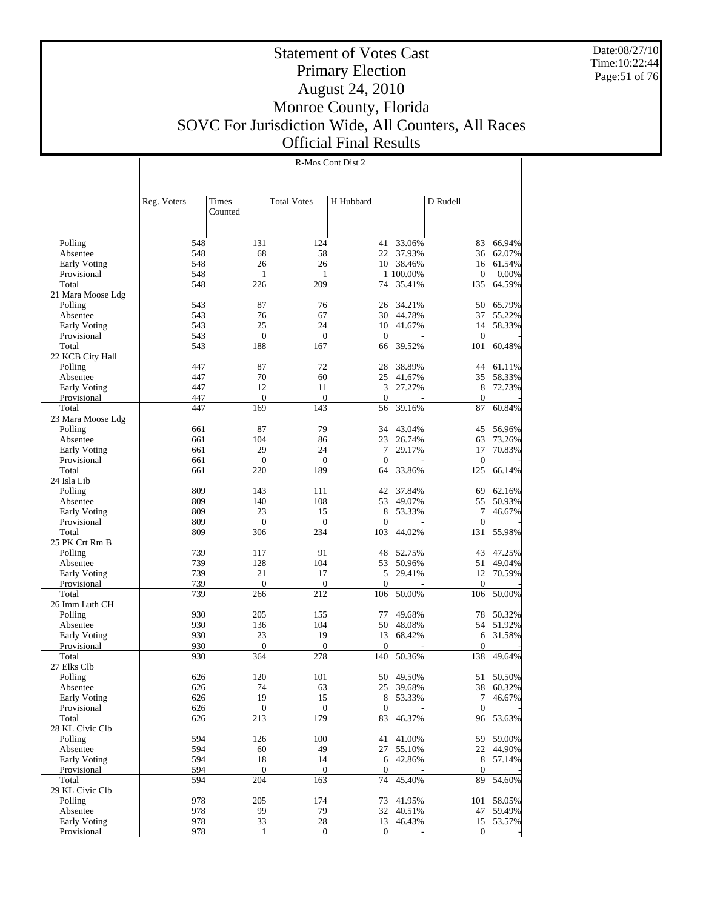Date:08/27/10 Time:10:22:44 Page:51 of 76

#### Statement of Votes Cast Primary Election August 24, 2010 Monroe County, Florida SOVC For Jurisdiction Wide, All Counters, All Races Official Final Results

 Polling Absentee Early Voting Provisional Total 21 Mara Moose Ldg Polling Absentee Early Voting Provisional Total 22 KCB City Hall Polling Absentee Early Voting Provisional Total 23 Mara Moose Ldg Polling Absentee Early Voting Provisional Total 24 Isla Lib Polling Absentee Early Voting Provisional Total 25 PK Crt Rm B Polling Absentee Early Voting Provisional Total 26 Imm Luth CH Polling Absentee Early Voting Provisional Total 27 Elks Clb Polling Absentee Early Voting Provisional Total 28 KL Civic Clb Polling Absentee Early Voting Provisional Total 29 KL Civic Clb Polling Absentee Early Voting Provisional Reg. Voters | Times Counted Total Votes | H Hubbard | D Rudell 548 131 124 41 33.06% 83 66.94% 548 68 58 22 37.93% 36 62.07% 548 26 26 10 38.46% 16 61.54%<br>548 1 100.00% 0 0.00% 548 1 1 100.00% 0 0.00%<br>548 226 209 74 35.41% 135 64.59% 74 35.41% 543 87 76 26 34.21% 50 65.79%<br>543 76 67 30 44.78% 37 55.22% 543 76 67 30 44.78% 37 55.22% 543 25 24 10 41.67% 14 58.33% 543 0 0 0 0 0 0 0 0 543 188 167 66 39.52% 101 60.48% 447 87 72 28 38.89% 44 61.11%<br>447 70 60 25 41.67% 35 58.33% 447 70 60 25 41.67% 35 58.33% 447 12 11 3 27.27% 8 72.73% 447 0 0 0 0 - 0 -447 169 143 56 39.16% 87 60.84% 661 87 79 34 43.04% 45 56.96% 661 104 86 23 26.74% 63 73.26% 661 29 24 7 29.17% 17 70.83% 661 0 0 0 - 0 -661 220 189 64 33.86% 125 66.14% 809 143 111 42 37.84% 69 62.16%<br>809 140 108 53 49.07% 55 50.93% 809 140 108 53 49.07% 55 50.93% 809 23 15 8 53.33% 7 46.67% 809 0 0 0 - 0 - 809 306 234 103 44.02% 131 55.98% 739 117 91 48 52.75% 43 47.25% 739 128 104 53 50.96% 51 49.04% 739 21 17 5 29.41% 12 70.59% 739 0 0 0 - 0 - 739 266 212 106 50.00% 106 50.00% 930 205 155 77 49.68% 78 50.32% 930 136 104 50 48.08% 54 51.92%<br>930 23 19 13 68.42% 6 31.58% 930 23 19 13 68.42% 6 31.58% 930 0 0 0 - 0 - 930 364 278 140 50.36% 138 49.64% 626 120 101 50 49.50% 51 50.50% 626 74 63 25 39.68% 38 60.32% 626 19 15 8 53.33% 7 46.67%  $626$  0 0 0 - 0 -626 213 179 83 46.37% 96 53.63% 594 126 100 41 41.00% 59 59.00%<br>594 60 49 27 55.10% 22 44.90% 594 60 49 27 55.10% 22 44.90% 594 18 14 6 42.86% 8 57.14% 594 0 0 0 0 - 0 -594 204 163 74 45.40% 89 54.60% 978 205 174 73 41.95% 101 58.05% 978 99 79 32 40.51% 47 59.49% 978 33 28 13 46.43% 15 53.57% 978 1 0 0 - 0 -

#### R-Mos Cont Dist 2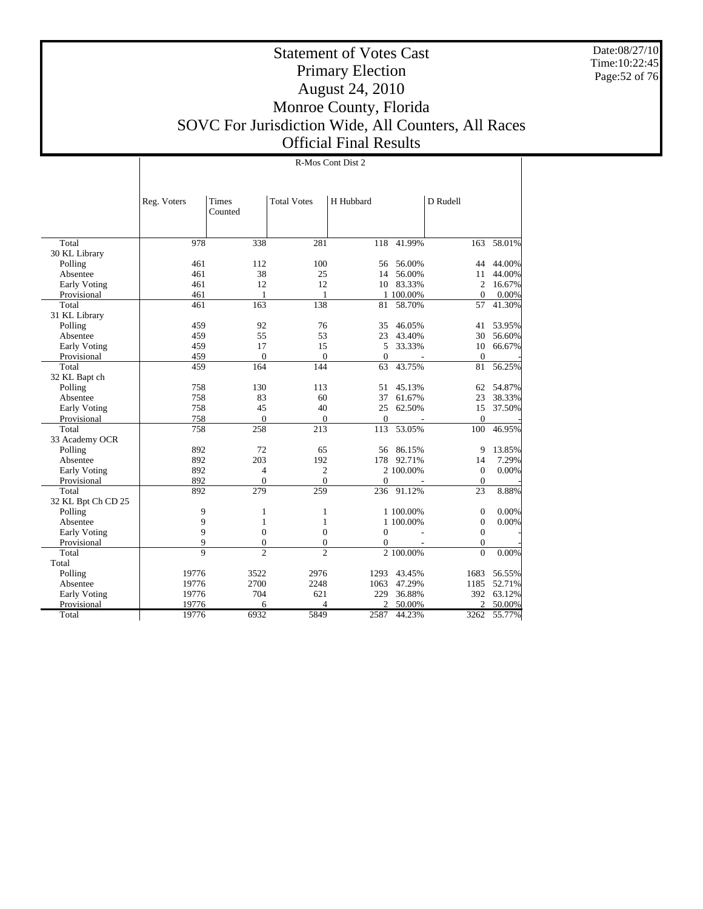Date:08/27/10 Time:10:22:45 Page:52 of 76

Τ

# Statement of Votes Cast Primary Election August 24, 2010 Monroe County, Florida SOVC For Jurisdiction Wide, All Counters, All Races Official Final Results

|                     |             |                          |                    | R-Mos Cont Dist 2 |           |                  |        |
|---------------------|-------------|--------------------------|--------------------|-------------------|-----------|------------------|--------|
|                     |             |                          |                    |                   |           |                  |        |
|                     | Reg. Voters | Times<br>Counted         | <b>Total Votes</b> | H Hubbard         |           | D Rudell         |        |
|                     |             |                          |                    |                   |           |                  |        |
| Total               | 978         | 338                      | 281                | 118               | 41.99%    | 163              | 58.01% |
| 30 KL Library       |             |                          |                    |                   |           |                  |        |
| Polling             | 461         | 112                      | 100                | 56                | 56.00%    | 44               | 44.00% |
| Absentee            | 461         | 38                       | 25                 | 14                | 56.00%    | 11               | 44.00% |
| Early Voting        | 461         | 12                       | 12                 | 10                | 83.33%    | $\overline{c}$   | 16.67% |
| Provisional         | 461         | 1                        | $\mathbf{1}$       |                   | 1 100.00% | $\theta$         | 0.00%  |
| Total               | 461         | 163                      | 138                | 81                | 58.70%    | 57               | 41.30% |
| 31 KL Library       |             |                          |                    |                   |           |                  |        |
| Polling             | 459         | 92                       | 76                 | 35                | 46.05%    | 41               | 53.95% |
| Absentee            | 459         | 55                       | 53                 | 23                | 43.40%    | 30               | 56.60% |
| <b>Early Voting</b> | 459         | 17                       | 15                 | 5                 | 33.33%    | 10               | 66.67% |
| Provisional         | 459         | $\mathbf{0}$             | $\boldsymbol{0}$   | $\mathbf{0}$      | $\sim$    | $\boldsymbol{0}$ |        |
| Total               | 459         | 164                      | 144                | 63                | 43.75%    | 81               | 56.25% |
| 32 KL Bapt ch       |             |                          |                    |                   |           |                  |        |
| Polling             | 758         | 130                      | 113                | 51                | 45.13%    | 62               | 54.87% |
| Absentee            | 758         | 83                       | 60                 | 37                | 61.67%    | 23               | 38.33% |
| Early Voting        | 758         | 45                       | 40                 | 25                | 62.50%    | 15               | 37.50% |
| Provisional         | 758         | $\mathbf{0}$             | $\mathbf{0}$       | $\overline{0}$    |           | $\mathbf{0}$     |        |
| Total               | 758         | 258                      | 213                | 113               | 53.05%    | 100              | 46.95% |
| 33 Academy OCR      |             |                          |                    |                   |           |                  |        |
| Polling             | 892         | 72                       | 65                 | 56                | 86.15%    | 9                | 13.85% |
| Absentee            | 892         | 203                      | 192                | 178               | 92.71%    | 14               | 7.29%  |
| Early Voting        | 892         | $\overline{4}$           | $\mathfrak{2}$     |                   | 2 100.00% | $\boldsymbol{0}$ | 0.00%  |
| Provisional         | 892         | $\overline{0}$           | $\Omega$           | $\overline{0}$    |           | $\theta$         |        |
| Total               | 892         | 279                      | 259                | 236               | 91.12%    | 23               | 8.88%  |
| 32 KL Bpt Ch CD 25  |             |                          |                    |                   |           |                  |        |
| Polling             | 9           | 1                        | 1                  |                   | 1 100.00% | $\overline{0}$   | 0.00%  |
| Absentee            | 9           | $\mathbf{1}$             | $\mathbf{1}$       |                   | 1 100.00% | $\mathbf{0}$     | 0.00%  |
| Early Voting        | 9           | $\overline{0}$           | $\overline{0}$     | $\theta$          |           | $\overline{0}$   |        |
| Provisional         | 9           | $\mathbf{0}$             | $\mathbf{0}$       | 0                 |           | $\overline{0}$   |        |
| Total               | 9           | $\overline{\mathcal{L}}$ | $\overline{c}$     |                   | 2 100.00% | $\theta$         | 0.00%  |
| Total               |             |                          |                    |                   |           |                  |        |
| Polling             | 19776       | 3522                     | 2976               | 1293              | 43.45%    | 1683             | 56.55% |
| Absentee            | 19776       | 2700                     | 2248               | 1063              | 47.29%    | 1185             | 52.71% |
| Early Voting        | 19776       | 704                      | 621                | 229               | 36.88%    | 392              | 63.12% |
| Provisional         | 19776       | 6                        | Δ                  | $\overline{c}$    | 50.00%    | $\mathfrak{D}$   | 50.00% |
| Total               | 19776       | 6932                     | 5849               | 2587              | 44.23%    | 3262             | 55.77% |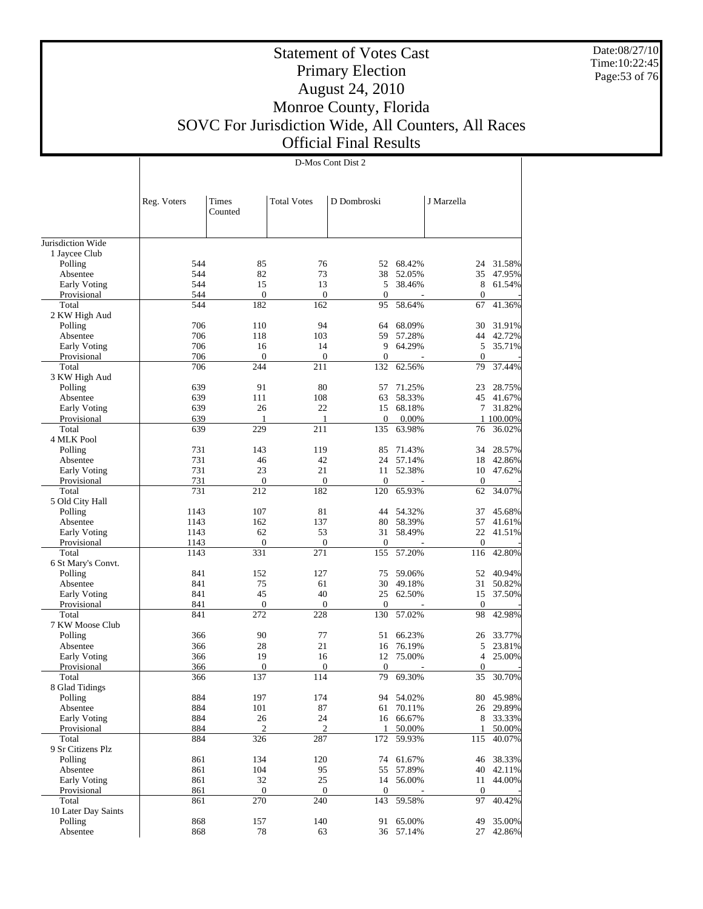Date:08/27/10 Time:10:22:45 Page:53 of 76

# Statement of Votes Cast Primary Election August 24, 2010 Monroe County, Florida SOVC For Jurisdiction Wide, All Counters, All Races Official Final Results

|                                |              |                     |                         | D-Mos Cont Dist 2       |                  |                         |                  |
|--------------------------------|--------------|---------------------|-------------------------|-------------------------|------------------|-------------------------|------------------|
|                                |              |                     |                         |                         |                  |                         |                  |
|                                |              |                     |                         |                         |                  |                         |                  |
|                                | Reg. Voters  | Times               | <b>Total Votes</b>      | D Dombroski             |                  | J Marzella              |                  |
|                                |              | Counted             |                         |                         |                  |                         |                  |
|                                |              |                     |                         |                         |                  |                         |                  |
| Jurisdiction Wide              |              |                     |                         |                         |                  |                         |                  |
| 1 Jaycee Club                  |              |                     |                         |                         |                  |                         |                  |
| Polling                        | 544          | 85                  | 76                      | 52                      | 68.42%           | 24                      | 31.58%           |
| Absentee<br>Early Voting       | 544<br>544   | 82<br>15            | 73<br>13                | 38<br>5                 | 52.05%<br>38.46% | 35<br>8                 | 47.95%<br>61.54% |
| Provisional                    | 544          | $\boldsymbol{0}$    | $\boldsymbol{0}$        | $\boldsymbol{0}$        |                  | $\mathbf{0}$            |                  |
| Total                          | 544          | 182                 | 162                     | 95                      | 58.64%           | 67                      | 41.36%           |
| 2 KW High Aud                  |              |                     |                         |                         |                  |                         |                  |
| Polling                        | 706          | 110                 | 94                      | 64                      | 68.09%           | 30                      | 31.91%           |
| Absentee                       | 706          | 118                 | 103                     | 59                      | 57.28%           | 44                      | 42.72%           |
| Early Voting                   | 706          | 16                  | 14                      | 9                       | 64.29%           | 5                       | 35.71%           |
| Provisional<br>Total           | 706<br>706   | $\mathbf{0}$<br>244 | $\boldsymbol{0}$<br>211 | $\boldsymbol{0}$<br>132 | 62.56%           | $\mathbf{0}$<br>79      | 37.44%           |
| 3 KW High Aud                  |              |                     |                         |                         |                  |                         |                  |
| Polling                        | 639          | 91                  | 80                      | 57                      | 71.25%           | 23                      | 28.75%           |
| Absentee                       | 639          | 111                 | 108                     | 63                      | 58.33%           | 45                      | 41.67%           |
| <b>Early Voting</b>            | 639          | 26                  | 22                      |                         | 15 68.18%        | 7                       | 31.82%           |
| Provisional                    | 639          | 1                   | 1                       | $\overline{0}$          | 0.00%            |                         | 1 100.00%        |
| Total                          | 639          | 229                 | 211                     | 135                     | 63.98%           | 76                      | 36.02%           |
| 4 MLK Pool                     |              |                     |                         |                         |                  |                         |                  |
| Polling                        | 731<br>731   | 143                 | 119<br>42               | 85<br>24                | 71.43%           | 34                      | 28.57%           |
| Absentee<br>Early Voting       | 731          | 46<br>23            | 21                      | 11                      | 57.14%<br>52.38% | 18<br>10                | 42.86%<br>47.62% |
| Provisional                    | 731          | $\boldsymbol{0}$    | $\boldsymbol{0}$        | $\boldsymbol{0}$        |                  | $\mathbf{0}$            |                  |
| Total                          | 731          | 212                 | 182                     | 120                     | 65.93%           | 62                      | 34.07%           |
| 5 Old City Hall                |              |                     |                         |                         |                  |                         |                  |
| Polling                        | 1143         | 107                 | 81                      | 44                      | 54.32%           | 37                      | 45.68%           |
| Absentee                       | 1143         | 162                 | 137                     | 80                      | 58.39%           | 57                      | 41.61%           |
| Early Voting                   | 1143         | 62                  | 53                      | 31                      | 58.49%           | 22                      | 41.51%           |
| Provisional<br>Total           | 1143<br>1143 | $\mathbf{0}$<br>331 | $\boldsymbol{0}$<br>271 | $\boldsymbol{0}$<br>155 | 57.20%           | $\boldsymbol{0}$<br>116 | 42.80%           |
| 6 St Mary's Convt.             |              |                     |                         |                         |                  |                         |                  |
| Polling                        | 841          | 152                 | 127                     | 75                      | 59.06%           | 52                      | 40.94%           |
| Absentee                       | 841          | 75                  | 61                      | 30                      | 49.18%           | 31                      | 50.82%           |
| Early Voting                   | 841          | 45                  | 40                      |                         | 25 62.50%        | 15                      | 37.50%           |
| Provisional                    | 841          | $\boldsymbol{0}$    | $\boldsymbol{0}$        | $\boldsymbol{0}$        |                  | $\mathbf{0}$            |                  |
| Total                          | 841          | 272                 | 228                     | 130                     | 57.02%           | 98                      | 42.98%           |
| 7 KW Moose Club                |              |                     |                         |                         |                  |                         |                  |
| Polling<br>Absentee            | 366<br>366   | 90<br>28            | 77<br>21                | 51<br>16                | 66.23%<br>76.19% | 26<br>5                 | 33.77%<br>23.81% |
| Early Voting                   | 366          | 19                  | 16                      | 12                      | 75.00%           | 4                       | 25.00%           |
| Provisional                    | 366          | $\boldsymbol{0}$    | $\boldsymbol{0}$        | $\boldsymbol{0}$        |                  | $\mathbf{0}$            |                  |
| Total                          | 366          | 137                 | 114                     | 79                      | 69.30%           | 35                      | 30.70%           |
| 8 Glad Tidings                 |              |                     |                         |                         |                  |                         |                  |
| Polling                        | 884          | 197                 | 174                     | 94                      | 54.02%           | 80                      | 45.98%           |
| Absentee                       | 884          | 101                 | $87\,$                  | 61                      | 70.11%           | 26                      | 29.89%           |
| Early Voting<br>Provisional    | 884<br>884   | 26<br>2             | 24<br>2                 | 16<br>$\mathbf{1}$      | 66.67%           | 8<br>1                  | 33.33%           |
| Total                          | 884          | 326                 | 287                     | 172                     | 50.00%<br>59.93% | 115                     | 50.00%<br>40.07% |
| 9 Sr Citizens Plz              |              |                     |                         |                         |                  |                         |                  |
| Polling                        | 861          | 134                 | 120                     | 74                      | 61.67%           | 46                      | 38.33%           |
| Absentee                       | 861          | 104                 | 95                      | 55                      | 57.89%           | 40                      | 42.11%           |
| Early Voting                   | 861          | 32                  | 25                      | 14                      | 56.00%           | 11                      | 44.00%           |
| Provisional                    | 861          | $\boldsymbol{0}$    | $\boldsymbol{0}$        | $\boldsymbol{0}$        |                  | $\boldsymbol{0}$        |                  |
| Total                          | 861          | 270                 | 240                     | 143                     | 59.58%           | 97                      | 40.42%           |
| 10 Later Day Saints<br>Polling | 868          | 157                 | 140                     | 91                      | 65.00%           | 49                      | 35.00%           |
| Absentee                       | 868          | 78                  | 63                      | 36                      | 57.14%           | 27                      | 42.86%           |
|                                |              |                     |                         |                         |                  |                         |                  |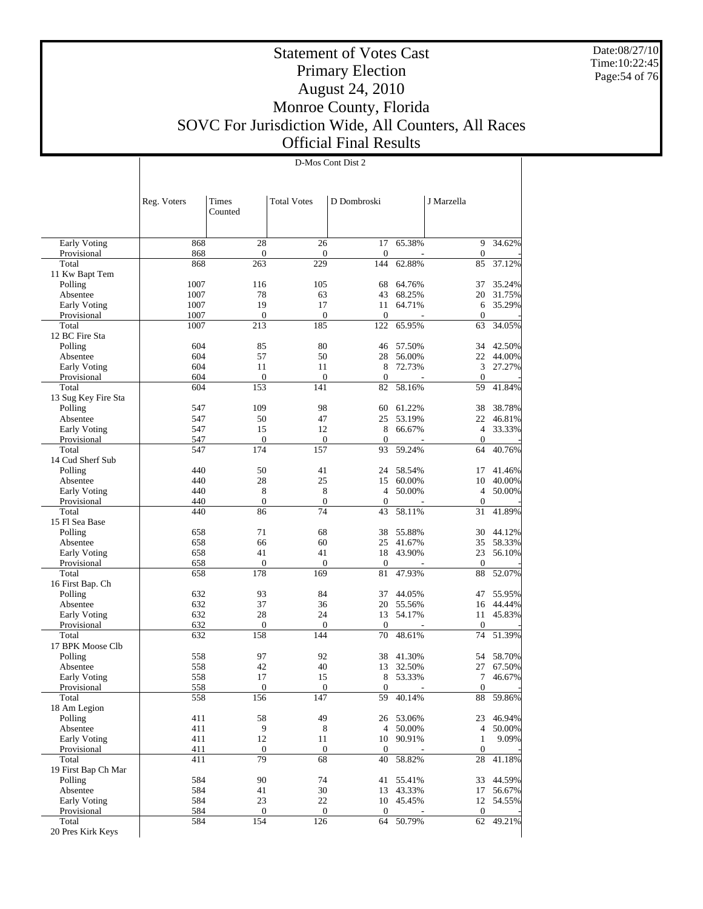Date:08/27/10 Time:10:22:45 Page:54 of 76

 $\overline{1}$ 

# Statement of Votes Cast Primary Election August 24, 2010 Monroe County, Florida SOVC For Jurisdiction Wide, All Counters, All Races Official Final Results

D-Mos Cont Dist 2

|                                | Reg. Voters  | Times<br>Counted       | <b>Total Votes</b> | D Dombroski           |                     | J Marzella                 |                  |
|--------------------------------|--------------|------------------------|--------------------|-----------------------|---------------------|----------------------------|------------------|
| Early Voting                   | 868          | 28                     | 26                 | 17                    | 65.38%              | 9                          | 34.62%           |
| Provisional                    | 868          | $\boldsymbol{0}$       | $\mathbf{0}$       | $\mathbf{0}$          |                     | $\boldsymbol{0}$           |                  |
| Total                          | 868          | 263                    | 229                | 144                   | 62.88%              | 85                         | 37.12%           |
| 11 Kw Bapt Tem                 |              |                        |                    |                       |                     |                            |                  |
| Polling                        | 1007         | 116                    | 105                | 68                    | 64.76%              | 37                         | 35.24%           |
| Absentee                       | 1007         | 78                     | 63                 | 43                    | 68.25%              | 20                         | 31.75%           |
| Early Voting<br>Provisional    | 1007<br>1007 | 19<br>$\boldsymbol{0}$ | 17<br>$\mathbf{0}$ | 11<br>$\mathbf{0}$    | 64.71%              | 6<br>$\theta$              | 35.29%           |
| Total                          | 1007         | 213                    | 185                | 122                   | 65.95%              | 63                         | 34.05%           |
| 12 BC Fire Sta                 |              |                        |                    |                       |                     |                            |                  |
| Polling                        | 604          | 85                     | 80                 | 46                    | 57.50%              | 34                         | 42.50%           |
| Absentee                       | 604          | 57                     | 50                 | 28                    | 56.00%              | 22                         | 44.00%           |
| Early Voting                   | 604          | 11                     | 11                 | 8                     | 72.73%              | 3                          | 27.27%           |
| Provisional                    | 604          | $\boldsymbol{0}$       | $\mathbf{0}$       | $\mathbf{0}$          |                     | $\theta$                   |                  |
| Total                          | 604          | 153                    | 141                | 82                    | 58.16%              | 59                         | 41.84%           |
| 13 Sug Key Fire Sta<br>Polling | 547          | 109                    | 98                 | 60                    | 61.22%              | 38                         | 38.78%           |
| Absentee                       | 547          | 50                     | 47                 | 25                    | 53.19%              | 22                         | 46.81%           |
| Early Voting                   | 547          | 15                     | 12                 | 8                     | 66.67%              | $\overline{4}$             | 33.33%           |
| Provisional                    | 547          | $\boldsymbol{0}$       | $\mathbf{0}$       | $\overline{0}$        |                     | $\mathbf{0}$               |                  |
| Total                          | 547          | 174                    | 157                | 93                    | 59.24%              | 64                         | 40.76%           |
| 14 Cud Sherf Sub               |              |                        |                    |                       |                     |                            |                  |
| Polling                        | 440          | 50                     | 41                 | 24                    | 58.54%              | 17                         | 41.46%           |
| Absentee                       | 440          | 28                     | 25                 | 15                    | 60.00%              | 10                         | 40.00%           |
| Early Voting                   | 440<br>440   | 8<br>$\boldsymbol{0}$  | 8<br>$\mathbf{0}$  | 4<br>$\mathbf{0}$     | 50.00%              | $\overline{4}$<br>$\theta$ | 50.00%           |
| Provisional<br>Total           | 440          | 86                     | 74                 | 43                    | 58.11%              | 31                         | 41.89%           |
| 15 Fl Sea Base                 |              |                        |                    |                       |                     |                            |                  |
| Polling                        | 658          | 71                     | 68                 | 38                    | 55.88%              | 30                         | 44.12%           |
| Absentee                       | 658          | 66                     | 60                 | 25                    | 41.67%              | 35                         | 58.33%           |
| Early Voting                   | 658          | 41                     | 41                 | 18                    | 43.90%              | 23                         | 56.10%           |
| Provisional                    | 658          | $\boldsymbol{0}$       | $\mathbf{0}$       | $\mathbf{0}$          |                     | $\theta$                   |                  |
| Total                          | 658          | 178                    | 169                | 81                    | 47.93%              | 88                         | 52.07%           |
| 16 First Bap. Ch               | 632          | 93                     | 84                 | 37                    |                     | 47                         |                  |
| Polling<br>Absentee            | 632          | 37                     | 36                 | 20                    | 44.05%<br>55.56%    | 16                         | 55.95%<br>44.44% |
| Early Voting                   | 632          | 28                     | 24                 | 13                    | 54.17%              | 11                         | 45.83%           |
| Provisional                    | 632          | $\boldsymbol{0}$       | $\mathbf{0}$       | $\mathbf{0}$          |                     | $\theta$                   |                  |
| Total                          | 632          | 158                    | 144                | 70                    | 48.61%              | 74                         | 51.39%           |
| 17 BPK Moose Clb               |              |                        |                    |                       |                     |                            |                  |
| Polling                        | 558          | 97                     | 92                 | 38                    | 41.30%              | 54                         | 58.70%           |
| Absentee                       | 558          | 42                     | 40                 | 13                    | 32.50%              | 27                         | 67.50%           |
| Early Voting                   | 558<br>558   | 17<br>$\boldsymbol{0}$ | 15<br>$\theta$     | 8<br>$\boldsymbol{0}$ | 53.33%              | 7<br>$\boldsymbol{0}$      | 46.67%           |
| Provisional<br>Total           | 558          | 156                    | 147                | 59                    | 40.14%              | 88                         | 59.86%           |
| 18 Am Legion                   |              |                        |                    |                       |                     |                            |                  |
| Polling                        | 411          | 58                     | 49                 |                       | 26 53.06%           | 23                         | 46.94%           |
| Absentee                       | 411          | 9                      | $\,8\,$            |                       | 4 50.00%            | 4                          | 50.00%           |
| Early Voting                   | 411          | 12                     | 11                 |                       | 10 90.91%           | 1                          | 9.09%            |
| Provisional                    | 411          | $\boldsymbol{0}$       | $\mathbf{0}$       | $\boldsymbol{0}$      |                     | $\mathbf{0}$               |                  |
| Total                          | 411          | 79                     | 68                 | 40                    | 58.82%              | 28                         | 41.18%           |
| 19 First Bap Ch Mar            | 584          | 90                     |                    |                       |                     |                            | 44.59%           |
| Polling<br>Absentee            | 584          | 41                     | 74<br>30           | 41                    | 55.41%<br>13 43.33% | 33<br>17                   | 56.67%           |
| Early Voting                   | 584          | 23                     | 22                 |                       | 10 45.45%           | 12                         | 54.55%           |
| Provisional                    | 584          | $\boldsymbol{0}$       | $\boldsymbol{0}$   | $\mathbf{0}$          |                     | $\mathbf{0}$               |                  |
| Total                          | 584          | 154                    | 126                | 64                    | 50.79%              | 62                         | 49.21%           |
| 20 Pres Kirk Keys              |              |                        |                    |                       |                     |                            |                  |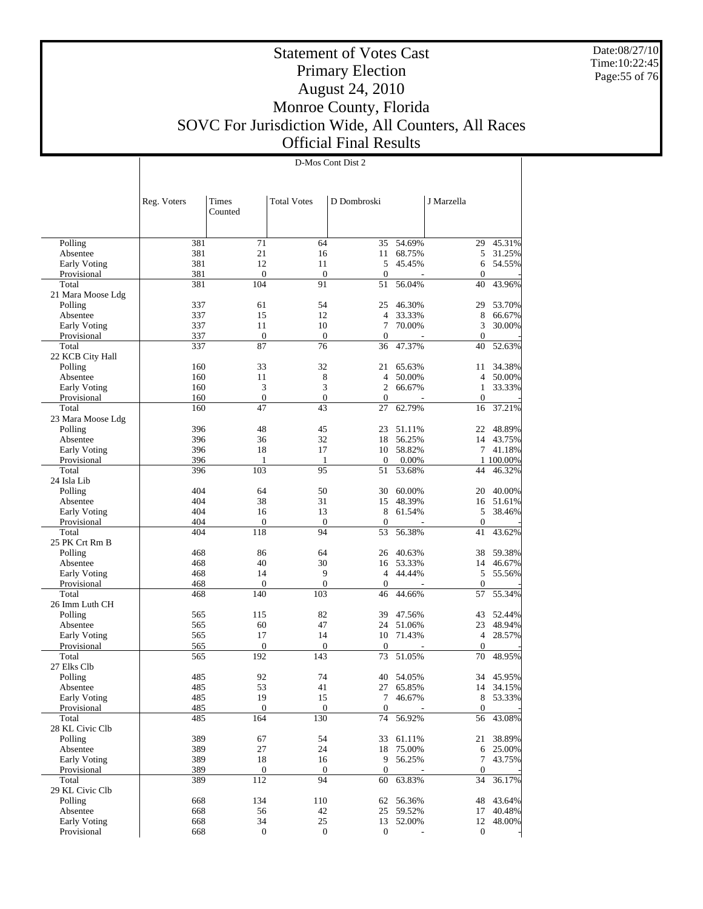Date:08/27/10 Time:10:22:45 Page:55 of 76

# Statement of Votes Cast Primary Election August 24, 2010 Monroe County, Florida SOVC For Jurisdiction Wide, All Counters, All Races Official Final Results

D-Mos Cont Dist 2

|                                    | Reg. Voters | Times<br>Counted        | <b>Total Votes</b>      | D Dombroski        |                 | J Marzella        |                     |
|------------------------------------|-------------|-------------------------|-------------------------|--------------------|-----------------|-------------------|---------------------|
|                                    |             |                         |                         |                    |                 |                   |                     |
| Polling                            | 381         | 71                      | 64                      | 35                 | 54.69%          | 29                | 45.31%              |
| Absentee                           | 381         | 21<br>12                | 16                      | 11<br>5            | 68.75%          | 5                 | 31.25%              |
| Early Voting<br>Provisional        | 381<br>381  | $\mathbf{0}$            | 11<br>$\mathbf{0}$      | $\mathbf{0}$       | 45.45%          | 6<br>$\mathbf{0}$ | 54.55%              |
| Total                              | 381         | 104                     | 91                      | 51                 | 56.04%          | 40                | 43.96%              |
| 21 Mara Moose Ldg                  |             |                         |                         |                    |                 |                   |                     |
| Polling                            | 337         | 61                      | 54                      | 25                 | 46.30%          | 29                | 53.70%              |
| Absentee                           | 337         | 15                      | 12                      | $\overline{4}$     | 33.33%          | 8                 | 66.67%              |
| <b>Early Voting</b>                | 337         | 11                      | 10                      | 7                  | 70.00%          | 3                 | 30.00%              |
| Provisional                        | 337         | $\boldsymbol{0}$        | $\boldsymbol{0}$        | $\boldsymbol{0}$   |                 | $\mathbf{0}$      |                     |
| Total                              | 337         | 87                      | 76                      | 36                 | 47.37%          | 40                | 52.63%              |
| 22 KCB City Hall                   |             |                         |                         |                    |                 |                   |                     |
| Polling                            | 160         | 33                      | 32                      | 21                 | 65.63%          | 11                | 34.38%              |
| Absentee                           | 160         | 11                      | 8                       | $\overline{4}$     | 50.00%          | $\overline{4}$    | 50.00%              |
| Early Voting                       | 160         | 3                       | 3                       | $\overline{c}$     | 66.67%          | $\mathbf{1}$      | 33.33%              |
| Provisional                        | 160         | $\mathbf{0}$            | $\mathbf{0}$            | $\mathbf{0}$       |                 | $\mathbf{0}$      |                     |
| Total                              | 160         | 47                      | 43                      | 27                 | 62.79%          | 16                | 37.21%              |
| 23 Mara Moose Ldg                  |             |                         |                         |                    |                 |                   |                     |
| Polling                            | 396         | 48                      | 45                      | 23                 | 51.11%          | 22                | 48.89%              |
| Absentee                           | 396         | 36<br>18                | 32<br>17                | 18                 | 56.25%          |                   | 14 43.75%           |
| <b>Early Voting</b><br>Provisional | 396<br>396  | 1                       |                         | 10<br>$\mathbf{0}$ | 58.82%<br>0.00% | 7                 | 41.18%<br>1 100.00% |
| Total                              | 396         | 103                     | $\mathbf{1}$<br>95      | 51                 | 53.68%          | 44                | 46.32%              |
| 24 Isla Lib                        |             |                         |                         |                    |                 |                   |                     |
| Polling                            | 404         | 64                      | 50                      | 30                 | 60.00%          | 20                | 40.00%              |
| Absentee                           | 404         | 38                      | 31                      | 15                 | 48.39%          | 16                | 51.61%              |
| Early Voting                       | 404         | 16                      | 13                      | 8                  | 61.54%          | 5                 | 38.46%              |
| Provisional                        | 404         | $\mathbf{0}$            | $\boldsymbol{0}$        | $\mathbf{0}$       |                 | $\boldsymbol{0}$  |                     |
| Total                              | 404         | 118                     | 94                      | 53                 | 56.38%          | 41                | 43.62%              |
| 25 PK Crt Rm B                     |             |                         |                         |                    |                 |                   |                     |
| Polling                            | 468         | 86                      | 64                      | 26                 | 40.63%          | 38                | 59.38%              |
| Absentee                           | 468         | 40                      | 30                      |                    | 16 53.33%       |                   | 14 46.67%           |
| Early Voting                       | 468         | 14                      | 9                       | $\overline{4}$     | 44.44%          | 5                 | 55.56%              |
| Provisional                        | 468         | $\boldsymbol{0}$        | $\boldsymbol{0}$        | $\boldsymbol{0}$   |                 | $\mathbf{0}$      |                     |
| Total                              | 468         | 140                     | 103                     | 46                 | 44.66%          | 57                | 55.34%              |
| 26 Imm Luth CH                     |             |                         |                         |                    |                 |                   |                     |
| Polling                            | 565         | 115                     | 82                      | 39                 | 47.56%          | 43                | 52.44%              |
| Absentee                           | 565         | 60                      | 47                      | 24                 | 51.06%          | 23                | 48.94%              |
| Early Voting                       | 565         | 17                      | 14                      | 10                 | 71.43%          | $\overline{4}$    | 28.57%              |
| Provisional<br>Total               | 565<br>565  | $\boldsymbol{0}$<br>192 | $\boldsymbol{0}$<br>143 | $\boldsymbol{0}$   | 51.05%          | $\boldsymbol{0}$  | 48.95%              |
| 27 Elks Clb                        |             |                         |                         | 73                 |                 | 70                |                     |
| Polling                            | 485         | 92                      | 74                      | 40                 | 54.05%          |                   | 34 45.95%           |
| Absentee                           | 485         | 53                      | 41                      |                    | 27 65.85%       |                   | 14 34.15%           |
| Early Voting                       | 485         | 19                      | 15                      | $\tau$             | 46.67%          | 8                 | 53.33%              |
| Provisional                        | 485         | $\mathbf{0}$            | $\boldsymbol{0}$        | $\mathbf{0}$       |                 | $\boldsymbol{0}$  |                     |
| Total                              | 485         | 164                     | 130                     | 74                 | 56.92%          | 56                | 43.08%              |
| 28 KL Civic Clb                    |             |                         |                         |                    |                 |                   |                     |
| Polling                            | 389         | 67                      | 54                      | 33                 | 61.11%          | 21                | 38.89%              |
| Absentee                           | 389         | 27                      | 24                      | 18                 | 75.00%          | 6                 | 25.00%              |
| Early Voting                       | 389         | 18                      | 16                      | 9                  | 56.25%          | 7                 | 43.75%              |
| Provisional                        | 389         | $\boldsymbol{0}$        | $\boldsymbol{0}$        | $\boldsymbol{0}$   |                 | $\boldsymbol{0}$  |                     |
| Total                              | 389         | 112                     | 94                      | 60                 | 63.83%          | 34                | 36.17%              |
| 29 KL Civic Clb                    |             |                         |                         |                    |                 |                   |                     |
| Polling                            | 668         | 134                     | 110                     | 62                 | 56.36%          | 48                | 43.64%              |
| Absentee                           | 668         | 56                      | 42                      | 25                 | 59.52%          | 17                | 40.48%              |
| Early Voting                       | 668         | 34                      | 25                      | 13                 | 52.00%          | 12                | 48.00%              |
| Provisional                        | 668         | $\boldsymbol{0}$        | $\boldsymbol{0}$        | $\boldsymbol{0}$   |                 | $\boldsymbol{0}$  |                     |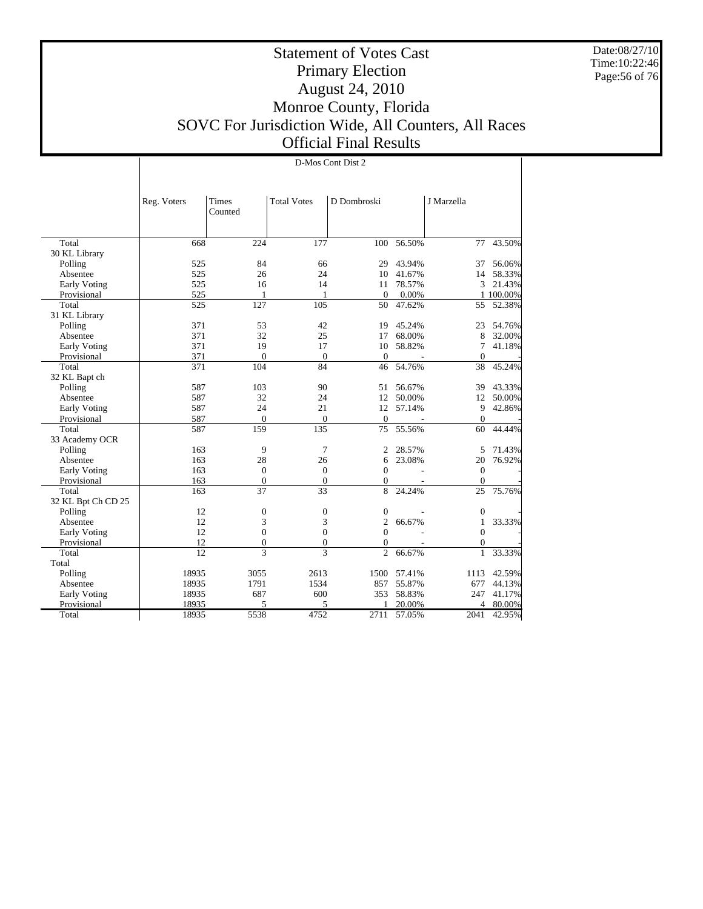Date:08/27/10 Time:10:22:46 Page:56 of 76

T

# Statement of Votes Cast Primary Election August 24, 2010 Monroe County, Florida SOVC For Jurisdiction Wide, All Counters, All Races Official Final Results

| <b>Total Votes</b><br>Reg. Voters<br>Times<br>D Dombroski<br>J Marzella<br>Counted<br>224<br>177<br>56.50%<br>43.50%<br>Total<br>668<br>100<br>77<br>30 KL Library<br>525<br>84<br>66<br>43.94%<br>56.06%<br>Polling<br>29<br>37<br>525<br>24<br>41.67%<br>26<br>10<br>14<br>58.33%<br>Absentee<br>525<br>16<br>14<br>78.57%<br>3<br>21.43%<br>Early Voting<br>11<br>525<br>0.00%<br>1 100.00%<br>Provisional<br>$\mathbf{0}$<br>1<br>1<br>127<br>105<br>47.62%<br>52.38%<br>Total<br>525<br>50<br>55<br>31 KL Library<br>371<br>42<br>Polling<br>53<br>19<br>45.24%<br>23<br>54.76%<br>371<br>32<br>25<br>68.00%<br>Absentee<br>17<br>8<br>32.00%<br>371<br>19<br>58.82%<br>7<br>Early Voting<br>17<br>10<br>41.18%<br>Provisional<br>371<br>$\mathbf{0}$<br>$\overline{0}$<br>$\mathbf{0}$<br>$\overline{0}$<br>84<br>45.24%<br>371<br>104<br>46<br>54.76%<br>38<br>Total<br>32 KL Bapt ch<br>587<br>103<br>90<br>56.67%<br>43.33%<br>Polling<br>51<br>39<br>587<br>32<br>24<br>12<br>50.00%<br>12<br>50.00%<br>Absentee<br>587<br>24<br>21<br>12<br>57.14%<br>9<br>42.86%<br>Early Voting<br>587<br>$\mathbf{0}$<br>$\mathbf{0}$<br>Provisional<br>$\mathbf{0}$<br>$\theta$<br>587<br>159<br>135<br>75<br>60<br>44.44%<br>Total<br>55.56%<br>33 Academy OCR<br>163<br>9<br>7<br>28.57%<br>71.43%<br>Polling<br>2<br>5<br>28<br>26<br>Absentee<br>163<br>6<br>23.08%<br>20<br>76.92%<br>$\boldsymbol{0}$<br>$\mathbf{0}$<br>$\theta$<br>$\overline{0}$<br>Early Voting<br>163<br>$\overline{0}$<br>Provisional<br>163<br>$\mathbf{0}$<br>$\overline{0}$<br>$\overline{0}$<br>163<br>37<br>33<br>8<br>24.24%<br>25<br>75.76%<br>Total<br>32 KL Bpt Ch CD 25<br>12<br>$\boldsymbol{0}$<br>$\boldsymbol{0}$<br>Polling<br>$\boldsymbol{0}$<br>$\mathbf{0}$<br>12<br>3<br>$\overline{c}$<br>Absentee<br>3<br>66.67%<br>33.33%<br>$\mathbf{1}$<br>$\theta$<br>12<br>$\boldsymbol{0}$<br>$\boldsymbol{0}$<br>$\overline{0}$<br><b>Early Voting</b><br>$\overline{0}$<br>$\overline{0}$<br>12<br>Provisional<br>$\overline{0}$<br>$\mathbf{0}$<br>$\overline{12}$<br>$\overline{3}$<br>3<br>Total<br>$\overline{c}$<br>$\mathbf{1}$<br>33.33%<br>66.67%<br>Total<br>Polling<br>18935<br>3055<br>57.41%<br>42.59%<br>2613<br>1500<br>1113<br>1791<br>55.87%<br>44.13%<br>Absentee<br>18935<br>1534<br>857<br>677<br>18935<br>687<br>600<br>353<br>58.83%<br>247<br>41.17%<br><b>Early Voting</b><br>Provisional<br>18935<br>5<br>5<br>20.00%<br>1<br>4<br>80.00% |       |       |      |      | D-Mos Cont Dist 2 |        |      |        |
|------------------------------------------------------------------------------------------------------------------------------------------------------------------------------------------------------------------------------------------------------------------------------------------------------------------------------------------------------------------------------------------------------------------------------------------------------------------------------------------------------------------------------------------------------------------------------------------------------------------------------------------------------------------------------------------------------------------------------------------------------------------------------------------------------------------------------------------------------------------------------------------------------------------------------------------------------------------------------------------------------------------------------------------------------------------------------------------------------------------------------------------------------------------------------------------------------------------------------------------------------------------------------------------------------------------------------------------------------------------------------------------------------------------------------------------------------------------------------------------------------------------------------------------------------------------------------------------------------------------------------------------------------------------------------------------------------------------------------------------------------------------------------------------------------------------------------------------------------------------------------------------------------------------------------------------------------------------------------------------------------------------------------------------------------------------------------------------------------------------------------------------------------------------------------------------------------------------------------------------------------------------------------------------------------------------------------------------------------------------------------------------------------------------------------------------------------------|-------|-------|------|------|-------------------|--------|------|--------|
|                                                                                                                                                                                                                                                                                                                                                                                                                                                                                                                                                                                                                                                                                                                                                                                                                                                                                                                                                                                                                                                                                                                                                                                                                                                                                                                                                                                                                                                                                                                                                                                                                                                                                                                                                                                                                                                                                                                                                                                                                                                                                                                                                                                                                                                                                                                                                                                                                                                            |       |       |      |      |                   |        |      |        |
|                                                                                                                                                                                                                                                                                                                                                                                                                                                                                                                                                                                                                                                                                                                                                                                                                                                                                                                                                                                                                                                                                                                                                                                                                                                                                                                                                                                                                                                                                                                                                                                                                                                                                                                                                                                                                                                                                                                                                                                                                                                                                                                                                                                                                                                                                                                                                                                                                                                            |       |       |      |      |                   |        |      |        |
|                                                                                                                                                                                                                                                                                                                                                                                                                                                                                                                                                                                                                                                                                                                                                                                                                                                                                                                                                                                                                                                                                                                                                                                                                                                                                                                                                                                                                                                                                                                                                                                                                                                                                                                                                                                                                                                                                                                                                                                                                                                                                                                                                                                                                                                                                                                                                                                                                                                            |       |       |      |      |                   |        |      |        |
|                                                                                                                                                                                                                                                                                                                                                                                                                                                                                                                                                                                                                                                                                                                                                                                                                                                                                                                                                                                                                                                                                                                                                                                                                                                                                                                                                                                                                                                                                                                                                                                                                                                                                                                                                                                                                                                                                                                                                                                                                                                                                                                                                                                                                                                                                                                                                                                                                                                            |       |       |      |      |                   |        |      |        |
|                                                                                                                                                                                                                                                                                                                                                                                                                                                                                                                                                                                                                                                                                                                                                                                                                                                                                                                                                                                                                                                                                                                                                                                                                                                                                                                                                                                                                                                                                                                                                                                                                                                                                                                                                                                                                                                                                                                                                                                                                                                                                                                                                                                                                                                                                                                                                                                                                                                            |       |       |      |      |                   |        |      |        |
|                                                                                                                                                                                                                                                                                                                                                                                                                                                                                                                                                                                                                                                                                                                                                                                                                                                                                                                                                                                                                                                                                                                                                                                                                                                                                                                                                                                                                                                                                                                                                                                                                                                                                                                                                                                                                                                                                                                                                                                                                                                                                                                                                                                                                                                                                                                                                                                                                                                            |       |       |      |      |                   |        |      |        |
|                                                                                                                                                                                                                                                                                                                                                                                                                                                                                                                                                                                                                                                                                                                                                                                                                                                                                                                                                                                                                                                                                                                                                                                                                                                                                                                                                                                                                                                                                                                                                                                                                                                                                                                                                                                                                                                                                                                                                                                                                                                                                                                                                                                                                                                                                                                                                                                                                                                            |       |       |      |      |                   |        |      |        |
|                                                                                                                                                                                                                                                                                                                                                                                                                                                                                                                                                                                                                                                                                                                                                                                                                                                                                                                                                                                                                                                                                                                                                                                                                                                                                                                                                                                                                                                                                                                                                                                                                                                                                                                                                                                                                                                                                                                                                                                                                                                                                                                                                                                                                                                                                                                                                                                                                                                            |       |       |      |      |                   |        |      |        |
|                                                                                                                                                                                                                                                                                                                                                                                                                                                                                                                                                                                                                                                                                                                                                                                                                                                                                                                                                                                                                                                                                                                                                                                                                                                                                                                                                                                                                                                                                                                                                                                                                                                                                                                                                                                                                                                                                                                                                                                                                                                                                                                                                                                                                                                                                                                                                                                                                                                            |       |       |      |      |                   |        |      |        |
|                                                                                                                                                                                                                                                                                                                                                                                                                                                                                                                                                                                                                                                                                                                                                                                                                                                                                                                                                                                                                                                                                                                                                                                                                                                                                                                                                                                                                                                                                                                                                                                                                                                                                                                                                                                                                                                                                                                                                                                                                                                                                                                                                                                                                                                                                                                                                                                                                                                            |       |       |      |      |                   |        |      |        |
|                                                                                                                                                                                                                                                                                                                                                                                                                                                                                                                                                                                                                                                                                                                                                                                                                                                                                                                                                                                                                                                                                                                                                                                                                                                                                                                                                                                                                                                                                                                                                                                                                                                                                                                                                                                                                                                                                                                                                                                                                                                                                                                                                                                                                                                                                                                                                                                                                                                            |       |       |      |      |                   |        |      |        |
|                                                                                                                                                                                                                                                                                                                                                                                                                                                                                                                                                                                                                                                                                                                                                                                                                                                                                                                                                                                                                                                                                                                                                                                                                                                                                                                                                                                                                                                                                                                                                                                                                                                                                                                                                                                                                                                                                                                                                                                                                                                                                                                                                                                                                                                                                                                                                                                                                                                            |       |       |      |      |                   |        |      |        |
|                                                                                                                                                                                                                                                                                                                                                                                                                                                                                                                                                                                                                                                                                                                                                                                                                                                                                                                                                                                                                                                                                                                                                                                                                                                                                                                                                                                                                                                                                                                                                                                                                                                                                                                                                                                                                                                                                                                                                                                                                                                                                                                                                                                                                                                                                                                                                                                                                                                            |       |       |      |      |                   |        |      |        |
|                                                                                                                                                                                                                                                                                                                                                                                                                                                                                                                                                                                                                                                                                                                                                                                                                                                                                                                                                                                                                                                                                                                                                                                                                                                                                                                                                                                                                                                                                                                                                                                                                                                                                                                                                                                                                                                                                                                                                                                                                                                                                                                                                                                                                                                                                                                                                                                                                                                            |       |       |      |      |                   |        |      |        |
|                                                                                                                                                                                                                                                                                                                                                                                                                                                                                                                                                                                                                                                                                                                                                                                                                                                                                                                                                                                                                                                                                                                                                                                                                                                                                                                                                                                                                                                                                                                                                                                                                                                                                                                                                                                                                                                                                                                                                                                                                                                                                                                                                                                                                                                                                                                                                                                                                                                            |       |       |      |      |                   |        |      |        |
|                                                                                                                                                                                                                                                                                                                                                                                                                                                                                                                                                                                                                                                                                                                                                                                                                                                                                                                                                                                                                                                                                                                                                                                                                                                                                                                                                                                                                                                                                                                                                                                                                                                                                                                                                                                                                                                                                                                                                                                                                                                                                                                                                                                                                                                                                                                                                                                                                                                            |       |       |      |      |                   |        |      |        |
|                                                                                                                                                                                                                                                                                                                                                                                                                                                                                                                                                                                                                                                                                                                                                                                                                                                                                                                                                                                                                                                                                                                                                                                                                                                                                                                                                                                                                                                                                                                                                                                                                                                                                                                                                                                                                                                                                                                                                                                                                                                                                                                                                                                                                                                                                                                                                                                                                                                            |       |       |      |      |                   |        |      |        |
|                                                                                                                                                                                                                                                                                                                                                                                                                                                                                                                                                                                                                                                                                                                                                                                                                                                                                                                                                                                                                                                                                                                                                                                                                                                                                                                                                                                                                                                                                                                                                                                                                                                                                                                                                                                                                                                                                                                                                                                                                                                                                                                                                                                                                                                                                                                                                                                                                                                            |       |       |      |      |                   |        |      |        |
|                                                                                                                                                                                                                                                                                                                                                                                                                                                                                                                                                                                                                                                                                                                                                                                                                                                                                                                                                                                                                                                                                                                                                                                                                                                                                                                                                                                                                                                                                                                                                                                                                                                                                                                                                                                                                                                                                                                                                                                                                                                                                                                                                                                                                                                                                                                                                                                                                                                            |       |       |      |      |                   |        |      |        |
|                                                                                                                                                                                                                                                                                                                                                                                                                                                                                                                                                                                                                                                                                                                                                                                                                                                                                                                                                                                                                                                                                                                                                                                                                                                                                                                                                                                                                                                                                                                                                                                                                                                                                                                                                                                                                                                                                                                                                                                                                                                                                                                                                                                                                                                                                                                                                                                                                                                            |       |       |      |      |                   |        |      |        |
|                                                                                                                                                                                                                                                                                                                                                                                                                                                                                                                                                                                                                                                                                                                                                                                                                                                                                                                                                                                                                                                                                                                                                                                                                                                                                                                                                                                                                                                                                                                                                                                                                                                                                                                                                                                                                                                                                                                                                                                                                                                                                                                                                                                                                                                                                                                                                                                                                                                            |       |       |      |      |                   |        |      |        |
|                                                                                                                                                                                                                                                                                                                                                                                                                                                                                                                                                                                                                                                                                                                                                                                                                                                                                                                                                                                                                                                                                                                                                                                                                                                                                                                                                                                                                                                                                                                                                                                                                                                                                                                                                                                                                                                                                                                                                                                                                                                                                                                                                                                                                                                                                                                                                                                                                                                            |       |       |      |      |                   |        |      |        |
|                                                                                                                                                                                                                                                                                                                                                                                                                                                                                                                                                                                                                                                                                                                                                                                                                                                                                                                                                                                                                                                                                                                                                                                                                                                                                                                                                                                                                                                                                                                                                                                                                                                                                                                                                                                                                                                                                                                                                                                                                                                                                                                                                                                                                                                                                                                                                                                                                                                            |       |       |      |      |                   |        |      |        |
|                                                                                                                                                                                                                                                                                                                                                                                                                                                                                                                                                                                                                                                                                                                                                                                                                                                                                                                                                                                                                                                                                                                                                                                                                                                                                                                                                                                                                                                                                                                                                                                                                                                                                                                                                                                                                                                                                                                                                                                                                                                                                                                                                                                                                                                                                                                                                                                                                                                            |       |       |      |      |                   |        |      |        |
|                                                                                                                                                                                                                                                                                                                                                                                                                                                                                                                                                                                                                                                                                                                                                                                                                                                                                                                                                                                                                                                                                                                                                                                                                                                                                                                                                                                                                                                                                                                                                                                                                                                                                                                                                                                                                                                                                                                                                                                                                                                                                                                                                                                                                                                                                                                                                                                                                                                            |       |       |      |      |                   |        |      |        |
|                                                                                                                                                                                                                                                                                                                                                                                                                                                                                                                                                                                                                                                                                                                                                                                                                                                                                                                                                                                                                                                                                                                                                                                                                                                                                                                                                                                                                                                                                                                                                                                                                                                                                                                                                                                                                                                                                                                                                                                                                                                                                                                                                                                                                                                                                                                                                                                                                                                            |       |       |      |      |                   |        |      |        |
|                                                                                                                                                                                                                                                                                                                                                                                                                                                                                                                                                                                                                                                                                                                                                                                                                                                                                                                                                                                                                                                                                                                                                                                                                                                                                                                                                                                                                                                                                                                                                                                                                                                                                                                                                                                                                                                                                                                                                                                                                                                                                                                                                                                                                                                                                                                                                                                                                                                            |       |       |      |      |                   |        |      |        |
|                                                                                                                                                                                                                                                                                                                                                                                                                                                                                                                                                                                                                                                                                                                                                                                                                                                                                                                                                                                                                                                                                                                                                                                                                                                                                                                                                                                                                                                                                                                                                                                                                                                                                                                                                                                                                                                                                                                                                                                                                                                                                                                                                                                                                                                                                                                                                                                                                                                            |       |       |      |      |                   |        |      |        |
|                                                                                                                                                                                                                                                                                                                                                                                                                                                                                                                                                                                                                                                                                                                                                                                                                                                                                                                                                                                                                                                                                                                                                                                                                                                                                                                                                                                                                                                                                                                                                                                                                                                                                                                                                                                                                                                                                                                                                                                                                                                                                                                                                                                                                                                                                                                                                                                                                                                            |       |       |      |      |                   |        |      |        |
|                                                                                                                                                                                                                                                                                                                                                                                                                                                                                                                                                                                                                                                                                                                                                                                                                                                                                                                                                                                                                                                                                                                                                                                                                                                                                                                                                                                                                                                                                                                                                                                                                                                                                                                                                                                                                                                                                                                                                                                                                                                                                                                                                                                                                                                                                                                                                                                                                                                            |       |       |      |      |                   |        |      |        |
|                                                                                                                                                                                                                                                                                                                                                                                                                                                                                                                                                                                                                                                                                                                                                                                                                                                                                                                                                                                                                                                                                                                                                                                                                                                                                                                                                                                                                                                                                                                                                                                                                                                                                                                                                                                                                                                                                                                                                                                                                                                                                                                                                                                                                                                                                                                                                                                                                                                            |       |       |      |      |                   |        |      |        |
|                                                                                                                                                                                                                                                                                                                                                                                                                                                                                                                                                                                                                                                                                                                                                                                                                                                                                                                                                                                                                                                                                                                                                                                                                                                                                                                                                                                                                                                                                                                                                                                                                                                                                                                                                                                                                                                                                                                                                                                                                                                                                                                                                                                                                                                                                                                                                                                                                                                            |       |       |      |      |                   |        |      |        |
|                                                                                                                                                                                                                                                                                                                                                                                                                                                                                                                                                                                                                                                                                                                                                                                                                                                                                                                                                                                                                                                                                                                                                                                                                                                                                                                                                                                                                                                                                                                                                                                                                                                                                                                                                                                                                                                                                                                                                                                                                                                                                                                                                                                                                                                                                                                                                                                                                                                            |       |       |      |      |                   |        |      |        |
|                                                                                                                                                                                                                                                                                                                                                                                                                                                                                                                                                                                                                                                                                                                                                                                                                                                                                                                                                                                                                                                                                                                                                                                                                                                                                                                                                                                                                                                                                                                                                                                                                                                                                                                                                                                                                                                                                                                                                                                                                                                                                                                                                                                                                                                                                                                                                                                                                                                            |       |       |      |      |                   |        |      |        |
|                                                                                                                                                                                                                                                                                                                                                                                                                                                                                                                                                                                                                                                                                                                                                                                                                                                                                                                                                                                                                                                                                                                                                                                                                                                                                                                                                                                                                                                                                                                                                                                                                                                                                                                                                                                                                                                                                                                                                                                                                                                                                                                                                                                                                                                                                                                                                                                                                                                            |       |       |      |      |                   |        |      |        |
|                                                                                                                                                                                                                                                                                                                                                                                                                                                                                                                                                                                                                                                                                                                                                                                                                                                                                                                                                                                                                                                                                                                                                                                                                                                                                                                                                                                                                                                                                                                                                                                                                                                                                                                                                                                                                                                                                                                                                                                                                                                                                                                                                                                                                                                                                                                                                                                                                                                            |       |       |      |      |                   |        |      |        |
|                                                                                                                                                                                                                                                                                                                                                                                                                                                                                                                                                                                                                                                                                                                                                                                                                                                                                                                                                                                                                                                                                                                                                                                                                                                                                                                                                                                                                                                                                                                                                                                                                                                                                                                                                                                                                                                                                                                                                                                                                                                                                                                                                                                                                                                                                                                                                                                                                                                            |       |       |      |      |                   |        |      |        |
|                                                                                                                                                                                                                                                                                                                                                                                                                                                                                                                                                                                                                                                                                                                                                                                                                                                                                                                                                                                                                                                                                                                                                                                                                                                                                                                                                                                                                                                                                                                                                                                                                                                                                                                                                                                                                                                                                                                                                                                                                                                                                                                                                                                                                                                                                                                                                                                                                                                            |       |       |      |      |                   |        |      |        |
|                                                                                                                                                                                                                                                                                                                                                                                                                                                                                                                                                                                                                                                                                                                                                                                                                                                                                                                                                                                                                                                                                                                                                                                                                                                                                                                                                                                                                                                                                                                                                                                                                                                                                                                                                                                                                                                                                                                                                                                                                                                                                                                                                                                                                                                                                                                                                                                                                                                            | Total | 18935 | 5538 | 4752 | 2711              | 57.05% | 2041 | 42.95% |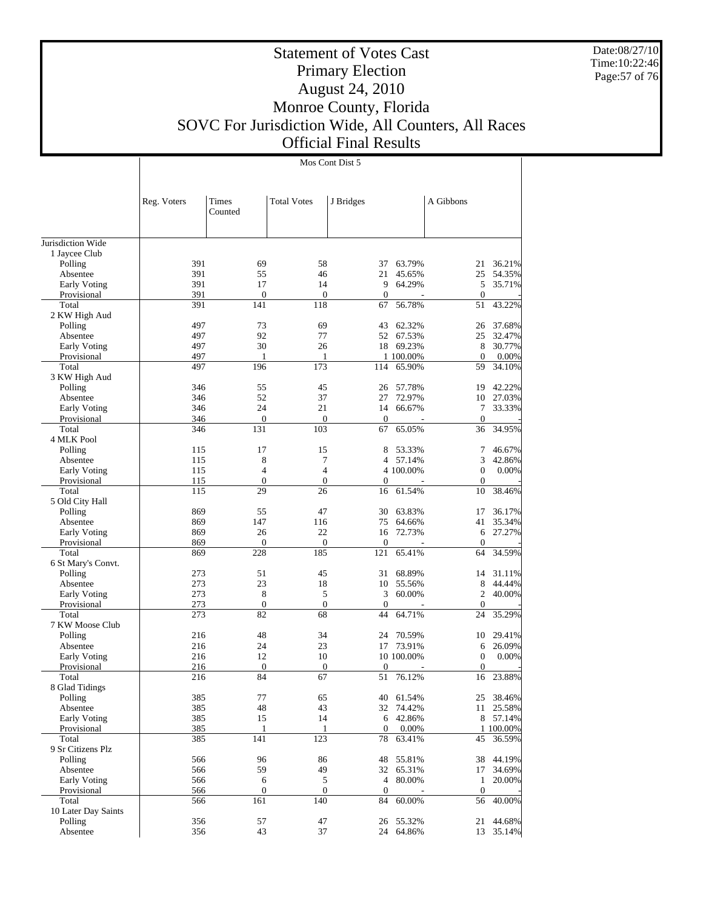Date:08/27/10 Time:10:22:46 Page:57 of 76

#### Statement of Votes Cast Primary Election August 24, 2010 Monroe County, Florida SOVC For Jurisdiction Wide, All Counters, All Races Official Final Results

Jurisdiction Wide 1 Jaycee Club Polling Absentee Early Voting Provisional Total 2 KW High Aud Polling Absentee Early Voting Provisional Total 3 KW High Aud Polling Absentee Early Voting Provisional Total 4 MLK Pool Polling Absentee Early Voting Provisional Total 5 Old City Hall Polling Absentee Early Voting Provisional Total 6 St Mary's Convt. Polling Absentee Early Voting Provisional Total 7 KW Moose Club Polling Absentee Early Voting Provisional Total 8 Glad Tidings Polling Absentee Early Voting Provisional Total 9 Sr Citizens Plz Polling Absentee Early Voting Provisional Total 10 Later Day Saints Polling Absentee Reg. Voters | Times Counted Total Votes J Bridges | A Gibbons Mos Cont Dist 5 391 69 58 37 63.79% 21 36.21%<br>391 55 46 21 45.65% 25 54.35% 391 55 46 21 45.65% 25 54.35% 391 17 14 9 64.29% 5 35.71% 391 0 0 0 0 0 0 0 391 141 118 67 56.78% 51 43.22% 497 73 69 43 62.32% 26 37.68%<br>497 92 77 52 67.53% 25 32.47% 497 92 77 52 67.53%<br>497 30 26 18 69.23% 8 30.77% 497 1 1 1 100.00% 0 0.00%<br>497 196 173 114 65.90% 59 34.10% 59 34.10% 346 55 45 26 57.78% 19 42.22%<br>346 52 37 27 72.97% 10 27.03% 346 52 37 27 72.97% 10 27.03% 346 24 21 14 66.67% 7<br>346 0 0 0 0 0 346 0 0 0 - 0 - 346 131 103 67 65.05% 36 34.95% 115 17 15 8 53.33% 7 46.67%  $\begin{array}{ccccccccccc} 115 &&&& 8 &&&& 7 &&&& 4 && 57.14\% & && && 3 && 42.86\% \\ 115 && && 4 && && 4 && 4 && 100.00\% && && 0 && 0.00\% \end{array}$  $\begin{array}{cccc} 4 & 4 & 4 & 100.00\% \\ 0 & 0 & 0 & - \end{array}$ 115 0 0 0 - 0 -115 29 26 16 61.54% 10 38.46% 869 55 47 30 63.83% 17 36.17%<br>869 147 116 75 64.66% 41 35.34% 869 147 116 75 64.66% 41 35.34% 869 26 22 16 72.73% 6 27.27% 869 0 0 0 - 0 - 869 228 185 121 65.41% 64 34.59% 273 51 45 31 68.89% 14 31.11% 273 23 18 10 55.56% 8 44.44%<br>273 8 5 3 60.00% 2 40.00%  $\begin{array}{ccccccc}\n8 & & & 5 & & 3 & 60.00\% & & & 2 & 40.00\% \\
0 & & & 0 & & & 0 & & 0\n\end{array}$ 273 0 0 0 0 0 0 0 0 273 82 68 44 64.71% 24 35.29% 216 48 34 24 70.59% 10 29.41%<br>216 24 23 17 73.91% 6 26.09% 216 24 23 17 73.91% 6 26.09%  $\begin{array}{cccccccc} 216 & & & 12 & & & 10 & & & 10\ 100 & & & 0 & & & 0 & & 0.00\% \end{array}$ 216 0 0 0 - 0 -216 84 67 51 76.12% 16 23.88% 385 77 65 40 61.54% 25 38.46% 385 48 43 32 74.42% 11 25.58%<br>385 15 14 6 42.86% 8 57.14% 6 42.86% 1 100.00% 1 100.00% 1 100.00% 385 141 123 78 63.41% 45 36.59% 385 141 123 78 63.41% 45 36.59% 566 96 86 48 55.81% 38 44.19% 566 59 49 32 65.31% 17 34.69% 566 6 5 4 80.00% 1 20.00% 566 0 0 0 - 0 -566 161 140 84 60.00% 56 40.00% 356 57 47 26 55.32% 21 44.68% 24 64.86%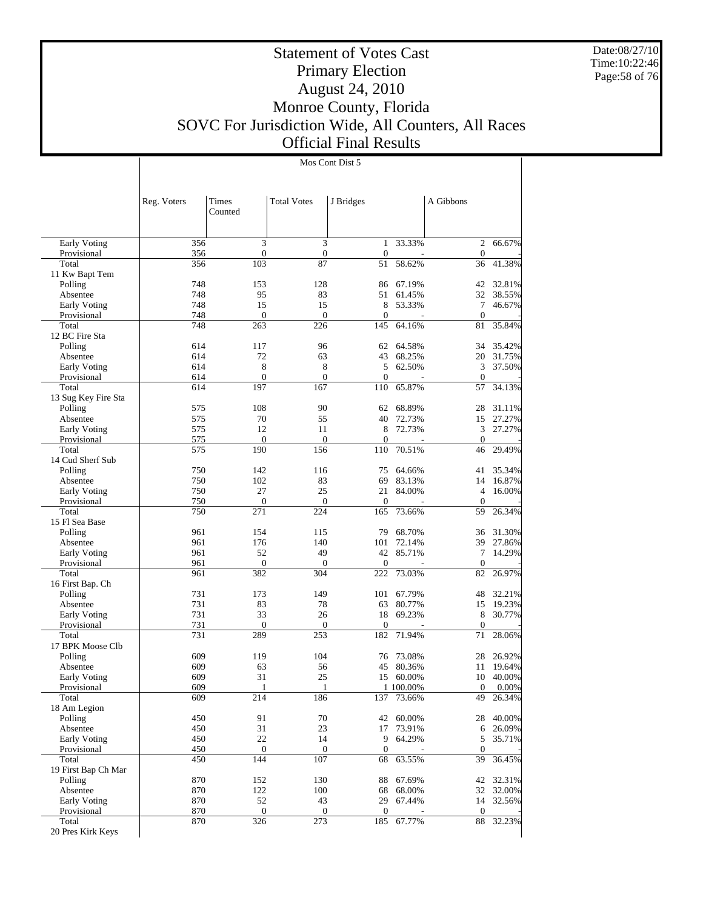Date:08/27/10 Time:10:22:46 Page:58 of 76

 $\overline{\phantom{a}}$ 

# Statement of Votes Cast Primary Election August 24, 2010 Monroe County, Florida SOVC For Jurisdiction Wide, All Counters, All Races Official Final Results

Mos Cont Dist 5

|                              | Reg. Voters | Times<br>Counted        | <b>Total Votes</b>    | J Bridges             |                  | A Gibbons          |                  |
|------------------------------|-------------|-------------------------|-----------------------|-----------------------|------------------|--------------------|------------------|
| <b>Early Voting</b>          | 356         | 3                       | 3                     | 1                     | 33.33%           | $\overline{c}$     | 66.67%           |
| Provisional                  | 356         | $\boldsymbol{0}$        | $\boldsymbol{0}$      | $\boldsymbol{0}$      |                  | $\mathbf{0}$       |                  |
| Total                        | 356         | 103                     | 87                    | 51                    | 58.62%           | 36                 | 41.38%           |
| 11 Kw Bapt Tem               |             |                         |                       |                       |                  |                    |                  |
| Polling<br>Absentee          | 748<br>748  | 153<br>95               | 128<br>83             | 86<br>51              | 67.19%<br>61.45% | 42<br>32           | 32.81%<br>38.55% |
| Early Voting                 | 748         | 15                      | 15                    | 8                     | 53.33%           | 7                  | 46.67%           |
| Provisional                  | 748         | $\boldsymbol{0}$        | $\overline{0}$        | 0                     |                  | $\boldsymbol{0}$   |                  |
| Total                        | 748         | 263                     | 226                   | 145                   | 64.16%           | 81                 | 35.84%           |
| 12 BC Fire Sta               |             |                         |                       |                       |                  |                    |                  |
| Polling                      | 614         | 117                     | 96                    | 62                    | 64.58%           | 34                 | 35.42%           |
| Absentee                     | 614         | 72                      | 63                    | 43                    | 68.25%           | 20                 | 31.75%           |
| Early Voting                 | 614         | 8                       | 8                     | 5                     | 62.50%           | 3                  | 37.50%           |
| Provisional                  | 614<br>614  | $\mathbf{0}$<br>197     | $\overline{0}$<br>167 | $\overline{0}$<br>110 |                  | $\theta$<br>57     |                  |
| Total<br>13 Sug Key Fire Sta |             |                         |                       |                       | 65.87%           |                    | 34.13%           |
| Polling                      | 575         | 108                     | 90                    | 62                    | 68.89%           | 28                 | 31.11%           |
| Absentee                     | 575         | 70                      | 55                    | 40                    | 72.73%           | 15                 | 27.27%           |
| Early Voting                 | 575         | 12                      | 11                    | 8                     | 72.73%           | 3                  | 27.27%           |
| Provisional                  | 575         | $\mathbf{0}$            | $\mathbf{0}$          | $\boldsymbol{0}$      |                  | $\mathbf{0}$       |                  |
| Total                        | 575         | 190                     | 156                   | 110                   | 70.51%           | 46                 | 29.49%           |
| 14 Cud Sherf Sub             |             |                         |                       |                       |                  |                    |                  |
| Polling                      | 750         | 142                     | 116                   | 75                    | 64.66%           | 41                 | 35.34%           |
| Absentee                     | 750         | 102                     | 83                    | 69                    | 83.13%           | 14                 | 16.87%           |
| Early Voting                 | 750         | 27                      | 25                    | 21                    | 84.00%           | 4                  | 16.00%           |
| Provisional                  | 750         | $\theta$                | $\overline{0}$        | $\overline{0}$        |                  | $\theta$           |                  |
| Total<br>15 Fl Sea Base      | 750         | 271                     | 224                   | 165                   | 73.66%           | 59                 | 26.34%           |
| Polling                      | 961         | 154                     | 115                   | 79                    | 68.70%           | 36                 | 31.30%           |
| Absentee                     | 961         | 176                     | 140                   | 101                   | 72.14%           | 39                 | 27.86%           |
| Early Voting                 | 961         | 52                      | 49                    | 42                    | 85.71%           | 7                  | 14.29%           |
| Provisional                  | 961         | $\mathbf{0}$            | $\boldsymbol{0}$      | 0                     |                  | $\boldsymbol{0}$   |                  |
| Total                        | 961         | 382                     | 304                   | 222                   | 73.03%           | 82                 | 26.97%           |
| 16 First Bap. Ch             |             |                         |                       |                       |                  |                    |                  |
| Polling                      | 731         | 173                     | 149                   | 101                   | 67.79%           | 48                 | 32.21%           |
| Absentee                     | 731         | 83                      | 78                    | 63                    | 80.77%           | 15                 | 19.23%           |
| Early Voting                 | 731         | 33                      | 26                    | 18                    | 69.23%           | 8                  | 30.77%           |
| Provisional<br>Total         | 731<br>731  | $\theta$<br>289         | $\overline{0}$<br>253 | $\overline{0}$<br>182 | 71.94%           | $\mathbf{0}$<br>71 | 28.06%           |
| 17 BPK Moose Clb             |             |                         |                       |                       |                  |                    |                  |
| Polling                      | 609         | 119                     | 104                   | 76                    | 73.08%           | 28                 | 26.92%           |
| Absentee                     | 609         | 63                      | 56                    | 45                    | 80.36%           | 11                 | 19.64%           |
| Early Voting                 | 609         | 31                      | 25                    | 15                    | 60.00%           | 10                 | 40.00%           |
| Provisional                  | 609         |                         |                       |                       | 1 100.00%        | 0                  | $0.00\%$         |
| Total                        | 609         | 214                     | 186                   | 137                   | 73.66%           | 49                 | 26.34%           |
| 18 Am Legion                 |             |                         |                       |                       |                  |                    |                  |
| Polling                      | 450         | 91                      | 70                    | 42                    | 60.00%           | 28                 | 40.00%           |
| Absentee                     | 450         | 31                      | 23                    | 17                    | 73.91%           | 6                  | 26.09%           |
| Early Voting                 | 450         | 22                      | 14                    | 9                     | 64.29%           | 5                  | 35.71%           |
| Provisional<br>Total         | 450<br>450  | $\boldsymbol{0}$<br>144 | 0<br>107              | $\mathbf{0}$<br>68    | 63.55%           | $\mathbf{0}$<br>39 | 36.45%           |
| 19 First Bap Ch Mar          |             |                         |                       |                       |                  |                    |                  |
| Polling                      | 870         | 152                     | 130                   | 88                    | 67.69%           | 42                 | 32.31%           |
| Absentee                     | 870         | 122                     | 100                   | 68                    | 68.00%           | 32                 | 32.00%           |
| Early Voting                 | 870         | 52                      | 43                    | 29                    | 67.44%           |                    | 14 32.56%        |
| Provisional                  | 870         | $\boldsymbol{0}$        | 0                     | $\overline{0}$        |                  | $\mathbf{0}$       |                  |
| Total                        | 870         | 326                     | 273                   | 185                   | 67.77%           | 88                 | 32.23%           |
| 20 Pres Kirk Keys            |             |                         |                       |                       |                  |                    |                  |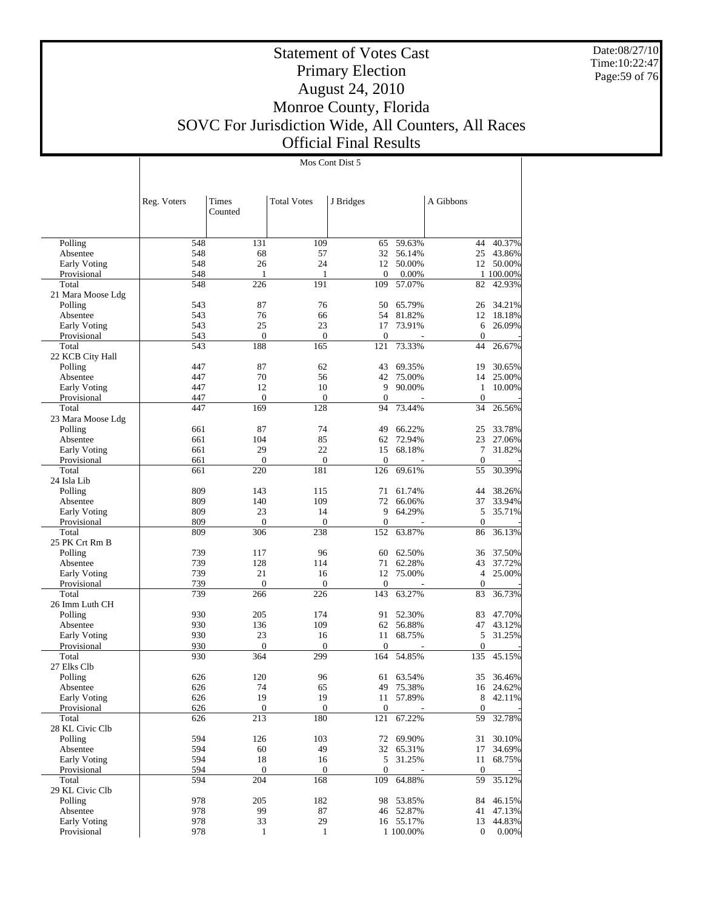Date:08/27/10 Time:10:22:47 Page:59 of 76

Τ

# Statement of Votes Cast Primary Election August 24, 2010 Monroe County, Florida SOVC For Jurisdiction Wide, All Counters, All Races Official Final Results

Mos Cont Dist 5

|                             | Reg. Voters | Times               | <b>Total Votes</b>     | J Bridges             |                  | A Gibbons              |                     |
|-----------------------------|-------------|---------------------|------------------------|-----------------------|------------------|------------------------|---------------------|
|                             |             | Counted             |                        |                       |                  |                        |                     |
|                             |             |                     |                        |                       |                  |                        |                     |
| Polling                     | 548         | 131                 | 109                    | 65                    | 59.63%           | 44                     | 40.37%              |
| Absentee                    | 548         | 68                  | 57                     | 32                    | 56.14%           | 25                     | 43.86%              |
| Early Voting                | 548         | 26                  | 24                     | 12                    | 50.00%           | 12                     | 50.00%              |
| Provisional<br>Total        | 548<br>548  | 1<br>226            | 1<br>191               | $\mathbf{0}$<br>109   | 0.00%<br>57.07%  | 82                     | 1 100.00%<br>42.93% |
| 21 Mara Moose Ldg           |             |                     |                        |                       |                  |                        |                     |
| Polling                     | 543         | 87                  | 76                     | 50                    | 65.79%           | 26                     | 34.21%              |
| Absentee                    | 543         | 76                  | 66                     | 54                    | 81.82%           | 12                     | 18.18%              |
| Early Voting                | 543         | 25                  | 23                     | 17                    | 73.91%           | 6                      | 26.09%              |
| Provisional<br>Total        | 543<br>543  | $\mathbf{0}$<br>188 | $\mathbf{0}$<br>165    | $\overline{0}$<br>121 | 73.33%           | $\boldsymbol{0}$<br>44 |                     |
| 22 KCB City Hall            |             |                     |                        |                       |                  |                        | 26.67%              |
| Polling                     | 447         | 87                  | 62                     | 43                    | 69.35%           | 19                     | 30.65%              |
| Absentee                    | 447         | 70                  | 56                     | 42                    | 75.00%           | 14                     | 25.00%              |
| Early Voting                | 447         | 12                  | 10                     | 9                     | 90.00%           | $\mathbf{1}$           | 10.00%              |
| Provisional                 | 447         | $\boldsymbol{0}$    | $\boldsymbol{0}$       | $\boldsymbol{0}$      |                  | $\mathbf{0}$           |                     |
| Total                       | 447         | 169                 | 128                    | 94                    | 73.44%           | 34                     | 26.56%              |
| 23 Mara Moose Ldg           | 661         | 87                  | 74                     | 49                    | 66.22%           | 25                     | 33.78%              |
| Polling<br>Absentee         | 661         | 104                 | 85                     | 62                    | 72.94%           | 23                     | 27.06%              |
| Early Voting                | 661         | 29                  | 22                     | 15                    | 68.18%           | 7                      | 31.82%              |
| Provisional                 | 661         | $\theta$            | $\mathbf{0}$           | $\mathbf{0}$          |                  | $\mathbf{0}$           |                     |
| Total                       | 661         | 220                 | 181                    | 126                   | 69.61%           | 55                     | 30.39%              |
| 24 Isla Lib                 |             |                     |                        |                       |                  |                        |                     |
| Polling                     | 809         | 143                 | 115                    | 71                    | 61.74%           | 44                     | 38.26%              |
| Absentee                    | 809         | 140                 | 109                    | 72                    | 66.06%           | 37                     | 33.94%              |
| Early Voting<br>Provisional | 809<br>809  | 23<br>$\mathbf{0}$  | 14<br>$\boldsymbol{0}$ | 9<br>$\boldsymbol{0}$ | 64.29%           | 5<br>$\mathbf{0}$      | 35.71%              |
| Total                       | 809         | 306                 | 238                    | 152                   | 63.87%           | 86                     | 36.13%              |
| 25 PK Crt Rm B              |             |                     |                        |                       |                  |                        |                     |
| Polling                     | 739         | 117                 | 96                     | 60                    | 62.50%           | 36                     | 37.50%              |
| Absentee                    | 739         | 128                 | 114                    | 71                    | 62.28%           | 43                     | 37.72%              |
| Early Voting                | 739         | 21                  | 16                     | 12                    | 75.00%           | 4                      | 25.00%              |
| Provisional                 | 739         | $\boldsymbol{0}$    | $\mathbf{0}$<br>226    | $\mathbf{0}$          |                  | $\boldsymbol{0}$       |                     |
| Total<br>26 Imm Luth CH     | 739         | 266                 |                        | 143                   | 63.27%           | 83                     | 36.73%              |
| Polling                     | 930         | 205                 | 174                    | 91                    | 52.30%           | 83                     | 47.70%              |
| Absentee                    | 930         | 136                 | 109                    | 62                    | 56.88%           | 47                     | 43.12%              |
| Early Voting                | 930         | 23                  | 16                     | 11                    | 68.75%           | 5                      | 31.25%              |
| Provisional                 | 930         | $\boldsymbol{0}$    | $\mathbf{0}$           | $\boldsymbol{0}$      |                  | $\mathbf{0}$           |                     |
| Total                       | 930         | 364                 | 299                    | 164                   | 54.85%           | 135                    | 45.15%              |
| 27 Elks Clb                 |             |                     |                        |                       |                  |                        |                     |
| Polling                     | 626         | 120<br>74           | 96                     | 61<br>49              | 63.54%           | 35<br>16               | 36.46%              |
| Absentee<br>Early Voting    | 626<br>626  | 19                  | 65<br>19               | 11                    | 75.38%<br>57.89% | 8                      | 24.62%<br>42.11%    |
| Provisional                 | 626         | $\boldsymbol{0}$    | $\boldsymbol{0}$       | $\boldsymbol{0}$      |                  | $\boldsymbol{0}$       |                     |
| Total                       | 626         | 213                 | 180                    | 121                   | 67.22%           | 59                     | 32.78%              |
| 28 KL Civic Clb             |             |                     |                        |                       |                  |                        |                     |
| Polling                     | 594         | 126                 | 103                    | 72                    | 69.90%           | 31                     | 30.10%              |
| Absentee                    | 594         | 60                  | 49                     | 32                    | 65.31%           | 17                     | 34.69%              |
| Early Voting<br>Provisional | 594<br>594  | 18<br>$\mathbf{0}$  | 16<br>$\boldsymbol{0}$ | 5<br>$\boldsymbol{0}$ | 31.25%           | 11<br>$\boldsymbol{0}$ | 68.75%              |
| Total                       | 594         | 204                 | 168                    | 109                   | 64.88%           | 59                     | 35.12%              |
| 29 KL Civic Clb             |             |                     |                        |                       |                  |                        |                     |
| Polling                     | 978         | 205                 | 182                    | 98                    | 53.85%           | 84                     | 46.15%              |
| Absentee                    | 978         | 99                  | 87                     |                       | 46 52.87%        | 41                     | 47.13%              |
| Early Voting                | 978         | 33                  | 29                     |                       | 16 55.17%        | 13                     | 44.83%              |
| Provisional                 | 978         | $\mathbf{1}$        | $\mathbf{1}$           |                       | 1 100.00%        | $\boldsymbol{0}$       | $0.00\%$            |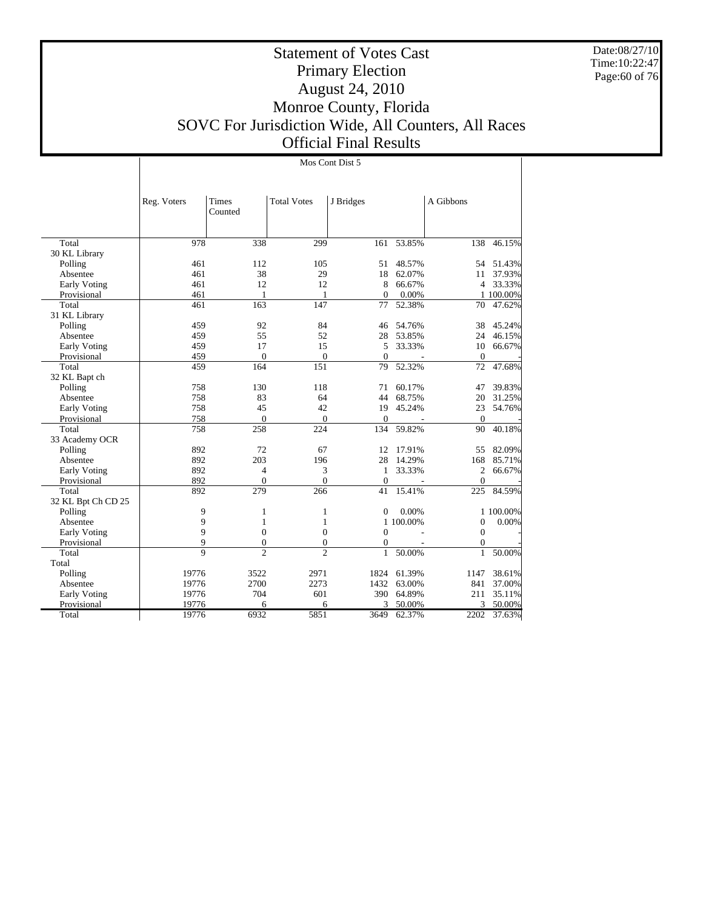Date:08/27/10 Time:10:22:47 Page:60 of 76

Τ

# Statement of Votes Cast Primary Election August 24, 2010 Monroe County, Florida SOVC For Jurisdiction Wide, All Counters, All Races Official Final Results

|                     |                | Mos Cont Dist 5 |                    |              |           |                  |           |  |  |
|---------------------|----------------|-----------------|--------------------|--------------|-----------|------------------|-----------|--|--|
|                     |                |                 |                    |              |           |                  |           |  |  |
|                     |                |                 |                    |              |           |                  |           |  |  |
|                     | Reg. Voters    | Times           | <b>Total Votes</b> | J Bridges    |           | A Gibbons        |           |  |  |
|                     |                | Counted         |                    |              |           |                  |           |  |  |
|                     |                |                 |                    |              |           |                  |           |  |  |
|                     |                |                 |                    |              |           |                  |           |  |  |
| Total               | 978            | 338             | 299                | 161          | 53.85%    | 138              | 46.15%    |  |  |
| 30 KL Library       | 461            | 112             | 105                |              | 48.57%    |                  | 51.43%    |  |  |
| Polling             |                |                 |                    | 51           | 62.07%    | 54               |           |  |  |
| Absentee            | 461            | 38              | 29                 | 18           |           | 11               | 37.93%    |  |  |
| Early Voting        | 461            | 12              | 12                 | 8            | 66.67%    | $\overline{4}$   | 33.33%    |  |  |
| Provisional         | 461            | $\mathbf{1}$    | 1                  | $\Omega$     | 0.00%     |                  | 1 100.00% |  |  |
| Total               | 461            | 163             | 147                | 77           | 52.38%    | 70               | 47.62%    |  |  |
| 31 KL Library       |                |                 |                    |              |           |                  |           |  |  |
| Polling             | 459            | 92              | 84                 | 46           | 54.76%    | 38               | 45.24%    |  |  |
| Absentee            | 459            | 55              | 52                 | 28           | 53.85%    | 24               | 46.15%    |  |  |
| Early Voting        | 459            | 17              | 15                 | 5            | 33.33%    | 10               | 66.67%    |  |  |
| Provisional         | 459            | $\overline{0}$  | $\theta$           | $\Omega$     | ÷,        | $\mathbf{0}$     |           |  |  |
| Total               | 459            | 164             | 151                | 79           | 52.32%    | 72               | 47.68%    |  |  |
| 32 KL Bapt ch       |                |                 |                    |              |           |                  |           |  |  |
| Polling             | 758            | 130             | 118                | 71           | 60.17%    | 47               | 39.83%    |  |  |
| Absentee            | 758            | 83              | 64                 | 44           | 68.75%    | 20               | 31.25%    |  |  |
| <b>Early Voting</b> | 758            | 45              | 42                 | 19           | 45.24%    | 23               | 54.76%    |  |  |
| Provisional         | 758            | $\overline{0}$  | $\theta$           | $\mathbf{0}$ | L,        | $\theta$         |           |  |  |
| Total               | 758            | 258             | 224                | 134          | 59.82%    | 90               | 40.18%    |  |  |
| 33 Academy OCR      |                |                 |                    |              |           |                  |           |  |  |
| Polling             | 892            | 72              | 67                 | 12           | 17.91%    | 55               | 82.09%    |  |  |
| Absentee            | 892            | 203             | 196                | 28           | 14.29%    | 168              | 85.71%    |  |  |
| <b>Early Voting</b> | 892            | $\overline{4}$  | 3                  | 1            | 33.33%    | $\overline{c}$   | 66.67%    |  |  |
| Provisional         | 892            | $\overline{0}$  | $\overline{0}$     | $\mathbf{0}$ |           | $\overline{0}$   |           |  |  |
| Total               | 892            | 279             | 266                | 41           | 15.41%    | 225              | 84.59%    |  |  |
| 32 KL Bpt Ch CD 25  |                |                 |                    |              |           |                  |           |  |  |
| Polling             | 9              | $\mathbf{1}$    | 1                  | $\mathbf{0}$ | 0.00%     |                  | 1 100.00% |  |  |
| Absentee            | 9              | $\mathbf{1}$    | $\mathbf{1}$       |              | 1 100.00% | $\mathbf{0}$     | 0.00%     |  |  |
| <b>Early Voting</b> | 9              | $\mathbf{0}$    | $\boldsymbol{0}$   | $\mathbf{0}$ |           | $\boldsymbol{0}$ |           |  |  |
| Provisional         | 9              | $\overline{0}$  | $\Omega$           | $\mathbf{0}$ |           | $\Omega$         |           |  |  |
| Total               | $\overline{Q}$ | $\overline{2}$  | $\overline{c}$     | $\mathbf{1}$ | 50.00%    | $\mathbf{1}$     | 50.00%    |  |  |
| Total               |                |                 |                    |              |           |                  |           |  |  |
| Polling             | 19776          | 3522            | 2971               | 1824         | 61.39%    | 1147             | 38.61%    |  |  |
| Absentee            | 19776          | 2700            | 2273               | 1432         | 63.00%    | 841              | 37.00%    |  |  |
| Early Voting        | 19776          | 704             | 601                | 390          | 64.89%    | 211              | 35.11%    |  |  |
| Provisional         | 19776          | 6               | 6                  | 3            | 50.00%    | 3                | 50.00%    |  |  |
| Total               | 19776          | 6932            | 5851               | 3649         | 62.37%    | 2202             | 37.63%    |  |  |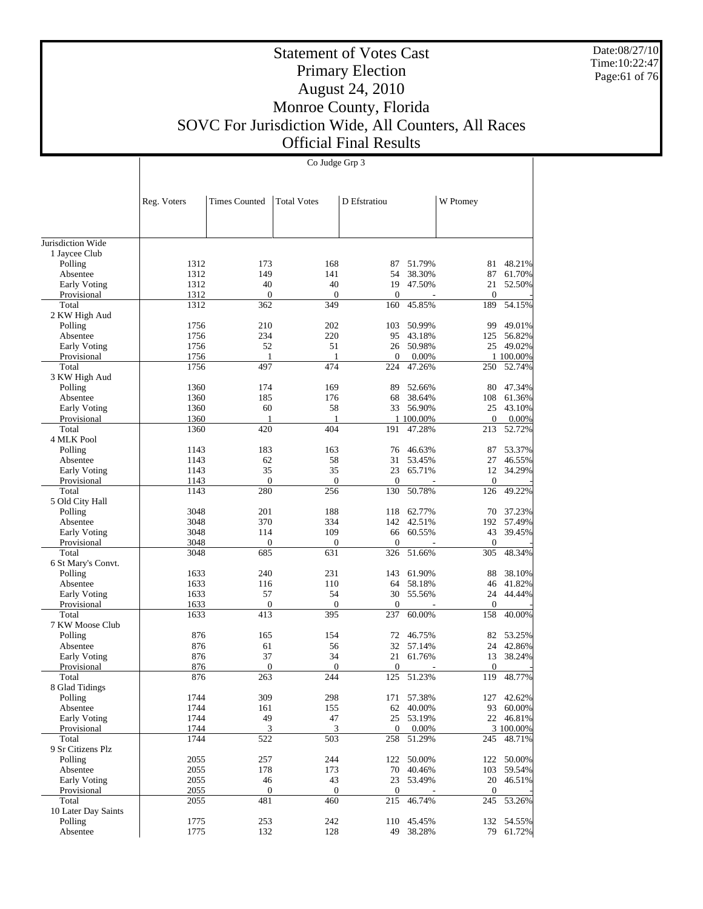Date:08/27/10 Time:10:22:47 Page:61 of 76

# Statement of Votes Cast Primary Election August 24, 2010 Monroe County, Florida SOVC For Jurisdiction Wide, All Counters, All Races Official Final Results

|                               |              |                      | Co Judge Grp 3     |                  |                     |                  |                     |
|-------------------------------|--------------|----------------------|--------------------|------------------|---------------------|------------------|---------------------|
|                               |              |                      |                    |                  |                     |                  |                     |
|                               |              |                      |                    |                  |                     |                  |                     |
|                               | Reg. Voters  | <b>Times Counted</b> | <b>Total Votes</b> | D Efstratiou     |                     | W Ptomey         |                     |
|                               |              |                      |                    |                  |                     |                  |                     |
|                               |              |                      |                    |                  |                     |                  |                     |
| Jurisdiction Wide             |              |                      |                    |                  |                     |                  |                     |
| 1 Jaycee Club                 |              |                      |                    |                  |                     |                  |                     |
| Polling<br>Absentee           | 1312<br>1312 | 173<br>149           | 168<br>141         | 87<br>54         | 51.79%<br>38.30%    | 81<br>87         | 48.21%<br>61.70%    |
| Early Voting                  | 1312         | 40                   | 40                 | 19               | 47.50%              | 21               | 52.50%              |
| Provisional                   | 1312         | $\mathbf{0}$         | $\mathbf{0}$       | $\mathbf{0}$     |                     | $\boldsymbol{0}$ |                     |
| Total                         | 1312         | 362                  | 349                | 160              | 45.85%              | 189              | 54.15%              |
| 2 KW High Aud                 |              |                      |                    |                  |                     |                  |                     |
| Polling                       | 1756         | 210                  | 202                | 103              | 50.99%              | 99               | 49.01%              |
| Absentee                      | 1756         | 234                  | 220                | 95               | 43.18%              | 125              | 56.82%              |
| Early Voting                  | 1756         | 52                   | 51                 | 26               | 50.98%              | 25               | 49.02%              |
| Provisional                   | 1756         | 1                    | 1                  | $\boldsymbol{0}$ | 0.00%               |                  | 1 100.00%           |
| Total                         | 1756         | 497                  | 474                | 224              | 47.26%              | 250              | 52.74%              |
| 3 KW High Aud                 |              |                      |                    |                  |                     |                  |                     |
| Polling                       | 1360         | 174<br>185           | 169<br>176         | 89               | 52.66%              | 80               | 47.34%              |
| Absentee<br>Early Voting      | 1360<br>1360 | 60                   | 58                 | 68               | 38.64%<br>33 56.90% | 108<br>25        | 61.36%<br>43.10%    |
| Provisional                   | 1360         | 1                    | 1                  |                  | 1 100.00%           | $\mathbf{0}$     | 0.00%               |
| Total                         | 1360         | 420                  | 404                | 191              | 47.28%              | 213              | 52.72%              |
| 4 MLK Pool                    |              |                      |                    |                  |                     |                  |                     |
| Polling                       | 1143         | 183                  | 163                | 76               | 46.63%              | 87               | 53.37%              |
| Absentee                      | 1143         | 62                   | 58                 | 31               | 53.45%              | 27               | 46.55%              |
| Early Voting                  | 1143         | 35                   | 35                 | 23               | 65.71%              | 12               | 34.29%              |
| Provisional                   | 1143         | $\mathbf{0}$         | $\boldsymbol{0}$   | $\mathbf{0}$     |                     | $\boldsymbol{0}$ |                     |
| Total                         | 1143         | 280                  | 256                | 130              | 50.78%              | 126              | 49.22%              |
| 5 Old City Hall               |              |                      |                    |                  |                     |                  |                     |
| Polling                       | 3048         | 201                  | 188                | 118              | 62.77%              | 70               | 37.23%              |
| Absentee                      | 3048         | 370                  | 334                |                  | 142 42.51%          | 192              | 57.49%              |
| Early Voting                  | 3048         | 114                  | 109                | 66               | 60.55%              | 43               | 39.45%              |
| Provisional                   | 3048         | $\mathbf{0}$         | $\mathbf{0}$       | $\boldsymbol{0}$ |                     | $\boldsymbol{0}$ |                     |
| Total                         | 3048         | 685                  | 631                | 326              | 51.66%              | 305              | 48.34%              |
| 6 St Mary's Convt.<br>Polling | 1633         | 240                  | 231                | 143              | 61.90%              | 88               | 38.10%              |
| Absentee                      | 1633         | 116                  | 110                | 64               | 58.18%              | 46               | 41.82%              |
| Early Voting                  | 1633         | 57                   | 54                 | 30               | 55.56%              | 24               | 44.44%              |
| Provisional                   | 1633         | $\mathbf{0}$         | $\boldsymbol{0}$   | $\boldsymbol{0}$ |                     | $\boldsymbol{0}$ |                     |
| Total                         | 1633         | 413                  | 395                | 237              | 60.00%              | 158              | 40.00%              |
| 7 KW Moose Club               |              |                      |                    |                  |                     |                  |                     |
| Polling                       | 876          | 165                  | 154                | 72               | 46.75%              | 82               | 53.25%              |
| Absentee                      | 876          | 61                   | 56                 | 32               | 57.14%              | 24               | 42.86%              |
| <b>Early Voting</b>           | 876          | 37                   | 34                 | 21               | 61.76%              | 13               | 38.24%              |
| Provisional                   | 876          | $\mathbf{0}$         | $\mathbf{0}$       | $\boldsymbol{0}$ |                     | $\mathbf{0}$     |                     |
| Total                         | 876          | 263                  | 244                |                  | 125 51.23%          |                  | 119 48.77%          |
| 8 Glad Tidings                |              |                      |                    |                  |                     |                  |                     |
| Polling                       | 1744         | 309                  | 298                | 171              | 57.38%              | 127              | 42.62%              |
| Absentee                      | 1744<br>1744 | 161<br>49            | 155<br>47          | 62               | 40.00%<br>25 53.19% | 93               | 60.00%<br>22 46.81% |
| Early Voting<br>Provisional   | 1744         | 3                    | 3                  | $\overline{0}$   | 0.00%               |                  | 3 100.00%           |
| Total                         | 1744         | 522                  | 503                | 258              | 51.29%              | 245              | 48.71%              |
| 9 Sr Citizens Plz             |              |                      |                    |                  |                     |                  |                     |
| Polling                       | 2055         | 257                  | 244                | 122              | 50.00%              | 122              | 50.00%              |
| Absentee                      | 2055         | 178                  | 173                |                  | 70 40.46%           | 103              | 59.54%              |
| Early Voting                  | 2055         | 46                   | 43                 | 23               | 53.49%              | 20               | 46.51%              |
| Provisional                   | 2055         | $\boldsymbol{0}$     | $\boldsymbol{0}$   | $\boldsymbol{0}$ |                     | $\boldsymbol{0}$ |                     |
| Total                         | 2055         | 481                  | 460                | 215              | 46.74%              | 245              | 53.26%              |
| 10 Later Day Saints           |              |                      |                    |                  |                     |                  |                     |
| Polling                       | 1775         | 253                  | 242                | 110              | 45.45%              | 132              | 54.55%              |
| Absentee                      | 1775         | 132                  | 128                | 49               | 38.28%              | 79               | 61.72%              |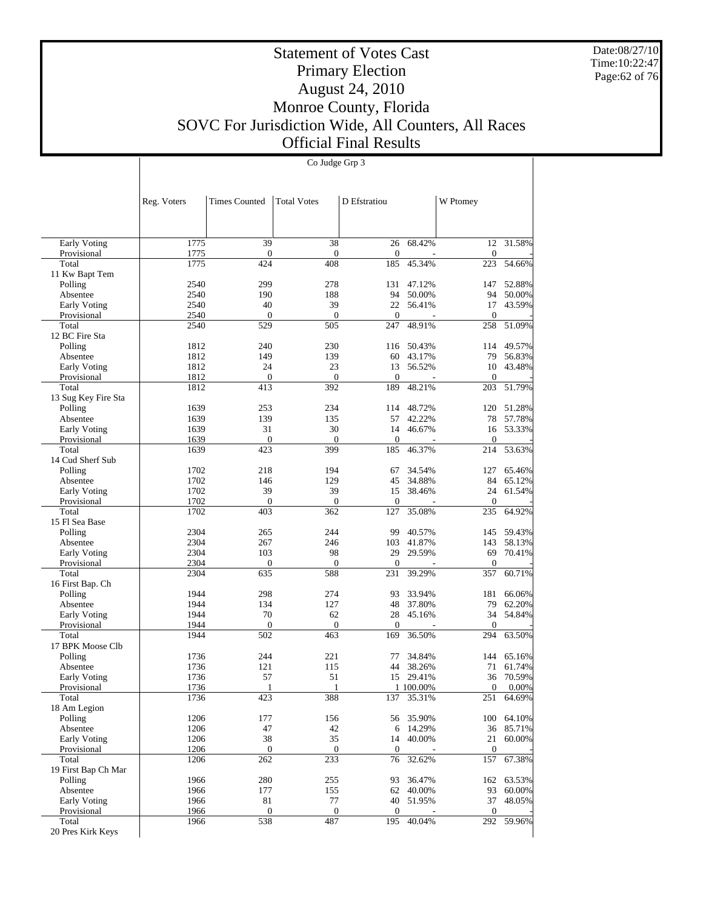Date:08/27/10 Time:10:22:47 Page:62 of 76

#### Statement of Votes Cast Primary Election August 24, 2010 Monroe County, Florida SOVC For Jurisdiction Wide, All Counters, All Races Official Final Results

Co Judge Grp 3

 Early Voting Provisional Total 11 Kw Bapt Tem Polling Absentee Early Voting Provisional Total 12 BC Fire Sta Polling Absentee Early Voting Provisional Total 13 Sug Key Fire Sta Polling Absentee Early Voting Provisional Total 14 Cud Sherf Sub Polling Absentee Early Voting Provisional Total 15 Fl Sea Base Polling Absentee Early Voting Provisional Total 16 First Bap. Ch Polling Absentee Early Voting **Provisional**  Total 17 BPK Moose Clb Polling Absentee Early Voting Provisional Total 18 Am Legion Polling Absentee Early Voting Provisional Total 19 First Bap Ch Mar Polling Absentee Early Voting Provisional Total Reg. Voters | Times Counted | Total Votes | D Efstratiou | W Ptomey 1775 39 38 26 68.42% 12 31.58% 1775 0 0 0 - 0 - 1775 424 408 185 45.34% 223 54.66% 2540 299 278 131 47.12% 147 52.88%<br>2540 190 188 94 50.00% 94 50.00% 94 50.00% 94 50.00%<br>22 56.41% 17 43.59% 2540 40 39 22 56.41% 17<br>2540 0 0 0 0 0 2540 0 0 0 - 0 - 2540 529 505 247 48.91% 258 51.09% 1812 240 230 116 50.43% 114 49.57% 1812 149 139 60 43.17% 79 56.83% 1812 24 23 13 56.52% 10 43.48%<br>1812 0 0 0 0 0 1812 0 0 0 - 0 - 1812 413 392 189 48.21% 203 51.79% 1639 253 234 114 48.72% 120 51.28%<br>1639 139 135 57 42.22% 78 57.78% 1639 139 135 57 42.22% 78 57.78%<br>1639 31 30 14 46.67% 16 53.33% 31 30 14 46.67% 1639 0 0 0 - 0 - 1639 423 399 185 46.37% 214 53.63% 1702 218 194 67 34.54% 127 65.46%<br>1702 146 129 45 34.88% 84 65.12% 1702 146 129 45 34.88% 84 65.12%<br>1702 39 39 15 38.46% 24 61.54% 1702 39 15 38.46% 24 61.54% 39 39 39 39 39 39 324 61.54% 1702 0 0 0 - 0 - 1702 403 362 127 35.08% 235 64.92% 2304 265 244 99 40.57% 145 59.43%<br>2304 267 246 103 41.87% 143 58.13% 2304 267 246 103 41.87% 143 58.13%<br>2304 103 98 29 29.59% 69 70.41% 2304 103 98 29 29.59% 69 70.41%<br>2304 0 0 0 0 0 2304 0 0 0 - 0 - 2304 635 588 231 39.29% 357 60.71% 1944 298 274 93 33.94% 181 66.06% 1944 134 127 48 37.80% 79 62.20% 1944 70 62 28 45.16% 34 54.84%<br>1944 0 0 0 0 0 0 1944 0 0 0 - 0 - 1944 502 463 169 36.50% 294 63.50% 1736 244 221 77 34.84% 144 65.16%<br>1736 121 115 44 38.26% 71 61.74% 1736 121 115 44 38.26% 71 61.74% 1736 57 51 15 29.41% 36 70.59%<br>1736 1 1 100.00% 0 0.00%  $\frac{1}{1736}$  1  $\frac{1}{388}$  1  $\frac{100.00\%}{137}$  1  $\frac{1}{35.31\%}$  0 0.00%<br>1736 423 388 137 35.31% 251 64.69% 137 35.31% 1206 177 156 56 35.90% 100 64.10%<br>1206 17 120 6 14.29% 36 85.71%  $\begin{array}{cccccccc}\n 1206 & & & 47 & & & 42 & & 6 & 14.29\% & & & 36 & 85.71\%\\
 1206 & & & 38 & & & 35 & & 14 & 40.00\% & & & 21 & 60.00\% \end{array}$ 1206 38 35 14 40.00% 21 60.00%  $1206$  0 0 0 0 0 1206 262 233 76 32.62% 157 67.38% 1966 280 255 93 36.47% 162 63.53%<br>1966 177 155 62 40.00% 93 60.00% 1966 177 155 62 40.00% 93 60.00% 1966 81 77 40 51.95% 37 48.05% 1966 0 0 0 - 0 - 1966 538 487 195 40.04% 292 59.96%

20 Pres Kirk Keys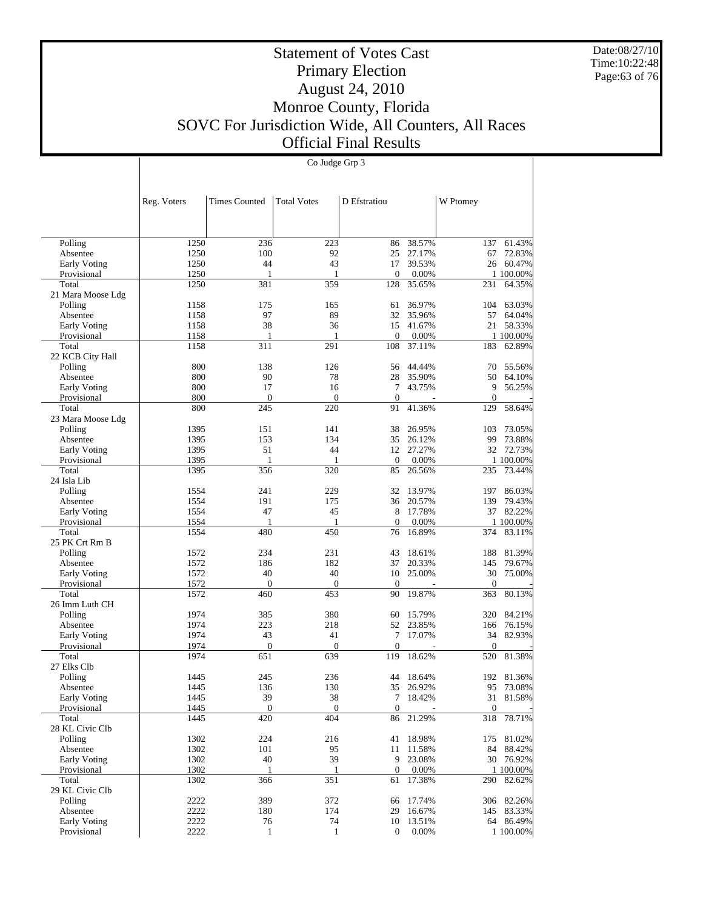Date:08/27/10 Time:10:22:48 Page:63 of 76

# Statement of Votes Cast Primary Election August 24, 2010 Monroe County, Florida SOVC For Jurisdiction Wide, All Counters, All Races Official Final Results

Co Judge Grp 3

|                          | Reg. Voters  | <b>Times Counted</b> | <b>Total Votes</b> | D Efstratiou     |                  | W Ptomey     |                  |
|--------------------------|--------------|----------------------|--------------------|------------------|------------------|--------------|------------------|
|                          |              |                      |                    |                  |                  |              |                  |
|                          |              |                      |                    |                  |                  |              |                  |
| Polling                  | 1250         | 236                  | 223                | 86               | 38.57%           | 137          | 61.43%           |
| Absentee                 | 1250         | 100                  | 92                 | 25               | 27.17%           | 67           | 72.83%           |
| Early Voting             | 1250         | 44                   | 43                 | 17               | 39.53%           | 26           | 60.47%           |
| Provisional              | 1250         | 1                    | 1                  | $\mathbf{0}$     | 0.00%            |              | 1 100.00%        |
| Total                    | 1250         | 381                  | 359                | 128              | 35.65%           | 231          | 64.35%           |
| 21 Mara Moose Ldg        |              |                      |                    |                  |                  |              |                  |
| Polling                  | 1158         | 175                  | 165                | 61               | 36.97%           | 104          | 63.03%           |
| Absentee                 | 1158         | 97                   | 89                 | 32               | 35.96%           | 57           | 64.04%           |
| Early Voting             | 1158         | 38                   | 36                 | 15               | 41.67%           | 21           | 58.33%           |
| Provisional              | 1158         | 1                    | 1                  | $\mathbf{0}$     | 0.00%            |              | 1 100.00%        |
| Total                    | 1158         | 311                  | 291                | 108              | 37.11%           | 183          | 62.89%           |
| 22 KCB City Hall         |              |                      |                    |                  |                  |              |                  |
| Polling                  | 800          | 138                  | 126                | 56               | 44.44%           | 70           | 55.56%           |
| Absentee                 | 800          | 90                   | 78                 | 28               | 35.90%           | 50           | 64.10%           |
| Early Voting             | 800          | 17                   | 16                 | 7                | 43.75%           | 9            | 56.25%           |
| Provisional              | 800          | $\mathbf{0}$         | $\mathbf{0}$       | $\theta$         |                  | $\Omega$     |                  |
| Total                    | 800          | 245                  | 220                | 91               | 41.36%           | 129          | 58.64%           |
| 23 Mara Moose Ldg        |              |                      |                    |                  |                  |              |                  |
| Polling                  | 1395         | 151                  | 141                | 38               | 26.95%           | 103          | 73.05%           |
| Absentee                 | 1395         | 153                  | 134                | 35               | 26.12%           | 99           | 73.88%           |
| Early Voting             | 1395         | 51                   | 44                 | 12               | 27.27%           | 32           | 72.73%           |
| Provisional              | 1395         | 1                    | 1                  | $\mathbf{0}$     | 0.00%            |              | 1 100.00%        |
| Total                    | 1395         | 356                  | 320                | 85               | 26.56%           | 235          | 73.44%           |
| 24 Isla Lib              |              |                      |                    |                  |                  |              |                  |
| Polling                  | 1554         | 241                  | 229                | 32               | 13.97%           | 197          | 86.03%           |
| Absentee                 | 1554         | 191                  | 175                | 36               | 20.57%           | 139          | 79.43%           |
| Early Voting             | 1554         | 47                   | 45                 | 8                | 17.78%           | 37           | 82.22%           |
| Provisional              | 1554         | 1                    | 1                  | $\mathbf{0}$     | 0.00%            |              | 1 100.00%        |
| Total                    | 1554         | 480                  | 450                | 76               | 16.89%           | 374          | 83.11%           |
| 25 PK Crt Rm B           |              |                      |                    |                  |                  |              |                  |
| Polling                  | 1572         | 234                  | 231                | 43<br>37         | 18.61%           | 188          | 81.39%<br>79.67% |
| Absentee<br>Early Voting | 1572<br>1572 | 186<br>40            | 182<br>40          | 10               | 20.33%<br>25.00% | 145<br>30    | 75.00%           |
| Provisional              | 1572         | $\mathbf{0}$         | $\mathbf{0}$       | $\mathbf{0}$     |                  | $\theta$     |                  |
| Total                    | 1572         | 460                  | 453                | 90               | 19.87%           | 363          | 80.13%           |
| 26 Imm Luth CH           |              |                      |                    |                  |                  |              |                  |
| Polling                  | 1974         | 385                  | 380                | 60               | 15.79%           | 320          | 84.21%           |
| Absentee                 | 1974         | 223                  | 218                | 52               | 23.85%           | 166          | 76.15%           |
| Early Voting             | 1974         | 43                   | 41                 | 7                | 17.07%           | 34           | 82.93%           |
| Provisional              | 1974         | $\mathbf{0}$         | $\Omega$           | $\mathbf{0}$     |                  | $\Omega$     |                  |
| Total                    | 1974         | 651                  | 639                | 119              | 18.62%           | 520          | 81.38%           |
| 27 Elks Clb              |              |                      |                    |                  |                  |              |                  |
| Polling                  | 1445         | 245                  | 236                | 44               | 18.64%           | 192          | 81.36%           |
| Absentee                 | 1445         | 136                  | 130                | 35               | 26.92%           | 95           | 73.08%           |
| Early Voting             | 1445         | 39                   | 38                 | 7                | 18.42%           | 31           | 81.58%           |
| Provisional              | 1445         | $\mathbf{0}$         | $\mathbf{0}$       | $\mathbf{0}$     |                  | $\mathbf{0}$ |                  |
| Total                    | 1445         | 420                  | 404                | 86               | 21.29%           | 318          | 78.71%           |
| 28 KL Civic Clb          |              |                      |                    |                  |                  |              |                  |
| Polling                  | 1302         | 224                  | 216                | 41               | 18.98%           | 175          | 81.02%           |
| Absentee                 | 1302         | 101                  | 95                 | 11               | 11.58%           | 84           | 88.42%           |
| Early Voting             | 1302         | 40                   | 39                 | 9                | 23.08%           |              | 30 76.92%        |
| Provisional              | 1302         | 1                    | 1                  | $\mathbf{0}$     | 0.00%            |              | 1 100.00%        |
| Total                    | 1302         | 366                  | 351                | 61               | 17.38%           | 290          | 82.62%           |
| 29 KL Civic Clb          |              |                      |                    |                  |                  |              |                  |
| Polling                  | 2222         | 389                  | 372                |                  | 66 17.74%        |              | 306 82.26%       |
| Absentee                 | 2222         | 180                  | 174                | 29               | 16.67%           |              | 145 83.33%       |
| Early Voting             | 2222         | 76                   | 74                 |                  | 10 13.51%        |              | 64 86.49%        |
| Provisional              | 2222         | $\mathbf{1}$         | $\mathbf{1}$       | $\boldsymbol{0}$ | 0.00%            |              | 1 100.00%        |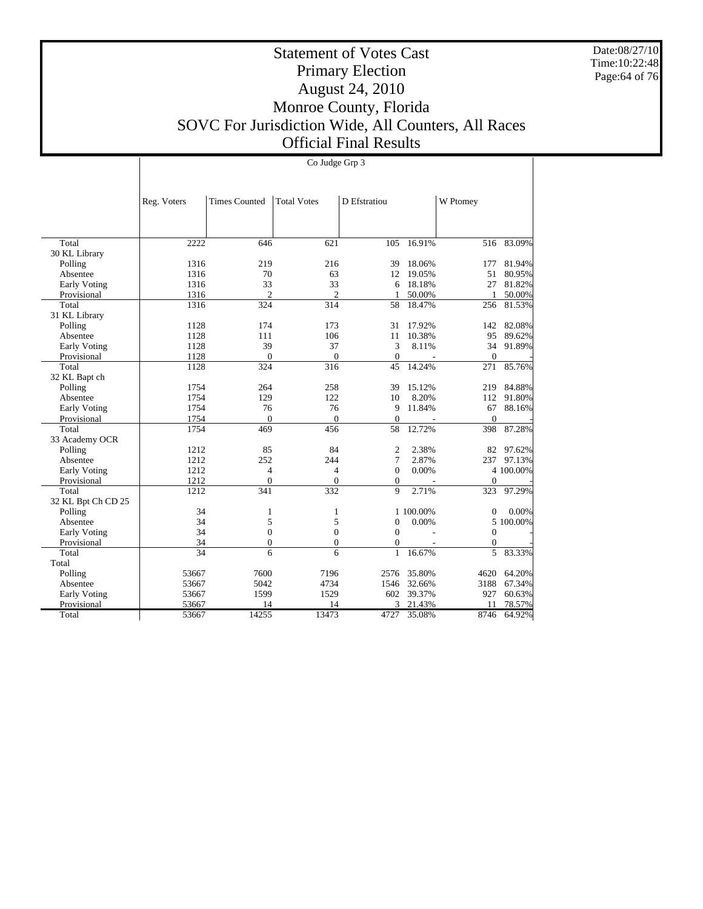Date:08/27/10 Time:10:22:48 Page:64 of 76

Τ

# Statement of Votes Cast Primary Election August 24, 2010 Monroe County, Florida SOVC For Jurisdiction Wide, All Counters, All Races Official Final Results

|                     |                 | Co Judge Grp 3       |                    |                  |                          |                  |           |  |  |
|---------------------|-----------------|----------------------|--------------------|------------------|--------------------------|------------------|-----------|--|--|
|                     |                 |                      |                    |                  |                          |                  |           |  |  |
|                     |                 |                      |                    |                  |                          |                  |           |  |  |
|                     | Reg. Voters     | <b>Times Counted</b> | <b>Total Votes</b> | D Efstratiou     |                          | W Ptomey         |           |  |  |
|                     |                 |                      |                    |                  |                          |                  |           |  |  |
|                     |                 |                      |                    |                  |                          |                  |           |  |  |
| Total               | 2222            | 646                  | 621                | 105              | 16.91%                   | 516              | 83.09%    |  |  |
| 30 KL Library       |                 |                      |                    |                  |                          |                  |           |  |  |
| Polling             | 1316            | 219                  | 216                | 39               | 18.06%                   | 177              | 81.94%    |  |  |
| Absentee            | 1316            | 70                   | 63                 | 12               | 19.05%                   | 51               | 80.95%    |  |  |
| <b>Early Voting</b> | 1316            | 33                   | 33                 | 6                | 18.18%                   | 27               | 81.82%    |  |  |
| Provisional         | 1316            | $\overline{2}$       | $\overline{2}$     | -1               | 50.00%                   | 1                | 50.00%    |  |  |
| Total               | 1316            | 324                  | 314                | 58               | 18.47%                   | 256              | 81.53%    |  |  |
| 31 KL Library       |                 |                      |                    |                  |                          |                  |           |  |  |
| Polling             | 1128            | 174                  | 173                | 31               | 17.92%                   | 142              | 82.08%    |  |  |
| Absentee            | 1128            | 111                  | 106                | 11               | 10.38%                   | 95               | 89.62%    |  |  |
| <b>Early Voting</b> | 1128            | 39                   | 37                 | 3                | 8.11%                    | 34               | 91.89%    |  |  |
| Provisional         | 1128            | $\mathbf{0}$         | $\overline{0}$     | $\mathbf{0}$     | $\overline{\phantom{a}}$ | $\mathbf{0}$     |           |  |  |
| Total               | 1128            | 324                  | 316                | 45               | 14.24%                   | 271              | 85.76%    |  |  |
| 32 KL Bapt ch       |                 |                      |                    |                  |                          |                  |           |  |  |
| Polling             | 1754            | 264                  | 258                | 39               | 15.12%                   | 219              | 84.88%    |  |  |
| Absentee            | 1754            | 129                  | 122                | 10               | 8.20%                    | 112              | 91.80%    |  |  |
| <b>Early Voting</b> | 1754            | 76                   | 76                 | 9                | 11.84%                   | 67               | 88.16%    |  |  |
| Provisional         | 1754            | $\overline{0}$       | $\boldsymbol{0}$   | $\boldsymbol{0}$ | $\blacksquare$           | $\boldsymbol{0}$ |           |  |  |
| Total               | 1754            | 469                  | 456                | 58               | 12.72%                   | 398              | 87.28%    |  |  |
| 33 Academy OCR      |                 |                      |                    |                  |                          |                  |           |  |  |
| Polling             | 1212            | 85                   | 84                 | $\overline{2}$   | 2.38%                    | 82               | 97.62%    |  |  |
| Absentee            | 1212            | 252                  | 244                | 7                | 2.87%                    | 237              | 97.13%    |  |  |
| <b>Early Voting</b> | 1212            | $\overline{4}$       | $\overline{4}$     | $\mathbf{0}$     | 0.00%                    |                  | 4 100.00% |  |  |
| Provisional         | 1212            | $\mathbf{0}$         | $\mathbf{0}$       | $\mathbf{0}$     | $\overline{\phantom{a}}$ | $\mathbf{0}$     |           |  |  |
| Total               | 1212            | 341                  | 332                | 9                | 2.71%                    | 323              | 97.29%    |  |  |
| 32 KL Bpt Ch CD 25  |                 |                      |                    |                  |                          |                  |           |  |  |
| Polling             | 34              | $\mathbf{1}$         | 1                  |                  | 1 100.00%                | 0                | 0.00%     |  |  |
| Absentee            | 34              | 5                    | 5                  | $\overline{0}$   | 0.00%                    |                  | 5 100.00% |  |  |
| Early Voting        | 34              | $\boldsymbol{0}$     | $\boldsymbol{0}$   | $\theta$         |                          | $\mathbf{0}$     |           |  |  |
| Provisional         | 34              | $\overline{0}$       | $\overline{0}$     | $\mathbf{0}$     |                          | $\mathbf{0}$     |           |  |  |
| Total               | $\overline{34}$ | 6                    | 6                  | $\mathbf{1}$     | 16.67%                   | 5                | 83.33%    |  |  |
| Total               |                 |                      |                    |                  |                          |                  |           |  |  |
| Polling             | 53667           | 7600                 | 7196               | 2576             | 35.80%                   | 4620             | 64.20%    |  |  |
| Absentee            | 53667           | 5042                 | 4734               | 1546             | 32.66%                   | 3188             | 67.34%    |  |  |
| <b>Early Voting</b> | 53667           | 1599                 | 1529               | 602              | 39.37%                   | 927              | 60.63%    |  |  |
| Provisional         | 53667           | 14                   | 14                 | 3                | 21.43%                   | 11               | 78.57%    |  |  |
| Total               | 53667           | 14255                | 13473              | 4727             | 35.08%                   | 8746             | 64.92%    |  |  |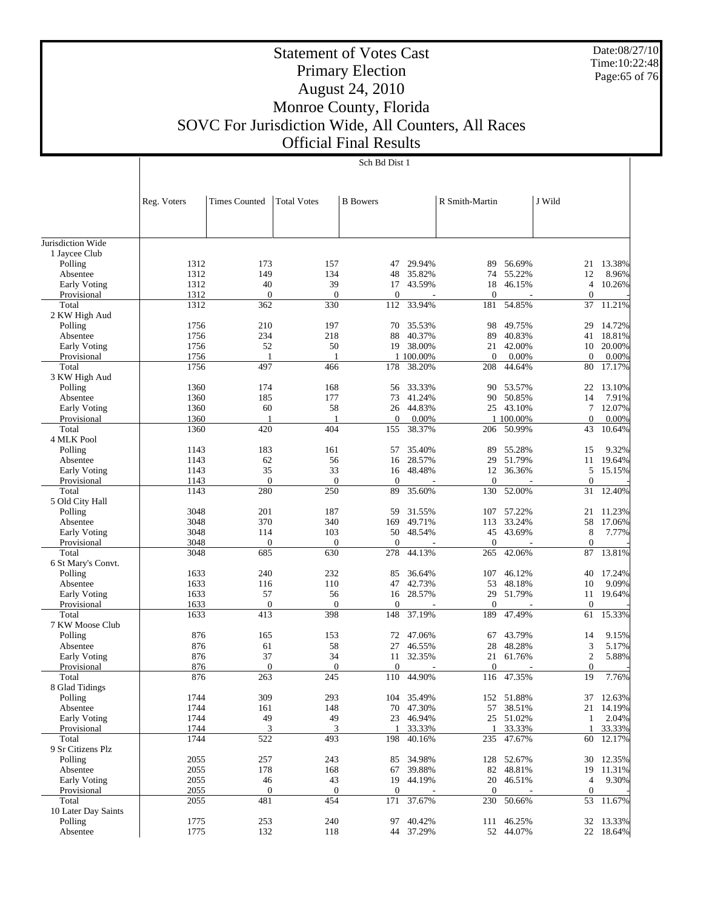Date:08/27/10 Time:10:22:48 Page:65 of 76

# Statement of Votes Cast Primary Election August 24, 2010 Monroe County, Florida SOVC For Jurisdiction Wide, All Counters, All Races Official Final Results

|                      | Reg. Voters  | <b>Times Counted</b>    | <b>Total Votes</b>      | <b>B</b> Bowers         |            | R Smith-Martin        |            | J Wild                 |           |
|----------------------|--------------|-------------------------|-------------------------|-------------------------|------------|-----------------------|------------|------------------------|-----------|
|                      |              |                         |                         |                         |            |                       |            |                        |           |
|                      |              |                         |                         |                         |            |                       |            |                        |           |
| Jurisdiction Wide    |              |                         |                         |                         |            |                       |            |                        |           |
| 1 Jaycee Club        |              |                         |                         |                         |            |                       |            |                        |           |
| Polling              | 1312         | 173                     | 157                     | 47                      | 29.94%     | 89                    | 56.69%     | 21                     | 13.38%    |
| Absentee             | 1312         | 149                     | 134                     | 48                      | 35.82%     | 74                    | 55.22%     | 12                     | 8.96%     |
| <b>Early Voting</b>  | 1312         | 40                      | 39                      | 17                      | 43.59%     | 18                    | 46.15%     | 4                      | 10.26%    |
| Provisional<br>Total | 1312         | $\boldsymbol{0}$<br>362 | $\mathbf{0}$<br>330     | $\boldsymbol{0}$<br>112 | 33.94%     | $\mathbf{0}$<br>181   | 54.85%     | $\mathbf{0}$<br>37     | 11.21%    |
| 2 KW High Aud        | 1312         |                         |                         |                         |            |                       |            |                        |           |
| Polling              | 1756         | 210                     | 197                     | 70                      | 35.53%     | 98                    | 49.75%     | 29                     | 14.72%    |
| Absentee             | 1756         | 234                     | 218                     | 88                      | 40.37%     | 89                    | 40.83%     | 41                     | 18.81%    |
| Early Voting         | 1756         | 52                      | 50                      | 19                      | 38.00%     | 21                    | 42.00%     | 10                     | 20.00%    |
| Provisional          | 1756         | 1                       | 1                       |                         | 1 100.00%  | $\overline{0}$        | 0.00%      | $\mathbf{0}$           | 0.00%     |
| Total                | 1756         | 497                     | 466                     | 178                     | 38.20%     | 208                   | 44.64%     | 80                     | 17.17%    |
| 3 KW High Aud        |              |                         |                         |                         |            |                       |            |                        |           |
| Polling              | 1360         | 174                     | 168                     | 56                      | 33.33%     | 90                    | 53.57%     | 22                     | 13.10%    |
| Absentee             | 1360         | 185                     | 177                     | 73                      | 41.24%     | 90                    | 50.85%     | 14                     | 7.91%     |
| <b>Early Voting</b>  | 1360         | 60                      | 58                      | 26                      | 44.83%     | 25                    | 43.10%     | 7                      | 12.07%    |
| Provisional          | 1360         | 1                       | 1                       | $\boldsymbol{0}$        | 0.00%      |                       | 1 100.00%  | $\mathbf{0}$           | 0.00%     |
| Total                | 1360         | 420                     | $\overline{404}$        | 155                     | 38.37%     | 206                   | 50.99%     | 43                     | 10.64%    |
| 4 MLK Pool           |              |                         |                         |                         |            |                       |            |                        |           |
| Polling              | 1143         | 183                     | 161                     | 57                      | 35.40%     | 89                    | 55.28%     | 15                     | 9.32%     |
| Absentee             | 1143         | 62                      | 56                      | 16                      | 28.57%     | 29                    | 51.79%     | 11                     | 19.64%    |
| Early Voting         | 1143<br>1143 | 35<br>$\overline{0}$    | 33<br>$\mathbf{0}$      | 16<br>$\mathbf{0}$      | 48.48%     | 12<br>$\overline{0}$  | 36.36%     | 5<br>$\mathbf{0}$      | 15.15%    |
| Provisional<br>Total | 1143         | 280                     | 250                     | 89                      | 35.60%     | 130                   | 52.00%     | 31                     | 12.40%    |
| 5 Old City Hall      |              |                         |                         |                         |            |                       |            |                        |           |
| Polling              | 3048         | 201                     | 187                     | 59                      | 31.55%     | 107                   | 57.22%     | 21                     | 11.23%    |
| Absentee             | 3048         | 370                     | 340                     | 169                     | 49.71%     | 113                   | 33.24%     | 58                     | 17.06%    |
| Early Voting         | 3048         | 114                     | 103                     | 50                      | 48.54%     | 45                    | 43.69%     | 8                      | 7.77%     |
| Provisional          | 3048         | $\boldsymbol{0}$        | $\mathbf{0}$            | $\boldsymbol{0}$        |            | 0                     |            | $\mathbf{0}$           |           |
| Total                | 3048         | 685                     | 630                     | 278                     | 44.13%     | 265                   | 42.06%     | 87                     | 13.81%    |
| 6 St Mary's Convt.   |              |                         |                         |                         |            |                       |            |                        |           |
| Polling              | 1633         | 240                     | 232                     | 85                      | 36.64%     | 107                   | 46.12%     | 40                     | 17.24%    |
| Absentee             | 1633         | 116                     | 110                     | 47                      | 42.73%     | 53                    | 48.18%     | 10                     | 9.09%     |
| Early Voting         | 1633         | 57                      | 56                      | 16                      | 28.57%     | 29                    | 51.79%     | 11                     | 19.64%    |
| Provisional          | 1633         | $\mathbf{0}$            | $\mathbf{0}$            | $\mathbf{0}$            |            | $\overline{0}$        |            | $\mathbf{0}$           |           |
| Total                | 1633         | 413                     | 398                     | 148                     | 37.19%     | 189                   | 47.49%     | 61                     | 15.33%    |
| 7 KW Moose Club      |              |                         |                         |                         |            |                       |            |                        |           |
| Polling              | 876          | 165                     | 153                     | 72                      | 47.06%     | 67                    | 43.79%     | 14                     | 9.15%     |
| Absentee             | 876          | 61                      | 58                      | 27                      | 46.55%     | 28                    | 48.28%     | 3                      | 5.17%     |
| Early Voting         | 876          | 37                      | 34                      | 11                      | 32.35%     | 21                    | 61.76%     | $\mathfrak{2}$         | 5.88%     |
| Provisional<br>Total | 876<br>876   | $\boldsymbol{0}$<br>263 | $\boldsymbol{0}$<br>245 | $\mathbf{0}$<br>110     | 44.90%     | $\overline{0}$<br>116 | 47.35%     | $\boldsymbol{0}$<br>19 | 7.76%     |
| 8 Glad Tidings       |              |                         |                         |                         |            |                       |            |                        |           |
| Polling              | 1744         | 309                     | 293                     |                         | 104 35.49% |                       | 152 51.88% |                        | 37 12.63% |
| Absentee             | 1744         | 161                     | 148                     |                         | 70 47.30%  | 57                    | 38.51%     |                        | 21 14.19% |
| <b>Early Voting</b>  | 1744         | 49                      | 49                      | 23                      | 46.94%     |                       | 25 51.02%  | $\mathbf{1}$           | 2.04%     |
| Provisional          | 1744         | 3                       | 3                       | 1                       | 33.33%     | 1                     | 33.33%     | 1                      | 33.33%    |
| Total                | 1744         | 522                     | 493                     | 198                     | 40.16%     | 235                   | 47.67%     | 60                     | 12.17%    |
| 9 Sr Citizens Plz    |              |                         |                         |                         |            |                       |            |                        |           |
| Polling              | 2055         | 257                     | 243                     | 85                      | 34.98%     |                       | 128 52.67% | 30                     | 12.35%    |
| Absentee             | 2055         | 178                     | 168                     | 67                      | 39.88%     | 82                    | 48.81%     | 19                     | 11.31%    |
| Early Voting         | 2055         | 46                      | 43                      | 19                      | 44.19%     | 20                    | 46.51%     | 4                      | 9.30%     |
| Provisional          | 2055         | $\boldsymbol{0}$        | $\mathbf{0}$            | $\boldsymbol{0}$        |            | $\boldsymbol{0}$      |            | $\mathbf{0}$           |           |
| Total                | 2055         | 481                     | 454                     | 171                     | 37.67%     | 230                   | 50.66%     | 53                     | 11.67%    |
| 10 Later Day Saints  |              |                         |                         |                         |            |                       |            |                        |           |
| Polling              | 1775         | 253                     | 240                     | 97                      | 40.42%     | 111                   | 46.25%     |                        | 32 13.33% |
| Absentee             | 1775         | 132                     | 118                     |                         | 44 37.29%  |                       | 52 44.07%  |                        | 22 18.64% |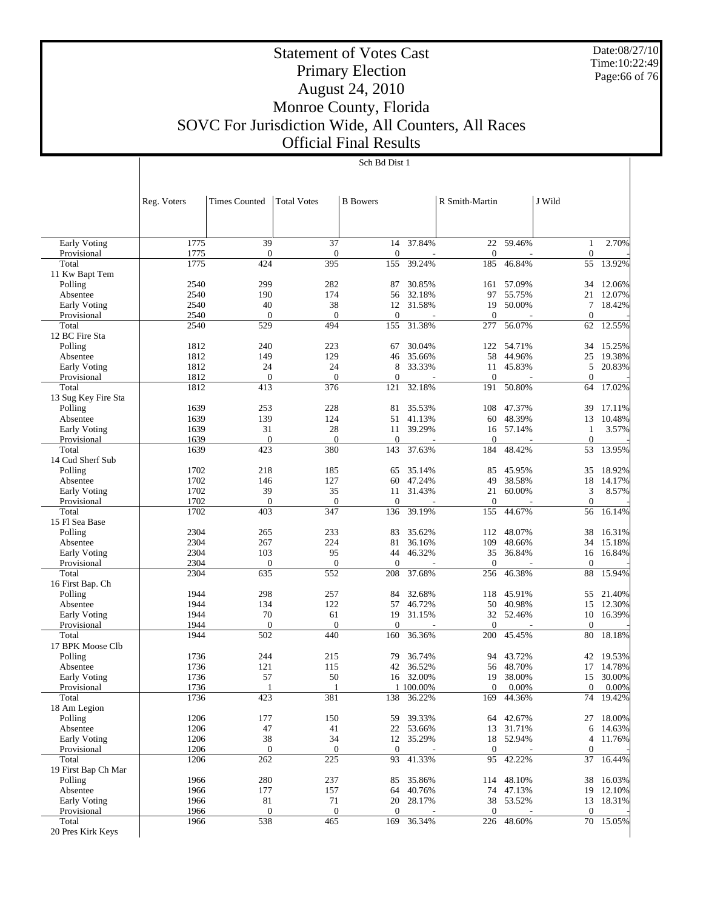Date:08/27/10 Time:10:22:49 Page:66 of 76

# Statement of Votes Cast Primary Election August 24, 2010 Monroe County, Florida SOVC For Jurisdiction Wide, All Counters, All Races Official Final Results

|                                    | Reg. Voters  | <b>Times Counted</b> | <b>Total Votes</b>     | <b>B</b> Bowers        |                     | R Smith-Martin      |                     | J Wild                |                  |
|------------------------------------|--------------|----------------------|------------------------|------------------------|---------------------|---------------------|---------------------|-----------------------|------------------|
|                                    |              |                      |                        |                        |                     |                     |                     |                       |                  |
| Early Voting<br>Provisional        | 1775<br>1775 | 39<br>$\mathbf{0}$   | 37<br>$\boldsymbol{0}$ | 14<br>$\mathbf{0}$     | 37.84%              | 22<br>$\theta$      | 59.46%              | 1<br>$\boldsymbol{0}$ | 2.70%            |
| Total                              | 1775         | 424                  | 395                    | 155                    | 39.24%              | 185                 | 46.84%              | 55                    | 13.92%           |
| 11 Kw Bapt Tem                     |              |                      |                        |                        |                     |                     |                     |                       |                  |
| Polling                            | 2540         | 299                  | 282                    | 87                     | 30.85%              | 161                 | 57.09%              | 34                    | 12.06%           |
| Absentee                           | 2540         | 190                  | 174                    | 56                     | 32.18%              | 97                  | 55.75%              | 21                    | 12.07%           |
| Early Voting                       | 2540         | 40                   | 38                     | 12                     | 31.58%              | 19                  | 50.00%              | $\tau$                | 18.42%           |
| Provisional<br>Total               | 2540<br>2540 | $\mathbf{0}$<br>529  | $\mathbf{0}$<br>494    | $\mathbf{0}$<br>155    | 31.38%              | $\mathbf{0}$<br>277 | 56.07%              | $\mathbf{0}$<br>62    | 12.55%           |
| 12 BC Fire Sta                     |              |                      |                        |                        |                     |                     |                     |                       |                  |
| Polling                            | 1812         | 240                  | 223                    | 67                     | 30.04%              | 122                 | 54.71%              | 34                    | 15.25%           |
| Absentee                           | 1812         | 149                  | 129                    | 46                     | 35.66%              | 58                  | 44.96%              | 25                    | 19.38%           |
| <b>Early Voting</b>                | 1812         | 24                   | 24                     | 8                      | 33.33%              | 11                  | 45.83%              | 5                     | 20.83%           |
| Provisional                        | 1812         | $\mathbf{0}$         | $\mathbf{0}$           | $\overline{0}$         |                     | $\theta$            |                     | $\mathbf{0}$          |                  |
| Total                              | 1812         | 413                  | 376                    | 121                    | 32.18%              | 191                 | 50.80%              | 64                    | 17.02%           |
| 13 Sug Key Fire Sta                |              |                      |                        |                        |                     |                     |                     |                       |                  |
| Polling                            | 1639         | 253                  | 228                    | 81                     | 35.53%              | 108                 | 47.37%              | 39                    | 17.11%           |
| Absentee                           | 1639         | 139                  | 124                    | 51                     | 41.13%              | 60                  | 48.39%              | 13                    | 10.48%           |
| Early Voting<br>Provisional        | 1639<br>1639 | 31<br>$\mathbf{0}$   | 28<br>$\mathbf{0}$     | 11<br>$\boldsymbol{0}$ | 39.29%              | 16<br>$\mathbf{0}$  | 57.14%              | 1<br>$\mathbf{0}$     | 3.57%            |
| Total                              | 1639         | 423                  | 380                    | 143                    | 37.63%              | 184                 | 48.42%              | 53                    | 13.95%           |
| 14 Cud Sherf Sub                   |              |                      |                        |                        |                     |                     |                     |                       |                  |
| Polling                            | 1702         | 218                  | 185                    | 65                     | 35.14%              | 85                  | 45.95%              | 35                    | 18.92%           |
| Absentee                           | 1702         | 146                  | 127                    | 60                     | 47.24%              | 49                  | 38.58%              | 18                    | 14.17%           |
| Early Voting                       | 1702         | 39                   | 35                     | 11                     | 31.43%              | 21                  | 60.00%              | 3                     | 8.57%            |
| Provisional                        | 1702         | $\mathbf{0}$         | $\mathbf{0}$           | $\mathbf{0}$           |                     | $\theta$            |                     | $\mathbf{0}$          |                  |
| Total                              | 1702         | 403                  | 347                    | 136                    | 39.19%              | 155                 | 44.67%              | 56                    | 16.14%           |
| 15 Fl Sea Base                     |              |                      |                        |                        |                     |                     |                     |                       |                  |
| Polling                            | 2304         | 265                  | 233                    | 83                     | 35.62%              | 112                 | 48.07%              | 38                    | 16.31%           |
| Absentee                           | 2304<br>2304 | 267<br>103           | 224<br>95              | 81<br>44               | 36.16%              | 109<br>35           | 48.66%              | 34                    | 15.18%           |
| <b>Early Voting</b><br>Provisional | 2304         | $\mathbf{0}$         | $\boldsymbol{0}$       | $\overline{0}$         | 46.32%              | $\theta$            | 36.84%              | 16<br>$\mathbf{0}$    | 16.84%           |
| Total                              | 2304         | 635                  | 552                    | 208                    | 37.68%              | 256                 | 46.38%              | 88                    | 15.94%           |
| 16 First Bap. Ch                   |              |                      |                        |                        |                     |                     |                     |                       |                  |
| Polling                            | 1944         | 298                  | 257                    | 84                     | 32.68%              | 118                 | 45.91%              | 55                    | 21.40%           |
| Absentee                           | 1944         | 134                  | 122                    | 57                     | 46.72%              | 50                  | 40.98%              | 15                    | 12.30%           |
| <b>Early Voting</b>                | 1944         | 70                   | 61                     | 19                     | 31.15%              | 32                  | 52.46%              | 10                    | 16.39%           |
| Provisional                        | 1944         | $\Omega$             | $\theta$               | $\overline{0}$         |                     | $\mathbf{0}$        |                     | $\mathbf{0}$          |                  |
| Total<br>17 BPK Moose Clb          | 1944         | 502                  | 440                    | 160                    | 36.36%              | 200                 | 45.45%              | 80                    | 18.18%           |
| Polling                            | 1736         | 244                  | 215                    | 79                     | 36.74%              | 94                  | 43.72%              | 42                    | 19.53%           |
| Absentee                           | 1736         | 121                  | 115                    | 42                     | 36.52%              | 56                  | 48.70%              | 17                    | 14.78%           |
| Early Voting                       | 1736         | 57                   | 50                     | 16                     | 32.00%              | 19                  | 38.00%              | 15                    | 30.00%           |
| Provisional                        | 1736         | 1                    | $\mathbf{1}$           |                        | 1 100,00%           | $\theta$            | 0.00%               | $\theta$              | 0.00%            |
| Total                              | 1736         | 423                  | 381                    | 138                    | 36.22%              | 169                 | 44.36%              | 74                    | 19.42%           |
| 18 Am Legion                       |              |                      |                        |                        |                     |                     |                     |                       |                  |
| Polling                            | 1206         | 177<br>47            | 150                    |                        | 59 39.33%<br>53.66% |                     | 64 42.67%           | 27                    | 18.00%           |
| Absentee<br><b>Early Voting</b>    | 1206<br>1206 | 38                   | 41<br>34               | 22<br>12               | 35.29%              | 18                  | 13 31.71%<br>52.94% | 6<br>4                | 14.63%<br>11.76% |
| Provisional                        | 1206         | $\mathbf{0}$         | $\boldsymbol{0}$       | $\boldsymbol{0}$       |                     | $\boldsymbol{0}$    |                     | $\boldsymbol{0}$      |                  |
| Total                              | 1206         | 262                  | 225                    | 93                     | 41.33%              | 95                  | 42.22%              | 37                    | 16.44%           |
| 19 First Bap Ch Mar                |              |                      |                        |                        |                     |                     |                     |                       |                  |
| Polling                            | 1966         | 280                  | 237                    | 85                     | 35.86%              |                     | 114 48.10%          | 38                    | 16.03%           |
| Absentee                           | 1966         | 177                  | 157                    | 64                     | 40.76%              | 74                  | 47.13%              | 19                    | 12.10%           |
| <b>Early Voting</b>                | 1966         | 81                   | 71                     | 20                     | 28.17%              | 38                  | 53.52%              | 13                    | 18.31%           |
| Provisional                        | 1966         | $\mathbf{0}$         | $\boldsymbol{0}$       | $\boldsymbol{0}$       |                     | $\theta$            |                     | $\theta$              |                  |
| Total                              | 1966         | 538                  | 465                    | 169                    | 36.34%              | 226                 | 48.60%              | 70                    | 15.05%           |
| 20 Pres Kirk Keys                  |              |                      |                        |                        |                     |                     |                     |                       |                  |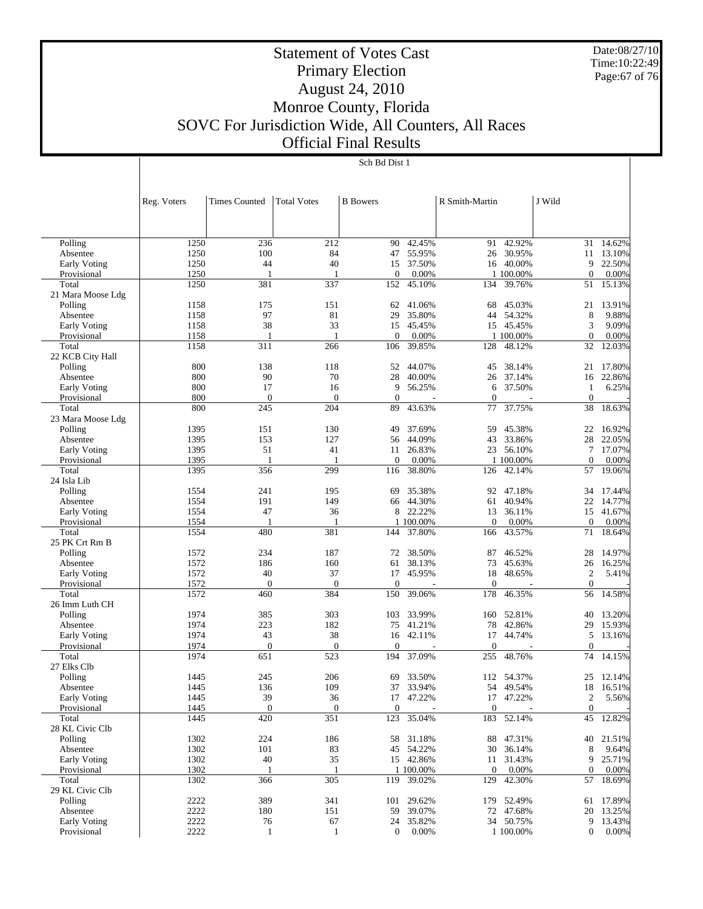Date:08/27/10 Time:10:22:49 Page:67 of 76

# Statement of Votes Cast Primary Election August 24, 2010 Monroe County, Florida SOVC For Jurisdiction Wide, All Counters, All Races Official Final Results

|                             | Reg. Voters  | <b>Times Counted</b> | <b>Total Votes</b> | <b>B</b> Bowers    |            | R Smith-Martin   |            | J Wild            |           |
|-----------------------------|--------------|----------------------|--------------------|--------------------|------------|------------------|------------|-------------------|-----------|
|                             |              |                      |                    |                    |            |                  |            |                   |           |
| Polling                     | 1250         | 236                  | 212                | 90                 | 42.45%     | 91               | 42.92%     | 31                | 14.62%    |
| Absentee                    | 1250         | 100                  | 84                 | 47                 | 55.95%     | 26               | 30.95%     | 11                | 13.10%    |
| Early Voting                | 1250         | 44                   | 40                 | 15                 | 37.50%     |                  | 16 40.00%  | 9                 | 22.50%    |
| Provisional                 | 1250         | 1                    | 1                  | $\mathbf{0}$       | 0.00%      |                  | 1 100.00%  | $\mathbf{0}$      | 0.00%     |
| Total                       | 1250         | 381                  | 337                | 152                | 45.10%     | 134              | 39.76%     | 51                | 15.13%    |
| 21 Mara Moose Ldg           |              |                      |                    |                    |            |                  |            |                   |           |
| Polling                     | 1158         | 175                  | 151                | 62                 | 41.06%     | 68               | 45.03%     | 21                | 13.91%    |
| Absentee                    | 1158         | 97                   | 81                 | 29                 | 35.80%     | 44               | 54.32%     | 8                 | 9.88%     |
| <b>Early Voting</b>         | 1158         | 38                   | 33                 | 15                 | 45.45%     | 15               | 45.45%     | 3                 | 9.09%     |
| Provisional                 | 1158         | $\mathbf{1}$         | 1                  | $\mathbf{0}$       | 0.00%      |                  | 1 100.00%  | $\mathbf{0}$      | 0.00%     |
| Total                       | 1158         | 311                  | 266                | 106                | 39.85%     | 128              | 48.12%     | 32                | 12.03%    |
| 22 KCB City Hall<br>Polling | 800          | 138                  | 118                | 52                 | 44.07%     | 45               | 38.14%     | 21                | 17.80%    |
| Absentee                    | 800          | 90                   | 70                 | 28                 | 40.00%     | 26               | 37.14%     | 16                | 22.86%    |
| Early Voting                | 800          | 17                   | 16                 | 9                  | 56.25%     | 6                | 37.50%     | $\mathbf{1}$      | 6.25%     |
| Provisional                 | 800          | $\mathbf{0}$         | $\theta$           | $\mathbf{0}$       |            | $\mathbf{0}$     |            | $\mathbf{0}$      |           |
| Total                       | 800          | 245                  | 204                | 89                 | 43.63%     | 77               | 37.75%     | 38                | 18.63%    |
| 23 Mara Moose Ldg           |              |                      |                    |                    |            |                  |            |                   |           |
| Polling                     | 1395         | 151                  | 130                | 49                 | 37.69%     | 59               | 45.38%     | 22                | 16.92%    |
| Absentee                    | 1395         | 153                  | 127                | 56                 | 44.09%     | 43               | 33.86%     | 28                | 22.05%    |
| <b>Early Voting</b>         | 1395         | 51                   | 41                 | 11                 | 26.83%     | 23               | 56.10%     | 7                 | 17.07%    |
| Provisional                 | 1395         | $\mathbf{1}$         | $\mathbf{1}$       | $\mathbf{0}$       | 0.00%      |                  | 1 100.00%  | $\mathbf{0}$      | 0.00%     |
| Total                       | 1395         | 356                  | 299                | 116                | 38.80%     | 126              | 42.14%     | 57                | 19.06%    |
| 24 Isla Lib                 |              |                      |                    |                    |            |                  |            |                   |           |
| Polling                     | 1554         | 241                  | 195                | 69                 | 35.38%     | 92               | 47.18%     | 34                | 17.44%    |
| Absentee                    | 1554         | 191                  | 149                | 66                 | 44.30%     | 61               | 40.94%     | 22                | 14.77%    |
| <b>Early Voting</b>         | 1554         | 47                   | 36                 | 8                  | 22.22%     | 13               | 36.11%     | 15                | 41.67%    |
| Provisional                 | 1554         | $\mathbf{1}$         | $\mathbf{1}$       |                    | 1 100.00%  | $\theta$         | 0.00%      | $\theta$          | 0.00%     |
| Total                       | 1554         | 480                  | 381                | 144                | 37.80%     | 166              | 43.57%     | 71                | 18.64%    |
| 25 PK Crt Rm B              |              |                      |                    |                    |            |                  |            |                   |           |
| Polling                     | 1572         | 234                  | 187                | 72                 | 38.50%     | 87               | 46.52%     | 28                | 14.97%    |
| Absentee                    | 1572         | 186                  | 160                | 61                 | 38.13%     | 73               | 45.63%     | 26                | 16.25%    |
| <b>Early Voting</b>         | 1572         | 40                   | 37                 | 17                 | 45.95%     | 18               | 48.65%     | $\boldsymbol{2}$  | 5.41%     |
| Provisional                 | 1572         | $\mathbf{0}$         | $\theta$           | $\mathbf{0}$       |            | $\mathbf{0}$     |            | $\mathbf{0}$      |           |
| Total                       | 1572         | 460                  | 384                | 150                | 39.06%     | 178              | 46.35%     | 56                | 14.58%    |
| 26 Imm Luth CH              |              |                      |                    |                    |            |                  |            |                   |           |
| Polling                     | 1974         | 385                  | 303                | 103                | 33.99%     | 160              | 52.81%     | 40                | 13.20%    |
| Absentee                    | 1974         | 223                  | 182                | 75                 | 41.21%     | 78               | 42.86%     | 29                | 15.93%    |
| <b>Early Voting</b>         | 1974<br>1974 | 43<br>$\mathbf{0}$   | 38<br>$\mathbf{0}$ | 16<br>$\mathbf{0}$ | 42.11%     | 17<br>$\theta$   | 44.74%     | 5<br>$\mathbf{0}$ | 13.16%    |
| Provisional<br>Total        | 1974         | 651                  | 523                | 194                | 37.09%     | 255              | 48.76%     | 74                | 14.15%    |
| 27 Elks Clb                 |              |                      |                    |                    |            |                  |            |                   |           |
| Polling                     | 1445         | 245                  | 206                | 69                 | 33.50%     | 112              | 54.37%     | 25                | 12.14%    |
| Absentee                    | 1445         | 136                  | 109                | 37                 | 33.94%     | 54               | 49.54%     | 18                | 16.51%    |
| <b>Early Voting</b>         | 1445         | 39                   | 36                 | 17                 | 47.22%     |                  | 17 47.22%  | 2                 | 5.56%     |
| Provisional                 | 1445         | $\boldsymbol{0}$     | $\boldsymbol{0}$   | $\overline{0}$     |            | $\mathbf{0}$     |            | $\mathbf{0}$      |           |
| Total                       | 1445         | 420                  | 351                | 123                | 35.04%     |                  | 183 52.14% | 45                | 12.82%    |
| 28 KL Civic Clb             |              |                      |                    |                    |            |                  |            |                   |           |
| Polling                     | 1302         | 224                  | 186                |                    | 58 31.18%  |                  | 88 47.31%  |                   | 40 21.51% |
| Absentee                    | 1302         | 101                  | 83                 |                    | 45 54.22%  | 30               | 36.14%     | 8                 | 9.64%     |
| Early Voting                | 1302         | 40                   | 35                 |                    | 15 42.86%  | 11               | 31.43%     | 9                 | 25.71%    |
| Provisional                 | 1302         | 1                    | 1                  |                    | 1 100.00%  | $\boldsymbol{0}$ | 0.00%      | $\mathbf{0}$      | 0.00%     |
| Total                       | 1302         | 366                  | 305                |                    | 119 39.02% | 129              | 42.30%     |                   | 57 18.69% |
| 29 KL Civic Clb             |              |                      |                    |                    |            |                  |            |                   |           |
| Polling                     | 2222         | 389                  | 341                |                    | 101 29.62% |                  | 179 52.49% |                   | 61 17.89% |
| Absentee                    | 2222         | 180                  | 151                | 59                 | 39.07%     |                  | 72 47.68%  |                   | 20 13.25% |
| Early Voting                | 2222         | 76                   | 67                 | 24                 | 35.82%     |                  | 34 50.75%  |                   | 9 13.43%  |
| Provisional                 | 2222         | $\mathbf{1}$         | $\mathbf{1}$       | $\mathbf{0}$       | 0.00%      |                  | 1 100.00%  | 0                 | $0.00\%$  |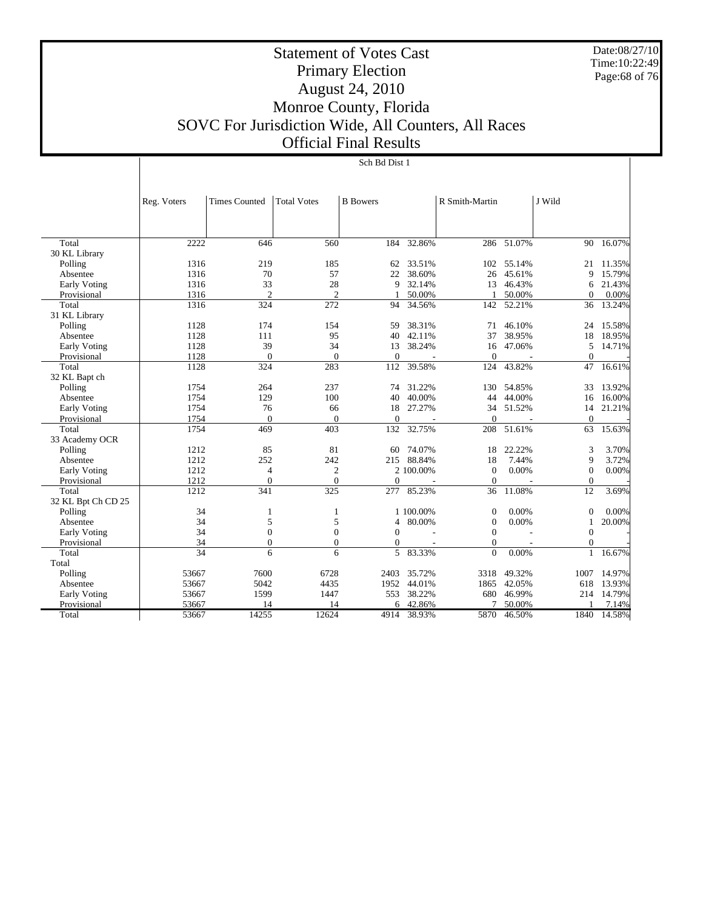Date:08/27/10 Time:10:22:49 Page:68 of 76

# Statement of Votes Cast Primary Election August 24, 2010 Monroe County, Florida SOVC For Jurisdiction Wide, All Counters, All Races Official Final Results

|                     | Reg. Voters | <b>Times Counted</b> | <b>Total Votes</b> | <b>B</b> Bowers |           | R Smith-Martin   |            | J Wild       |           |
|---------------------|-------------|----------------------|--------------------|-----------------|-----------|------------------|------------|--------------|-----------|
|                     |             |                      |                    |                 |           |                  |            |              |           |
|                     |             |                      |                    |                 |           |                  |            |              |           |
|                     |             |                      |                    |                 |           |                  |            |              |           |
| Total               | 2222        | 646                  | 560                | 184             | 32.86%    |                  | 286 51.07% |              | 90 16.07% |
| 30 KL Library       |             |                      |                    |                 |           |                  |            |              |           |
| Polling             | 1316        | 219                  | 185                | 62              | 33.51%    | 102              | 55.14%     | 21           | 11.35%    |
| Absentee            | 1316        | 70                   | 57                 | 22              | 38.60%    | 26               | 45.61%     | 9            | 15.79%    |
| <b>Early Voting</b> | 1316        | 33                   | 28                 | 9               | 32.14%    | 13               | 46.43%     | 6            | 21.43%    |
| Provisional         | 1316        | $\overline{c}$       | $\overline{2}$     | 1               | 50.00%    |                  | 50.00%     | $\Omega$     | 0.00%     |
| Total               | 1316        | 324                  | 272                | 94              | 34.56%    | 142              | 52.21%     | 36           | 13.24%    |
| 31 KL Library       |             |                      |                    |                 |           |                  |            |              |           |
| Polling             | 1128        | 174                  | 154                | 59              | 38.31%    | 71               | 46.10%     | 24           | 15.58%    |
| Absentee            | 1128        | 111                  | 95                 | 40              | 42.11%    | 37               | 38.95%     | 18           | 18.95%    |
| Early Voting        | 1128        | 39                   | 34                 | 13              | 38.24%    | 16               | 47.06%     | 5            | 14.71%    |
| Provisional         | 1128        | $\overline{0}$       | $\theta$           | $\Omega$        |           | $\Omega$         |            | $\Omega$     |           |
| Total               | 1128        | 324                  | 283                | 112             | 39.58%    | 124              | 43.82%     | 47           | 16.61%    |
| 32 KL Bapt ch       |             |                      |                    |                 |           |                  |            |              |           |
| Polling             | 1754        | 264                  | 237                | 74              | 31.22%    | 130              | 54.85%     | 33           | 13.92%    |
| Absentee            | 1754        | 129                  | 100                | 40              | 40.00%    | 44               | 44.00%     | 16           | 16.00%    |
| <b>Early Voting</b> | 1754        | 76                   | 66                 | 18              | 27.27%    | 34               | 51.52%     | 14           | 21.21%    |
| Provisional         | 1754        | $\Omega$             | $\Omega$           | $\theta$        |           | $\Omega$         |            | $\Omega$     |           |
| Total               | 1754        | 469                  | 403                | 132             | 32.75%    | 208              | 51.61%     | 63           | 15.63%    |
| 33 Academy OCR      |             |                      |                    |                 |           |                  |            |              |           |
| Polling             | 1212        | 85                   | 81                 | 60              | 74.07%    | 18               | 22.22%     | 3            | 3.70%     |
| Absentee            | 1212        | 252                  | 242                | 215             | 88.84%    | 18               | 7.44%      | 9            | 3.72%     |
| <b>Early Voting</b> | 1212        | $\overline{4}$       | $\mathfrak{2}$     |                 | 2 100,00% | $\mathbf{0}$     | 0.00%      | $\theta$     | 0.00%     |
| Provisional         | 1212        | $\mathbf{0}$         | $\overline{0}$     | $\mathbf{0}$    |           | $\mathbf{0}$     |            | $\mathbf{0}$ |           |
| Total               | 1212        | 341                  | $\overline{325}$   | 277             | 85.23%    | 36               | 11.08%     | 12           | 3.69%     |
| 32 KL Bpt Ch CD 25  |             |                      |                    |                 |           |                  |            |              |           |
| Polling             | 34          | 1                    | 1                  |                 | 1 100.00% | $\mathbf{0}$     | 0.00%      | $\mathbf{0}$ | 0.00%     |
| Absentee            | 34          | 5                    | 5                  | 4               | 80.00%    | $\boldsymbol{0}$ | 0.00%      | 1            | 20.00%    |
| Early Voting        | 34          | $\mathbf{0}$         | $\boldsymbol{0}$   | $\theta$        |           | $\mathbf{0}$     |            | $\mathbf{0}$ |           |
| Provisional         | 34          | $\mathbf{0}$         | $\mathbf{0}$       | $\Omega$        |           | $\Omega$         |            | $\mathbf{0}$ |           |
| Total               | 34          | 6                    | 6                  | 5               | 83.33%    | $\Omega$         | 0.00%      | $\mathbf{1}$ | 16.67%    |
| Total               |             |                      |                    |                 |           |                  |            |              |           |
| Polling             | 53667       | 7600                 | 6728               | 2403            | 35.72%    | 3318             | 49.32%     | 1007         | 14.97%    |
| Absentee            | 53667       | 5042                 | 4435               | 1952            | 44.01%    | 1865             | 42.05%     | 618          | 13.93%    |
| <b>Early Voting</b> | 53667       | 1599                 | 1447               | 553             | 38.22%    | 680              | 46.99%     | 214          | 14.79%    |
| Provisional         | 53667       | 14                   | 14                 | 6               | 42.86%    | 7                | 50.00%     |              | 7.14%     |
| Total               | 53667       | 14255                | 12624              | 4914            | 38.93%    | 5870             | 46.50%     | 1840         | 14.58%    |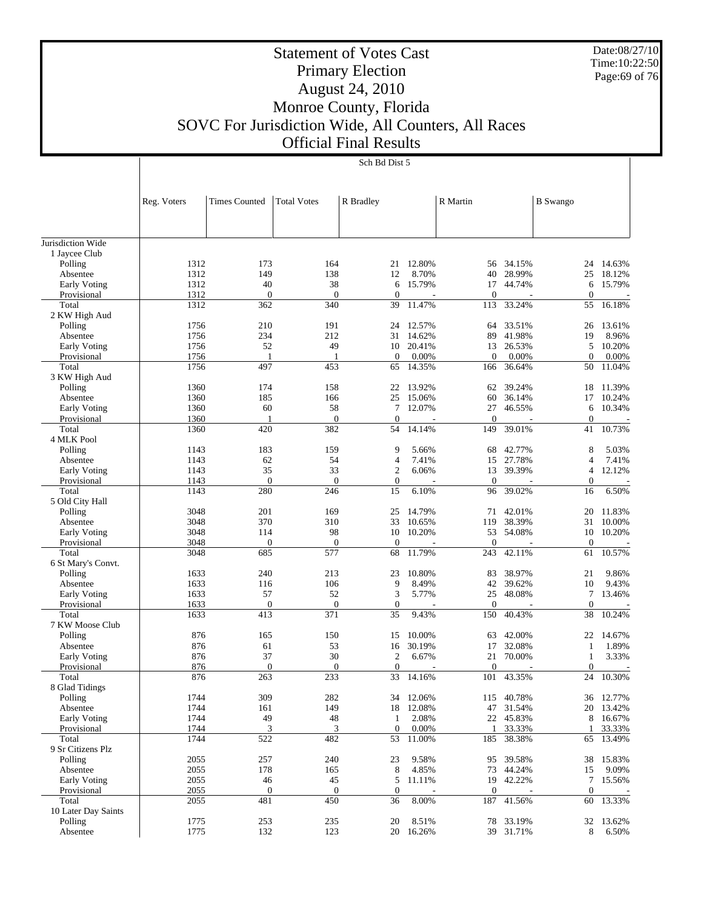Date:08/27/10 Time:10:22:50 Page:69 of 76

# Statement of Votes Cast Primary Election August 24, 2010 Monroe County, Florida SOVC For Jurisdiction Wide, All Counters, All Races Official Final Results

Sch Bd Dist 5

|                          | Reg. Voters  | <b>Times Counted</b> | <b>Total Votes</b> | R Bradley         |                 | R Martin         |                  | <b>B</b> Swango  |                  |
|--------------------------|--------------|----------------------|--------------------|-------------------|-----------------|------------------|------------------|------------------|------------------|
|                          |              |                      |                    |                   |                 |                  |                  |                  |                  |
| Jurisdiction Wide        |              |                      |                    |                   |                 |                  |                  |                  |                  |
| 1 Jaycee Club            |              |                      |                    |                   |                 |                  |                  |                  |                  |
| Polling                  | 1312         | 173                  | 164                | 21                | 12.80%          | 56               | 34.15%           | 24               | 14.63%           |
| Absentee                 | 1312         | 149                  | 138                | 12                | 8.70%           | 40               | 28.99%           | 25               | 18.12%           |
| <b>Early Voting</b>      | 1312         | 40                   | 38                 | 6                 | 15.79%          | 17               | 44.74%           | 6                | 15.79%           |
| Provisional              | 1312         | $\mathbf{0}$         | $\theta$           | $\boldsymbol{0}$  | 11.47%          | $\boldsymbol{0}$ | 33.24%           | $\mathbf{0}$     | 16.18%           |
| Total<br>2 KW High Aud   | 1312         | 362                  | 340                | 39                |                 | 113              |                  | 55               |                  |
| Polling                  | 1756         | 210                  | 191                | 24                | 12.57%          | 64               | 33.51%           | 26               | 13.61%           |
| Absentee                 | 1756         | 234                  | 212                | 31                | 14.62%          | 89               | 41.98%           | 19               | 8.96%            |
| Early Voting             | 1756         | 52                   | 49                 | 10                | 20.41%          | 13               | 26.53%           | 5                | 10.20%           |
| Provisional              | 1756         | 1                    | 1                  | $\mathbf{0}$      | 0.00%           | $\mathbf{0}$     | 0.00%            | $\theta$         | 0.00%            |
| Total                    | 1756         | 497                  | 453                | 65                | 14.35%          | 166              | 36.64%           | 50               | 11.04%           |
| 3 KW High Aud            |              |                      |                    |                   |                 |                  |                  |                  |                  |
| Polling                  | 1360         | 174                  | 158                | 22                | 13.92%          | 62               | 39.24%           | 18               | 11.39%           |
| Absentee                 | 1360         | 185                  | 166                | 25                | 15.06%          | 60               | 36.14%           | 17               | 10.24%           |
| <b>Early Voting</b>      | 1360         | 60                   | 58                 | $\overline{7}$    | 12.07%          | 27               | 46.55%           | 6                | 10.34%           |
| Provisional              | 1360         | 1                    | $\theta$           | $\boldsymbol{0}$  |                 | $\boldsymbol{0}$ |                  | $\boldsymbol{0}$ |                  |
| Total                    | 1360         | 420                  | 382                | 54                | 14.14%          | 149              | 39.01%           | 41               | 10.73%           |
| 4 MLK Pool               |              |                      |                    |                   |                 |                  |                  |                  |                  |
| Polling                  | 1143         | 183                  | 159                | 9                 | 5.66%           | 68               | 42.77%           | 8                | 5.03%            |
| Absentee                 | 1143         | 62                   | 54                 | $\overline{4}$    | 7.41%           | 15               | 27.78%           | $\overline{4}$   | 7.41%            |
| <b>Early Voting</b>      | 1143         | 35                   | 33                 | $\mathfrak{2}$    | 6.06%           | 13               | 39.39%           | $\overline{4}$   | 12.12%           |
| Provisional              | 1143         | $\overline{0}$       | $\theta$           | $\mathbf{0}$      |                 | $\boldsymbol{0}$ |                  | $\mathbf{0}$     |                  |
| Total<br>5 Old City Hall | 1143         | 280                  | 246                | 15                | 6.10%           | 96               | 39.02%           | 16               | 6.50%            |
|                          | 3048         | 201                  | 169                | 25                | 14.79%          | 71               | 42.01%           | 20               | 11.83%           |
| Polling<br>Absentee      | 3048         | 370                  | 310                | 33                | 10.65%          | 119              | 38.39%           | 31               | 10.00%           |
| <b>Early Voting</b>      | 3048         | 114                  | 98                 | 10                | 10.20%          | 53               | 54.08%           | 10               | 10.20%           |
| Provisional              | 3048         | $\mathbf{0}$         | $\boldsymbol{0}$   | $\boldsymbol{0}$  |                 | $\mathbf{0}$     |                  | $\mathbf{0}$     |                  |
| Total                    | 3048         | 685                  | 577                | 68                | 11.79%          | 243              | 42.11%           | 61               | 10.57%           |
| 6 St Mary's Convt.       |              |                      |                    |                   |                 |                  |                  |                  |                  |
| Polling                  | 1633         | 240                  | 213                | 23                | 10.80%          | 83               | 38.97%           | 21               | 9.86%            |
| Absentee                 | 1633         | 116                  | 106                | 9                 | 8.49%           | 42               | 39.62%           | 10               | 9.43%            |
| Early Voting             | 1633         | 57                   | 52                 | 3                 | 5.77%           | 25               | 48.08%           | $\tau$           | 13.46%           |
| Provisional              | 1633         | $\overline{0}$       | $\boldsymbol{0}$   | $\mathbf{0}$      |                 | $\boldsymbol{0}$ |                  | $\boldsymbol{0}$ |                  |
| Total                    | 1633         | 413                  | 371                | 35                | 9.43%           | 150              | 40.43%           | 38               | 10.24%           |
| 7 KW Moose Club          |              |                      |                    |                   |                 |                  |                  |                  |                  |
| Polling                  | 876          | 165                  | 150                | 15                | 10.00%          | 63               | 42.00%           | 22               | 14.67%           |
| Absentee                 | 876          | 61                   | 53                 | 16                | 30.19%          | 17               | 32.08%           | 1                | 1.89%            |
| <b>Early Voting</b>      | 876          | 37                   | 30                 | $\mathfrak{2}$    | 6.67%           | 21               | 70.00%           | $\mathbf{1}$     | 3.33%            |
| Provisional              | 876          | $\mathbf{0}$         | $\overline{0}$     | $\boldsymbol{0}$  |                 | $\mathbf{0}$     |                  | $\boldsymbol{0}$ |                  |
| Total                    | 876          | 263                  | 233                | 33                | 14.16%          | 101              | 43.35%           | 24               | 10.30%           |
| 8 Glad Tidings           |              |                      |                    |                   |                 |                  |                  |                  |                  |
| Polling                  | 1744         | 309                  | 282                |                   | 34 12.06%       |                  | 115 40.78%       |                  | 36 12.77%        |
| Absentee                 | 1744         | 161                  | 149                |                   | 18 12.08%       | 47               | 31.54%           |                  | 20 13.42%        |
| Early Voting             | 1744<br>1744 | 49<br>3              | 48                 | 1<br>$\mathbf{0}$ | 2.08%           | 22               | 45.83%           | 8                | 16.67%<br>33.33% |
| Provisional<br>Total     | 1744         | 522                  | 3<br>482           | 53                | 0.00%<br>11.00% | 1<br>185         | 33.33%<br>38.38% | 1<br>65          | 13.49%           |
| 9 Sr Citizens Plz        |              |                      |                    |                   |                 |                  |                  |                  |                  |
| Polling                  | 2055         | 257                  | 240                | 23                | 9.58%           | 95               | 39.58%           | 38               | 15.83%           |
| Absentee                 | 2055         | 178                  | 165                | 8                 | 4.85%           | 73               | 44.24%           | 15               | 9.09%            |
| Early Voting             | 2055         | 46                   | 45                 | 5                 | 11.11%          |                  | 19 42.22%        | $\tau$           | 15.56%           |
| Provisional              | 2055         | $\mathbf{0}$         | $\mathbf{0}$       | $\mathbf{0}$      |                 | $\boldsymbol{0}$ |                  | $\mathbf{0}$     |                  |
| Total                    | 2055         | 481                  | 450                | 36                | 8.00%           | 187              | 41.56%           | 60               | 13.33%           |
| 10 Later Day Saints      |              |                      |                    |                   |                 |                  |                  |                  |                  |
| Polling                  | 1775         | 253                  | 235                | 20                | 8.51%           | 78               | 33.19%           | 32               | 13.62%           |
| Absentee                 | 1775         | 132                  | 123                |                   | 20 16.26%       |                  | 39 31.71%        | 8                | 6.50%            |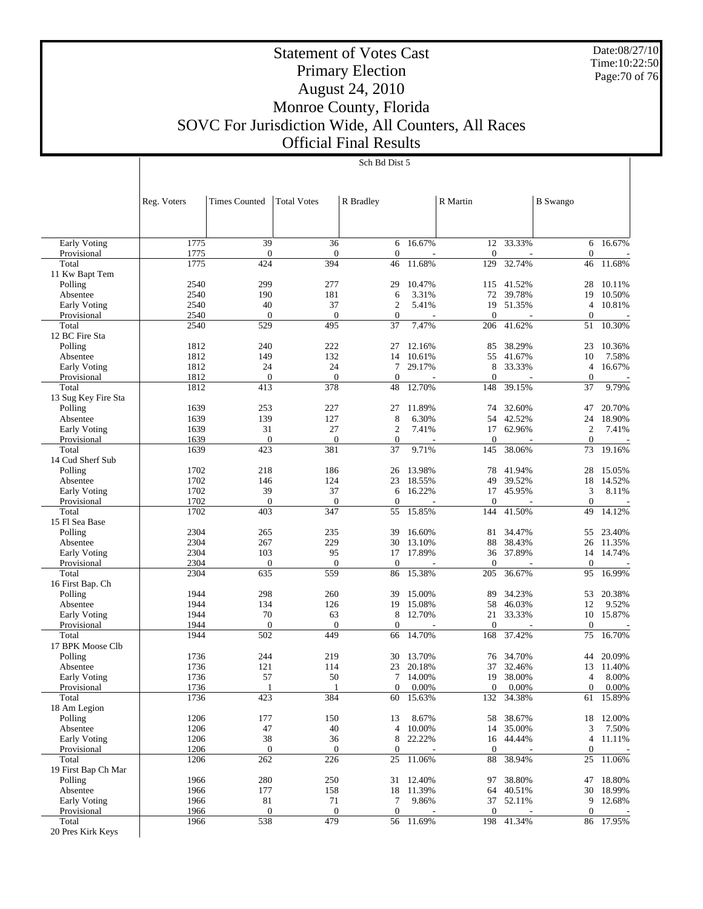Date:08/27/10 Time:10:22:50 Page:70 of 76

# Statement of Votes Cast Primary Election August 24, 2010 Monroe County, Florida SOVC For Jurisdiction Wide, All Counters, All Races Official Final Results

#### Sch Bd Dist 5

|                           | Reg. Voters  | <b>Times Counted</b>    | <b>Total Votes</b>      | R Bradley              |           | R Martin               |            | <b>B</b> Swango        |           |
|---------------------------|--------------|-------------------------|-------------------------|------------------------|-----------|------------------------|------------|------------------------|-----------|
|                           |              |                         |                         |                        |           |                        |            |                        |           |
| <b>Early Voting</b>       | 1775         | 39                      | 36                      | 6                      | 16.67%    | 12                     | 33.33%     | 6                      | 16.67%    |
| Provisional               | 1775         | $\mathbf{0}$            | $\boldsymbol{0}$        | $\mathbf{0}$           |           | $\mathbf{0}$           |            | $\overline{0}$         |           |
| Total                     | 1775         | 424                     | 394                     | 46                     | 11.68%    | 129                    | 32.74%     | 46                     | 11.68%    |
| 11 Kw Bapt Tem<br>Polling | 2540         | 299                     | 277                     | 29                     | 10.47%    | 115                    | 41.52%     | 28                     | 10.11%    |
| Absentee                  | 2540         | 190                     | 181                     | 6                      | 3.31%     | 72                     | 39.78%     | 19                     | 10.50%    |
| Early Voting              | 2540         | 40                      | 37                      | $\overline{2}$         | 5.41%     | 19                     | 51.35%     | $\overline{4}$         | 10.81%    |
| Provisional               | 2540         | $\mathbf{0}$            | $\boldsymbol{0}$        | $\boldsymbol{0}$       |           | $\mathbf{0}$           |            | $\overline{0}$         |           |
| Total                     | 2540         | 529                     | 495                     | 37                     | 7.47%     | 206                    | 41.62%     | 51                     | 10.30%    |
| 12 BC Fire Sta            |              |                         |                         |                        |           |                        |            |                        |           |
| Polling                   | 1812         | 240                     | 222                     | 27                     | 12.16%    | 85                     | 38.29%     | 23                     | 10.36%    |
| Absentee                  | 1812         | 149                     | 132                     | 14                     | 10.61%    | 55                     | 41.67%     | 10                     | 7.58%     |
| <b>Early Voting</b>       | 1812         | 24                      | 24                      | 7                      | 29.17%    | 8                      | 33.33%     | $\overline{4}$         | 16.67%    |
| Provisional<br>Total      | 1812<br>1812 | $\boldsymbol{0}$<br>413 | $\mathbf{0}$<br>378     | $\mathbf{0}$<br>48     | 12.70%    | $\mathbf{0}$<br>148    | 39.15%     | $\mathbf{0}$<br>37     | 9.79%     |
| 13 Sug Key Fire Sta       |              |                         |                         |                        |           |                        |            |                        |           |
| Polling                   | 1639         | 253                     | 227                     | 27                     | 11.89%    | 74                     | 32.60%     | 47                     | 20.70%    |
| Absentee                  | 1639         | 139                     | 127                     | 8                      | 6.30%     | 54                     | 42.52%     | 24                     | 18.90%    |
| Early Voting              | 1639         | 31                      | 27                      | $\mathbf{2}$           | 7.41%     | 17                     | 62.96%     | $\boldsymbol{2}$       | 7.41%     |
| Provisional               | 1639         | $\boldsymbol{0}$        | $\boldsymbol{0}$        | $\boldsymbol{0}$       |           | $\mathbf{0}$           |            | $\mathbf{0}$           |           |
| Total                     | 1639         | 423                     | 381                     | 37                     | 9.71%     | 145                    | 38.06%     | 73                     | 19.16%    |
| 14 Cud Sherf Sub          |              |                         |                         |                        |           |                        |            |                        |           |
| Polling                   | 1702         | 218                     | 186                     | 26                     | 13.98%    | 78                     | 41.94%     | 28                     | 15.05%    |
| Absentee                  | 1702         | 146                     | 124                     | 23                     | 18.55%    | 49                     | 39.52%     | 18                     | 14.52%    |
| <b>Early Voting</b>       | 1702         | 39                      | 37                      | 6                      | 16.22%    | 17                     | 45.95%     | 3                      | 8.11%     |
| Provisional               | 1702         | $\mathbf{0}$            | $\mathbf{0}$            | $\mathbf{0}$           |           | $\mathbf{0}$           |            | $\mathbf{0}$           |           |
| Total<br>15 Fl Sea Base   | 1702         | 403                     | 347                     | 55                     | 15.85%    | 144                    | 41.50%     | 49                     | 14.12%    |
| Polling                   | 2304         | 265                     | 235                     | 39                     | 16.60%    | 81                     | 34.47%     | 55                     | 23.40%    |
| Absentee                  | 2304         | 267                     | 229                     | 30                     | 13.10%    | 88                     | 38.43%     | 26                     | 11.35%    |
| Early Voting              | 2304         | 103                     | 95                      | 17                     | 17.89%    | 36                     | 37.89%     | 14                     | 14.74%    |
| Provisional               | 2304         | $\boldsymbol{0}$        | $\boldsymbol{0}$        | $\mathbf{0}$           |           | $\mathbf{0}$           |            | $\theta$               |           |
| Total                     | 2304         | 635                     | 559                     | 86                     | 15.38%    | 205                    | 36.67%     | 95                     | 16.99%    |
| 16 First Bap. Ch          |              |                         |                         |                        |           |                        |            |                        |           |
| Polling                   | 1944         | 298                     | 260                     | 39                     | 15.00%    | 89                     | 34.23%     | 53                     | 20.38%    |
| Absentee                  | 1944         | 134                     | 126                     | 19                     | 15.08%    | 58                     | 46.03%     | 12                     | 9.52%     |
| <b>Early Voting</b>       | 1944         | 70                      | 63                      | 8                      | 12.70%    | 21                     | 33.33%     | 10                     | 15.87%    |
| Provisional               | 1944         | $\mathbf{0}$            | $\boldsymbol{0}$        | $\mathbf{0}$           |           | $\mathbf{0}$           |            | $\theta$               |           |
| Total<br>17 BPK Moose Clb | 1944         | 502                     | 449                     | 66                     | 14.70%    | 168                    | 37.42%     | 75                     | 16.70%    |
| Polling                   | 1736         | 244                     | 219                     | 30                     | 13.70%    | 76                     | 34.70%     | 44                     | 20.09%    |
| Absentee                  | 1736         | 121                     | 114                     | 23                     | 20.18%    | 37                     | 32.46%     | 13                     | 11.40%    |
| <b>Early Voting</b>       | 1736         | 57                      | 50                      | 7                      | 14.00%    | 19                     | 38.00%     | $\overline{4}$         | 8.00%     |
| Provisional               | 1736         | $\mathbf{1}$            | $\mathbf{1}$            | $\mathbf{0}$           | 0.00%     | $\mathbf{0}$           | 0.00%      | $\mathbf{0}$           | 0.00%     |
| Total                     | 1736         | 423                     | 384                     | 60                     | 15.63%    | 132                    | 34.38%     | 61                     | 15.89%    |
| 18 Am Legion              |              |                         |                         |                        |           |                        |            |                        |           |
| Polling                   | 1206         | 177                     | 150                     | 13                     | 8.67%     |                        | 58 38.67%  |                        | 18 12.00% |
| Absentee                  | 1206         | 47                      | 40                      | $\overline{4}$         | 10.00%    | 14                     | 35.00%     | 3                      | 7.50%     |
| Early Voting              | 1206         | 38                      | 36                      | 8                      | 22.22%    | 16                     | 44.44%     | 4                      | 11.11%    |
| Provisional<br>Total      | 1206<br>1206 | $\boldsymbol{0}$<br>262 | $\boldsymbol{0}$<br>226 | $\boldsymbol{0}$<br>25 | 11.06%    | $\boldsymbol{0}$<br>88 | 38.94%     | $\boldsymbol{0}$<br>25 | 11.06%    |
| 19 First Bap Ch Mar       |              |                         |                         |                        |           |                        |            |                        |           |
| Polling                   | 1966         | 280                     | 250                     | 31                     | 12.40%    | 97                     | 38.80%     | 47                     | 18.80%    |
| Absentee                  | 1966         | 177                     | 158                     | 18                     | 11.39%    | 64                     | 40.51%     | 30                     | 18.99%    |
| Early Voting              | 1966         | 81                      | 71                      | 7                      | 9.86%     | 37                     | 52.11%     | 9                      | 12.68%    |
| Provisional               | 1966         | $\boldsymbol{0}$        | $\boldsymbol{0}$        | $\boldsymbol{0}$       |           | $\boldsymbol{0}$       |            | $\mathbf{0}$           |           |
| Total                     | 1966         | 538                     | 479                     |                        | 56 11.69% |                        | 198 41.34% |                        | 86 17.95% |
| 20 Pres Kirk Keys         |              |                         |                         |                        |           |                        |            |                        |           |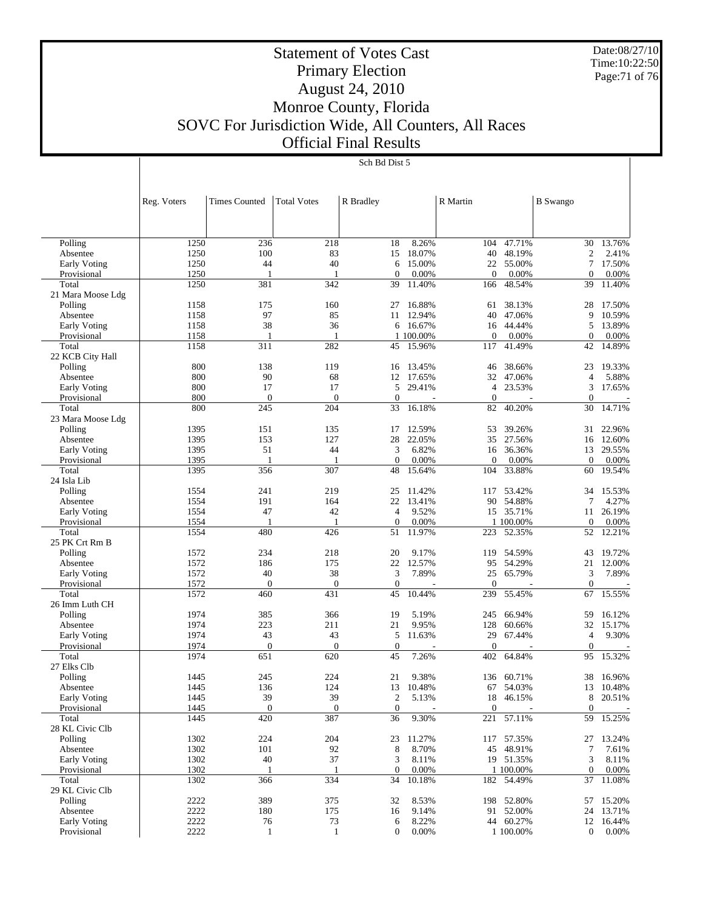Date:08/27/10 Time:10:22:50 Page:71 of 76

# Statement of Votes Cast Primary Election August 24, 2010 Monroe County, Florida SOVC For Jurisdiction Wide, All Counters, All Races Official Final Results

|                                    | Reg. Voters  | <b>Times Counted</b> | <b>Total Votes</b>  | R Bradley              |                  | R Martin            |                  | <b>B</b> Swango      |                 |
|------------------------------------|--------------|----------------------|---------------------|------------------------|------------------|---------------------|------------------|----------------------|-----------------|
|                                    |              |                      |                     |                        |                  |                     |                  |                      |                 |
| Polling                            | 1250         | 236                  | 218                 | 18                     | 8.26%            | 104                 | 47.71%           | 30                   | 13.76%          |
| Absentee                           | 1250         | 100                  | 83                  | 15                     | 18.07%           | 40                  | 48.19%           | $\mathfrak{2}$       | 2.41%           |
| <b>Early Voting</b>                | 1250         | 44                   | 40                  | 6                      | 15.00%           | 22                  | 55.00%           | 7                    | 17.50%          |
| Provisional                        | 1250         | 1                    | 1                   | $\overline{0}$         | 0.00%            | $\Omega$            | 0.00%            | $\mathbf{0}$         | 0.00%           |
| Total                              | 1250         | 381                  | 342                 | 39                     | 11.40%           | 166                 | 48.54%           | 39                   | 11.40%          |
| 21 Mara Moose Ldg                  |              |                      |                     |                        |                  |                     |                  |                      |                 |
| Polling                            | 1158         | 175                  | 160                 | 27                     | 16.88%           | 61                  | 38.13%           | 28                   | 17.50%          |
| Absentee                           | 1158         | 97                   | 85                  | 11                     | 12.94%           | 40                  | 47.06%           | 9                    | 10.59%          |
| <b>Early Voting</b>                | 1158         | 38                   | 36                  | 6                      | 16.67%           | 16                  | 44.44%           | 5                    | 13.89%          |
| Provisional                        | 1158         | $\mathbf{1}$         | 1                   |                        | 1 100.00%        | $\mathbf{0}$        | 0.00%            | $\theta$             | 0.00%           |
| Total                              | 1158         | 311                  | 282                 | 45                     | 15.96%           | 117                 | 41.49%           | 42                   | 14.89%          |
| 22 KCB City Hall                   |              |                      |                     |                        |                  |                     |                  |                      |                 |
| Polling                            | 800<br>800   | 138<br>90            | 119<br>68           | 16                     | 13.45%<br>17.65% | 46                  | 38.66%           | 23<br>$\overline{4}$ | 19.33%<br>5.88% |
| Absentee                           | 800          | 17                   | 17                  | 12<br>5                | 29.41%           | 32<br>4             | 47.06%<br>23.53% | 3                    | 17.65%          |
| <b>Early Voting</b><br>Provisional | 800          | $\mathbf{0}$         | $\mathbf{0}$        | $\boldsymbol{0}$       |                  | $\mathbf{0}$        |                  | $\mathbf{0}$         |                 |
| Total                              | 800          | 245                  | 204                 | 33                     | 16.18%           | 82                  | 40.20%           | 30                   | 14.71%          |
| 23 Mara Moose Ldg                  |              |                      |                     |                        |                  |                     |                  |                      |                 |
| Polling                            | 1395         | 151                  | 135                 | 17                     | 12.59%           | 53                  | 39.26%           | 31                   | 22.96%          |
| Absentee                           | 1395         | 153                  | 127                 | 28                     | 22.05%           | 35                  | 27.56%           | 16                   | 12.60%          |
| <b>Early Voting</b>                | 1395         | 51                   | 44                  | 3                      | 6.82%            | 16                  | 36.36%           | 13                   | 29.55%          |
| Provisional                        | 1395         | $\mathbf{1}$         | $\mathbf{1}$        | $\boldsymbol{0}$       | 0.00%            | $\Omega$            | 0.00%            | $\theta$             | 0.00%           |
| Total                              | 1395         | 356                  | 307                 | 48                     | 15.64%           | 104                 | 33.88%           | 60                   | 19.54%          |
| 24 Isla Lib                        |              |                      |                     |                        |                  |                     |                  |                      |                 |
| Polling                            | 1554         | 241                  | 219                 | 25                     | 11.42%           | 117                 | 53.42%           | 34                   | 15.53%          |
| Absentee                           | 1554         | 191                  | 164                 | 22                     | 13.41%           | 90                  | 54.88%           | 7                    | 4.27%           |
| Early Voting                       | 1554         | 47                   | 42                  | $\overline{4}$         | 9.52%            | 15                  | 35.71%           | 11                   | 26.19%          |
| Provisional                        | 1554         | -1                   | 1                   | $\boldsymbol{0}$       | 0.00%            |                     | 1 100.00%        | $\mathbf{0}$         | 0.00%           |
| Total                              | 1554         | 480                  | 426                 | 51                     | 11.97%           | 223                 | 52.35%           | 52                   | 12.21%          |
| 25 PK Crt Rm B                     |              |                      |                     |                        |                  |                     |                  |                      |                 |
| Polling                            | 1572         | 234                  | 218                 | 20                     | 9.17%            | 119                 | 54.59%           | 43                   | 19.72%          |
| Absentee                           | 1572         | 186                  | 175                 | 22                     | 12.57%           | 95                  | 54.29%           | 21                   | 12.00%          |
| <b>Early Voting</b>                | 1572         | 40                   | 38                  | 3                      | 7.89%            | 25                  | 65.79%           | 3                    | 7.89%           |
| Provisional                        | 1572         | $\mathbf{0}$         | $\mathbf{0}$        | $\boldsymbol{0}$       |                  | $\Omega$            |                  | $\mathbf{0}$         |                 |
| Total                              | 1572         | 460                  | 431                 | 45                     | 10.44%           | 239                 | 55.45%           | 67                   | 15.55%          |
| 26 Imm Luth CH                     |              |                      |                     |                        |                  |                     |                  |                      |                 |
| Polling                            | 1974         | 385                  | 366                 | 19                     | 5.19%            | 245                 | 66.94%           | 59                   | 16.12%          |
| Absentee                           | 1974         | 223                  | 211                 | 21                     | 9.95%            | 128                 | 60.66%           | 32                   | 15.17%          |
| <b>Early Voting</b>                | 1974         | 43                   | 43                  | 5                      | 11.63%           | 29                  | 67.44%           | $\overline{4}$       | 9.30%           |
| Provisional<br>Total               | 1974<br>1974 | $\mathbf{0}$<br>651  | $\mathbf{0}$<br>620 | $\boldsymbol{0}$<br>45 | 7.26%            | $\mathbf{0}$<br>402 | 64.84%           | $\mathbf{0}$<br>95   | 15.32%          |
| 27 Elks Clb                        |              |                      |                     |                        |                  |                     |                  |                      |                 |
| Polling                            | 1445         | 245                  | 224                 | 21                     | 9.38%            | 136                 | 60.71%           | 38                   | 16.96%          |
| Absentee                           | 1445         | 136                  | 124                 | 13                     | 10.48%           | 67                  | 54.03%           | 13                   | 10.48%          |
| <b>Early Voting</b>                | 1445         | 39                   | 39                  | $\mathfrak{2}$         | 5.13%            | 18                  | 46.15%           | 8                    | 20.51%          |
| Provisional                        | 1445         | $\mathbf{0}$         | $\mathbf{0}$        | $\boldsymbol{0}$       |                  | $\mathbf{0}$        |                  | $\overline{0}$       | $\sim$          |
| Total                              | 1445         | 420                  | 387                 | 36                     | 9.30%            | 221                 | 57.11%           | 59                   | 15.25%          |
| 28 KL Civic Clb                    |              |                      |                     |                        |                  |                     |                  |                      |                 |
| Polling                            | 1302         | 224                  | 204                 | 23                     | 11.27%           |                     | 117 57.35%       | 27                   | 13.24%          |
| Absentee                           | 1302         | 101                  | 92                  | $\,8\,$                | 8.70%            |                     | 45 48.91%        | $\tau$               | 7.61%           |
| Early Voting                       | 1302         | 40                   | 37                  | 3                      | 8.11%            |                     | 19 51.35%        | 3                    | 8.11%           |
| Provisional                        | 1302         | 1                    | 1                   | $\mathbf{0}$           | 0.00%            |                     | 1 100.00%        | $\mathbf{0}$         | 0.00%           |
| Total                              | 1302         | 366                  | 334                 | 34                     | 10.18%           |                     | 182 54.49%       | 37                   | 11.08%          |
| 29 KL Civic Clb                    |              |                      |                     |                        |                  |                     |                  |                      |                 |
| Polling                            | 2222         | 389                  | 375                 | 32                     | 8.53%            |                     | 198 52.80%       | 57                   | 15.20%          |
| Absentee                           | 2222         | 180                  | 175                 | 16                     | 9.14%            | 91                  | 52.00%           | 24                   | 13.71%          |
| Early Voting                       | 2222         | 76                   | 73                  | 6                      | 8.22%            |                     | 44 60.27%        |                      | 12 16.44%       |
| Provisional                        | 2222         | 1                    | $\mathbf{1}$        | $\boldsymbol{0}$       | 0.00%            |                     | 1 100.00%        | $\mathbf{0}$         | 0.00%           |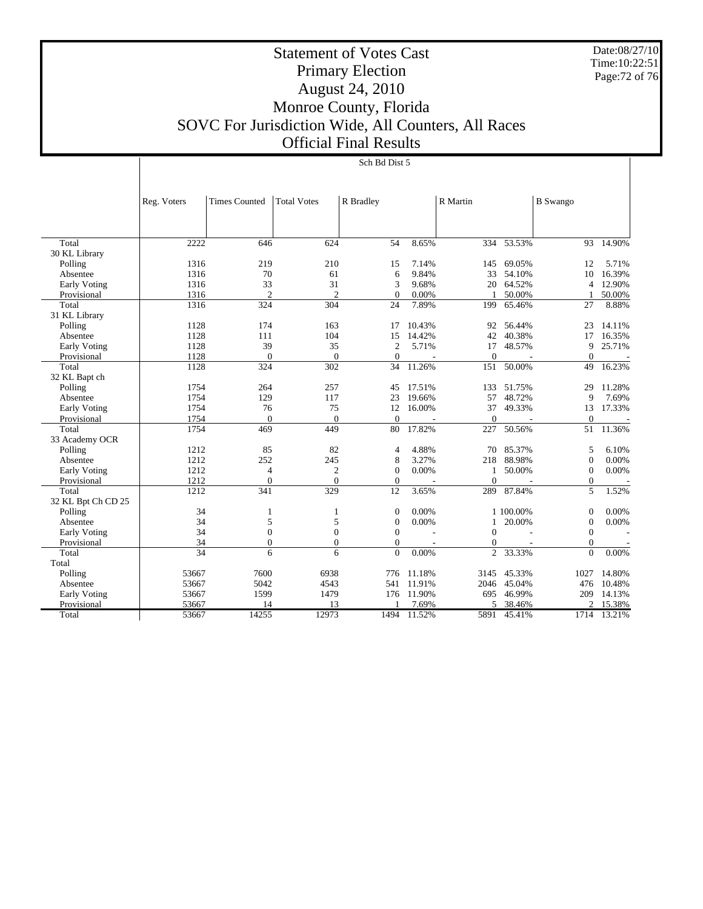Date:08/27/10 Time:10:22:51 Page:72 of 76

# Statement of Votes Cast Primary Election August 24, 2010 Monroe County, Florida SOVC For Jurisdiction Wide, All Counters, All Races Official Final Results

|                     | Reg. Voters | <b>Times Counted</b> | <b>Total Votes</b> | R Bradley        |        | R Martin       |           | <b>B</b> Swango  |        |
|---------------------|-------------|----------------------|--------------------|------------------|--------|----------------|-----------|------------------|--------|
|                     |             |                      |                    |                  |        |                |           |                  |        |
|                     |             |                      |                    |                  |        |                |           |                  |        |
|                     |             |                      |                    |                  |        |                |           |                  |        |
| Total               | 2222        | 646                  | 624                | 54               | 8.65%  | 334            | 53.53%    | 93               | 14.90% |
| 30 KL Library       |             |                      |                    |                  |        |                |           |                  |        |
| Polling             | 1316        | 219                  | 210                | 15               | 7.14%  | 145            | 69.05%    | 12               | 5.71%  |
| Absentee            | 1316        | 70                   | 61                 | 6                | 9.84%  | 33             | 54.10%    | 10               | 16.39% |
| Early Voting        | 1316        | 33                   | 31                 | 3                | 9.68%  | 20             | 64.52%    | $\overline{4}$   | 12.90% |
| Provisional         | 1316        | $\overline{c}$       | $\overline{2}$     | $\boldsymbol{0}$ | 0.00%  |                | 50.00%    |                  | 50.00% |
| Total               | 1316        | 324                  | 304                | 24               | 7.89%  | 199            | 65.46%    | 27               | 8.88%  |
| 31 KL Library       |             |                      |                    |                  |        |                |           |                  |        |
| Polling             | 1128        | 174                  | 163                | 17               | 10.43% | 92             | 56.44%    | 23               | 14.11% |
| Absentee            | 1128        | 111                  | 104                | 15               | 14.42% | 42             | 40.38%    | 17               | 16.35% |
| <b>Early Voting</b> | 1128        | 39                   | 35                 | $\overline{2}$   | 5.71%  | 17             | 48.57%    | 9                | 25.71% |
| Provisional         | 1128        | $\Omega$             | $\mathbf{0}$       | $\Omega$         |        | $\Omega$       |           | $\Omega$         |        |
| Total               | 1128        | 324                  | 302                | 34               | 11.26% | 151            | 50.00%    | 49               | 16.23% |
| 32 KL Bapt ch       |             |                      |                    |                  |        |                |           |                  |        |
| Polling             | 1754        | 264                  | 257                | 45               | 17.51% | 133            | 51.75%    | 29               | 11.28% |
| Absentee            | 1754        | 129                  | 117                | 23               | 19.66% | 57             | 48.72%    | 9                | 7.69%  |
| Early Voting        | 1754        | 76                   | 75                 | 12               | 16.00% | 37             | 49.33%    | 13               | 17.33% |
| Provisional         | 1754        | $\mathbf{0}$         | $\theta$           | $\Omega$         |        | $\mathbf{0}$   |           | $\boldsymbol{0}$ |        |
| Total               | 1754        | 469                  | 449                | 80               | 17.82% | 227            | 50.56%    | 51               | 11.36% |
| 33 Academy OCR      |             |                      |                    |                  |        |                |           |                  |        |
| Polling             | 1212        | 85                   | 82                 | 4                | 4.88%  | 70             | 85.37%    | 5                | 6.10%  |
| Absentee            | 1212        | 252                  | 245                | 8                | 3.27%  | 218            | 88.98%    | $\mathbf{0}$     | 0.00%  |
| Early Voting        | 1212        | 4                    | $\boldsymbol{2}$   | $\mathbf{0}$     | 0.00%  | 1              | 50.00%    | $\theta$         | 0.00%  |
| Provisional         | 1212        | $\theta$             | $\Omega$           | $\overline{0}$   |        | $\theta$       |           | $\boldsymbol{0}$ |        |
| Total               | 1212        | 341                  | 329                | 12               | 3.65%  | 289            | 87.84%    | 5                | 1.52%  |
| 32 KL Bpt Ch CD 25  |             |                      |                    |                  |        |                |           |                  |        |
| Polling             | 34          | 1                    | $\mathbf{1}$       | $\mathbf{0}$     | 0.00%  |                | 1 100.00% | $\theta$         | 0.00%  |
| Absentee            | 34          | 5                    | 5                  | $\boldsymbol{0}$ | 0.00%  | 1              | 20.00%    | $\mathbf{0}$     | 0.00%  |
| <b>Early Voting</b> | 34          | $\overline{0}$       | $\mathbf{0}$       | $\mathbf{0}$     |        | $\Omega$       |           | $\Omega$         |        |
| Provisional         | 34          | $\overline{0}$       | $\boldsymbol{0}$   | $\mathbf{0}$     |        | $\mathbf{0}$   |           | $\boldsymbol{0}$ |        |
| Total               | 34          | 6                    | 6                  | $\mathbf{0}$     | 0.00%  | $\overline{c}$ | 33.33%    | $\mathbf{0}$     | 0.00%  |
| Total               |             |                      |                    |                  |        |                |           |                  |        |
| Polling             | 53667       | 7600                 | 6938               | 776              | 11.18% | 3145           | 45.33%    | 1027             | 14.80% |
| Absentee            | 53667       | 5042                 | 4543               | 541              | 11.91% | 2046           | 45.04%    | 476              | 10.48% |
| <b>Early Voting</b> | 53667       | 1599                 | 1479               | 176              | 11.90% | 695            | 46.99%    | 209              | 14.13% |
| Provisional         | 53667       | 14                   | 13                 |                  | 7.69%  | 5              | 38.46%    | 2                | 15.38% |
| Total               | 53667       | 14255                | 12973              | 1494             | 11.52% | 5891           | 45.41%    | 1714             | 13.21% |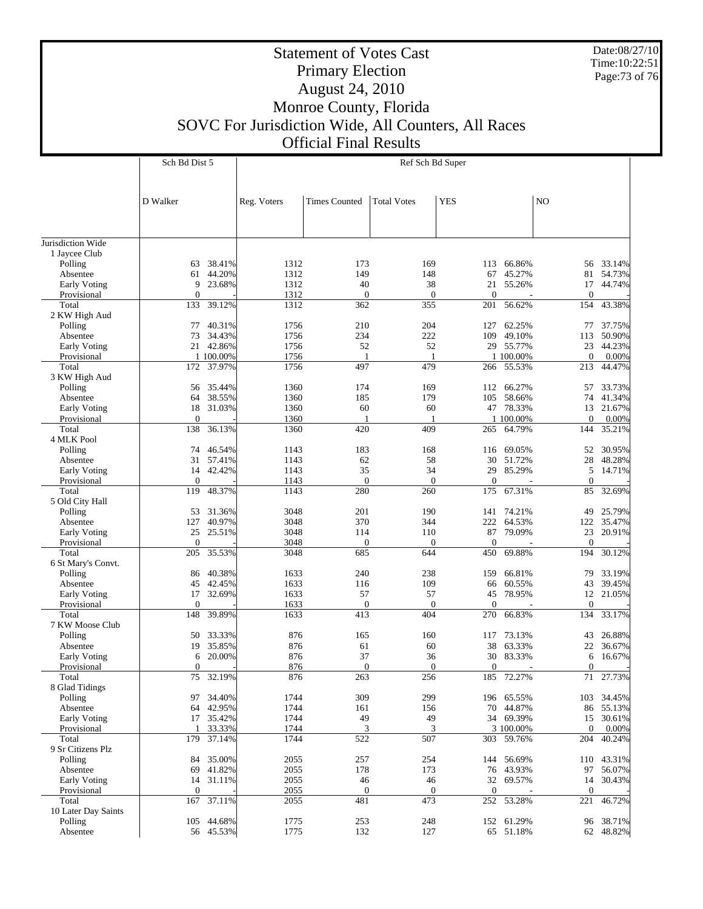Date:08/27/10 Time:10:22:51 Page:73 of 76

## Primary Election August 24, 2010 Monroe County, Florida SOVC For Jurisdiction Wide, All Counters, All Races Official Final Results

D Walker

Sch Bd Dist 5

Statement of Votes Cast

Ref Sch Bd Super

Reg. Voters | Times Counted | Total Votes | YES | NO

| Jurisdiction Wide   |                |            |      |                  |                  |                |            |                  |            |
|---------------------|----------------|------------|------|------------------|------------------|----------------|------------|------------------|------------|
| 1 Jaycee Club       |                |            |      |                  |                  |                |            |                  |            |
| Polling             | 63             | 38.41%     | 1312 | 173              | 169              | 113            | 66.86%     | 56               | 33.14%     |
| Absentee            | 61             | 44.20%     | 1312 | 149              | 148              | 67             | 45.27%     | 81               | 54.73%     |
| Early Voting        | 9              | 23.68%     | 1312 | 40               | 38               | 21             | 55.26%     | 17               | 44.74%     |
| Provisional         | $\theta$       |            | 1312 | $\boldsymbol{0}$ | $\mathbf{0}$     | $\Omega$       |            | $\theta$         |            |
| Total               | 133            | 39.12%     | 1312 | 362              | 355              | 201            | 56.62%     | 154              | 43.38%     |
| 2 KW High Aud       |                |            |      |                  |                  |                |            |                  |            |
| Polling             | 77             | 40.31%     | 1756 | 210              | 204              | 127            | 62.25%     | 77               | 37.75%     |
| Absentee            | 73             | 34.43%     | 1756 | 234              | 222              | 109            | 49.10%     | 113              | 50.90%     |
| Early Voting        |                | 21 42.86%  | 1756 | 52               | 52               |                | 29 55.77%  | 23               | 44.23%     |
| Provisional         |                | 1 100.00%  | 1756 | 1                | 1                |                | 1 100.00%  | $\mathbf{0}$     | 0.00%      |
| Total               | 172            | 37.97%     | 1756 | 497              | 479              | 266            | 55.53%     | 213              | 44.47%     |
| 3 KW High Aud       |                |            |      |                  |                  |                |            |                  |            |
| Polling             | 56             | 35.44%     | 1360 | 174              | 169              | 112            | 66.27%     | 57               | 33.73%     |
| Absentee            | 64             | 38.55%     | 1360 | 185              | 179              | 105            | 58.66%     | 74               | 41.34%     |
| Early Voting        | 18             | 31.03%     | 1360 | 60               | 60               |                | 47 78.33%  | 13               | 21.67%     |
| Provisional         | $\theta$       |            | 1360 | -1               | $\mathbf{1}$     |                | 1 100.00%  | $\theta$         | 0.00%      |
| Total               | 138            | 36.13%     | 1360 | 420              | 409              | 265            | 64.79%     | 144              | 35.21%     |
| 4 MLK Pool          |                |            |      |                  |                  |                |            |                  |            |
| Polling             | 74             | 46.54%     | 1143 | 183              | 168              | 116            | 69.05%     | 52               | 30.95%     |
| Absentee            | 31             | 57.41%     | 1143 | 62               | 58               | 30             | 51.72%     | 28               | 48.28%     |
| Early Voting        | 14             | 42.42%     | 1143 | 35               | 34               | 29             | 85.29%     | 5                | 14.71%     |
| Provisional         | $\theta$       |            | 1143 | $\boldsymbol{0}$ | $\mathbf{0}$     | $\mathbf{0}$   |            | $\mathbf{0}$     |            |
| Total               | 119            | 48.37%     | 1143 | 280              | 260              | 175            | 67.31%     | 85               | 32.69%     |
| 5 Old City Hall     |                |            |      |                  |                  |                |            |                  |            |
| Polling             | 53             | 31.36%     | 3048 | 201              | 190              | 141            | 74.21%     | 49               | 25.79%     |
| Absentee            | 127            | 40.97%     | 3048 | 370              | 344              | 222            | 64.53%     | 122              | 35.47%     |
| Early Voting        | 25             | 25.51%     | 3048 | 114              | 110              | 87             | 79.09%     | 23               | 20.91%     |
| Provisional         | $\Omega$       |            | 3048 | $\boldsymbol{0}$ | $\mathbf{0}$     | $\overline{0}$ |            | $\theta$         |            |
| Total               | 205            | 35.53%     | 3048 | 685              | 644              | 450            | 69.88%     | 194              | 30.12%     |
| 6 St Mary's Convt.  |                |            |      |                  |                  |                |            |                  |            |
| Polling             | 86             | 40.38%     | 1633 | 240              | 238              | 159            | 66.81%     | 79               | 33.19%     |
| Absentee            | 45             | 42.45%     | 1633 | 116              | 109              | 66             | 60.55%     | 43               | 39.45%     |
| Early Voting        | 17             | 32.69%     | 1633 | 57               | 57               | 45             | 78.95%     | 12               | 21.05%     |
| Provisional         | $\overline{0}$ |            | 1633 | $\boldsymbol{0}$ | $\mathbf{0}$     | $\overline{0}$ |            | $\theta$         |            |
| Total               | 148            | 39.89%     | 1633 | 413              | 404              | 270            | 66.83%     | 134              | 33.17%     |
| 7 KW Moose Club     |                |            |      |                  |                  |                |            |                  |            |
| Polling             | 50             | 33.33%     | 876  | 165              | 160              | 117            | 73.13%     | 43               | 26.88%     |
| Absentee            | 19             | 35.85%     | 876  | 61               | 60               | 38             | 63.33%     | 22               | 36.67%     |
| Early Voting        | 6              | 20.00%     | 876  | 37               | 36               | 30             | 83.33%     | 6                | 16.67%     |
| Provisional         | $\overline{0}$ |            | 876  | $\boldsymbol{0}$ | $\mathbf{0}$     | $\Omega$       |            | $\mathbf{0}$     |            |
| Total               | 75             | 32.19%     | 876  | 263              | 256              | 185            | 72.27%     | 71               | 27.73%     |
| 8 Glad Tidings      |                |            |      |                  |                  |                |            |                  |            |
| Polling             | 97             | 34.40%     | 1744 | 309              | 299              | 196            | 65.55%     | 103              | 34.45%     |
| Absentee            | 64             | 42.95%     | 1744 | 161              | 156              | 70             | 44.87%     | 86               | 55.13%     |
| Early Voting        | 17             | 35.42%     | 1744 | 49               | 49               | 34             | 69.39%     | 15               | 30.61%     |
| Provisional         | -1             | 33.33%     | 1744 | 3                | 3                |                | 3 100.00%  | $\theta$         | 0.00%      |
| Total               | 179            | 37.14%     | 1744 | 522              | 507              |                | 303 59.76% | 204              | 40.24%     |
| 9 Sr Citizens Plz   |                |            |      |                  |                  |                |            |                  |            |
| Polling             |                | 84 35.00%  | 2055 | 257              | 254              |                | 144 56.69% |                  | 110 43.31% |
| Absentee            | 69             | 41.82%     | 2055 | 178              | 173              |                | 76 43.93%  | 97               | 56.07%     |
| Early Voting        | 14             | 31.11%     | 2055 | 46               | 46               | 32             | 69.57%     | 14               | 30.43%     |
| Provisional         | $\theta$       |            | 2055 | $\boldsymbol{0}$ | $\boldsymbol{0}$ | $\mathbf{0}$   |            | $\boldsymbol{0}$ |            |
| Total               | 167            | 37.11%     | 2055 | 481              | 473              |                | 252 53.28% | 221              | 46.72%     |
| 10 Later Day Saints |                |            |      |                  |                  |                |            |                  |            |
| Polling             |                | 105 44.68% | 1775 | 253              | 248              |                | 152 61.29% |                  | 96 38.71%  |
| Absentee            |                | 56 45.53%  | 1775 | 132              | 127              |                | 65 51.18%  |                  | 62 48.82%  |
|                     |                |            |      |                  |                  |                |            |                  |            |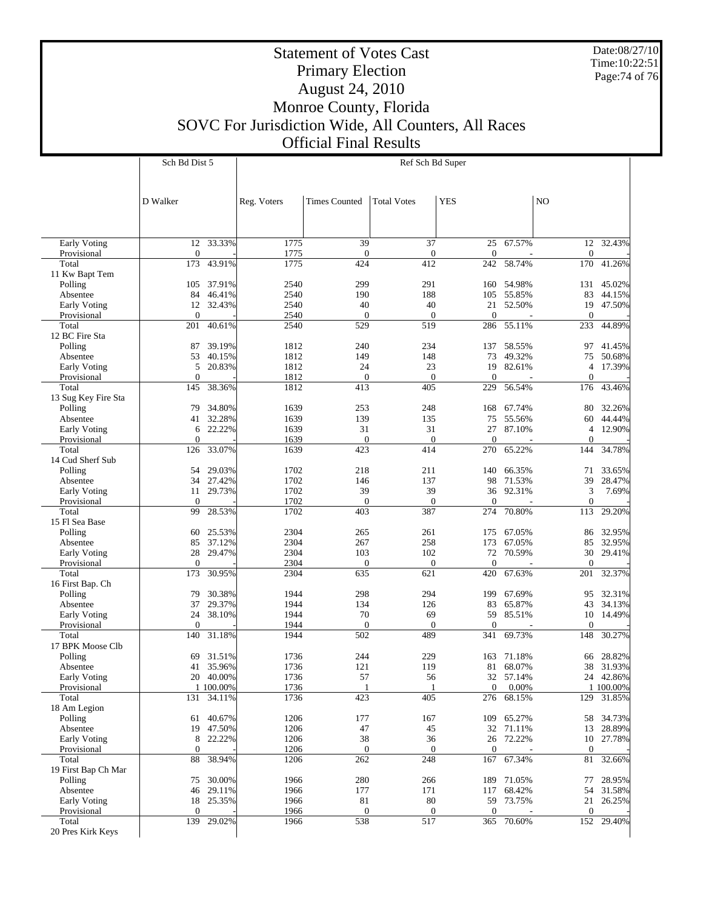Date:08/27/10 Time:10:22:51 Page:74 of 76

## Statement of Votes Cast Primary Election August 24, 2010 Monroe County, Florida SOVC For Jurisdiction Wide, All Counters, All Races Official Final Results

|                                    | Sch Bd Dist 5       |           | Ref Sch Bd Super |                      |                    |                       |            |                        |           |  |
|------------------------------------|---------------------|-----------|------------------|----------------------|--------------------|-----------------------|------------|------------------------|-----------|--|
|                                    |                     |           |                  |                      |                    |                       |            |                        |           |  |
|                                    |                     |           |                  |                      |                    |                       |            |                        |           |  |
|                                    | D Walker            |           | Reg. Voters      | <b>Times Counted</b> | <b>Total Votes</b> | <b>YES</b>            |            | N <sub>O</sub>         |           |  |
|                                    |                     |           |                  |                      |                    |                       |            |                        |           |  |
|                                    |                     |           |                  |                      |                    |                       |            |                        |           |  |
| Early Voting<br>Provisional        | 12<br>$\mathbf{0}$  | 33.33%    | 1775<br>1775     | 39<br>$\overline{0}$ | 37<br>$\mathbf{0}$ | 25<br>$\overline{0}$  | 67.57%     | $\theta$               | 12 32.43% |  |
| Total                              | 173                 | 43.91%    | 1775             | 424                  | 412                | 242                   | 58.74%     | 170                    | 41.26%    |  |
| 11 Kw Bapt Tem                     |                     |           |                  |                      |                    |                       |            |                        |           |  |
| Polling                            | 105                 | 37.91%    | 2540             | 299                  | 291                | 160                   | 54.98%     | 131                    | 45.02%    |  |
| Absentee                           | 84                  | 46.41%    | 2540             | 190                  | 188                | 105                   | 55.85%     | 83                     | 44.15%    |  |
| <b>Early Voting</b><br>Provisional | 12<br>$\mathbf{0}$  | 32.43%    | 2540<br>2540     | 40<br>$\overline{0}$ | 40<br>$\mathbf{0}$ | 21<br>$\overline{0}$  | 52.50%     | 19<br>$\boldsymbol{0}$ | 47.50%    |  |
| Total                              | 201                 | 40.61%    | 2540             | 529                  | 519                | 286                   | 55.11%     | 233                    | 44.89%    |  |
| 12 BC Fire Sta                     |                     |           |                  |                      |                    |                       |            |                        |           |  |
| Polling                            | 87                  | 39.19%    | 1812             | 240                  | 234                | 137                   | 58.55%     | 97                     | 41.45%    |  |
| Absentee                           | 53                  | 40.15%    | 1812             | 149                  | 148                | 73                    | 49.32%     | 75                     | 50.68%    |  |
| <b>Early Voting</b>                | 5                   | 20.83%    | 1812             | 24                   | 23                 | 19                    | 82.61%     | 4                      | 17.39%    |  |
| Provisional<br>Total               | $\mathbf{0}$<br>145 | 38.36%    | 1812<br>1812     | $\mathbf{0}$<br>413  | $\theta$<br>405    | $\overline{0}$<br>229 | 56.54%     | $\theta$<br>176        | 43.46%    |  |
| 13 Sug Key Fire Sta                |                     |           |                  |                      |                    |                       |            |                        |           |  |
| Polling                            | 79                  | 34.80%    | 1639             | 253                  | 248                | 168                   | 67.74%     | 80                     | 32.26%    |  |
| Absentee                           | 41                  | 32.28%    | 1639             | 139                  | 135                | 75                    | 55.56%     | 60                     | 44.44%    |  |
| <b>Early Voting</b>                | 6                   | 22.22%    | 1639             | 31                   | 31                 | 27                    | 87.10%     | $\overline{4}$         | 12.90%    |  |
| Provisional<br>Total               | $\mathbf{0}$<br>126 | 33.07%    | 1639<br>1639     | $\mathbf{0}$<br>423  | $\theta$<br>414    | $\overline{0}$<br>270 | 65.22%     | $\mathbf{0}$<br>144    | 34.78%    |  |
| 14 Cud Sherf Sub                   |                     |           |                  |                      |                    |                       |            |                        |           |  |
| Polling                            | 54                  | 29.03%    | 1702             | 218                  | 211                | 140                   | 66.35%     | 71                     | 33.65%    |  |
| Absentee                           | 34                  | 27.42%    | 1702             | 146                  | 137                | 98                    | 71.53%     | 39                     | 28.47%    |  |
| <b>Early Voting</b>                | 11                  | 29.73%    | 1702             | 39                   | 39                 | 36                    | 92.31%     | 3                      | 7.69%     |  |
| Provisional                        | $\mathbf{0}$        |           | 1702             | $\mathbf{0}$         | $\mathbf{0}$       | $\Omega$              |            | $\mathbf{0}$           |           |  |
| Total<br>15 Fl Sea Base            | 99                  | 28.53%    | 1702             | 403                  | 387                | 274                   | 70.80%     | 113                    | 29.20%    |  |
| Polling                            | 60                  | 25.53%    | 2304             | 265                  | 261                | 175                   | 67.05%     | 86                     | 32.95%    |  |
| Absentee                           | 85                  | 37.12%    | 2304             | 267                  | 258                | 173                   | 67.05%     | 85                     | 32.95%    |  |
| <b>Early Voting</b>                | 28                  | 29.47%    | 2304             | 103                  | 102                | 72                    | 70.59%     | 30                     | 29.41%    |  |
| Provisional<br>Total               | $\mathbf{0}$        |           | 2304             | $\mathbf{0}$         | $\mathbf{0}$       | $\overline{0}$        |            | $\theta$               |           |  |
| 16 First Bap. Ch                   | 173                 | 30.95%    | 2304             | 635                  | 621                | 420                   | 67.63%     | 201                    | 32.37%    |  |
| Polling                            | 79                  | 30.38%    | 1944             | 298                  | 294                | 199                   | 67.69%     | 95                     | 32.31%    |  |
| Absentee                           | 37                  | 29.37%    | 1944             | 134                  | 126                | 83                    | 65.87%     | 43                     | 34.13%    |  |
| <b>Early Voting</b>                | 24                  | 38.10%    | 1944             | 70                   | 69                 | 59                    | 85.51%     | 10                     | 14.49%    |  |
| Provisional                        | $\mathbf{0}$        |           | 1944             | $\mathbf{0}$         | $\mathbf{0}$       | $\mathbf{0}$          |            | $\theta$               |           |  |
| Total<br>17 BPK Moose Clb          | 140                 | 31.18%    | 1944             | 502                  | 489                | 341                   | 69.73%     | 148                    | 30.27%    |  |
| Polling                            | 69                  | 31.51%    | 1736             | 244                  | 229                | 163                   | 71.18%     | 66                     | 28.82%    |  |
| Absentee                           | 41                  | 35.96%    | 1736             | 121                  | 119                | 81                    | 68.07%     | 38                     | 31.93%    |  |
| <b>Early Voting</b>                |                     | 20 40.00% | 1736             | 57                   | 56                 | 32                    | 57.14%     |                        | 24 42.86% |  |
| Provisional                        |                     | 1 100.00% | 1736             | -1                   | 1                  | $\mathbf{0}$          | 0.00%      |                        | 1 100.00% |  |
| Total<br>18 Am Legion              | 131                 | 34.11%    | 1736             | 423                  | 405                | 276                   | 68.15%     | 129                    | 31.85%    |  |
| Polling                            | 61                  | 40.67%    | 1206             | 177                  | 167                |                       | 109 65.27% | 58                     | 34.73%    |  |
| Absentee                           | 19                  | 47.50%    | 1206             | 47                   | 45                 |                       | 32 71.11%  | 13                     | 28.89%    |  |
| <b>Early Voting</b>                | 8                   | 22.22%    | 1206             | 38                   | 36                 |                       | 26 72.22%  |                        | 10 27.78% |  |
| Provisional                        | $\mathbf{0}$        |           | 1206             | $\boldsymbol{0}$     | $\mathbf{0}$       | $\overline{0}$        |            | $\mathbf{0}$           |           |  |
| Total                              | 88                  | 38.94%    | 1206             | 262                  | 248                | 167                   | 67.34%     | 81                     | 32.66%    |  |
| 19 First Bap Ch Mar<br>Polling     | 75                  | 30.00%    | 1966             | 280                  | 266                |                       | 189 71.05% | 77                     | 28.95%    |  |
| Absentee                           | 46                  | 29.11%    | 1966             | 177                  | 171                | 117                   | 68.42%     | 54                     | 31.58%    |  |
| Early Voting                       |                     | 18 25.35% | 1966             | 81                   | 80                 |                       | 59 73.75%  | 21                     | 26.25%    |  |
| Provisional                        | $\mathbf{0}$        |           | 1966             | $\boldsymbol{0}$     | $\mathbf{0}$       | $\overline{0}$        |            | $\boldsymbol{0}$       |           |  |
| Total                              | 139                 | 29.02%    | 1966             | 538                  | 517                |                       | 365 70.60% | 152                    | 29.40%    |  |
| 20 Pres Kirk Keys                  |                     |           |                  |                      |                    |                       |            |                        |           |  |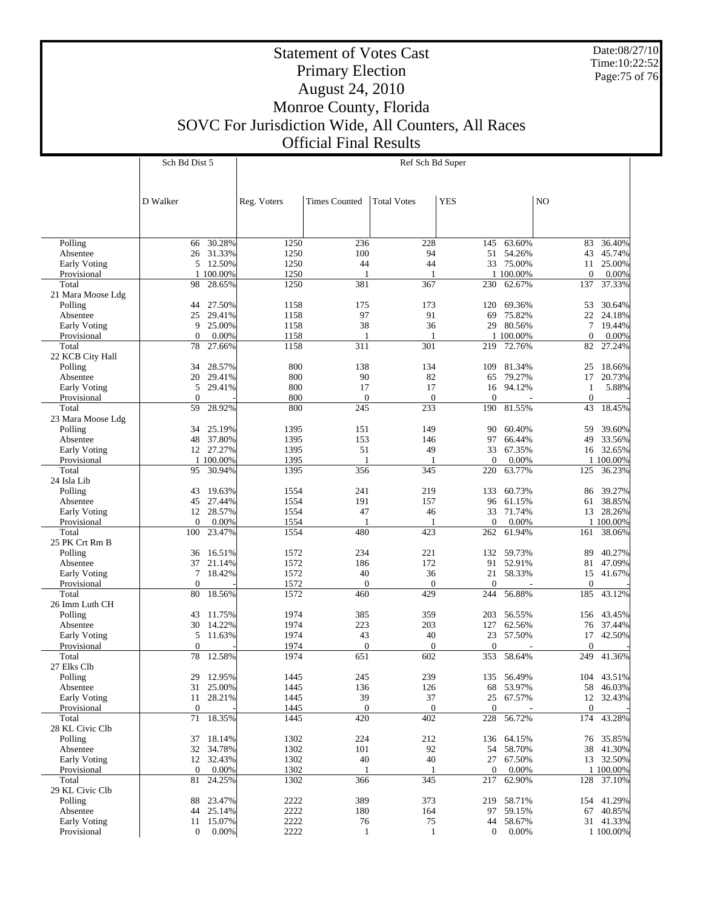Date:08/27/10 Time:10:22:52 Page:75 of 76

## Statement of Votes Cast Primary Election August 24, 2010 Monroe County, Florida SOVC For Jurisdiction Wide, All Counters, All Races Official Final Results

| Polling           | 66             | 30.28%    | 1250 | 236          | 228              | 145            | 63.60%     | 83               | 36.40%     |
|-------------------|----------------|-----------|------|--------------|------------------|----------------|------------|------------------|------------|
| Absentee          | 26             | 31.33%    | 1250 | 100          | 94               | 51             | 54.26%     | 43               | 45.74%     |
| Early Voting      | 5              | 12.50%    | 1250 | 44           | 44               |                | 33 75.00%  | 11               | 25.00%     |
|                   |                | 1 100.00% | 1250 | $\mathbf{1}$ | 1                |                | 1 100.00%  | $\mathbf{0}$     | 0.00%      |
| Provisional       |                |           |      |              |                  |                |            |                  |            |
| Total             | 98             | 28.65%    | 1250 | 381          | 367              | 230            | 62.67%     | 137              | 37.33%     |
| 21 Mara Moose Ldg |                |           |      |              |                  |                |            |                  |            |
| Polling           | 44             | 27.50%    | 1158 | 175          | 173              | 120            | 69.36%     | 53               | 30.64%     |
| Absentee          | 25             | 29.41%    | 1158 | 97           | 91               | 69             | 75.82%     | 22               | 24.18%     |
| Early Voting      | 9              | 25.00%    | 1158 | 38           | 36               | 29             | 80.56%     | $\tau$           | 19.44%     |
| Provisional       | $\overline{0}$ | 0.00%     | 1158 | $\mathbf{1}$ | 1                |                | 1 100.00%  | $\boldsymbol{0}$ | 0.00%      |
| Total             | 78             | 27.66%    | 1158 | 311          | 301              | 219            | 72.76%     | 82               | 27.24%     |
| 22 KCB City Hall  |                |           |      |              |                  |                |            |                  |            |
| Polling           | 34             | 28.57%    | 800  | 138          | 134              | 109            | 81.34%     | 25               | 18.66%     |
|                   |                |           |      |              |                  |                |            |                  |            |
| Absentee          | 20             | 29.41%    | 800  | 90           | 82               | 65             | 79.27%     | 17               | 20.73%     |
| Early Voting      | 5              | 29.41%    | 800  | 17           | 17               | 16             | 94.12%     | $\mathbf{1}$     | 5.88%      |
| Provisional       | $\mathbf{0}$   |           | 800  | $\mathbf{0}$ | $\theta$         | $\Omega$       |            | $\boldsymbol{0}$ |            |
| Total             | 59             | 28.92%    | 800  | 245          | 233              | 190            | 81.55%     | 43               | 18.45%     |
| 23 Mara Moose Ldg |                |           |      |              |                  |                |            |                  |            |
| Polling           | 34             | 25.19%    | 1395 | 151          | 149              | 90             | 60.40%     | 59               | 39.60%     |
| Absentee          | 48             | 37.80%    | 1395 | 153          | 146              | 97             | 66.44%     | 49               | 33.56%     |
| Early Voting      |                | 12 27.27% | 1395 | 51           | 49               | 33             | 67.35%     | 16               | 32.65%     |
| Provisional       |                | 1 100.00% | 1395 | $\mathbf{1}$ | 1                | $\mathbf{0}$   | 0.00%      |                  | 1 100.00%  |
|                   |                |           |      |              |                  |                | 63.77%     |                  |            |
| Total             | 95             | 30.94%    | 1395 | 356          | 345              | 220            |            | 125              | 36.23%     |
| 24 Isla Lib       |                |           |      |              |                  |                |            |                  |            |
| Polling           | 43             | 19.63%    | 1554 | 241          | 219              | 133            | 60.73%     | 86               | 39.27%     |
| Absentee          | 45             | 27.44%    | 1554 | 191          | 157              | 96             | 61.15%     | 61               | 38.85%     |
| Early Voting      | 12             | 28.57%    | 1554 | 47           | 46               | 33             | 71.74%     | 13               | 28.26%     |
| Provisional       | $\mathbf{0}$   | 0.00%     | 1554 | $\mathbf{1}$ | 1                | $\mathbf{0}$   | 0.00%      |                  | 1 100.00%  |
| Total             | 100            | 23.47%    | 1554 | 480          | 423              | 262            | 61.94%     | 161              | 38.06%     |
| 25 PK Crt Rm B    |                |           |      |              |                  |                |            |                  |            |
| Polling           | 36             | 16.51%    | 1572 | 234          | 221              | 132            | 59.73%     | 89               | 40.27%     |
|                   |                |           |      |              |                  |                |            |                  |            |
| Absentee          | 37             | 21.14%    | 1572 | 186          | 172              | 91             | 52.91%     | 81               | 47.09%     |
| Early Voting      | 7              | 18.42%    | 1572 | 40           | 36               | 21             | 58.33%     | 15               | 41.67%     |
| Provisional       | $\overline{0}$ |           | 1572 | $\mathbf{0}$ | $\mathbf{0}$     | $\overline{0}$ |            | $\mathbf{0}$     |            |
| Total             | 80             | 18.56%    | 1572 | 460          | 429              | 244            | 56.88%     | 185              | 43.12%     |
| 26 Imm Luth CH    |                |           |      |              |                  |                |            |                  |            |
| Polling           | 43             | 11.75%    | 1974 | 385          | 359              | 203            | 56.55%     | 156              | 43.45%     |
| Absentee          | 30             | 14.22%    | 1974 | 223          | 203              | 127            | 62.56%     | 76               | 37.44%     |
| Early Voting      | 5              | 11.63%    | 1974 | 43           | 40               | 23             | 57.50%     | 17               | 42.50%     |
| Provisional       | $\mathbf{0}$   |           | 1974 | $\mathbf{0}$ | $\mathbf{0}$     | $\Omega$       |            | $\mathbf{0}$     |            |
| Total             | 78             | 12.58%    | 1974 | 651          | 602              | 353            | 58.64%     | 249              | 41.36%     |
|                   |                |           |      |              |                  |                |            |                  |            |
| 27 Elks Clb       |                |           |      |              |                  |                |            |                  |            |
| Polling           | 29             | 12.95%    | 1445 | 245          | 239              | 135            | 56.49%     | 104              | 43.51%     |
| Absentee          | 31             | 25.00%    | 1445 | 136          | 126              | 68             | 53.97%     | 58               | 46.03%     |
| Early Voting      | 11             | 28.21%    | 1445 | 39           | 37               | 25             | 67.57%     | 12               | 32.43%     |
| Provisional       | $\mathbf{0}$   |           | 1445 | $\mathbf{0}$ | $\boldsymbol{0}$ | $\overline{0}$ |            | $\theta$         |            |
| Total             | 71             | 18.35%    | 1445 | 420          | 402              | 228            | 56.72%     | 174              | 43.28%     |
| 28 KL Civic Clb   |                |           |      |              |                  |                |            |                  |            |
| Polling           |                | 37 18.14% | 1302 | 224          | 212              |                | 136 64.15% |                  | 76 35.85%  |
| Absentee          |                | 32 34.78% | 1302 | 101          | 92               |                | 54 58.70%  |                  | 38 41.30%  |
|                   |                |           |      |              |                  |                |            |                  |            |
| Early Voting      |                | 12 32.43% | 1302 | 40           | 40               |                | 27 67.50%  |                  | 13 32.50%  |
| Provisional       | $\overline{0}$ | 0.00%     | 1302 | -1           | 1                | $\overline{0}$ | 0.00%      |                  | 1 100.00%  |
| Total             | 81             | 24.25%    | 1302 | 366          | 345              |                | 217 62.90% | 128              | 37.10%     |
| 29 KL Civic Clb   |                |           |      |              |                  |                |            |                  |            |
| Polling           |                | 88 23.47% | 2222 | 389          | 373              |                | 219 58.71% |                  | 154 41.29% |
| Absentee          |                | 44 25.14% | 2222 | 180          | 164              |                | 97 59.15%  |                  | 67 40.85%  |
| Early Voting      | 11             | 15.07%    | 2222 | 76           | 75               |                | 44 58.67%  |                  | 31 41.33%  |
| Provisional       | $\mathbf{0}$   | 0.00%     | 2222 | 1            | 1                | $\mathbf{0}$   | 0.00%      |                  | 1 100.00%  |
|                   |                |           |      |              |                  |                |            |                  |            |
|                   |                |           |      |              |                  |                |            |                  |            |